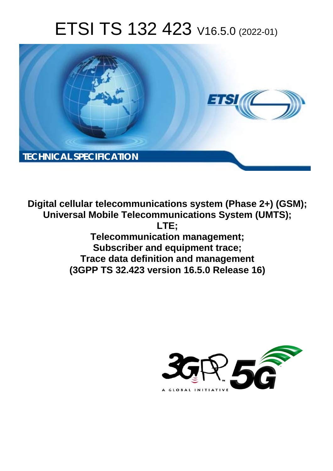# ETSI TS 132 423 V16.5.0 (2022-01)



**Digital cellular telecommunications system (Phase 2+) (GSM); Universal Mobile Telecommunications System (UMTS); LTE; Telecommunication management; Subscriber and equipment trace; Trace data definition and management (3GPP TS 32.423 version 16.5.0 Release 16)** 

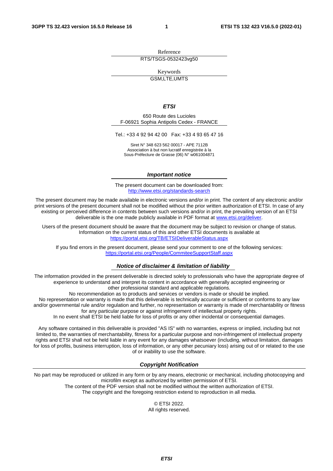Reference RTS/TSGS-0532423vg50

Keywords

GSM,LTE,UMTS

#### *ETSI*

650 Route des Lucioles F-06921 Sophia Antipolis Cedex - FRANCE

Tel.: +33 4 92 94 42 00 Fax: +33 4 93 65 47 16

Siret N° 348 623 562 00017 - APE 7112B Association à but non lucratif enregistrée à la Sous-Préfecture de Grasse (06) N° w061004871

#### *Important notice*

The present document can be downloaded from: <http://www.etsi.org/standards-search>

The present document may be made available in electronic versions and/or in print. The content of any electronic and/or print versions of the present document shall not be modified without the prior written authorization of ETSI. In case of any existing or perceived difference in contents between such versions and/or in print, the prevailing version of an ETSI deliverable is the one made publicly available in PDF format at [www.etsi.org/deliver](http://www.etsi.org/deliver).

Users of the present document should be aware that the document may be subject to revision or change of status. Information on the current status of this and other ETSI documents is available at <https://portal.etsi.org/TB/ETSIDeliverableStatus.aspx>

If you find errors in the present document, please send your comment to one of the following services: <https://portal.etsi.org/People/CommiteeSupportStaff.aspx>

#### *Notice of disclaimer & limitation of liability*

The information provided in the present deliverable is directed solely to professionals who have the appropriate degree of experience to understand and interpret its content in accordance with generally accepted engineering or other professional standard and applicable regulations.

No recommendation as to products and services or vendors is made or should be implied.

No representation or warranty is made that this deliverable is technically accurate or sufficient or conforms to any law and/or governmental rule and/or regulation and further, no representation or warranty is made of merchantability or fitness for any particular purpose or against infringement of intellectual property rights.

In no event shall ETSI be held liable for loss of profits or any other incidental or consequential damages.

Any software contained in this deliverable is provided "AS IS" with no warranties, express or implied, including but not limited to, the warranties of merchantability, fitness for a particular purpose and non-infringement of intellectual property rights and ETSI shall not be held liable in any event for any damages whatsoever (including, without limitation, damages for loss of profits, business interruption, loss of information, or any other pecuniary loss) arising out of or related to the use of or inability to use the software.

#### *Copyright Notification*

No part may be reproduced or utilized in any form or by any means, electronic or mechanical, including photocopying and microfilm except as authorized by written permission of ETSI. The content of the PDF version shall not be modified without the written authorization of ETSI.

The copyright and the foregoing restriction extend to reproduction in all media.

© ETSI 2022. All rights reserved.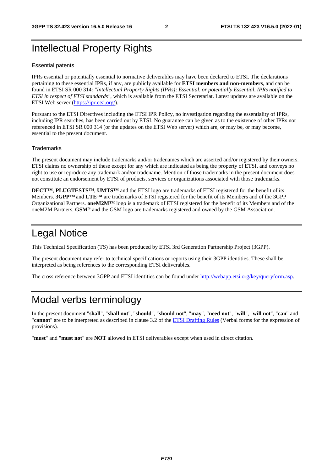### Intellectual Property Rights

#### Essential patents

IPRs essential or potentially essential to normative deliverables may have been declared to ETSI. The declarations pertaining to these essential IPRs, if any, are publicly available for **ETSI members and non-members**, and can be found in ETSI SR 000 314: *"Intellectual Property Rights (IPRs); Essential, or potentially Essential, IPRs notified to ETSI in respect of ETSI standards"*, which is available from the ETSI Secretariat. Latest updates are available on the ETSI Web server ([https://ipr.etsi.org/\)](https://ipr.etsi.org/).

Pursuant to the ETSI Directives including the ETSI IPR Policy, no investigation regarding the essentiality of IPRs, including IPR searches, has been carried out by ETSI. No guarantee can be given as to the existence of other IPRs not referenced in ETSI SR 000 314 (or the updates on the ETSI Web server) which are, or may be, or may become, essential to the present document.

#### **Trademarks**

The present document may include trademarks and/or tradenames which are asserted and/or registered by their owners. ETSI claims no ownership of these except for any which are indicated as being the property of ETSI, and conveys no right to use or reproduce any trademark and/or tradename. Mention of those trademarks in the present document does not constitute an endorsement by ETSI of products, services or organizations associated with those trademarks.

**DECT™**, **PLUGTESTS™**, **UMTS™** and the ETSI logo are trademarks of ETSI registered for the benefit of its Members. **3GPP™** and **LTE™** are trademarks of ETSI registered for the benefit of its Members and of the 3GPP Organizational Partners. **oneM2M™** logo is a trademark of ETSI registered for the benefit of its Members and of the oneM2M Partners. **GSM**® and the GSM logo are trademarks registered and owned by the GSM Association.

### Legal Notice

This Technical Specification (TS) has been produced by ETSI 3rd Generation Partnership Project (3GPP).

The present document may refer to technical specifications or reports using their 3GPP identities. These shall be interpreted as being references to the corresponding ETSI deliverables.

The cross reference between 3GPP and ETSI identities can be found under<http://webapp.etsi.org/key/queryform.asp>.

### Modal verbs terminology

In the present document "**shall**", "**shall not**", "**should**", "**should not**", "**may**", "**need not**", "**will**", "**will not**", "**can**" and "**cannot**" are to be interpreted as described in clause 3.2 of the [ETSI Drafting Rules](https://portal.etsi.org/Services/editHelp!/Howtostart/ETSIDraftingRules.aspx) (Verbal forms for the expression of provisions).

"**must**" and "**must not**" are **NOT** allowed in ETSI deliverables except when used in direct citation.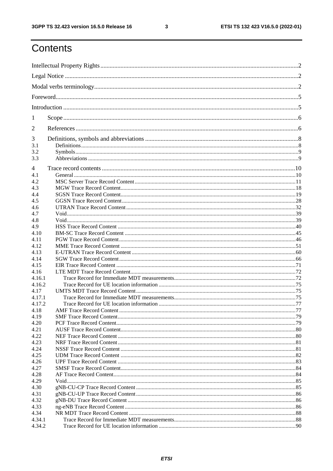$\mathbf{3}$ 

## Contents

| 1      |                          |  |
|--------|--------------------------|--|
| 2      |                          |  |
| 3      |                          |  |
| 3.1    |                          |  |
| 3.2    |                          |  |
| 3.3    |                          |  |
| 4      |                          |  |
| 4.1    |                          |  |
| 4.2    |                          |  |
| 4.3    |                          |  |
| 4.4    |                          |  |
| 4.5    |                          |  |
| 4.6    |                          |  |
| 4.7    |                          |  |
| 4.8    |                          |  |
| 4.9    |                          |  |
| 4.10   |                          |  |
| 4.11   |                          |  |
| 4.12   |                          |  |
| 4.13   |                          |  |
| 4.14   |                          |  |
| 4.15   |                          |  |
| 4.16   |                          |  |
| 4.16.1 |                          |  |
| 4.16.2 |                          |  |
| 4.17   |                          |  |
| 4.17.1 |                          |  |
| 4.17.2 |                          |  |
| 4.18   | AMF Trace Record Content |  |
| 4.19   |                          |  |
| 4.20   |                          |  |
| 4.21   |                          |  |
| 4.22   |                          |  |
| 4.23   |                          |  |
| 4.24   |                          |  |
| 4.25   |                          |  |
| 4.26   |                          |  |
| 4.27   |                          |  |
| 4.28   |                          |  |
| 4.29   |                          |  |
| 4.30   |                          |  |
| 4.31   |                          |  |
| 4.32   |                          |  |
| 4.33   |                          |  |
| 4.34   |                          |  |
| 4.34.1 |                          |  |
| 4.34.2 |                          |  |
|        |                          |  |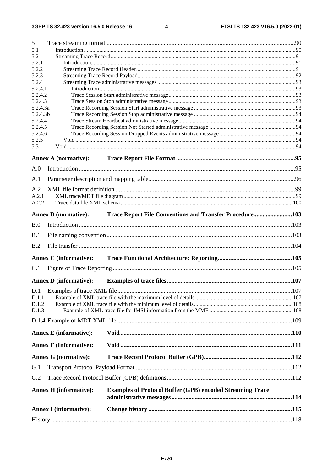$\overline{\mathbf{4}}$ 

| 5              |                               |                                                                  |  |
|----------------|-------------------------------|------------------------------------------------------------------|--|
| 5.1            |                               |                                                                  |  |
| 5.2            |                               |                                                                  |  |
| 5.2.1<br>5.2.2 |                               |                                                                  |  |
| 5.2.3          |                               |                                                                  |  |
| 5.2.4          |                               |                                                                  |  |
| 5.2.4.1        |                               |                                                                  |  |
| 5.2.4.2        |                               |                                                                  |  |
| 5.2.4.3        |                               |                                                                  |  |
| 5.2.4.3a       |                               |                                                                  |  |
| 5.2.4.3b       |                               |                                                                  |  |
| 5.2.4.4        |                               |                                                                  |  |
| 5.2.4.5        |                               |                                                                  |  |
| 5.2.4.6        |                               |                                                                  |  |
| 5.2.5          |                               |                                                                  |  |
| 5.3            |                               |                                                                  |  |
|                | <b>Annex A (normative):</b>   |                                                                  |  |
| A.0            |                               |                                                                  |  |
|                |                               |                                                                  |  |
| A.1            |                               |                                                                  |  |
| A.2            |                               |                                                                  |  |
| A.2.1          |                               |                                                                  |  |
| A.2.2          |                               |                                                                  |  |
|                |                               |                                                                  |  |
|                | <b>Annex B</b> (normative):   | Trace Report File Conventions and Transfer Procedure103          |  |
| B.0            |                               |                                                                  |  |
| B.1            |                               |                                                                  |  |
|                |                               |                                                                  |  |
| B.2            |                               |                                                                  |  |
|                | <b>Annex C</b> (informative): |                                                                  |  |
| C.1            |                               |                                                                  |  |
|                |                               |                                                                  |  |
|                | <b>Annex D</b> (informative): |                                                                  |  |
|                |                               |                                                                  |  |
| D.1.1          |                               |                                                                  |  |
| D.1.2          |                               |                                                                  |  |
| D.1.3          |                               |                                                                  |  |
|                |                               |                                                                  |  |
|                |                               |                                                                  |  |
|                | <b>Annex E</b> (informative): |                                                                  |  |
|                | <b>Annex F</b> (Informative): |                                                                  |  |
|                | <b>Annex G (normative):</b>   |                                                                  |  |
|                |                               |                                                                  |  |
| G.1            |                               |                                                                  |  |
| G.2            |                               |                                                                  |  |
|                | <b>Annex H</b> (informative): | <b>Examples of Protocol Buffer (GPB) encoded Streaming Trace</b> |  |
|                | <b>Annex I</b> (informative): |                                                                  |  |
|                |                               |                                                                  |  |
|                |                               |                                                                  |  |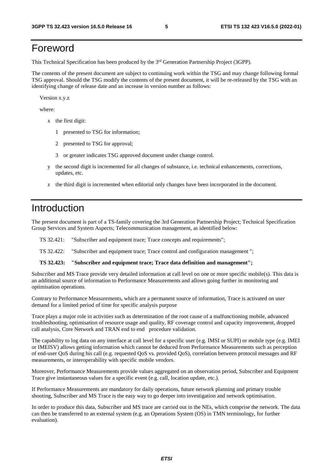### Foreword

This Technical Specification has been produced by the 3rd Generation Partnership Project (3GPP).

The contents of the present document are subject to continuing work within the TSG and may change following formal TSG approval. Should the TSG modify the contents of the present document, it will be re-released by the TSG with an identifying change of release date and an increase in version number as follows:

Version x.y.z

where:

- x the first digit:
	- 1 presented to TSG for information;
	- 2 presented to TSG for approval;
	- 3 or greater indicates TSG approved document under change control.
- y the second digit is incremented for all changes of substance, i.e. technical enhancements, corrections, updates, etc.
- z the third digit is incremented when editorial only changes have been incorporated in the document.

### Introduction

The present document is part of a TS-family covering the 3rd Generation Partnership Project; Technical Specification Group Services and System Aspects; Telecommunication management, as identified below:

TS 32.421: "Subscriber and equipment trace; Trace concepts and requirements";

TS 32.422: "Subscriber and equipment trace; Trace control and configuration management ";

#### **TS 32.423: "Subscriber and equipment trace; Trace data definition and management";**

Subscriber and MS Trace provide very detailed information at call level on one or more specific mobile(s). This data is an additional source of information to Performance Measurements and allows going further in monitoring and optimisation operations.

Contrary to Performance Measurements, which are a permanent source of information, Trace is activated on user demand for a limited period of time for specific analysis purpose

Trace plays a major role in activities such as determination of the root cause of a malfunctioning mobile, advanced troubleshooting, optimisation of resource usage and quality, RF coverage control and capacity improvement, dropped call analysis, Core Network and TRAN end to end procedure validation.

The capability to log data on any interface at call level for a specific user (e.g. IMSI or SUPI) or mobile type (e.g. IMEI or IMEISV) allows getting information which cannot be deduced from Performance Measurements such as perception of end-user QoS during his call (e.g. requested QoS vs. provided QoS), correlation between protocol messages and RF measurements, or interoperability with specific mobile vendors.

Moreover, Performance Measurements provide values aggregated on an observation period, Subscriber and Equipment Trace give instantaneous values for a specific event (e.g. call, location update, etc.).

If Performance Measurements are mandatory for daily operations, future network planning and primary trouble shooting, Subscriber and MS Trace is the easy way to go deeper into investigation and network optimisation.

In order to produce this data, Subscriber and MS trace are carried out in the NEs, which comprise the network. The data can then be transferred to an external system (e.g. an Operations System (OS) in TMN terminology, for further evaluation).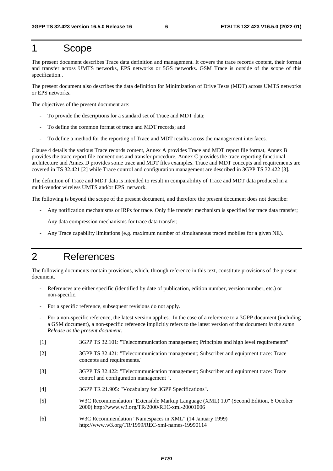#### 1 Scope

The present document describes Trace data definition and management. It covers the trace records content, their format and transfer across UMTS networks, EPS networks or 5GS networks. GSM Trace is outside of the scope of this specification..

The present document also describes the data definition for Minimization of Drive Tests (MDT) across UMTS networks or EPS networks.

The objectives of the present document are:

- To provide the descriptions for a standard set of Trace and MDT data;
- To define the common format of trace and MDT records; and
- To define a method for the reporting of Trace and MDT results across the management interfaces.

Clause 4 details the various Trace records content, Annex A provides Trace and MDT report file format, Annex B provides the trace report file conventions and transfer procedure, Annex C provides the trace reporting functional architecture and Annex D provides some trace and MDT files examples. Trace and MDT concepts and requirements are covered in TS 32.421 [2] while Trace control and configuration management are described in 3GPP TS 32.422 [3].

The definition of Trace and MDT data is intended to result in comparability of Trace and MDT data produced in a multi-vendor wireless UMTS and/or EPS network.

The following is beyond the scope of the present document, and therefore the present document does not describe:

- Any notification mechanisms or IRPs for trace. Only file transfer mechanism is specified for trace data transfer;
- Any data compression mechanisms for trace data transfer;
- Any Trace capability limitations (e.g. maximum number of simultaneous traced mobiles for a given NE).

### 2 References

The following documents contain provisions, which, through reference in this text, constitute provisions of the present document.

- References are either specific (identified by date of publication, edition number, version number, etc.) or non-specific.
- For a specific reference, subsequent revisions do not apply.
- For a non-specific reference, the latest version applies. In the case of a reference to a 3GPP document (including a GSM document), a non-specific reference implicitly refers to the latest version of that document *in the same Release as the present document*.
- [1] 3GPP TS 32.101: "Telecommunication management; Principles and high level requirements".
- [2] 3GPP TS 32.421: "Telecommunication management; Subscriber and equipment trace: Trace concepts and requirements."
- [3] 3GPP TS 32.422: "Telecommunication management; Subscriber and equipment trace: Trace control and configuration management ".
- [4] 3GPP TR 21.905: "Vocabulary for 3GPP Specifications".
- [5] W3C Recommendation "Extensible Markup Language (XML) 1.0" (Second Edition, 6 October 2000) http://www.w3.org/TR/2000/REC-xml-20001006
- [6] W3C Recommendation "Namespaces in XML" (14 January 1999) http://www.w3.org/TR/1999/REC-xml-names-19990114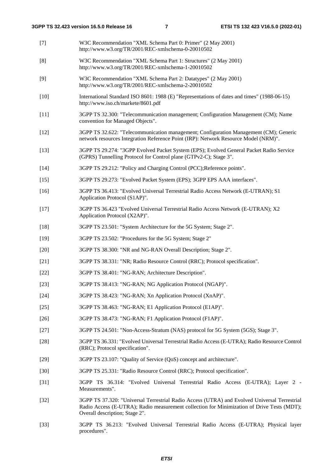- [7] W3C Recommendation "XML Schema Part 0: Primer" (2 May 2001) http://www.w3.org/TR/2001/REC-xmlschema-0-20010502 [8] W3C Recommendation "XML Schema Part 1: Structures" (2 May 2001) http://www.w3.org/TR/2001/REC-xmlschema-1-20010502 [9] W3C Recommendation "XML Schema Part 2: Datatypes" (2 May 2001) http://www.w3.org/TR/2001/REC-xmlschema-2-20010502 [10] International Standard ISO 8601: 1988 (E) "Representations of dates and times" (1988-06-15) http://www.iso.ch/markete/8601.pdf [11] 3GPP TS 32.300: "Telecommunication management; Configuration Management (CM); Name convention for Managed Objects". [12] 3GPP TS 32.622: "Telecommunication management; Configuration Management (CM); Generic network resources Integration Reference Point (IRP): Network Resource Model (NRM)". [13] 3GPP TS 29.274: "3GPP Evolved Packet System (EPS); Evolved General Packet Radio Service (GPRS) Tunnelling Protocol for Control plane (GTPv2-C); Stage 3". [14] 3GPP TS 29.212: "Policy and Charging Control (PCC);Reference points". [15] 3GPP TS 29.273: "Evolved Packet System (EPS); 3GPP EPS AAA interfaces". [16] 3GPP TS 36.413: "Evolved Universal Terrestrial Radio Access Network (E-UTRAN); S1 Application Protocol (S1AP)". [17] 3GPP TS 36.423 "Evolved Universal Terrestrial Radio Access Network (E-UTRAN); X2 Application Protocol (X2AP)". [18] 3GPP TS 23.501: "System Architecture for the 5G System; Stage 2". [19] 3GPP TS 23.502: "Procedures for the 5G System; Stage 2" [20] 3GPP TS 38.300: "NR and NG-RAN Overall Description; Stage 2". [21] 3GPP TS 38.331: "NR; Radio Resource Control (RRC); Protocol specification". [22] 3GPP TS 38.401: "NG-RAN; Architecture Description". [23] 3GPP TS 38.413: "NG-RAN; NG Application Protocol (NGAP)". [24] 3GPP TS 38.423: "NG-RAN; Xn Application Protocol (XnAP)". [25] 3GPP TS 38.463: "NG-RAN; E1 Application Protocol (E1AP)". [26] 3GPP TS 38.473: "NG-RAN; F1 Application Protocol (F1AP)". [27] 3GPP TS 24.501: "Non-Access-Stratum (NAS) protocol for 5G System (5GS); Stage 3". [28] 3GPP TS 36.331: "Evolved Universal Terrestrial Radio Access (E-UTRA); Radio Resource Control (RRC); Protocol specification". [29] 3GPP TS 23.107: "Quality of Service (QoS) concept and architecture". [30] 3GPP TS 25.331: "Radio Resource Control (RRC); Protocol specification". [31] 3GPP TS 36.314: "Evolved Universal Terrestrial Radio Access (E-UTRA); Layer 2 - Measurements". [32] 3GPP TS 37.320: "Universal Terrestrial Radio Access (UTRA) and Evolved Universal Terrestrial Radio Access (E-UTRA); Radio measurement collection for Minimization of Drive Tests (MDT); Overall description; Stage 2".
- [33] 3GPP TS 36.213: "Evolved Universal Terrestrial Radio Access (E-UTRA); Physical layer procedures".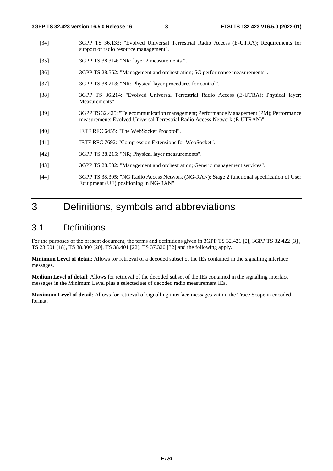- [34] 3GPP TS 36.133: "Evolved Universal Terrestrial Radio Access (E-UTRA); Requirements for support of radio resource management".
- [35] 3GPP TS 38.314: "NR; layer 2 measurements ".
- [36] 3GPP TS 28.552: "Management and orchestration; 5G performance measurements".
- [37] 3GPP TS 38.213: "NR; Physical layer procedures for control".
- [38] 3GPP TS 36.214: "Evolved Universal Terrestrial Radio Access (E-UTRA); Physical layer; Measurements".
- [39] 3GPP TS 32.425: "Telecommunication management; Performance Management (PM); Performance measurements Evolved Universal Terrestrial Radio Access Network (E-UTRAN)".
- [40] IETF RFC 6455: "The WebSocket Procotol".
- [41] IETF RFC 7692: "Compression Extensions for WebSocket".
- [42] 3GPP TS 38.215: "NR; Physical layer measurements".
- [43] 3GPP TS 28.532: "Management and orchestration; Generic management services".
- [44] 3GPP TS 38.305: "NG Radio Access Network (NG-RAN); Stage 2 functional specification of User Equipment (UE) positioning in NG-RAN".

### 3 Definitions, symbols and abbreviations

#### 3.1 Definitions

For the purposes of the present document, the terms and definitions given in 3GPP TS 32.421 [2], 3GPP TS 32.422 [3] , TS 23.501 [18], TS 38.300 [20], TS 38.401 [22], TS 37.320 [32] and the following apply.

**Minimum Level of detail**: Allows for retrieval of a decoded subset of the IEs contained in the signalling interface messages.

**Medium Level of detail**: Allows for retrieval of the decoded subset of the IEs contained in the signalling interface messages in the Minimum Level plus a selected set of decoded radio measurement IEs.

**Maximum Level of detail**: Allows for retrieval of signalling interface messages within the Trace Scope in encoded format.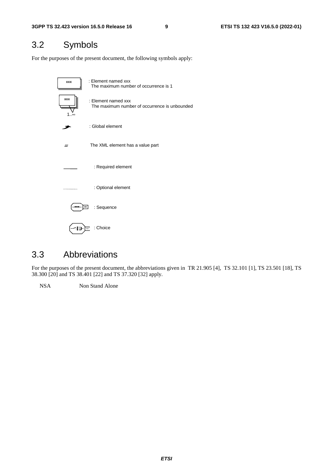### 3.2 Symbols

For the purposes of the present document, the following symbols apply:



#### 3.3 Abbreviations

For the purposes of the present document, the abbreviations given in TR 21.905 [4], TS 32.101 [1], TS 23.501 [18], TS 38.300 [20] and TS 38.401 [22] and TS 37.320 [32] apply.

NSA Non Stand Alone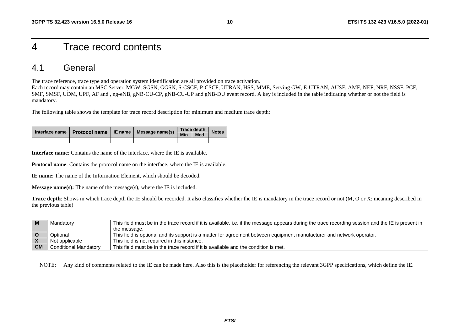### 4 Trace record contents

#### 4.1 General

The trace reference, trace type and operation system identification are all provided on trace activation.

Each record may contain an MSC Server, MGW, SGSN, GGSN, S-CSCF, P-CSCF, UTRAN, HSS, MME, Serving GW, E-UTRAN, AUSF, AMF, NEF, NRF, NSSF, PCF, SMF, SMSF, UDM, UPF, AF and , ng-eNB, gNB-CU-CP, gNB-CU-UP and gNB-DU event record. A key is included in the table indicating whether or not the field is mandatory.

The following table shows the template for trace record description for minimum and medium trace depth:

|  |  | Interface name   Protocol name   IE name   Message name(s) | <b>Trace depth</b>        | <b>Notes</b> |  |
|--|--|------------------------------------------------------------|---------------------------|--------------|--|
|  |  |                                                            | $\overline{\mathsf{Min}}$ | <b>Med</b>   |  |
|  |  |                                                            |                           |              |  |

**Interface name**: Contains the name of the interface, where the IE is available.

**Protocol name**: Contains the protocol name on the interface, where the IE is available.

**IE name**: The name of the Information Element, which should be decoded.

**Message name(s):** The name of the message(s), where the IE is included.

**Trace depth**: Shows in which trace depth the IE should be recorded. It also classifies whether the IE is mandatory in the trace record or not (M, O or X: meaning described in the previous table)

|           | Mandatory                    | This field must be in the trace record if it is available, i.e. if the message appears during the trace recording session and the IE is present in |
|-----------|------------------------------|----------------------------------------------------------------------------------------------------------------------------------------------------|
|           |                              | the message.                                                                                                                                       |
|           | Optional                     | This field is optional and its support is a matter for agreement between equipment manufacturer and network operator.                              |
|           | Not applicable               | This field is not required in this instance.                                                                                                       |
| <b>CM</b> | <b>Conditional Mandatory</b> | This field must be in the trace record if it is available and the condition is met.                                                                |

NOTE: Any kind of comments related to the IE can be made here. Also this is the placeholder for referencing the relevant 3GPP specifications, which define the IE.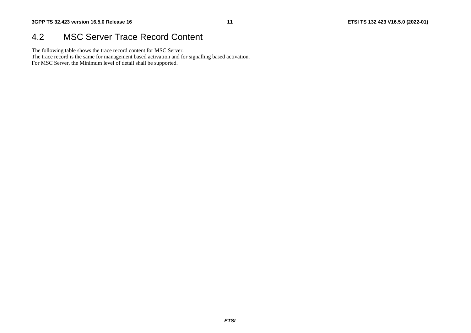#### 4.2 MSC Server Trace Record Content

The following table shows the trace record content for MSC Server.

The trace record is the same for management based activation and for signalling based activation.

For MSC Server, the Minimum level of detail shall be supported.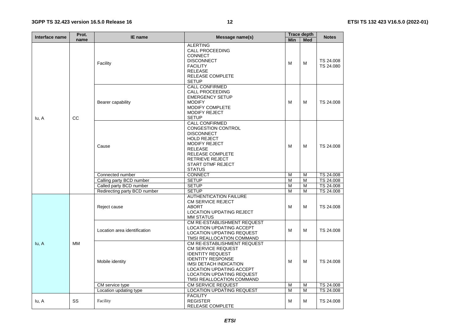| Interface name | Prot.     | IE name                      | Message name(s)                                                                                                                                                                                                                               |            | <b>Trace depth</b> | <b>Notes</b>           |  |
|----------------|-----------|------------------------------|-----------------------------------------------------------------------------------------------------------------------------------------------------------------------------------------------------------------------------------------------|------------|--------------------|------------------------|--|
|                | name      |                              |                                                                                                                                                                                                                                               | <b>Min</b> | <b>Med</b>         |                        |  |
|                | CC        | Facility                     | <b>ALERTING</b><br><b>CALL PROCEEDING</b><br><b>CONNECT</b><br><b>DISCONNECT</b><br><b>FACILITY</b><br><b>RELEASE</b><br>RELEASE COMPLETE<br><b>SETUP</b>                                                                                     | M          | M                  | TS 24.008<br>TS 24.080 |  |
| lu, A          |           | Bearer capability            | <b>CALL CONFIRMED</b><br><b>CALL PROCEEDING</b><br><b>EMERGENCY SETUP</b><br><b>MODIFY</b><br>MODIFY COMPLETE<br><b>MODIFY REJECT</b><br><b>SETUP</b>                                                                                         | M          | M                  | TS 24.008              |  |
|                |           | Cause                        | <b>CALL CONFIRMED</b><br>CONGESTION CONTROL<br><b>DISCONNECT</b><br><b>HOLD REJECT</b><br><b>MODIFY REJECT</b><br><b>RELEASE</b><br>RELEASE COMPLETE<br><b>RETRIEVE REJECT</b><br><b>START DTMF REJECT</b><br><b>STATUS</b>                   | M          | M                  | TS 24.008              |  |
|                |           | Connected number             | <b>CONNECT</b>                                                                                                                                                                                                                                | M          | M                  | TS 24.008              |  |
|                |           | Calling party BCD number     | <b>SETUP</b>                                                                                                                                                                                                                                  | M          | M                  | TS 24.008              |  |
|                |           | Called party BCD number      | <b>SETUP</b>                                                                                                                                                                                                                                  | M          | M                  | TS 24.008              |  |
|                |           | Redirecting party BCD number | <b>SETUP</b>                                                                                                                                                                                                                                  | M          | M                  | TS 24.008              |  |
|                |           | Reject cause                 | <b>AUTHENTICATION FAILURE</b><br><b>CM SERVICE REJECT</b><br><b>ABORT</b><br><b>LOCATION UPDATING REJECT</b><br><b>MM STATUS</b>                                                                                                              | M          | M                  | TS 24.008              |  |
|                |           | Location area identification | CM RE-ESTABLISHMENT REQUEST<br><b>LOCATION UPDATING ACCEPT</b><br><b>LOCATION UPDATING REQUEST</b><br>TMSI REALLOCATION COMMAND                                                                                                               | M          | M                  | TS 24.008              |  |
| lu, A          | <b>MM</b> | Mobile identity              | CM RE-ESTABLISHMENT REQUEST<br><b>CM SERVICE REQUEST</b><br><b>IDENTITY REQUEST</b><br><b>IDENTITY RESPONSE</b><br>IMSI DETACH INDICATION<br><b>LOCATION UPDATING ACCEPT</b><br><b>LOCATION UPDATING REQUEST</b><br>TMSI REALLOCATION COMMAND | м          | M                  | TS 24.008              |  |
|                |           | CM service type              | <b>CM SERVICE REQUEST</b>                                                                                                                                                                                                                     | M          | M                  | TS 24.008              |  |
|                |           | Location updating type       | <b>LOCATION UPDATING REQUEST</b>                                                                                                                                                                                                              | M          | M                  | TS 24.008              |  |
| lu, A          | SS        | Facility                     | <b>FACILITY</b><br><b>REGISTER</b><br>REI FASE COMPI FTE                                                                                                                                                                                      | м          | M                  | TS 24,008              |  |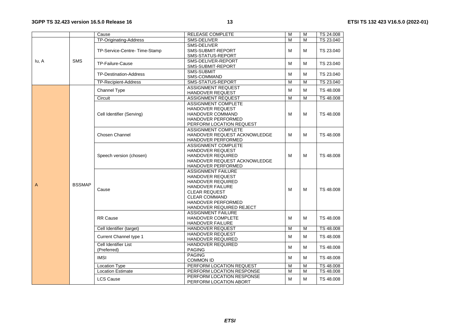|                |               | Cause                                          | <b>RELEASE COMPLETE</b>      | M                       | M              | TS 24.008 |
|----------------|---------------|------------------------------------------------|------------------------------|-------------------------|----------------|-----------|
|                |               | TP-Originating-Address                         | SMS-DELIVER                  | M                       | M              | TS 23.040 |
|                |               |                                                | SMS-DELIVER                  |                         |                |           |
|                |               | TP-Service-Centre-Time-Stamp                   | <b>SMS-SUBMIT-REPORT</b>     | М                       | М              | TS 23.040 |
|                |               |                                                | SMS-STATUS-REPORT            |                         |                |           |
| lu, A          | <b>SMS</b>    |                                                | SMS-DELIVER-REPORT           |                         |                |           |
|                |               | TP-Failure-Cause                               | SMS-SUBMIT-REPORT            | М                       | M              | TS 23.040 |
|                |               |                                                | <b>SMS-SUBMIT</b>            |                         |                |           |
|                |               | <b>TP-Destination-Address</b>                  | SMS-COMMAND                  | M                       | M              | TS 23.040 |
|                |               | <b>TP-Recipient-Address</b>                    | SMS-STATUS-REPORT            | M                       | M              | TS 23.040 |
|                |               |                                                | <b>ASSIGNMENT REQUEST</b>    |                         |                |           |
|                |               | Channel Type                                   | HANDOVER REQUEST             | М                       | M              | TS 48,008 |
|                |               | Circuit                                        | ASSIGNMENT REQUEST           | $\overline{\mathsf{M}}$ | M              | TS 48.008 |
|                |               |                                                | ASSIGNMENT COMPLETE          |                         |                |           |
|                |               |                                                | <b>HANDOVER REQUEST</b>      |                         |                |           |
|                |               | Cell Identifier (Serving)                      | HANDOVER COMMAND             | M                       | м              | TS 48,008 |
|                |               |                                                | <b>HANDOVER PERFORMED</b>    |                         |                |           |
|                |               |                                                | PERFORM LOCATION REQUEST     |                         |                |           |
|                |               |                                                | <b>ASSIGNMENT COMPLETE</b>   |                         |                |           |
|                |               | Chosen Channel<br>HANDOVER REQUEST ACKNOWLEDGE |                              | M                       | M              | TS 48.008 |
|                |               |                                                | HANDOVER PERFORMED           |                         |                |           |
|                |               |                                                | <b>ASSIGNMENT COMPLETE</b>   |                         |                |           |
|                |               |                                                | HANDOVER REQUEST             |                         |                |           |
|                |               | Speech version (chosen)                        | <b>HANDOVER REQUIRED</b>     | M                       | M              | TS 48,008 |
|                |               |                                                | HANDOVER REQUEST ACKNOWLEDGE |                         |                |           |
|                |               |                                                | HANDOVER PERFORMED           |                         |                |           |
|                |               | <b>ASSIGNMENT FAILURE</b>                      |                              |                         |                |           |
|                |               |                                                | <b>HANDOVER REQUEST</b>      |                         |                |           |
|                |               |                                                | <b>HANDOVER REQUIRED</b>     |                         |                |           |
| $\overline{A}$ | <b>BSSMAP</b> |                                                | <b>HANDOVER FAILURE</b>      |                         |                |           |
|                |               | Cause                                          | <b>CLEAR REQUEST</b>         | M                       | M              | TS 48.008 |
|                |               |                                                | <b>CLEAR COMMAND</b>         |                         |                |           |
|                |               |                                                | HANDOVER PERFORMED           |                         |                |           |
|                |               |                                                | HANDOVER REQUIRED REJECT     |                         |                |           |
|                |               |                                                | <b>ASSIGNMENT FAILURE</b>    |                         |                |           |
|                |               | <b>RR Cause</b>                                | HANDOVER COMPLETE            | M                       | м              | TS 48,008 |
|                |               |                                                | HANDOVER FAILURE             |                         |                |           |
|                |               | Cell Identifier (target)                       | HANDOVER REQUEST             | $\overline{\mathsf{M}}$ | M              | TS 48.008 |
|                |               |                                                | <b>HANDOVER REQUEST</b>      |                         |                |           |
|                |               | Current Channel type 1                         | HANDOVER REQUIRED            | M                       | M              | TS 48,008 |
|                |               | Cell Identifier List                           | <b>HANDOVER REQUIRED</b>     |                         |                |           |
|                |               | (Preferred)                                    | <b>PAGING</b>                | M                       | M              | TS 48,008 |
|                |               |                                                | <b>PAGING</b>                |                         |                |           |
|                |               | <b>IMSI</b>                                    | <b>COMMON ID</b>             | M                       | M              | TS 48.008 |
|                |               | <b>Location Type</b>                           | PERFORM LOCATION REQUEST     | M                       | M              | TS 48.008 |
|                |               | <b>Location Estimate</b>                       | PERFORM LOCATION RESPONSE    | M                       | $\overline{M}$ | TS 48.008 |
|                |               |                                                | PERFORM LOCATION RESPONSE    |                         |                |           |
|                |               | <b>LCS Cause</b>                               | PERFORM LOCATION ABORT       | M                       | M              | TS 48.008 |
|                |               |                                                |                              |                         |                |           |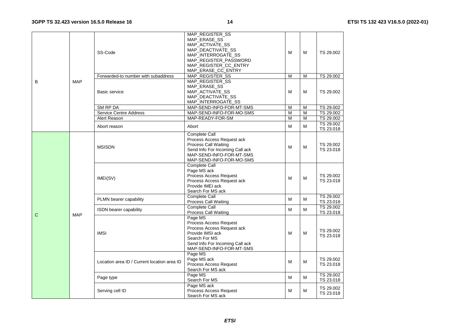|              |            | SS-Code                                     | MAP_REGISTER_SS<br>MAP_ERASE_SS<br>MAP_ACTIVATE_SS<br>MAP DEACTIVATE SS<br>MAP_INTERROGATE_SS<br>MAP_REGISTER_PASSWORD<br>MAP_REGISTER_CC_ENTRY<br>MAP_ERASE_CC_ENTRY | м | М | TS 29.002              |
|--------------|------------|---------------------------------------------|-----------------------------------------------------------------------------------------------------------------------------------------------------------------------|---|---|------------------------|
|              |            | Forwarded-to number with subaddress         | MAP_REGISTER_SS                                                                                                                                                       | M | M | TS 29.002              |
| B            | <b>MAP</b> | Basic service                               | MAP_REGISTER_SS<br>MAP_ERASE_SS<br>MAP_ACTIVATE_SS<br>MAP_DEACTIVATE_SS<br>MAP_INTERROGATE_SS                                                                         | м | M | TS 29.002              |
|              |            | SM RP DA                                    | MAP-SEND-INFO-FOR-MT-SMS                                                                                                                                              | M | M | TS 29.002              |
|              |            | <b>Service Centre Address</b>               | MAP-SEND-INFO-FOR-MO-SMS                                                                                                                                              | M | M | TS 29.002              |
|              |            | Alert Reason                                | MAP-READY-FOR-SM                                                                                                                                                      | M | M | TS 29.002              |
|              |            | Abort reason                                | Abort                                                                                                                                                                 | м | M | TS 29.002<br>TS 23.018 |
|              |            | <b>MSISDN</b>                               | Complete Call<br>Process Access Request ack<br><b>Process Call Waiting</b><br>Send Info For Incoming Call ack<br>MAP-SEND-INFO-FOR-MT-SMS<br>MAP-SEND-INFO-FOR-MO-SMS | м | M | TS 29.002<br>TS 23.018 |
|              |            | IMEI(SV)                                    | Complete Call<br>Page MS ack<br>Process Access Request<br>Process Access Request ack<br>Provide IMEI ack<br>Search For MS ack                                         | м | M | TS 29.002<br>TS 23.018 |
|              |            | PLMN bearer capability                      | <b>Complete Call</b><br><b>Process Call Waiting</b>                                                                                                                   | м | M | TS 29.002<br>TS 23.018 |
| $\mathsf{C}$ | <b>MAP</b> | ISDN bearer capability                      | <b>Complete Call</b><br><b>Process Call Waiting</b>                                                                                                                   | M | M | TS 29.002<br>TS 23.018 |
|              |            | <b>IMSI</b>                                 | Page MS<br>Process Access Request<br>Process Access Request ack<br>Provide IMSI ack<br>Search For MS<br>Send Info For Incoming Call ack<br>MAP-SEND-INFO-FOR-MT-SMS   | м | M | TS 29.002<br>TS 23.018 |
|              |            | Location area ID / Current location area ID | Page MS<br>Page MS ack<br>Process Access Request<br>Search For MS ack                                                                                                 | М | М | TS 29.002<br>TS 23.018 |
|              |            | Page type                                   | Page MS<br>Search For MS                                                                                                                                              | м | M | TS 29.002<br>TS 23.018 |
|              |            | Serving cell ID                             | Page MS ack<br><b>Process Access Request</b><br>Search For MS ack                                                                                                     | м | M | TS 29.002<br>TS 23.018 |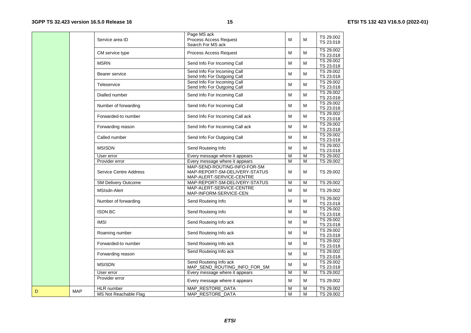| Service area ID               | Process Access Request<br>Search For MS ack                   | M                                                                                                                                                                                                                                            | M      | TS 29.002<br>TS 23.018 |
|-------------------------------|---------------------------------------------------------------|----------------------------------------------------------------------------------------------------------------------------------------------------------------------------------------------------------------------------------------------|--------|------------------------|
| CM service type               | Process Access Request                                        | M                                                                                                                                                                                                                                            | M      | TS 29.002<br>TS 23.018 |
| <b>MSRN</b>                   | Send Info For Incoming Call                                   | M                                                                                                                                                                                                                                            | M      | TS 29.002<br>TS 23.018 |
| Bearer service                | Send Info For Incoming Call                                   | M                                                                                                                                                                                                                                            | M      | TS 29.002<br>TS 23.018 |
| Teleservice                   | Send Info For Outgoing Call                                   | М                                                                                                                                                                                                                                            | M      | TS 29.002<br>TS 23.018 |
| Dialled number                | Send Info For Incoming Call                                   | M                                                                                                                                                                                                                                            | M      | TS 29.002<br>TS 23.018 |
| Number of forwarding          | Send Info For Incoming Call                                   | М                                                                                                                                                                                                                                            | M      | TS 29.002<br>TS 23.018 |
| Forwarded-to number           | Send Info For Incoming Call ack                               | м                                                                                                                                                                                                                                            | м      | TS 29.002<br>TS 23.018 |
| Forwarding reason             | Send Info For Incoming Call ack                               | M                                                                                                                                                                                                                                            | M      | TS 29.002<br>TS 23.018 |
| Called number                 | Send Info For Outgoing Call                                   | M                                                                                                                                                                                                                                            | м      | TS 29.002<br>TS 23.018 |
| <b>MSISDN</b>                 | Send Routeing Info                                            | М                                                                                                                                                                                                                                            | м      | TS 29.002<br>TS 23.018 |
|                               |                                                               |                                                                                                                                                                                                                                              |        | TS 29.002              |
|                               |                                                               |                                                                                                                                                                                                                                              |        | TS 29.002              |
| <b>Service Centre Address</b> | MAP-SEND-ROUTING-INFO-FOR-SM<br>MAP-REPORT-SM-DELIVERY-STATUS | м                                                                                                                                                                                                                                            | м      | TS 29.002              |
|                               |                                                               | M                                                                                                                                                                                                                                            | M      | TS 29.002              |
| MSIsdn-Alert                  | MAP-ALERT-SERVICE-CENTRE<br>MAP-INFORM-SERVICE-CEN            | M                                                                                                                                                                                                                                            | M      | TS 29.002              |
| Number of forwarding          | Send Routeing Info                                            | M                                                                                                                                                                                                                                            | M      | TS 29.002<br>TS 23.018 |
| <b>ISDN BC</b>                | Send Routeing Info                                            | М                                                                                                                                                                                                                                            | м      | TS 29.002<br>TS 23.018 |
| <b>IMSI</b>                   | Send Routeing Info ack                                        | M                                                                                                                                                                                                                                            | M      | TS 29.002<br>TS 23.018 |
| Roaming number                | Send Routeing Info ack                                        | М                                                                                                                                                                                                                                            | M      | TS 29.002<br>TS 23.018 |
| Forwarded-to number           | Send Routeing Info ack                                        | M                                                                                                                                                                                                                                            | M      | TS 29.002<br>TS 23.018 |
| Forwarding reason             | Send Routeing Info ack                                        | M                                                                                                                                                                                                                                            | M      | TS 29.002<br>TS 23.018 |
| <b>MSISDN</b>                 | Send Routeing Info ack<br>MAP_SEND_ROUTING_INFO_FOR_SM        | M                                                                                                                                                                                                                                            | M      | TS 29.002<br>TS 23.018 |
| User error                    |                                                               | M                                                                                                                                                                                                                                            | M      | TS 29.002              |
| Provider error                | Every message where it appears                                | M                                                                                                                                                                                                                                            | M      | TS 29.002              |
| <b>HLR</b> number             | MAP_RESTORE_DATA                                              | M                                                                                                                                                                                                                                            | M      | TS 29.002              |
| MS Not Reachable Flag         | MAP_RESTORE_DATA                                              | M                                                                                                                                                                                                                                            | M      | TS 29.002              |
| <b>MAP</b>                    | User error<br>Provider error<br><b>SM Delivery Outcome</b>    | Page MS ack<br>Send Info For Outgoing Call<br>Send Info For Incoming Call<br>Every message where it appears<br>Every message where it appears<br>MAP-ALERT-SERVICE-CENTRE<br>MAP-REPORT-SM-DELIVERY-STATUS<br>Every message where it appears | M<br>M | M<br>M                 |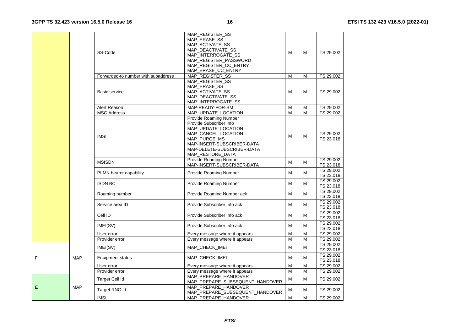|            | SS-Code                             | MAP_REGISTER_SS<br>MAP_ERASE_SS<br>MAP ACTIVATE SS<br>MAP DEACTIVATE SS<br>MAP INTERROGATE SS<br>MAP_REGISTER_PASSWORD<br>MAP_REGISTER_CC_ENTRY                                                 | M | М | TS 29.002              |
|------------|-------------------------------------|-------------------------------------------------------------------------------------------------------------------------------------------------------------------------------------------------|---|---|------------------------|
|            | Forwarded-to number with subaddress | MAP_ERASE_CC_ENTRY<br>MAP_REGISTER_SS                                                                                                                                                           | M | M | TS 29.002              |
|            |                                     | MAP_REGISTER_SS                                                                                                                                                                                 |   |   |                        |
|            | Basic service                       | MAP_ERASE_SS<br>MAP_ACTIVATE_SS<br>MAP DEACTIVATE SS<br>MAP_INTERROGATE_SS                                                                                                                      | M | м | TS 29.002              |
|            | Alert Reason                        | MAP-READY-FOR-SM                                                                                                                                                                                | M | м | TS 29.002              |
|            | <b>MSC Address</b>                  | MAP_UPDATE_LOCATION                                                                                                                                                                             | M | M | TS 29.002              |
|            | <b>IMSI</b>                         | Provide Roaming Number<br>Provide Subscriber Info<br>MAP UPDATE LOCATION<br>MAP_CANCEL_LOCATION<br>MAP_PURGE_MS<br>MAP-INSERT-SUBSCRIBER-DATA<br>MAP-DELETE-SUBSCRIBER-DATA<br>MAP_RESTORE_DATA | M | м | TS 29.002<br>TS 23.018 |
|            | <b>MSISDN</b>                       | <b>Provide Roaming Number</b><br>MAP-INSERT-SUBSCRIBER-DATA                                                                                                                                     | м | м | TS 29.002<br>TS 23.018 |
|            | PLMN bearer capability              | <b>Provide Roaming Number</b>                                                                                                                                                                   | M | м | TS 29.002<br>TS 23.018 |
|            | <b>ISDN BC</b>                      | Provide Roaming Number                                                                                                                                                                          | M | м | TS 29.002<br>TS 23.018 |
|            | Roaming number                      | Provide Roaming Number ack                                                                                                                                                                      | М | м | TS 29.002<br>TS 23.018 |
|            | Service area ID                     | Provide Subscriber Info ack                                                                                                                                                                     | M | м | TS 29.002<br>TS 23.018 |
|            | Cell ID                             | Provide Subscriber Info ack                                                                                                                                                                     | M | м | TS 29.002<br>TS 23.018 |
|            | IMEI(SV)                            | Provide Subscriber Info ack                                                                                                                                                                     | M | м | TS 29.002<br>TS 23.018 |
|            | User error                          | Every message where it appears                                                                                                                                                                  | M | M | TS 29.002              |
|            | Provider error                      | Every message where it appears                                                                                                                                                                  | M | М | TS 29.002              |
|            | IMEI(SV)                            | MAP CHECK IMEI                                                                                                                                                                                  | M | м | TS 29.002<br>TS 23.018 |
| <b>MAP</b> | Equipment status                    | MAP_CHECK_IMEI                                                                                                                                                                                  | M | M | TS 29.002<br>TS 23.018 |
|            | User error                          | Every message where it appears                                                                                                                                                                  | M | м | TS 29.002              |
|            | Provider error                      | Every message where it appears                                                                                                                                                                  | M | M | TS 29.002              |
|            | Target Cell Id                      | MAP PREPARE HANDOVER<br>MAP_PREPARE_SUBSEQUENT_HANDOVER                                                                                                                                         | М | M | TS 29.002              |
| <b>MAP</b> | Target RNC Id                       | MAP_PREPARE_HANDOVER<br>MAP_PREPARE_SUBSEQUENT_HANDOVER                                                                                                                                         | М | M | TS 29.002              |
|            | <b>IMSI</b>                         | MAP PREPARE HANDOVER                                                                                                                                                                            | M | м | TS 29.002              |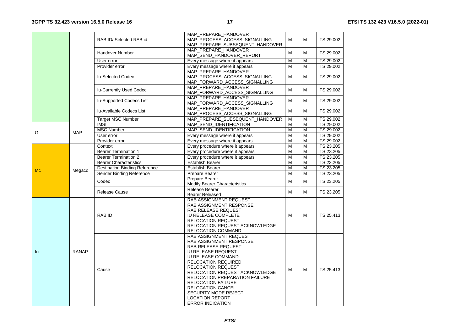|           |              | RAB ID/ Selected RAB id              | MAP PREPARE HANDOVER<br>MAP PROCESS ACCESS SIGNALLING<br>MAP_PREPARE_SUBSEQUENT_HANDOVER                                                                                                                                                                                                                                                                                                                | M | M | TS 29.002 |
|-----------|--------------|--------------------------------------|---------------------------------------------------------------------------------------------------------------------------------------------------------------------------------------------------------------------------------------------------------------------------------------------------------------------------------------------------------------------------------------------------------|---|---|-----------|
|           |              | <b>Handover Number</b>               | MAP_PREPARE_HANDOVER<br>MAP SEND HANDOVER REPORT                                                                                                                                                                                                                                                                                                                                                        | M | M | TS 29.002 |
|           |              | User error                           | Every message where it appears                                                                                                                                                                                                                                                                                                                                                                          | M | M | TS 29.002 |
|           |              | Provider error                       | Every message where it appears                                                                                                                                                                                                                                                                                                                                                                          | M | M | TS 29.002 |
|           |              | <b>Iu-Selected Codec</b>             | MAP PREPARE HANDOVER<br>MAP_PROCESS_ACCESS_SIGNALLING<br>MAP_FORWARD_ACCESS_SIGNALLING                                                                                                                                                                                                                                                                                                                  | M | M | TS 29.002 |
|           |              | <b>Iu-Currently Used Codec</b>       | MAP_PREPARE_HANDOVER<br>MAP_FORWARD_ACCESS_SIGNALLING                                                                                                                                                                                                                                                                                                                                                   | M | M | TS 29.002 |
|           |              | <b>Iu-Supported Codecs List</b>      | MAP PREPARE HANDOVER<br>MAP_FORWARD_ACCESS_SIGNALLING                                                                                                                                                                                                                                                                                                                                                   | М | M | TS 29.002 |
|           |              | <b>Iu-Available Codecs List</b>      | MAP_PREPARE_HANDOVER<br>MAP_PROCESS_ACCESS_SIGNALLING                                                                                                                                                                                                                                                                                                                                                   | M | M | TS 29.002 |
|           |              | <b>Target MSC Number</b>             | MAP_PREPARE_SUBSEQUENT_HANDOVER                                                                                                                                                                                                                                                                                                                                                                         | M | M | TS 29.002 |
|           |              | <b>IMSI</b>                          | MAP SEND IDENTIFICATION                                                                                                                                                                                                                                                                                                                                                                                 | M | M | TS 29.002 |
| G         | <b>MAP</b>   | <b>MSC Number</b>                    | MAP_SEND_IDENTIFICATION                                                                                                                                                                                                                                                                                                                                                                                 | M | M | TS 29.002 |
|           |              | User error                           | Every message where it appears                                                                                                                                                                                                                                                                                                                                                                          | M | M | TS 29.002 |
|           |              | Provider error                       | Every message where it appears                                                                                                                                                                                                                                                                                                                                                                          | M | M | TS 29.002 |
|           |              | Context                              | Every procedure where it appears                                                                                                                                                                                                                                                                                                                                                                        | M | M | TS 23.205 |
|           |              | <b>Bearer Termination 1</b>          | Every procedure where it appears                                                                                                                                                                                                                                                                                                                                                                        | M | M | TS 23.205 |
|           | Megaco       | <b>Bearer Termination 2</b>          | Every procedure where it appears                                                                                                                                                                                                                                                                                                                                                                        | M | M | TS 23.205 |
|           |              | <b>Bearer Characteristics</b>        | <b>Establish Bearer</b>                                                                                                                                                                                                                                                                                                                                                                                 | M | M | TS 23.205 |
| <b>Mc</b> |              | <b>Destination Binding Reference</b> | <b>Establish Bearer</b>                                                                                                                                                                                                                                                                                                                                                                                 | M | M | TS 23.205 |
|           |              | Sender Binding Reference             | Prepare Bearer                                                                                                                                                                                                                                                                                                                                                                                          | M | M | TS 23.205 |
|           |              | Codec                                | Prepare Bearer<br><b>Modify Bearer Characteristics</b>                                                                                                                                                                                                                                                                                                                                                  | M | M | TS 23.205 |
|           |              | <b>Release Cause</b>                 | Release Bearer<br><b>Bearer Released</b>                                                                                                                                                                                                                                                                                                                                                                | M | M | TS 23.205 |
|           |              | RAB ID                               | RAB ASSIGNMENT REQUEST<br>RAB ASSIGNMENT RESPONSE<br>RAB RELEASE REQUEST<br>IU RELEASE COMPLETE<br><b>RELOCATION REQUEST</b><br>RELOCATION REQUEST ACKNOWLEDGE<br>RELOCATION COMMAND                                                                                                                                                                                                                    | M | M | TS 25.413 |
| lu        | <b>RANAP</b> | Cause                                | RAB ASSIGNMENT REQUEST<br>RAB ASSIGNMENT RESPONSE<br>RAB RELEASE REQUEST<br><b>IU RELEASE REQUEST</b><br><b>IU RELEASE COMMAND</b><br><b>RELOCATION REQUIRED</b><br><b>RELOCATION REQUEST</b><br>RELOCATION REQUEST ACKNOWLEDGE<br>RELOCATION PREPARATION FAILURE<br><b>RELOCATION FAILURE</b><br><b>RELOCATION CANCEL</b><br>SECURITY MODE REJECT<br><b>LOCATION REPORT</b><br><b>ERROR INDICATION</b> | M | M | TS 25.413 |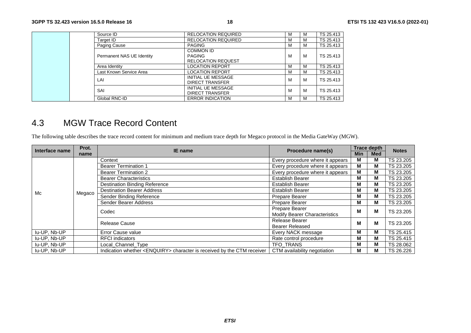| Source ID                 | <b>RELOCATION REQUIRED</b>                                     | м | M | TS 25.413 |
|---------------------------|----------------------------------------------------------------|---|---|-----------|
| Target ID                 | <b>RELOCATION REQUIRED</b>                                     | М | M | TS 25.413 |
| Paging Cause              | <b>PAGING</b>                                                  | М | M | TS 25.413 |
| Permanent NAS UE Identity | <b>COMMON ID</b><br><b>PAGING</b><br><b>RELOCATION REQUEST</b> | М | м | TS 25.413 |
| Area Identity             | LOCATION REPORT                                                | М | M | TS 25.413 |
| Last Known Service Area   | LOCATION REPORT                                                | м | M | TS 25.413 |
| LAI                       | <b>INITIAL UE MESSAGE</b><br><b>DIRECT TRANSFER</b>            | М | М | TS 25.413 |
| SAI                       | <b>INITIAL UE MESSAGE</b><br><b>DIRECT TRANSFER</b>            | М | M | TS 25.413 |
| Global RNC-ID             | <b>ERROR INDICATION</b>                                        | м | M | TS 25.413 |

### 4.3 MGW Trace Record Content

The following table describes the trace record content for minimum and medium trace depth for Megaco protocol in the Media GateWay (MGW).

| Interface name | Prot.  | IE name                                                                          | Procedure name(s)                | <b>Trace depth</b> |     | <b>Notes</b>         |                |   |   |
|----------------|--------|----------------------------------------------------------------------------------|----------------------------------|--------------------|-----|----------------------|----------------|---|---|
|                | name   |                                                                                  |                                  | <b>Min</b>         | Med |                      |                |   |   |
|                |        | Context                                                                          | Every procedure where it appears | м                  | м   | TS 23.205            |                |   |   |
|                |        | <b>Bearer Termination 1</b>                                                      | Every procedure where it appears | м                  | М   | TS 23.205            |                |   |   |
|                |        | <b>Bearer Termination 2</b>                                                      | Every procedure where it appears | м                  | М   | TS 23.205            |                |   |   |
|                |        | <b>Bearer Characteristics</b>                                                    | <b>Establish Bearer</b>          | м                  | М   | TS 23.205            |                |   |   |
|                |        | <b>Destination Binding Reference</b>                                             | <b>Establish Bearer</b>          | M                  | М   | TS 23.205            |                |   |   |
| Mc             | Megaco | <b>Destination Bearer Address</b>                                                | <b>Establish Bearer</b>          | м                  | м   | TS 23.205            |                |   |   |
|                |        | Sender Binding Reference                                                         | Prepare Bearer                   | м                  | М   | TS 23.205            |                |   |   |
|                |        | Sender Bearer Address                                                            | Prepare Bearer                   | м                  | м   | TS 23.205            |                |   |   |
|                |        |                                                                                  | Codec                            | Prepare Bearer     | м   | м                    | TS 23.205      |   |   |
|                |        | Modify Bearer Characteristics                                                    |                                  |                    |     |                      |                |   |   |
|                |        |                                                                                  |                                  |                    |     | <b>Release Cause</b> | Release Bearer | м | М |
|                |        |                                                                                  | <b>Bearer Released</b>           |                    |     |                      |                |   |   |
| lu-UP, Nb-UP   |        | Error Cause value                                                                | Every NACK message               | м                  | м   | TS 25.415            |                |   |   |
| lu-UP, Nb-UP   |        | <b>RFCI</b> indicators                                                           | Rate control procedure           | м                  | м   | TS 25.415            |                |   |   |
| lu-UP, Nb-UP   |        | Local_Channel_Type                                                               | TFO TRANS                        | м                  | м   | TS 28.062            |                |   |   |
| lu-UP, Nb-UP   |        | Indication whether <enquiry> character is received by the CTM receiver</enquiry> | CTM availability negotiation     | м                  | М   | TS 26.226            |                |   |   |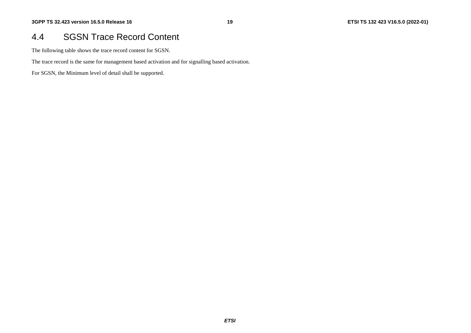#### 4.4 SGSN Trace Record Content

The following table shows the trace record content for SGSN.

The trace record is the same for management based activation and for signalling based activation.

For SGSN, the Minimum level of detail shall be supported.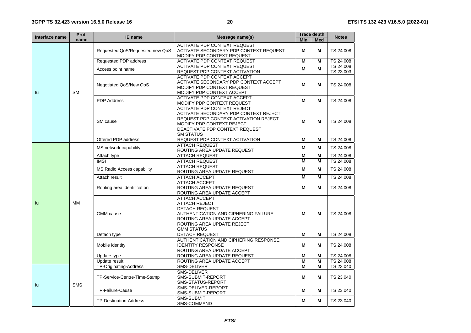| Interface name | Prot.      | IE name                         | Message name(s)                                                                                                                                                                                         |            | Trace depth | <b>Notes</b>           |
|----------------|------------|---------------------------------|---------------------------------------------------------------------------------------------------------------------------------------------------------------------------------------------------------|------------|-------------|------------------------|
|                | name       |                                 |                                                                                                                                                                                                         | <b>Min</b> | <b>Med</b>  |                        |
|                |            | Requested QoS/Requested new QoS | <b>ACTIVATE PDP CONTEXT REQUEST</b><br>ACTIVATE SECONDARY PDP CONTEXT REQUEST<br>MODIFY PDP CONTEXT REQUEST                                                                                             | м          | М           | TS 24.008              |
|                |            | Requested PDP address           | <b>ACTIVATE PDP CONTEXT REQUEST</b>                                                                                                                                                                     | M          | M           | TS 24.008              |
|                |            | Access point name               | <b>ACTIVATE PDP CONTEXT REQUEST</b><br>REQUEST PDP CONTEXT ACTIVATION                                                                                                                                   | M          | M           | TS 24.008<br>TS 23.003 |
| lu             | <b>SM</b>  | Negotiated QoS/New QoS          | <b>ACTIVATE PDP CONTEXT ACCEPT</b><br>ACTIVATE SECONDARY PDP CONTEXT ACCEPT<br>MODIFY PDP CONTEXT REQUEST<br>MODIFY PDP CONTEXT ACCEPT                                                                  | М          | M           | TS 24.008              |
|                |            | <b>PDP</b> Address              | <b>ACTIVATE PDP CONTEXT ACCEPT</b><br>MODIFY PDP CONTEXT REQUEST                                                                                                                                        | М          | м           | TS 24.008              |
|                |            | SM cause                        | <b>ACTIVATE PDP CONTEXT REJECT</b><br>ACTIVATE SECONDARY PDP CONTEXT REJECT<br>REQUEST PDP CONTEXT ACTIVATION REJECT<br>MODIFY PDP CONTEXT REJECT<br>DEACTIVATE PDP CONTEXT REQUEST<br><b>SM STATUS</b> | М          | M           | TS 24.008              |
|                |            | Offered PDP address             | REQUEST PDP CONTEXT ACTIVATION                                                                                                                                                                          | м          | M           | TS 24.008              |
|                |            | MS network capability           | <b>ATTACH REQUEST</b><br>ROUTING AREA UPDATE REQUEST                                                                                                                                                    | М          | M           | TS 24.008              |
|                |            | Attach type                     | <b>ATTACH REQUEST</b>                                                                                                                                                                                   | M          | M           | TS 24.008              |
|                |            | <b>IMSI</b>                     | <b>ATTACH REQUEST</b>                                                                                                                                                                                   | M          | M           | TS 24.008              |
|                |            | MS Radio Access capability      | <b>ATTACH REQUEST</b><br>ROUTING AREA UPDATE REQUEST                                                                                                                                                    | M          | M           | TS 24.008              |
|                |            | Attach result                   | <b>ATTACH ACCEPT</b>                                                                                                                                                                                    | M          | M           | TS 24.008              |
|                |            | Routing area identification     | <b>ATTACH ACCEPT</b><br>ROUTING AREA UPDATE REQUEST<br>ROUTING AREA UPDATE ACCEPT                                                                                                                       | М          | M           | TS 24.008              |
| lu             | <b>MM</b>  | <b>GMM</b> cause                | <b>ATTACH ACCEPT</b><br><b>ATTACH REJECT</b><br><b>DETACH REQUEST</b><br>AUTHENTICATION AND CIPHERING FAILURE<br>ROUTING AREA UPDATE ACCEPT<br>ROUTING AREA UPDATE REJECT<br><b>GMM STATUS</b>          | М          | M           | TS 24.008              |
|                |            | Detach type                     | <b>DETACH REQUEST</b>                                                                                                                                                                                   | M          | M           | TS 24.008              |
|                |            | Mobile identity                 | AUTHENTICATION AND CIPHERING RESPONSE<br><b>IDENTITY RESPONSE</b><br>ROUTING AREA UPDATE ACCEPT                                                                                                         | М          | М           | TS 24.008              |
|                |            | Update type                     | ROUTING AREA UPDATE REQUEST                                                                                                                                                                             | M          | M           | TS 24.008              |
|                |            | Update result                   | ROUTING AREA UPDATE ACCEPT                                                                                                                                                                              | M          | M           | TS 24.008              |
|                |            | TP-Originating-Address          | SMS-DELIVER                                                                                                                                                                                             | М          | M           | TS 23.040              |
|                | <b>SMS</b> | TP-Service-Centre-Time-Stamp    | SMS-DELIVER<br>SMS-SUBMIT-REPORT<br>SMS-STATUS-REPORT                                                                                                                                                   | М          | м           | TS 23.040              |
| lu             |            | TP-Failure-Cause                | SMS-DELIVER-REPORT<br>SMS-SUBMIT-REPORT                                                                                                                                                                 | М          | М           | TS 23.040              |
|                |            | TP-Destination-Address          | <b>SMS-SUBMIT</b><br>SMS-COMMAND                                                                                                                                                                        | М          | М           | TS 23.040              |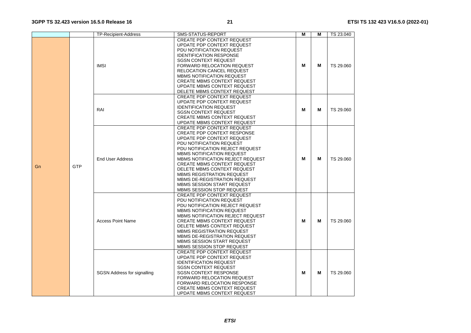|           | <b>TP-Recipient-Address</b>        | SMS-STATUS-REPORT                                                                                                                                                                                                                                                                                                                                                                                                                         | Μ | M | TS 23.040 |
|-----------|------------------------------------|-------------------------------------------------------------------------------------------------------------------------------------------------------------------------------------------------------------------------------------------------------------------------------------------------------------------------------------------------------------------------------------------------------------------------------------------|---|---|-----------|
| GTP<br>Gn | <b>IMSI</b>                        | <b>CREATE PDP CONTEXT REQUEST</b><br>UPDATE PDP CONTEXT REQUEST<br>PDU NOTIFICATION REQUEST<br><b>IDENTIFICATION RESPONSE</b><br><b>SGSN CONTEXT REQUEST</b><br><b>FORWARD RELOCATION REQUEST</b><br><b>RELOCATION CANCEL REQUEST</b><br>MBMS NOTIFICATION REQUEST<br><b>CREATE MBMS CONTEXT REQUEST</b><br>UPDATE MBMS CONTEXT REQUEST<br>DELETE MBMS CONTEXT REQUEST                                                                    | M | М | TS 29.060 |
|           | RAI                                | <b>CREATE PDP CONTEXT REQUEST</b><br>UPDATE PDP CONTEXT REQUEST<br><b>IDENTIFICATION REQUEST</b><br><b>SGSN CONTEXT REQUEST</b><br><b>CREATE MBMS CONTEXT REQUEST</b><br>UPDATE MBMS CONTEXT REQUEST                                                                                                                                                                                                                                      | м | M | TS 29.060 |
|           | End User Address                   | CREATE PDP CONTEXT REQUEST<br><b>CREATE PDP CONTEXT RESPONSE</b><br>UPDATE PDP CONTEXT REQUEST<br>PDU NOTIFICATION REQUEST<br>PDU NOTIFICATION REJECT REQUEST<br><b>MBMS NOTIFICATION REQUEST</b><br>MBMS NOTIFICATION REJECT REQUEST<br><b>CREATE MBMS CONTEXT REQUEST</b><br>DELETE MBMS CONTEXT REQUEST<br><b>MBMS REGISTRATION REQUEST</b><br>MBMS DE-REGISTRATION REQUEST<br>MBMS SESSION START REQUEST<br>MBMS SESSION STOP REQUEST | М | М | TS 29.060 |
|           | <b>Access Point Name</b>           | <b>CREATE PDP CONTEXT REQUEST</b><br>PDU NOTIFICATION REQUEST<br>PDU NOTIFICATION REJECT REQUEST<br>MBMS NOTIFICATION REQUEST<br>MBMS NOTIFICATION REJECT REQUEST<br><b>CREATE MBMS CONTEXT REQUEST</b><br>DELETE MBMS CONTEXT REQUEST<br><b>MBMS REGISTRATION REQUEST</b><br>MBMS DE-REGISTRATION REQUEST<br>MBMS SESSION START REQUEST<br>MBMS SESSION STOP REQUEST                                                                     | M | M | TS 29.060 |
|           | <b>SGSN Address for signalling</b> | <b>CREATE PDP CONTEXT REQUEST</b><br>UPDATE PDP CONTEXT REQUEST<br><b>IDENTIFICATION REQUEST</b><br><b>SGSN CONTEXT REQUEST</b><br><b>SGSN CONTEXT RESPONSE</b><br><b>FORWARD RELOCATION REQUEST</b><br>FORWARD RELOCATION RESPONSE<br><b>CREATE MBMS CONTEXT REQUEST</b><br>UPDATE MBMS CONTEXT REQUEST                                                                                                                                  | M | М | TS 29.060 |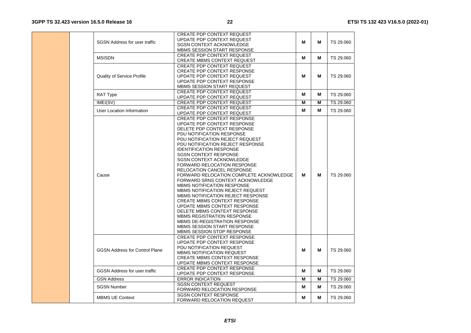|                                       | <b>CREATE PDP CONTEXT REQUEST</b>        |   |   |           |
|---------------------------------------|------------------------------------------|---|---|-----------|
| <b>SGSN Address for user traffic</b>  | UPDATE PDP CONTEXT REQUEST               | м | м | TS 29.060 |
|                                       | <b>SGSN CONTEXT ACKNOWLEDGE</b>          |   |   |           |
|                                       | <b>MBMS SESSION START RESPONSE</b>       |   |   |           |
| <b>MSISDN</b>                         | <b>CREATE PDP CONTEXT REQUEST</b>        | М | М | TS 29.060 |
|                                       | <b>CREATE MBMS CONTEXT REQUEST</b>       |   |   |           |
|                                       | <b>CREATE PDP CONTEXT REQUEST</b>        |   |   |           |
|                                       | <b>CREATE PDP CONTEXT RESPONSE</b>       |   |   |           |
| <b>Quality of Service Profile</b>     | UPDATE PDP CONTEXT REQUEST               | м | м | TS 29.060 |
|                                       | UPDATE PDP CONTEXT RESPONSE              |   |   |           |
|                                       | MBMS SESSION START REQUEST               |   |   |           |
| RAT Type                              | <b>CREATE PDP CONTEXT REQUEST</b>        | М | М | TS 29.060 |
|                                       | UPDATE PDP CONTEXT REQUEST               |   |   |           |
| IMEI(SV)                              | <b>CREATE PDP CONTEXT REQUEST</b>        | м | M | TS 29.060 |
| User Location Information             | <b>CREATE PDP CONTEXT REQUEST</b>        | М | М | TS 29.060 |
|                                       | UPDATE PDP CONTEXT REQUEST               |   |   |           |
|                                       | CREATE PDP CONTEXT RESPONSE              |   |   |           |
|                                       | UPDATE PDP CONTEXT RESPONSE              |   |   |           |
|                                       | DELETE PDP CONTEXT RESPONSE              |   |   |           |
|                                       | PDU NOTIFICATION RESPONSE                |   |   |           |
|                                       | PDU NOTIFICATION REJECT REQUEST          |   |   |           |
|                                       | PDU NOTIFICATION REJECT RESPONSE         |   |   |           |
|                                       | <b>IDENTIFICATION RESPONSE</b>           |   |   |           |
|                                       | <b>SGSN CONTEXT RESPONSE</b>             |   |   |           |
|                                       | <b>SGSN CONTEXT ACKNOWLEDGE</b>          |   |   |           |
|                                       | <b>FORWARD RELOCATION RESPONSE</b>       |   |   |           |
|                                       | <b>RELOCATION CANCEL RESPONSE</b>        |   |   |           |
| Cause                                 | FORWARD RELOCATION COMPLETE ACKNOWLEDGE  | м | м | TS 29.060 |
|                                       | FORWARD SRNS CONTEXT ACKNOWLEDGE         |   |   |           |
|                                       | <b>MBMS NOTIFICATION RESPONSE</b>        |   |   |           |
|                                       | <b>MBMS NOTIFICATION REJECT REQUEST</b>  |   |   |           |
|                                       | <b>MBMS NOTIFICATION REJECT RESPONSE</b> |   |   |           |
|                                       | <b>CREATE MBMS CONTEXT RESPONSE</b>      |   |   |           |
|                                       | UPDATE MBMS CONTEXT RESPONSE             |   |   |           |
|                                       | DELETE MBMS CONTEXT RESPONSE             |   |   |           |
|                                       | <b>MBMS REGISTRATION RESPONSE</b>        |   |   |           |
|                                       | MBMS DE-REGISTRATION RESPONSE            |   |   |           |
|                                       | <b>MBMS SESSION START RESPONSE</b>       |   |   |           |
|                                       | MBMS SESSION STOP RESPONSE               |   |   |           |
|                                       | <b>CREATE PDP CONTEXT RESPONSE</b>       |   |   |           |
|                                       | UPDATE PDP CONTEXT RESPONSE              |   |   |           |
| <b>GGSN Address for Control Plane</b> | PDU NOTIFICATION REQUEST                 | м | м | TS 29.060 |
|                                       | <b>MBMS NOTIFICATION REQUEST</b>         |   |   |           |
|                                       | <b>CREATE MBMS CONTEXT RESPONSE</b>      |   |   |           |
|                                       | UPDATE MBMS CONTEXT RESPONSE             |   |   |           |
| <b>GGSN Address for user traffic</b>  | CREATE PDP CONTEXT RESPONSE              | м | М | TS 29.060 |
|                                       | UPDATE PDP CONTEXT RESPONSE              |   |   |           |
| <b>GSN Address</b>                    | <b>ERROR INDICATION</b>                  | М | M | TS 29.060 |
|                                       | <b>SGSN CONTEXT REQUEST</b>              |   |   |           |
| <b>SGSN Number</b>                    | FORWARD RELOCATION RESPONSE              | м | М | TS 29.060 |
|                                       | <b>SGSN CONTEXT RESPONSE</b>             |   |   |           |
| <b>MBMS UE Context</b>                | <b>FORWARD RELOCATION REQUEST</b>        | м | м | TS 29.060 |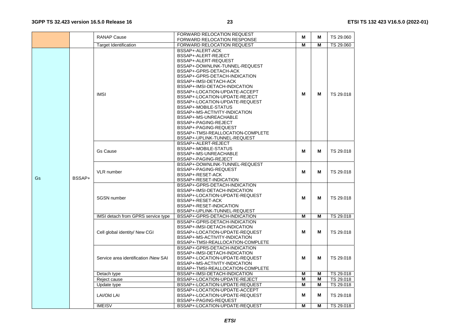|    |                                         | <b>RANAP Cause</b>                   | <b>FORWARD RELOCATION REQUEST</b> | м              | М | TS 29.060 |
|----|-----------------------------------------|--------------------------------------|-----------------------------------|----------------|---|-----------|
|    |                                         |                                      | FORWARD RELOCATION RESPONSE       |                |   |           |
|    |                                         | <b>Target Identification</b>         | FORWARD RELOCATION REQUEST        | $\overline{M}$ | M | TS 29.060 |
|    |                                         |                                      | BSSAP+-ALERT-ACK                  |                |   |           |
|    |                                         |                                      | BSSAP+-ALERT-REJECT               |                |   |           |
|    |                                         |                                      | BSSAP+-ALERT-REQUEST              |                |   |           |
|    |                                         |                                      | BSSAP+-DOWNLINK-TUNNEL-REQUEST    |                |   |           |
|    |                                         |                                      | BSSAP+-GPRS-DETACH-ACK            |                |   |           |
|    |                                         |                                      | BSSAP+-GPRS-DETACH-INDICATION     |                |   |           |
|    |                                         |                                      | BSSAP+-IMSI-DETACH-ACK            |                |   |           |
|    |                                         |                                      | BSSAP+-IMSI-DETACH-INDICATION     |                |   |           |
|    |                                         | <b>IMSI</b>                          | BSSAP+-LOCATION-UPDATE-ACCEPT     | M              | M | TS 29.018 |
|    |                                         |                                      | BSSAP+-LOCATION-UPDATE-REJECT     |                |   |           |
|    |                                         |                                      | BSSAP+-LOCATION-UPDATE-REQUEST    |                |   |           |
|    |                                         |                                      | BSSAP+-MOBILE-STATUS              |                |   |           |
|    |                                         |                                      | BSSAP+-MS-ACTIVITY-INDICATION     |                |   |           |
|    |                                         |                                      | BSSAP+-MS-UNREACHABLE             |                |   |           |
|    |                                         |                                      | BSSAP+-PAGING-REJECT              |                |   |           |
|    |                                         |                                      | BSSAP+-PAGING-REQUEST             |                |   |           |
|    |                                         |                                      | BSSAP+-TMSI-REALLOCATION-COMPLETE |                |   |           |
|    |                                         |                                      | BSSAP+-UPLINK-TUNNEL-REQUEST      |                |   |           |
|    |                                         |                                      | BSSAP+-ALERT-REJECT               |                |   |           |
|    | BSSAP+-MOBILE-STATUS<br><b>Gs Cause</b> |                                      |                                   |                |   |           |
|    |                                         |                                      | BSSAP+-MS-UNREACHABLE             | M              | м | TS 29.018 |
|    |                                         |                                      | BSSAP+-PAGING-REJECT              |                |   |           |
|    |                                         |                                      | BSSAP+-DOWNLINK-TUNNEL-REQUEST    |                |   |           |
|    |                                         |                                      | BSSAP+-PAGING-REQUEST             |                |   |           |
|    |                                         | <b>VLR</b> number                    | BSSAP+-RESET-ACK                  | м              | м | TS 29.018 |
| Gs | BSSAP+                                  |                                      | BSSAP+-RESET-INDICATION           |                |   |           |
|    |                                         |                                      | BSSAP+-GPRS-DETACH-INDICATION     |                |   |           |
|    |                                         |                                      | BSSAP+-IMSI-DETACH-INDICATION     |                |   |           |
|    |                                         |                                      | BSSAP+-LOCATION-UPDATE-REQUEST    |                |   |           |
|    |                                         | <b>SGSN</b> number                   | BSSAP+-RESET-ACK                  | M              | М | TS 29.018 |
|    |                                         |                                      | BSSAP+-RESET-INDICATION           |                |   |           |
|    |                                         |                                      | BSSAP+-UPLINK-TUNNEL-REQUEST      |                |   |           |
|    |                                         | IMSI detach from GPRS service type   | BSSAP+-GPRS-DETACH-INDICATION     | M              | M | TS 29.018 |
|    |                                         |                                      | BSSAP+-GPRS-DETACH-INDICATION     |                |   |           |
|    |                                         |                                      | BSSAP+-IMSI-DETACH-INDICATION     |                |   |           |
|    |                                         | Cell global identity/ New CGI        | BSSAP+-LOCATION-UPDATE-REQUEST    | М              | М | TS 29.018 |
|    |                                         |                                      | BSSAP+-MS-ACTIVITY-INDICATION     |                |   |           |
|    |                                         |                                      | BSSAP+-TMSI-REALLOCATION-COMPLETE |                |   |           |
|    |                                         |                                      | BSSAP+-GPRS-DETACH-INDICATION     |                |   |           |
|    |                                         |                                      | BSSAP+-IMSI-DETACH-INDICATION     |                |   |           |
|    |                                         | Service area identification /New SAI | BSSAP+-LOCATION-UPDATE-REQUEST    | М              | м | TS 29.018 |
|    |                                         |                                      | BSSAP+-MS-ACTIVITY-INDICATION     |                |   |           |
|    |                                         |                                      | BSSAP+-TMSI-REALLOCATION-COMPLETE |                |   |           |
|    |                                         | Detach type                          | BSSAP+-IMSI-DETACH-INDICATION     | M              | M | TS 29.018 |
|    |                                         | Reject cause                         | BSSAP+-LOCATION-UPDATE-REJECT     | M              | M | TS 29.018 |
|    |                                         | Update type                          | BSSAP+-LOCATION-UPDATE-REQUEST    | M              | M | TS 29.018 |
|    |                                         |                                      | BSSAP+-LOCATION-UPDATE-ACCEPT     |                |   |           |
|    |                                         | LAI/Old LAI                          | BSSAP+-LOCATION-UPDATE-REQUEST    | М              | Μ | TS 29.018 |
|    |                                         |                                      | BSSAP+-PAGING-REQUEST             |                |   |           |
|    |                                         | <b>IMEISV</b>                        | BSSAP+-LOCATION-UPDATE-REQUEST    | M              | M | TS 29.018 |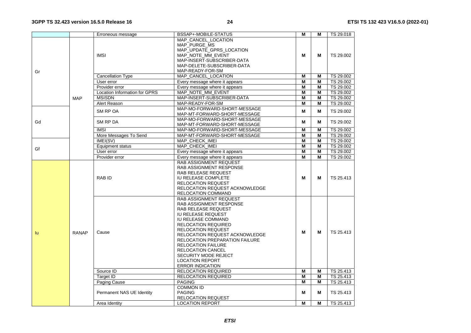|     |                  | Erroneous message                                                                                                                                                    | BSSAP+-MOBILE-STATUS                                                                                                                                                                                                                                                                                                                                                                                    | м | м         | TS 29.018 |
|-----|------------------|----------------------------------------------------------------------------------------------------------------------------------------------------------------------|---------------------------------------------------------------------------------------------------------------------------------------------------------------------------------------------------------------------------------------------------------------------------------------------------------------------------------------------------------------------------------------------------------|---|-----------|-----------|
| Gr  | <b>IMSI</b>      | MAP CANCEL LOCATION<br>MAP PURGE MS<br>MAP_UPDATE_GPRS_LOCATION<br>MAP NOTE MM EVENT<br>MAP-INSERT-SUBSCRIBER-DATA<br>MAP-DELETE-SUBSCRIBER-DATA<br>MAP-READY-FOR-SM | M                                                                                                                                                                                                                                                                                                                                                                                                       | М | TS 29.002 |           |
|     |                  | Cancellation Type                                                                                                                                                    | MAP_CANCEL_LOCATION                                                                                                                                                                                                                                                                                                                                                                                     | M | M         | TS 29.002 |
|     |                  | User error                                                                                                                                                           | Every message where it appears                                                                                                                                                                                                                                                                                                                                                                          | M | M         | TS 29.002 |
|     |                  | Provider error                                                                                                                                                       | Every message where it appears                                                                                                                                                                                                                                                                                                                                                                          | M | M         | TS 29.002 |
|     |                  | <b>Location Information for GPRS</b>                                                                                                                                 | MAP NOTE MM EVENT                                                                                                                                                                                                                                                                                                                                                                                       | M | M         | TS 29.002 |
|     | <b>MAP</b>       | <b>MSISDN</b>                                                                                                                                                        | MAP-INSERT-SUBSCRIBER-DATA                                                                                                                                                                                                                                                                                                                                                                              | M | M         | TS 29.002 |
|     |                  | Alert Reason                                                                                                                                                         | MAP-READY-FOR-SM                                                                                                                                                                                                                                                                                                                                                                                        | M | M         | TS 29.002 |
|     |                  | SM RP OA                                                                                                                                                             | MAP-MO-FORWARD-SHORT-MESSAGE<br>MAP-MT-FORWARD-SHORT-MESSAGE                                                                                                                                                                                                                                                                                                                                            | M | M         | TS 29.002 |
| Gd  |                  | SM RP DA                                                                                                                                                             | MAP-MO-FORWARD-SHORT-MESSAGE<br>MAP-MT-FORWARD-SHORT-MESSAGE                                                                                                                                                                                                                                                                                                                                            | М | м         | TS 29.002 |
|     |                  | <b>IMSI</b>                                                                                                                                                          | MAP-MO-FORWARD-SHORT-MESSAGE                                                                                                                                                                                                                                                                                                                                                                            | M | M         | TS 29.002 |
|     |                  | More Messages To Send                                                                                                                                                | MAP-MT-FORWARD-SHORT-MESSAGE                                                                                                                                                                                                                                                                                                                                                                            | M | M         | TS 29.002 |
| Gf  | IMEI(SV)         | MAP CHECK IMEI                                                                                                                                                       | M                                                                                                                                                                                                                                                                                                                                                                                                       | M | TS 29.002 |           |
|     | Equipment status | MAP CHECK IMEI                                                                                                                                                       | М                                                                                                                                                                                                                                                                                                                                                                                                       | M | TS 29.002 |           |
|     |                  | User error                                                                                                                                                           | Every message where it appears                                                                                                                                                                                                                                                                                                                                                                          | M | M         | TS 29.002 |
|     |                  | Provider error                                                                                                                                                       | Every message where it appears<br>RAB ASSIGNMENT REQUEST                                                                                                                                                                                                                                                                                                                                                | М | M         | TS 29.002 |
|     |                  | RAB ID                                                                                                                                                               | RAB ASSIGNMENT RESPONSE<br>RAB RELEASE REQUEST<br><b>IU RELEASE COMPLETE</b><br><b>RELOCATION REQUEST</b><br>RELOCATION REQUEST ACKNOWLEDGE<br>RELOCATION COMMAND                                                                                                                                                                                                                                       | М | м         | TS 25.413 |
| lu. | <b>RANAP</b>     | Cause                                                                                                                                                                | RAB ASSIGNMENT REQUEST<br>RAB ASSIGNMENT RESPONSE<br>RAB RELEASE REQUEST<br><b>IU RELEASE REQUEST</b><br>IU RELEASE COMMAND<br><b>RELOCATION REQUIRED</b><br><b>RELOCATION REQUEST</b><br>RELOCATION REQUEST ACKNOWLEDGE<br><b>RELOCATION PREPARATION FAILURE</b><br><b>RELOCATION FAILURE</b><br><b>RELOCATION CANCEL</b><br>SECURITY MODE REJECT<br><b>LOCATION REPORT</b><br><b>ERROR INDICATION</b> | M | м         | TS 25.413 |
|     |                  | Source ID                                                                                                                                                            | <b>RELOCATION REQUIRED</b>                                                                                                                                                                                                                                                                                                                                                                              | M | M         | TS 25.413 |
|     |                  | Target ID                                                                                                                                                            | <b>RELOCATION REQUIRED</b>                                                                                                                                                                                                                                                                                                                                                                              | M | M         | TS 25.413 |
|     |                  | Paging Cause                                                                                                                                                         | <b>PAGING</b>                                                                                                                                                                                                                                                                                                                                                                                           | M | M         | TS 25.413 |
|     |                  | Permanent NAS UE Identity                                                                                                                                            | <b>COMMON ID</b><br><b>PAGING</b><br><b>RELOCATION REQUEST</b>                                                                                                                                                                                                                                                                                                                                          | М | М         | TS 25.413 |
|     |                  | Area Identity                                                                                                                                                        | <b>LOCATION REPORT</b>                                                                                                                                                                                                                                                                                                                                                                                  | М | м         | TS 25.413 |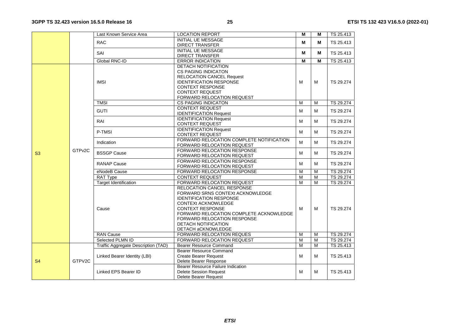|           |                                                                                                                                                                                                                                                                                                 | Last Known Service Area             | <b>LOCATION REPORT</b>                                    | M              | м | TS 25.413                                                                                                                                                                                                                                           |
|-----------|-------------------------------------------------------------------------------------------------------------------------------------------------------------------------------------------------------------------------------------------------------------------------------------------------|-------------------------------------|-----------------------------------------------------------|----------------|---|-----------------------------------------------------------------------------------------------------------------------------------------------------------------------------------------------------------------------------------------------------|
|           |                                                                                                                                                                                                                                                                                                 | <b>RAC</b>                          | <b>INITIAL UE MESSAGE</b>                                 | М              | М |                                                                                                                                                                                                                                                     |
|           |                                                                                                                                                                                                                                                                                                 |                                     | <b>DIRECT TRANSFER</b>                                    |                |   |                                                                                                                                                                                                                                                     |
|           |                                                                                                                                                                                                                                                                                                 | SAI                                 | <b>INITIAL UE MESSAGE</b>                                 | М              | М |                                                                                                                                                                                                                                                     |
|           |                                                                                                                                                                                                                                                                                                 |                                     | <b>DIRECT TRANSFER</b>                                    |                |   |                                                                                                                                                                                                                                                     |
|           |                                                                                                                                                                                                                                                                                                 | Global RNC-ID                       | <b>ERROR INDICATION</b>                                   | М              | M | TS 25.413                                                                                                                                                                                                                                           |
|           |                                                                                                                                                                                                                                                                                                 |                                     | DETACH NOTIFICATION                                       |                |   |                                                                                                                                                                                                                                                     |
|           |                                                                                                                                                                                                                                                                                                 |                                     | <b>CS PAGING INDICATON</b>                                |                |   |                                                                                                                                                                                                                                                     |
|           |                                                                                                                                                                                                                                                                                                 |                                     | <b>RELOCATION CANCEL Request</b>                          |                |   | TS 25.413<br>TS 25.413<br>TS 29.274<br>TS 29.274<br>TS 29.274<br>TS 29.274<br>TS 29.274<br>TS 29.274<br>TS 29.274<br>TS 29.274<br>TS 29.274<br>TS 29.274<br>TS 29.274<br>TS 29.274<br>TS 29.274<br>TS 29.274<br>TS 25.413<br>TS 25.413<br>TS 25.413 |
|           |                                                                                                                                                                                                                                                                                                 | <b>IMSI</b>                         | <b>IDENTIFICATION RESPONSE</b>                            | M              | M |                                                                                                                                                                                                                                                     |
|           |                                                                                                                                                                                                                                                                                                 |                                     | <b>CONTEXT RESPONSE</b>                                   |                |   |                                                                                                                                                                                                                                                     |
|           |                                                                                                                                                                                                                                                                                                 |                                     | <b>CONTEXT REQUEST</b>                                    |                |   |                                                                                                                                                                                                                                                     |
|           |                                                                                                                                                                                                                                                                                                 |                                     | FORWARD RELOCATION REQUEST                                |                |   |                                                                                                                                                                                                                                                     |
|           |                                                                                                                                                                                                                                                                                                 | <b>TMSI</b>                         | <b>CS PAGING INDICATON</b>                                | M              | M |                                                                                                                                                                                                                                                     |
|           |                                                                                                                                                                                                                                                                                                 | <b>GUTI</b>                         | <b>CONTEXT REQUEST</b>                                    | М              | M |                                                                                                                                                                                                                                                     |
|           |                                                                                                                                                                                                                                                                                                 |                                     | <b>IDENTIFICATION Request</b>                             |                |   |                                                                                                                                                                                                                                                     |
|           | <b>IDENTIFICATION Request</b><br>RAI<br>M<br><b>CONTEXT REQUEST</b><br><b>IDENTIFICATION Request</b><br>P-TMSI<br>M<br><b>CONTEXT REQUEST</b><br>FORWARD RELOCATION COMPLETE NOTIFICATION<br>М<br>Indication<br>FORWARD RELOCATION REQUEST<br>FORWARD RELOCATION RESPONSE<br>GTP <sub>v2C</sub> | М                                   |                                                           |                |   |                                                                                                                                                                                                                                                     |
|           |                                                                                                                                                                                                                                                                                                 |                                     |                                                           |                |   |                                                                                                                                                                                                                                                     |
|           |                                                                                                                                                                                                                                                                                                 |                                     |                                                           |                | M |                                                                                                                                                                                                                                                     |
|           |                                                                                                                                                                                                                                                                                                 |                                     |                                                           |                |   |                                                                                                                                                                                                                                                     |
|           |                                                                                                                                                                                                                                                                                                 |                                     |                                                           |                | М |                                                                                                                                                                                                                                                     |
| S3        |                                                                                                                                                                                                                                                                                                 |                                     |                                                           |                |   |                                                                                                                                                                                                                                                     |
|           |                                                                                                                                                                                                                                                                                                 | <b>BSSGP Cause</b>                  |                                                           | М              | M |                                                                                                                                                                                                                                                     |
|           |                                                                                                                                                                                                                                                                                                 |                                     | FORWARD RELOCATION REQUEST<br>FORWARD RELOCATION RESPONSE |                |   |                                                                                                                                                                                                                                                     |
|           |                                                                                                                                                                                                                                                                                                 | <b>RANAP Cause</b>                  | FORWARD RELOCATION REQUEST                                | M              | M |                                                                                                                                                                                                                                                     |
|           |                                                                                                                                                                                                                                                                                                 | eNodeB Cause                        | FORWARD RELOCATION RESPONSE                               | $\overline{M}$ | M |                                                                                                                                                                                                                                                     |
|           |                                                                                                                                                                                                                                                                                                 | RAT Type                            | <b>CONTEXT REQUEST</b>                                    | M              | M |                                                                                                                                                                                                                                                     |
|           |                                                                                                                                                                                                                                                                                                 | <b>Target Identification</b>        | FORWARD RELOCATION REQUEST                                | M              | M |                                                                                                                                                                                                                                                     |
|           |                                                                                                                                                                                                                                                                                                 |                                     | RELOCATION CANCEL RESPONSE                                |                |   |                                                                                                                                                                                                                                                     |
|           |                                                                                                                                                                                                                                                                                                 |                                     | FORWARD SRNS CONTEXt ACKNOWLEDGE                          |                |   |                                                                                                                                                                                                                                                     |
|           |                                                                                                                                                                                                                                                                                                 |                                     | <b>IDENTIFICATION RESPONSE</b>                            |                |   |                                                                                                                                                                                                                                                     |
|           |                                                                                                                                                                                                                                                                                                 |                                     | <b>CONTEXt ACKNOWLEDGE</b>                                |                |   |                                                                                                                                                                                                                                                     |
|           |                                                                                                                                                                                                                                                                                                 | Cause                               | <b>CONTEXT RESPONSE</b>                                   | м              | M |                                                                                                                                                                                                                                                     |
|           |                                                                                                                                                                                                                                                                                                 |                                     | FORWARD RELOCATION COMPLETE ACKNOWLEDGE                   |                |   |                                                                                                                                                                                                                                                     |
|           |                                                                                                                                                                                                                                                                                                 |                                     | <b>FORWARD RELOCATION RESPONSE</b>                        |                |   |                                                                                                                                                                                                                                                     |
|           |                                                                                                                                                                                                                                                                                                 |                                     | DETACH NOTIFICATION                                       |                |   |                                                                                                                                                                                                                                                     |
|           |                                                                                                                                                                                                                                                                                                 |                                     | DETACH aCKNOWLEDGE                                        |                |   |                                                                                                                                                                                                                                                     |
|           |                                                                                                                                                                                                                                                                                                 | <b>RAN Cause</b>                    | FORWARD RELOCATION REQUES                                 | M              | M |                                                                                                                                                                                                                                                     |
|           |                                                                                                                                                                                                                                                                                                 | Selected PLMN ID                    | FORWARD RELOCATION REQUEST                                | M              | M |                                                                                                                                                                                                                                                     |
|           |                                                                                                                                                                                                                                                                                                 | Traffic Aggregate Description (TAD) | <b>Bearer Resource Command</b>                            | M              | M |                                                                                                                                                                                                                                                     |
|           |                                                                                                                                                                                                                                                                                                 |                                     | Bearer Resource Command                                   |                |   |                                                                                                                                                                                                                                                     |
|           |                                                                                                                                                                                                                                                                                                 | Linked Bearer Identity (LBI)        | <b>Create Bearer Request</b>                              | M              | M |                                                                                                                                                                                                                                                     |
| <b>S4</b> | GTPV2C                                                                                                                                                                                                                                                                                          |                                     | Delete Bearer Response                                    |                |   |                                                                                                                                                                                                                                                     |
|           |                                                                                                                                                                                                                                                                                                 |                                     | Bearer Resource Failure Indication                        |                |   |                                                                                                                                                                                                                                                     |
|           |                                                                                                                                                                                                                                                                                                 | <b>Linked EPS Bearer ID</b>         | <b>Delete Session Request</b>                             | м              | M |                                                                                                                                                                                                                                                     |
|           |                                                                                                                                                                                                                                                                                                 |                                     | Delete Bearer Request                                     |                |   |                                                                                                                                                                                                                                                     |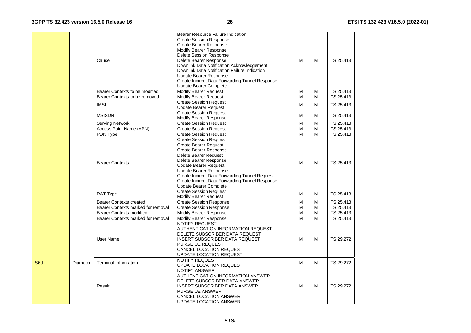|     |                 | Cause                                                                                                                                                                                                                          | Bearer Resource Failure Indication<br><b>Create Session Response</b><br><b>Create Bearer Response</b><br>Modify Bearer Response<br>Delete Session Response<br>Delete Bearer Response<br>Downlink Data Notification Acknowledgement<br>Downlink Data Notification Failure Indication<br>Update Bearer Response<br>Create Indirect Data Forwarding Tunnel Response<br>Update Bearer Complete | M | м         | TS 25.413 |
|-----|-----------------|--------------------------------------------------------------------------------------------------------------------------------------------------------------------------------------------------------------------------------|--------------------------------------------------------------------------------------------------------------------------------------------------------------------------------------------------------------------------------------------------------------------------------------------------------------------------------------------------------------------------------------------|---|-----------|-----------|
|     |                 | Bearer Contexts to be modified                                                                                                                                                                                                 | <b>Modify Bearer Request</b>                                                                                                                                                                                                                                                                                                                                                               | M | M         | TS 25.413 |
|     |                 | Bearer Contexts to be removed                                                                                                                                                                                                  | <b>Modify Bearer Request</b>                                                                                                                                                                                                                                                                                                                                                               | M | M         | TS 25.413 |
|     |                 | <b>IMSI</b>                                                                                                                                                                                                                    | <b>Create Session Request</b><br><b>Update Bearer Request</b>                                                                                                                                                                                                                                                                                                                              | M | м         | TS 25.413 |
|     |                 | <b>MSISDN</b>                                                                                                                                                                                                                  | <b>Create Session Request</b><br>Modify Bearer Response                                                                                                                                                                                                                                                                                                                                    | M | M         | TS 25.413 |
|     |                 | <b>Serving Network</b>                                                                                                                                                                                                         | <b>Create Session Request</b>                                                                                                                                                                                                                                                                                                                                                              | M | M         | TS 25.413 |
|     |                 | <b>Access Point Name (APN)</b>                                                                                                                                                                                                 | <b>Create Session Request</b>                                                                                                                                                                                                                                                                                                                                                              | M | M         | TS 25.413 |
|     |                 | PDN Type                                                                                                                                                                                                                       | <b>Create Session Request</b>                                                                                                                                                                                                                                                                                                                                                              | M | M         | TS 25.413 |
|     |                 |                                                                                                                                                                                                                                | <b>Create Session Request</b><br><b>Create Bearer Request</b><br>Create Bearer Response                                                                                                                                                                                                                                                                                                    |   |           |           |
|     |                 | <b>Bearer Contexts</b>                                                                                                                                                                                                         | Delete Bearer Request<br>Delete Bearer Response<br><b>Update Bearer Request</b><br><b>Update Bearer Response</b><br>Create Indirect Data Forwarding Tunnel Request<br>Create Indirect Data Forwarding Tunnel Response<br>Update Bearer Complete                                                                                                                                            | M | M         | TS 25.413 |
|     |                 | <b>RAT Type</b>                                                                                                                                                                                                                | <b>Create Session Request</b><br><b>Modify Bearer Request</b>                                                                                                                                                                                                                                                                                                                              | M | M         | TS 25.413 |
|     |                 | <b>Bearer Contexts created</b>                                                                                                                                                                                                 | <b>Create Session Response</b>                                                                                                                                                                                                                                                                                                                                                             | M | M         | TS 25.413 |
|     |                 | Bearer Contexts marked for removal                                                                                                                                                                                             | <b>Create Session Response</b>                                                                                                                                                                                                                                                                                                                                                             | M | M         | TS 25.413 |
|     |                 | <b>Bearer Contexts modified</b>                                                                                                                                                                                                | Modify Bearer Response                                                                                                                                                                                                                                                                                                                                                                     | M | M         | TS 25.413 |
|     |                 | Bearer Contexts marked for removal                                                                                                                                                                                             | <b>Modify Bearer Response</b>                                                                                                                                                                                                                                                                                                                                                              | M | M         | TS 25.413 |
|     |                 | User Name                                                                                                                                                                                                                      | <b>NOTIFY REQUEST</b><br>AUTHENTICATION INFORMATION REQUEST<br>DELETE SUBSCRIBER DATA REQUEST<br><b>INSERT SUBSCRIBER DATA REQUEST</b><br>PURGE UE REQUEST<br>CANCEL LOCATION REQUEST<br>UPDATE LOCATION REQUEST                                                                                                                                                                           | M | м         | TS 29.272 |
| S6d | <b>Diameter</b> | <b>Terminal Infomration</b>                                                                                                                                                                                                    | <b>NOTIFY REQUEST</b><br>UPDATE LOCATION REQUEST                                                                                                                                                                                                                                                                                                                                           | M | M         | TS 29.272 |
|     | Result          | <b>NOTIFY ANSWER</b><br>AUTHENTICATION INFORMATION ANSWER<br>DELETE SUBSCRIBER DATA ANSWER<br><b>INSERT SUBSCRIBER DATA ANSWER</b><br><b>PURGE UE ANSWER</b><br><b>CANCEL LOCATION ANSWER</b><br><b>UPDATE LOCATION ANSWER</b> | M                                                                                                                                                                                                                                                                                                                                                                                          | M | TS 29.272 |           |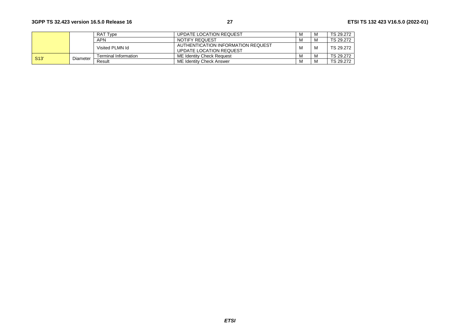|                   |          | <b>RAT Type</b>      | UPDATE LOCATION REQUEST                                       | M |   | TS 29.272 |
|-------------------|----------|----------------------|---------------------------------------------------------------|---|---|-----------|
|                   |          | APN                  | NOTIFY REQUEST                                                | M | M | TS 29.272 |
|                   |          | Visited PLMN Id      | AUTHENTICATION INFORMATION REQUEST<br>UPDATE LOCATION REQUEST | M | M | TS 29.272 |
| S <sub>13</sub> ' | Diameter | Terminal Information | ME Identity Check Request                                     | M |   | TS 29.272 |
|                   |          | Result               | ME Identity Check Answer                                      | M | м | TS 29.272 |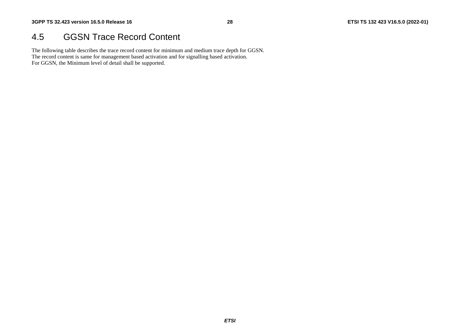#### 4.5 GGSN Trace Record Content

The following table describes the trace record content for minimum and medium trace depth for GGSN. The record content is same for management based activation and for signalling based activation. For GGSN, the Minimum level of detail shall be supported.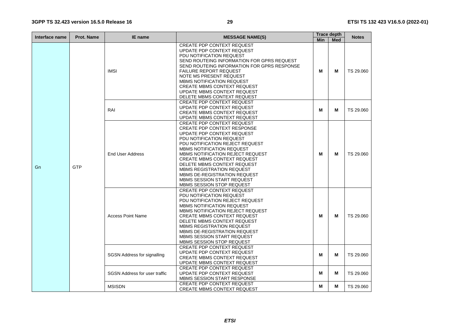| Interface name | <b>Prot. Name</b><br><b>IE</b> name |                                                                                                                                      | <b>MESSAGE NAME(S)</b>                                                                                                                                                                                                                                                                                                                                                                                                                           | <b>Trace depth</b> | <b>Notes</b> |           |
|----------------|-------------------------------------|--------------------------------------------------------------------------------------------------------------------------------------|--------------------------------------------------------------------------------------------------------------------------------------------------------------------------------------------------------------------------------------------------------------------------------------------------------------------------------------------------------------------------------------------------------------------------------------------------|--------------------|--------------|-----------|
|                |                                     |                                                                                                                                      |                                                                                                                                                                                                                                                                                                                                                                                                                                                  | <b>Min</b>         | <b>Med</b>   |           |
|                |                                     | <b>IMSI</b>                                                                                                                          | <b>CREATE PDP CONTEXT REQUEST</b><br>UPDATE PDP CONTEXT REQUEST<br>PDU NOTIFICATION REQUEST<br>SEND ROUTEING INFORMATION FOR GPRS REQUEST<br>SEND ROUTEING INFORMATION FOR GPRS RESPONSE<br><b>FAILURE REPORT REQUEST</b><br>NOTE MS PRESENT REQUEST<br><b>MBMS NOTIFICATION REQUEST</b><br><b>CREATE MBMS CONTEXT REQUEST</b><br>UPDATE MBMS CONTEXT REQUEST<br>DELETE MBMS CONTEXT REQUEST                                                     | M                  | M            | TS 29.060 |
|                | RAI                                 | <b>CREATE PDP CONTEXT REQUEST</b><br>UPDATE PDP CONTEXT REQUEST<br><b>CREATE MBMS CONTEXT REQUEST</b><br>UPDATE MBMS CONTEXT REQUEST | M                                                                                                                                                                                                                                                                                                                                                                                                                                                | М                  | TS 29.060    |           |
| Gn             | <b>GTP</b>                          | <b>End User Address</b>                                                                                                              | <b>CREATE PDP CONTEXT REQUEST</b><br><b>CREATE PDP CONTEXT RESPONSE</b><br>UPDATE PDP CONTEXT REQUEST<br>PDU NOTIFICATION REQUEST<br>PDU NOTIFICATION REJECT REQUEST<br><b>MBMS NOTIFICATION REQUEST</b><br>MBMS NOTIFICATION REJECT REQUEST<br><b>CREATE MBMS CONTEXT REQUEST</b><br>DELETE MBMS CONTEXT REQUEST<br><b>MBMS REGISTRATION REQUEST</b><br>MBMS DE-REGISTRATION REQUEST<br>MBMS SESSION START REQUEST<br>MBMS SESSION STOP REQUEST | М                  | м            | TS 29.060 |
|                |                                     | <b>Access Point Name</b>                                                                                                             | <b>CREATE PDP CONTEXT REQUEST</b><br>PDU NOTIFICATION REQUEST<br>PDU NOTIFICATION REJECT REQUEST<br><b>MBMS NOTIFICATION REQUEST</b><br>MBMS NOTIFICATION REJECT REQUEST<br><b>CREATE MBMS CONTEXT REQUEST</b><br>DELETE MBMS CONTEXT REQUEST<br>MBMS REGISTRATION REQUEST<br>MBMS DE-REGISTRATION REQUEST<br>MBMS SESSION START REQUEST<br>MBMS SESSION STOP REQUEST                                                                            | М                  | м            | TS 29.060 |
|                |                                     | <b>SGSN Address for signalling</b>                                                                                                   | <b>CREATE PDP CONTEXT REQUEST</b><br>UPDATE PDP CONTEXT REQUEST<br><b>CREATE MBMS CONTEXT REQUEST</b><br>UPDATE MBMS CONTEXT REQUEST                                                                                                                                                                                                                                                                                                             | М                  | м            | TS 29.060 |
|                |                                     | <b>SGSN Address for user traffic</b>                                                                                                 | <b>CREATE PDP CONTEXT REQUEST</b><br>UPDATE PDP CONTEXT REQUEST<br>MBMS SESSION START RESPONSE                                                                                                                                                                                                                                                                                                                                                   | М                  | м            | TS 29.060 |
|                |                                     | <b>MSISDN</b>                                                                                                                        | CREATE PDP CONTEXT REQUEST<br><b>CREATE MBMS CONTEXT REQUEST</b>                                                                                                                                                                                                                                                                                                                                                                                 | М                  | м            | TS 29.060 |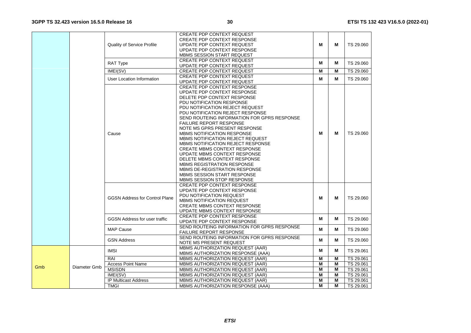|     |              |                                       | <b>CREATE PDP CONTEXT REQUEST</b>           |   |   |           |
|-----|--------------|---------------------------------------|---------------------------------------------|---|---|-----------|
|     |              |                                       | <b>CREATE PDP CONTEXT RESPONSE</b>          |   |   |           |
|     |              | <b>Quality of Service Profile</b>     | UPDATE PDP CONTEXT REQUEST                  | м | м | TS 29.060 |
|     |              |                                       | UPDATE PDP CONTEXT RESPONSE                 |   |   |           |
|     |              |                                       | <b>MBMS SESSION START REQUEST</b>           |   |   |           |
|     |              |                                       |                                             |   |   |           |
|     |              | RAT Type                              | <b>CREATE PDP CONTEXT REQUEST</b>           | м | м | TS 29.060 |
|     |              |                                       | UPDATE PDP CONTEXT REQUEST                  |   |   |           |
|     |              | IMEI(SV)                              | <b>CREATE PDP CONTEXT REQUEST</b>           | M | M | TS 29.060 |
|     |              | User Location Information             | <b>CREATE PDP CONTEXT REQUEST</b>           | м | м | TS 29.060 |
|     |              |                                       | UPDATE PDP CONTEXT REQUEST                  |   |   |           |
|     |              |                                       | <b>CREATE PDP CONTEXT RESPONSE</b>          |   |   |           |
|     |              |                                       | UPDATE PDP CONTEXT RESPONSE                 |   |   |           |
|     |              |                                       | DELETE PDP CONTEXT RESPONSE                 |   |   |           |
|     |              |                                       | PDU NOTIFICATION RESPONSE                   |   |   |           |
|     |              |                                       | PDU NOTIFICATION REJECT REQUEST             |   |   |           |
|     |              |                                       | PDU NOTIFICATION REJECT RESPONSE            |   |   |           |
|     |              |                                       | SEND ROUTEING INFORMATION FOR GPRS RESPONSE |   |   |           |
|     |              |                                       | <b>FAILURE REPORT RESPONSE</b>              |   |   |           |
|     |              |                                       | NOTE MS GPRS PRESENT RESPONSE               |   |   |           |
|     |              | Cause                                 | <b>MBMS NOTIFICATION RESPONSE</b>           | M | м | TS 29.060 |
|     |              |                                       |                                             |   |   |           |
|     |              |                                       | MBMS NOTIFICATION REJECT REQUEST            |   |   |           |
|     |              |                                       | <b>MBMS NOTIFICATION REJECT RESPONSE</b>    |   |   |           |
|     |              |                                       | <b>CREATE MBMS CONTEXT RESPONSE</b>         |   |   |           |
|     |              |                                       | UPDATE MBMS CONTEXT RESPONSE                |   |   |           |
|     |              |                                       | DELETE MBMS CONTEXT RESPONSE                |   |   |           |
|     |              |                                       | <b>MBMS REGISTRATION RESPONSE</b>           |   |   |           |
|     |              |                                       | MBMS DE-REGISTRATION RESPONSE               |   |   |           |
|     |              |                                       | <b>MBMS SESSION START RESPONSE</b>          |   |   |           |
|     |              |                                       | MBMS SESSION STOP RESPONSE                  |   |   |           |
|     |              |                                       | <b>CREATE PDP CONTEXT RESPONSE</b>          |   |   |           |
|     |              |                                       | UPDATE PDP CONTEXT RESPONSE                 |   |   |           |
|     |              |                                       | PDU NOTIFICATION REQUEST                    |   |   |           |
|     |              | <b>GGSN Address for Control Plane</b> | <b>MBMS NOTIFICATION REQUEST</b>            | M | м | TS 29.060 |
|     |              |                                       | <b>CREATE MBMS CONTEXT RESPONSE</b>         |   |   |           |
|     |              |                                       | UPDATE MBMS CONTEXT RESPONSE                |   |   |           |
|     |              |                                       | <b>CREATE PDP CONTEXT RESPONSE</b>          |   |   |           |
|     |              | <b>GGSN Address for user traffic</b>  | UPDATE PDP CONTEXT RESPONSE                 | M | м | TS 29.060 |
|     |              |                                       | SEND ROUTEING INFORMATION FOR GPRS RESPONSE |   |   |           |
|     |              | <b>MAP Cause</b>                      | <b>FAILURE REPORT RESPONSE</b>              | M | м | TS 29.060 |
|     |              |                                       | SEND ROUTEING INFORMATION FOR GPRS RESPONSE |   |   |           |
|     |              | <b>GSN Address</b>                    |                                             | M | м | TS 29.060 |
|     |              |                                       | NOTE MS PRESENT REQUEST                     |   |   |           |
|     |              | <b>IMSI</b>                           | MBMS AUTHORIZATION REQUEST (AAR)            | м | м | TS 29.061 |
|     |              |                                       | MBMS AUTHORIZATION RESPONSE (AAA)           |   |   |           |
|     |              | RAI                                   | MBMS AUTHORIZATION REQUEST (AAR)            | M | M | TS 29.061 |
| Gmb | Diameter Gmb | <b>Access Point Name</b>              | MBMS AUTHORIZATION REQUEST (AAR)            | M | M | TS 29.061 |
|     |              | <b>MSISDN</b>                         | MBMS AUTHORIZATION REQUEST (AAR)            | M | M | TS 29.061 |
|     |              | IMEI(SV)                              | MBMS AUTHORIZATION REQUEST (AAR)            | м | M | TS 29.061 |
|     |              | <b>IP Multicast Address</b>           | MBMS AUTHORIZATION REQUEST (AAR)            | м | м | TS 29.061 |
|     |              | <b>TMGI</b>                           | MBMS AUTHORIZATION RESPONSE (AAA)           | м | м | TS 29.061 |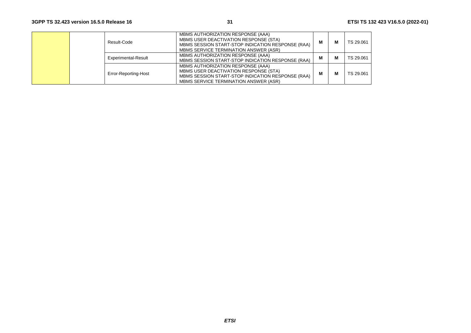|  | Result-Code          | MBMS AUTHORIZATION RESPONSE (AAA)<br>MBMS USER DEACTIVATION RESPONSE (STA)<br>MBMS SESSION START-STOP INDICATION RESPONSE (RAA)<br>MBMS SERVICE TERMINATION ANSWER (ASR) | м | М | TS 29.061 |
|--|----------------------|--------------------------------------------------------------------------------------------------------------------------------------------------------------------------|---|---|-----------|
|  | Experimental-Result  | MBMS AUTHORIZATION RESPONSE (AAA)<br>MBMS SESSION START-STOP INDICATION RESPONSE (RAA)                                                                                   | м | М | TS 29.061 |
|  | Error-Reporting-Host | MBMS AUTHORIZATION RESPONSE (AAA)<br>MBMS USER DEACTIVATION RESPONSE (STA)<br>MBMS SESSION START-STOP INDICATION RESPONSE (RAA)<br>MBMS SERVICE TERMINATION ANSWER (ASR) | м | М | TS 29.061 |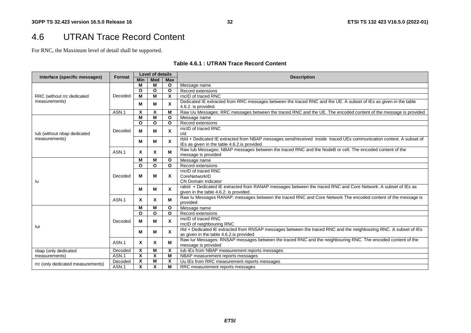### 4.6 UTRAN Trace Record Content

For RNC, the Maximum level of detail shall be supported.

#### **Table 4.6.1 : UTRAN Trace Record Content**

| Interface (specific messages)     | Format  | Level of details          |                           |                         | <b>Description</b>                                                                                                  |  |
|-----------------------------------|---------|---------------------------|---------------------------|-------------------------|---------------------------------------------------------------------------------------------------------------------|--|
|                                   |         | <b>Min</b>                | <b>Med</b>                | <b>Max</b>              |                                                                                                                     |  |
|                                   |         | M                         | M                         | $\mathbf{o}$            | Message name                                                                                                        |  |
|                                   |         | $\Omega$                  | $\mathbf{o}$              | $\mathbf{o}$            | Record extensions                                                                                                   |  |
| RRC (without rrc dedicated        | Decoded | M                         | M                         | X                       | rncID of traced RNC                                                                                                 |  |
| measurements)                     |         |                           |                           | $\pmb{\chi}$            | Dedicated IE extracted from RRC messages between the traced RNC and the UE. A subset of IEs as given in the table   |  |
|                                   |         | M                         | М                         |                         | 4.6.2. is provided.                                                                                                 |  |
|                                   | ASN.1   | X                         | X                         | М                       | Raw Uu Messages: RRC messages between the traced RNC and the UE. The encoded content of the message is provided     |  |
|                                   |         | M                         | М                         | $\mathbf{o}$            | Message name                                                                                                        |  |
|                                   |         | O                         | $\mathbf{o}$              | $\mathbf{o}$            | Record extensions                                                                                                   |  |
|                                   |         |                           |                           |                         | rncID of traced RNC                                                                                                 |  |
| lub (without nbap dedicated       | Decoded | M                         | M                         | X                       | cld                                                                                                                 |  |
| measurements)                     |         | M                         | м                         | $\mathbf{x}$            | rbld + Dedicated IE extracted from NBAP messages send/received inside traced UEs communication context. A subset of |  |
|                                   |         |                           |                           |                         | IEs as given in the table 4.6.2. is provided                                                                        |  |
|                                   | ASN.1   | $\boldsymbol{\mathsf{x}}$ | X                         | М                       | Raw lub Messages: NBAP messages between the traced RNC and the NodeB or cell. The encoded content of the            |  |
|                                   |         |                           |                           |                         | message is provided                                                                                                 |  |
|                                   |         | м                         | м                         | $\mathbf{o}$            | Message name                                                                                                        |  |
|                                   |         | $\Omega$                  | $\mathbf{o}$              | $\Omega$                | Record extensions                                                                                                   |  |
|                                   | Decoded |                           |                           |                         | rncID of traced RNC                                                                                                 |  |
|                                   |         | M                         | м                         | X                       | CoreNetworkID                                                                                                       |  |
| lu                                |         |                           |                           |                         | <b>CN Domain Indicator</b>                                                                                          |  |
|                                   |         | м                         | М                         | $\mathbf{x}$            | rabld + Dedicated IE extracted from RANAP messages between the traced RNC and Core Network. A subset of IEs as      |  |
|                                   |         |                           |                           |                         | given in the table 4.6.2. is provided.                                                                              |  |
|                                   | ASN.1   | X                         | X                         | M                       | Raw Iu Messages RANAP: messages between the traced RNC and Core Network The encoded content of the message is       |  |
|                                   |         |                           |                           |                         | provided                                                                                                            |  |
|                                   |         | М                         | М                         | $\mathbf{o}$            | Message name                                                                                                        |  |
|                                   |         | $\mathbf{o}$              | $\mathbf{o}$              | $\overline{\mathbf{o}}$ | Record extensions                                                                                                   |  |
|                                   | Decoded | м                         | м                         | X                       | rncID of traced RNC                                                                                                 |  |
| lur                               |         |                           |                           |                         | rncID of neighbouring RNC                                                                                           |  |
|                                   |         | M                         | м                         | $\mathbf{x}$            | rlld + Dedicated IE extracted from RNSAP messages between the traced RNC and the neighbouring RNC. A subset of IEs  |  |
|                                   |         |                           |                           |                         | as given in the table 4.6.2. is provided                                                                            |  |
|                                   | ASN.1   | $\boldsymbol{\mathsf{x}}$ | X                         | М                       | Raw lur Messages: RNSAP messages between the traced RNC and the neighbouring RNC. The encoded content of the        |  |
|                                   |         |                           |                           |                         | message is provided                                                                                                 |  |
| nbap (only dedicated              | Decoded | $\boldsymbol{\mathsf{x}}$ | M                         | X                       | lub IEs from NBAP measurement reports messages                                                                      |  |
| measurements)                     | ASN.1   | $\boldsymbol{\mathsf{x}}$ | $\boldsymbol{\mathsf{x}}$ | М                       | NBAP measurement reports messages                                                                                   |  |
| rrc (only dedicated measurements) | Decoded | $\boldsymbol{\mathsf{x}}$ | M                         | X                       | Uu IEs from RRC measurement reports messages                                                                        |  |
|                                   | ASN.1   | $\overline{\mathbf{x}}$   | $\boldsymbol{\mathsf{x}}$ | M                       | RRC measurement reports messages                                                                                    |  |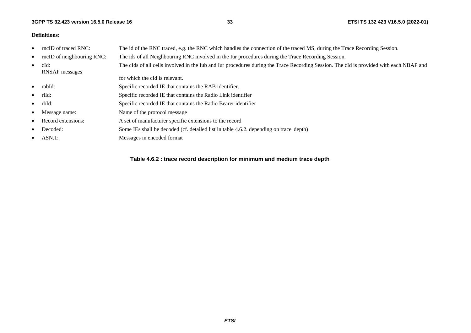#### **3GPP TS 32.423 version 16.5.0 Release 16**

#### **Definitions:**

•

•

•

- •rncID of traced RNC: The id of the RNC traced, e.g. the RNC which handles the connection of the traced MS, during the Trace Recording Session.
	- rncID of neighbouring RNC: The ids of all Neighbouring RNC involved in the Iur procedures during the Trace Recording Session.
		- cId: The cIds of all cells involved in the Iub and Iur procedures during the Trace Recording Session. The cId is provided with each NBAP and RNSAP messages

for which the cId is relevant.

- •rabId: Specific recorded IE that contains the RAB identifier.
- •rlId: Specific recorded IE that contains the Radio Link identifier
- •rbId: Specific recorded IE that contains the Radio Bearer identifier
- •Message name: Name of the protocol message
- •Record extensions: A set of manufacturer specific extensions to the record
- •Decoded: Some IEs shall be decoded (cf. detailed list in table 4.6.2. depending on trace depth)
	- ASN.1: Messages in encoded format

**Table 4.6.2 : trace record description for minimum and medium trace depth**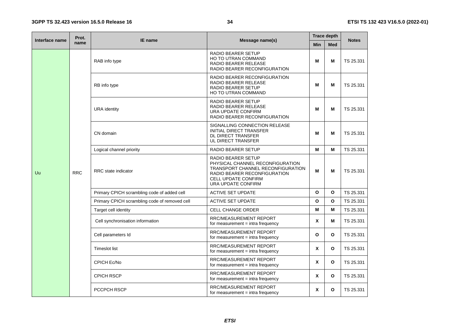| Interface name | Prot.<br>name | <b>IE</b> name                                | Message name(s)                                                                                                                                                                 | <b>Trace depth</b> |              |              |
|----------------|---------------|-----------------------------------------------|---------------------------------------------------------------------------------------------------------------------------------------------------------------------------------|--------------------|--------------|--------------|
|                |               |                                               |                                                                                                                                                                                 | <b>Min</b>         | <b>Med</b>   | <b>Notes</b> |
|                | <b>RRC</b>    | RAB info type                                 | <b>RADIO BEARER SETUP</b><br><b>HO TO UTRAN COMMAND</b><br>RADIO BEARER RELEASE<br>RADIO BEARER RECONFIGURATION                                                                 | M                  | м            | TS 25.331    |
|                |               | RB info type                                  | RADIO BEARER RECONFIGURATION<br><b>RADIO BEARER RELEASE</b><br><b>RADIO BEARER SETUP</b><br>HO TO UTRAN COMMAND                                                                 | M                  | м            | TS 25.331    |
|                |               | <b>URA</b> identity                           | <b>RADIO BEARER SETUP</b><br><b>RADIO BEARER RELEASE</b><br>URA UPDATE CONFIRM<br>RADIO BEARER RECONFIGURATION                                                                  | M                  | М            | TS 25.331    |
|                |               | CN domain                                     | SIGNALLING CONNECTION RELEASE<br>INITIAL DIRECT TRANSFER<br>DL DIRECT TRANSFER<br>UL DIRECT TRANSFER                                                                            | M                  | М            | TS 25.331    |
|                |               | Logical channel priority                      | <b>RADIO BEARER SETUP</b>                                                                                                                                                       | M                  | М            | TS 25.331    |
| Uu             |               | RRC state indicator                           | <b>RADIO BEARER SETUP</b><br>PHYSICAL CHANNEL RECONFIGURATION<br>TRANSPORT CHANNEL RECONFIGURATION<br>RADIO BEARER RECONFIGURATION<br>CELL UPDATE CONFIRM<br>URA UPDATE CONFIRM | М                  | м            | TS 25.331    |
|                |               | Primary CPICH scrambling code of added cell   | <b>ACTIVE SET UPDATE</b>                                                                                                                                                        | $\mathbf{o}$       | O            | TS 25.331    |
|                |               | Primary CPICH scrambling code of removed cell | <b>ACTIVE SET UPDATE</b>                                                                                                                                                        | $\mathbf{o}$       | $\Omega$     | TS 25.331    |
|                |               | Target cell identity                          | <b>CELL CHANGE ORDER</b>                                                                                                                                                        | M                  | М            | TS 25.331    |
|                |               | Cell synchronisation information              | RRC/MEASUREMENT REPORT<br>for measurement $=$ intra frequency                                                                                                                   | X                  | м            | TS 25.331    |
|                |               | Cell parameters Id                            | RRC/MEASUREMENT REPORT<br>for measurement $=$ intra frequency                                                                                                                   | $\mathbf{o}$       | O            | TS 25.331    |
|                |               | <b>Timeslot list</b>                          | RRC/MEASUREMENT REPORT<br>for measurement $=$ intra frequency                                                                                                                   | X                  | O            | TS 25.331    |
|                |               | CPICH Ec/No                                   | RRC/MEASUREMENT REPORT<br>for measurement $=$ intra frequency                                                                                                                   | X                  | $\mathbf{o}$ | TS 25.331    |
|                |               | <b>CPICH RSCP</b>                             | RRC/MEASUREMENT REPORT<br>for measurement $=$ intra frequency                                                                                                                   | X                  | O            | TS 25.331    |
|                |               | <b>PCCPCH RSCP</b>                            | RRC/MEASUREMENT REPORT<br>for measurement $=$ intra frequency                                                                                                                   | X                  | O            | TS 25.331    |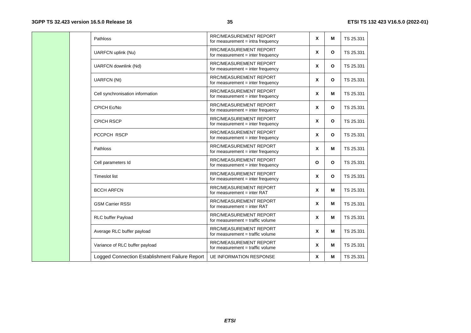| Pathloss                                       | <b>RRC/MEASUREMENT REPORT</b><br>for measurement $=$ intra frequency | X                         | M            | TS 25.331 |
|------------------------------------------------|----------------------------------------------------------------------|---------------------------|--------------|-----------|
| UARFCN uplink (Nu)                             | <b>RRC/MEASUREMENT REPORT</b><br>for measurement = inter frequency   | X                         | $\mathbf{o}$ | TS 25.331 |
| UARFCN downlink (Nd)                           | <b>RRC/MEASUREMENT REPORT</b><br>for measurement = inter frequency   | X                         | $\mathbf{o}$ | TS 25.331 |
| <b>UARFCN (Nt)</b>                             | <b>RRC/MEASUREMENT REPORT</b><br>for measurement $=$ inter frequency | X                         | $\mathbf{o}$ | TS 25.331 |
| Cell synchronisation information               | <b>RRC/MEASUREMENT REPORT</b><br>for measurement $=$ inter frequency | X                         | м            | TS 25.331 |
| <b>CPICH Ec/No</b>                             | <b>RRC/MEASUREMENT REPORT</b><br>for measurement = inter frequency   | X                         | $\mathbf{o}$ | TS 25.331 |
| <b>CPICH RSCP</b>                              | <b>RRC/MEASUREMENT REPORT</b><br>for measurement = inter frequency   | X                         | $\mathbf{o}$ | TS 25.331 |
| <b>PCCPCH RSCP</b>                             | <b>RRC/MEASUREMENT REPORT</b><br>for measurement = inter frequency   | X                         | $\mathbf{o}$ | TS 25.331 |
| Pathloss                                       | <b>RRC/MEASUREMENT REPORT</b><br>for measurement = inter frequency   | X                         | м            | TS 25.331 |
| Cell parameters Id                             | <b>RRC/MEASUREMENT REPORT</b><br>for measurement = inter frequency   | $\Omega$                  | $\mathbf{o}$ | TS 25.331 |
| <b>Timeslot list</b>                           | <b>RRC/MEASUREMENT REPORT</b><br>for measurement = inter frequency   | $\boldsymbol{x}$          | $\mathbf{o}$ | TS 25.331 |
| <b>BCCH ARFCN</b>                              | RRC/MEASUREMENT REPORT<br>for measurement $=$ inter RAT              | X                         | M            | TS 25.331 |
| <b>GSM Carrier RSSI</b>                        | <b>RRC/MEASUREMENT REPORT</b><br>for measurement $=$ inter RAT       | $\boldsymbol{\mathsf{x}}$ | М            | TS 25.331 |
| RLC buffer Payload                             | <b>RRC/MEASUREMENT REPORT</b><br>for measurement = traffic volume    | $\boldsymbol{x}$          | м            | TS 25.331 |
| Average RLC buffer payload                     | <b>RRC/MEASUREMENT REPORT</b><br>for measurement = traffic volume    | X                         | м            | TS 25.331 |
| Variance of RLC buffer payload                 | <b>RRC/MEASUREMENT REPORT</b><br>for measurement = traffic volume    | X                         | M            | TS 25.331 |
| Logged Connection Establishment Failure Report | <b>UE INFORMATION RESPONSE</b>                                       | X                         | M            | TS 25.331 |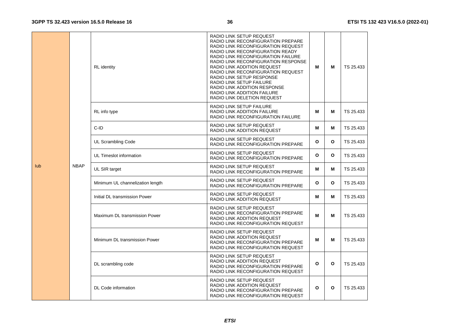|             | <b>RL</b> identity                                                                        | RADIO LINK SETUP REQUEST<br>RADIO LINK RECONFIGURATION PREPARE<br>RADIO LINK RECONFIGURATION REQUEST<br>RADIO LINK RECONFIGURATION READY<br><b>RADIO LINK RECONFIGURATION FAILURE</b><br>RADIO LINK RECONFIGURATION RESPONSE<br>RADIO LINK ADDITION REQUEST<br>RADIO LINK RECONFIGURATION REQUEST<br>RADIO LINK SETUP RESPONSE<br>RADIO LINK SETUP FAILURE<br>RADIO LINK ADDITION RESPONSE<br>RADIO LINK ADDITION FAILURE<br>RADIO LINK DELETION REQUEST | м | М            | TS 25.433 |
|-------------|-------------------------------------------------------------------------------------------|----------------------------------------------------------------------------------------------------------------------------------------------------------------------------------------------------------------------------------------------------------------------------------------------------------------------------------------------------------------------------------------------------------------------------------------------------------|---|--------------|-----------|
|             | RL info type                                                                              | RADIO LINK SETUP FAILURE<br>RADIO LINK ADDITION FAILURE<br>RADIO LINK RECONFIGURATION FAILURE                                                                                                                                                                                                                                                                                                                                                            | м | М            | TS 25.433 |
|             | $C-ID$                                                                                    | RADIO LINK SETUP REQUEST<br>RADIO LINK ADDITION REQUEST                                                                                                                                                                                                                                                                                                                                                                                                  | М | М            | TS 25.433 |
|             | UL Scrambling Code                                                                        | RADIO LINK SETUP REQUEST<br>RADIO LINK RECONFIGURATION PREPARE                                                                                                                                                                                                                                                                                                                                                                                           | O | $\mathbf{o}$ | TS 25.433 |
|             | RADIO LINK SETUP REQUEST<br>UL Timeslot information<br>RADIO LINK RECONFIGURATION PREPARE |                                                                                                                                                                                                                                                                                                                                                                                                                                                          | O | O            | TS 25.433 |
| <b>NBAP</b> | UL SIR target                                                                             | RADIO LINK SETUP REQUEST<br>RADIO LINK RECONFIGURATION PREPARE                                                                                                                                                                                                                                                                                                                                                                                           | Μ | м            | TS 25.433 |
|             | Minimum UL channelization length                                                          | RADIO LINK SETUP REQUEST<br>RADIO LINK RECONFIGURATION PREPARE                                                                                                                                                                                                                                                                                                                                                                                           | O | O            | TS 25.433 |
|             | Initial DL transmission Power                                                             | RADIO LINK SETUP REQUEST<br><b>RADIO LINK ADDITION REQUEST</b>                                                                                                                                                                                                                                                                                                                                                                                           | м | м            | TS 25.433 |
|             | Maximum DL transmission Power                                                             | RADIO LINK SETUP REQUEST<br>RADIO LINK RECONFIGURATION PREPARE<br><b>RADIO LINK ADDITION REQUEST</b><br>RADIO LINK RECONFIGURATION REQUEST                                                                                                                                                                                                                                                                                                               | м | М            | TS 25.433 |
|             | Minimum DL transmission Power                                                             | RADIO LINK SETUP REQUEST<br>RADIO LINK ADDITION REQUEST<br>RADIO LINK RECONFIGURATION PREPARE<br>RADIO LINK RECONFIGURATION REQUEST                                                                                                                                                                                                                                                                                                                      | м | М            | TS 25.433 |
|             | DL scrambling code                                                                        | RADIO LINK SETUP REQUEST<br>RADIO LINK ADDITION REQUEST<br>RADIO LINK RECONFIGURATION PREPARE<br>RADIO LINK RECONFIGURATION REQUEST                                                                                                                                                                                                                                                                                                                      | O | $\mathbf{o}$ | TS 25.433 |
|             | DL Code information                                                                       | RADIO LINK SETUP REQUEST<br>RADIO LINK ADDITION REQUEST<br>RADIO LINK RECONFIGURATION PREPARE<br>RADIO LINK RECONFIGURATION REQUEST                                                                                                                                                                                                                                                                                                                      | O | $\mathbf{o}$ | TS 25.433 |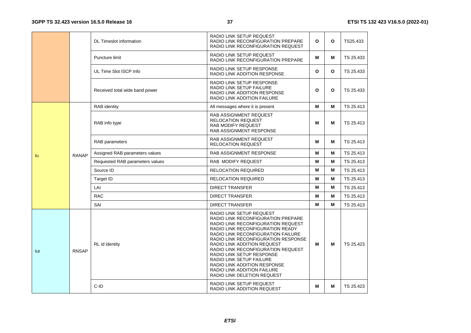|     |              | <b>DL Timeslot information</b>  | RADIO LINK SETUP REQUEST<br>RADIO LINK RECONFIGURATION PREPARE<br>RADIO LINK RECONFIGURATION REQUEST                                                                                                                                                                                                                                                                                                                                                     | $\Omega$     | O | TS25.433  |
|-----|--------------|---------------------------------|----------------------------------------------------------------------------------------------------------------------------------------------------------------------------------------------------------------------------------------------------------------------------------------------------------------------------------------------------------------------------------------------------------------------------------------------------------|--------------|---|-----------|
|     |              | Puncture limit                  | RADIO LINK SETUP REQUEST<br>RADIO LINK RECONFIGURATION PREPARE                                                                                                                                                                                                                                                                                                                                                                                           | м            | м | TS 25.433 |
|     |              | UL Time Slot ISCP Info          | RADIO LINK SETUP RESPONSE<br>RADIO LINK ADDITION RESPONSE                                                                                                                                                                                                                                                                                                                                                                                                | $\mathbf{o}$ | O | TS 25.433 |
|     |              | Received total wide band power  | RADIO LINK SETUP RESPONSE<br>RADIO LINK SETUP FAILURE<br>RADIO LINK ADDITION RESPONSE<br>RADIO LINK ADDITION FAILURE                                                                                                                                                                                                                                                                                                                                     | $\Omega$     | O | TS 25.433 |
|     |              | <b>RAB</b> identity             | All messages where it is present                                                                                                                                                                                                                                                                                                                                                                                                                         | м            | м | TS 25.413 |
|     |              | RAB info type                   | RAB ASSIGNMENT REQUEST<br><b>RELOCATION REQUEST</b><br><b>RAB MODIFY REQUEST</b><br>RAB ASSIGNMENT RESPONSE                                                                                                                                                                                                                                                                                                                                              | M            | М | TS 25.413 |
|     |              | RAB parameters                  | RAB ASSIGNMENT REQUEST<br><b>RELOCATION REQUEST</b>                                                                                                                                                                                                                                                                                                                                                                                                      | м            | м | TS 25.413 |
|     | <b>RANAP</b> | Assigned RAB parameters values  | <b>RAB ASSIGNMENT RESPONSE</b>                                                                                                                                                                                                                                                                                                                                                                                                                           | м            | м | TS 25.413 |
|     |              | Requested RAB parameters values | RAB MODIFY REQUEST                                                                                                                                                                                                                                                                                                                                                                                                                                       | M            | м | TS 25.413 |
|     |              | Source ID                       | <b>RELOCATION REQUIRED</b>                                                                                                                                                                                                                                                                                                                                                                                                                               | м            | м | TS 25.413 |
|     |              | Target ID                       | RELOCATION REQUIRED                                                                                                                                                                                                                                                                                                                                                                                                                                      | М            | м | TS 25.413 |
|     |              | LAI                             | <b>DIRECT TRANSFER</b>                                                                                                                                                                                                                                                                                                                                                                                                                                   | м            | м | TS 25.413 |
|     |              | <b>RAC</b>                      | <b>DIRECT TRANSFER</b>                                                                                                                                                                                                                                                                                                                                                                                                                                   | м            | м | TS 25.413 |
|     |              | SAI                             | <b>DIRECT TRANSFER</b>                                                                                                                                                                                                                                                                                                                                                                                                                                   | м            | м | TS 25.413 |
| lur | <b>RNSAP</b> | RL id identity                  | RADIO LINK SETUP REQUEST<br>RADIO LINK RECONFIGURATION PREPARE<br>RADIO LINK RECONFIGURATION REQUEST<br>RADIO LINK RECONFIGURATION READY<br>RADIO LINK RECONFIGURATION FAILURE<br>RADIO LINK RECONFIGURATION RESPONSE<br>RADIO LINK ADDITION REQUEST<br>RADIO LINK RECONFIGURATION REQUEST<br>RADIO LINK SETUP RESPONSE<br>RADIO LINK SETUP FAILURE<br>RADIO LINK ADDITION RESPONSE<br><b>RADIO LINK ADDITION FAILURE</b><br>RADIO LINK DELETION REQUEST | м            | м | TS 25.423 |
|     |              | C-ID                            | RADIO LINK SETUP REQUEST<br>RADIO LINK ADDITION REQUEST                                                                                                                                                                                                                                                                                                                                                                                                  | м            | м | TS 25.423 |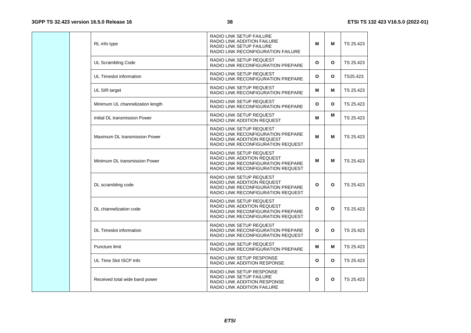| RL info type                     | RADIO LINK SETUP FAILURE<br>RADIO LINK ADDITION FAILURE<br><b>RADIO LINK SETUP FAILURE</b><br>RADIO LINK RECONFIGURATION FAILURE           | M | М            | TS 25.423 |
|----------------------------------|--------------------------------------------------------------------------------------------------------------------------------------------|---|--------------|-----------|
| UL Scrambling Code               | RADIO LINK SETUP REQUEST<br>RADIO LINK RECONFIGURATION PREPARE                                                                             | O | $\mathbf{o}$ | TS 25.423 |
| UL Timeslot information          | RADIO LINK SETUP REQUEST<br>RADIO LINK RECONFIGURATION PREPARE                                                                             | O | $\mathbf{o}$ | TS25.423  |
| UL SIR target                    | RADIO LINK SETUP REQUEST<br>RADIO LINK RECONFIGURATION PREPARE                                                                             | м | М            | TS 25.423 |
| Minimum UL channelization length | RADIO LINK SETUP REQUEST<br>RADIO LINK RECONFIGURATION PREPARE                                                                             | O | $\mathbf{o}$ | TS 25.423 |
| Initial DL transmission Power    | RADIO LINK SETUP REQUEST<br>RADIO LINK ADDITION REQUEST                                                                                    | м | м            | TS 25.423 |
| Maximum DL transmission Power    | RADIO LINK SETUP REQUEST<br>RADIO LINK RECONFIGURATION PREPARE<br>RADIO LINK ADDITION REQUEST<br>RADIO LINK RECONFIGURATION REQUEST        | М | М            | TS 25.423 |
| Minimum DL transmission Power    | RADIO LINK SETUP REQUEST<br>RADIO LINK ADDITION REQUEST<br>RADIO LINK RECONFIGURATION PREPARE<br>RADIO LINK RECONFIGURATION REQUEST        | м | М            | TS 25.423 |
| DL scrambling code               | RADIO LINK SETUP REQUEST<br>RADIO LINK ADDITION REQUEST<br>RADIO LINK RECONFIGURATION PREPARE<br><b>RADIO LINK RECONFIGURATION REQUEST</b> | O | O            | TS 25.423 |
| DL channelization code           | RADIO LINK SETUP REQUEST<br>RADIO LINK ADDITION REQUEST<br>RADIO LINK RECONFIGURATION PREPARE<br>RADIO LINK RECONFIGURATION REQUEST        | O | O            | TS 25.423 |
| <b>DL Timeslot information</b>   | RADIO LINK SETUP REQUEST<br>RADIO LINK RECONFIGURATION PREPARE<br>RADIO LINK RECONFIGURATION REQUEST                                       | O | $\mathbf{o}$ | TS 25.423 |
| Puncture limit                   | RADIO LINK SETUP REQUEST<br>RADIO LINK RECONFIGURATION PREPARE                                                                             | м | М            | TS 25.423 |
| UL Time Slot ISCP Info           | <b>RADIO LINK SETUP RESPONSE</b><br><b>RADIO LINK ADDITION RESPONSE</b>                                                                    | O | $\mathbf{o}$ | TS 25.423 |
| Received total wide band power   | RADIO LINK SETUP RESPONSE<br>RADIO LINK SETUP FAILURE<br>RADIO LINK ADDITION RESPONSE<br>RADIO LINK ADDITION FAILURE                       | O | $\mathbf{o}$ | TS 25.423 |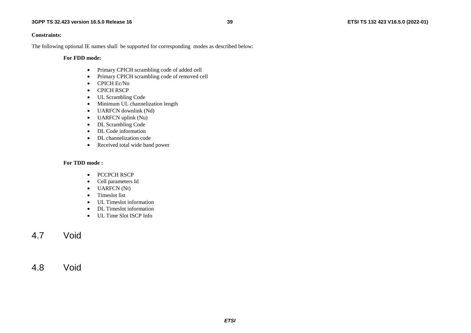#### **Constraints:**

The following optional IE names shall be supported for corresponding modes as described below:

**For FDD mode:** 

- Primary CPICH scrambling code of added cell
- •Primary CPICH scrambling code of removed cell
- •CPICH Ec/No
- •CPICH RSCP
- UL Scrambling Code
- •Minimum UL channelization length
- UARFCN downlink (Nd)
- UARFCN uplink (Nu)
- •DL Scrambling Code
- •DL Code information
- •DL channelization code
- •Received total wide band power

#### **For TDD mode :**

- PCCPCH RSCP
- •Cell parameters Id
- UARFCN (Nt)
- •Timeslot list
- •UL Timeslot information
- •DL Timeslot information
- UL Time Slot ISCP Info

## 4.7 Void

## 4.8 Void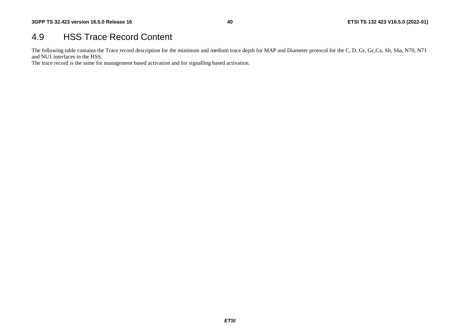# 4.9 HSS Trace Record Content

The following table contains the Trace record description for the minimum and medium trace depth for MAP and Diameter protocol for the C, D, Gr, Gc,Cx, Sh, S6a, N70, N71 and NU1 interfaces in the HSS.

The trace record is the same for management based activation and for signalling based activation.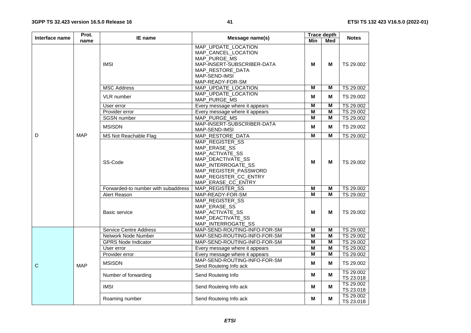| Interface name | Prot.      | <b>IE</b> name                      | Message name(s)                                                                                                                                                       | <b>Trace depth</b>      | <b>Notes</b>            |                        |
|----------------|------------|-------------------------------------|-----------------------------------------------------------------------------------------------------------------------------------------------------------------------|-------------------------|-------------------------|------------------------|
|                | name       |                                     |                                                                                                                                                                       | <b>Min</b>              | <b>Med</b>              |                        |
|                |            | <b>IMSI</b>                         | MAP_UPDATE_LOCATION<br>MAP_CANCEL_LOCATION<br>MAP_PURGE_MS<br>MAP-INSERT-SUBSCRIBER-DATA<br>MAP_RESTORE_DATA<br>MAP-SEND-IMSI<br>MAP-READY-FOR-SM                     | M                       | М                       | TS 29.002              |
|                |            | <b>MSC Address</b>                  | MAP_UPDATE_LOCATION                                                                                                                                                   | $\overline{M}$          | M                       | TS 29.002              |
|                |            | VLR number                          | MAP_UPDATE_LOCATION<br>MAP_PURGE_MS                                                                                                                                   | M                       | M                       | TS 29.002              |
|                |            | User error                          | Every message where it appears                                                                                                                                        | M                       | $\overline{\mathsf{M}}$ | TS 29.002              |
|                |            | Provider error                      | Every message where it appears                                                                                                                                        | M                       | $\overline{\mathsf{M}}$ | TS 29.002              |
|                |            | <b>SGSN</b> number                  | MAP_PURGE_MS                                                                                                                                                          | M                       | M                       | TS 29.002              |
|                |            | <b>MSISDN</b>                       | MAP-INSERT-SUBSCRIBER-DATA<br>MAP-SEND-IMSI                                                                                                                           | M                       | м                       | TS 29.002              |
| D              | <b>MAP</b> | <b>MS Not Reachable Flag</b>        | MAP_RESTORE_DATA                                                                                                                                                      | $\overline{\mathsf{M}}$ | M                       | TS 29.002              |
|                |            | SS-Code                             | MAP_REGISTER_SS<br>MAP_ERASE_SS<br>MAP_ACTIVATE_SS<br>MAP_DEACTIVATE_SS<br>MAP_INTERROGATE_SS<br>MAP_REGISTER_PASSWORD<br>MAP_REGISTER_CC_ENTRY<br>MAP_ERASE_CC_ENTRY | M                       | М                       | TS 29.002              |
|                |            | Forwarded-to number with subaddress | MAP_REGISTER_SS                                                                                                                                                       | $\overline{M}$          | $\overline{M}$          | TS 29.002              |
|                |            | Alert Reason                        | MAP-READY-FOR-SM                                                                                                                                                      | $\overline{M}$          | M                       | TS 29.002              |
|                |            | <b>Basic service</b>                | MAP REGISTER SS<br>MAP_ERASE_SS<br>MAP_ACTIVATE_SS<br>MAP_DEACTIVATE_SS<br>MAP_INTERROGATE_SS                                                                         | M                       | м                       | TS 29.002              |
|                |            | <b>Service Centre Address</b>       | MAP-SEND-ROUTING-INFO-FOR-SM                                                                                                                                          | $\overline{M}$          | M                       | TS 29.002              |
|                |            | Network Node Number                 | MAP-SEND-ROUTING-INFO-FOR-SM                                                                                                                                          | M                       | M                       | TS 29.002              |
|                |            | <b>GPRS Node Indicator</b>          | MAP-SEND-ROUTING-INFO-FOR-SM                                                                                                                                          | $\overline{M}$          | $\overline{\mathsf{M}}$ | TS 29.002              |
|                |            | User error                          | Every message where it appears                                                                                                                                        | $\overline{M}$          | $\overline{\mathsf{M}}$ | TS 29.002              |
|                |            | Provider error                      | Every message where it appears                                                                                                                                        | $\overline{\mathsf{M}}$ | $\overline{\mathsf{M}}$ | TS 29.002              |
| $\mathsf{C}$   | <b>MAP</b> | <b>MSISDN</b>                       | MAP-SEND-ROUTING-INFO-FOR-SM<br>Send Routeing Info ack                                                                                                                | M                       | M                       | TS 29.002              |
|                |            | Number of forwarding                | Send Routeing Info                                                                                                                                                    | M                       | M                       | TS 29.002<br>TS 23.018 |
|                |            | <b>IMSI</b>                         | Send Routeing Info ack                                                                                                                                                | М                       | M                       | TS 29.002<br>TS 23.018 |
|                |            | Roaming number                      | Send Routeing Info ack                                                                                                                                                | М                       | M                       | TS 29.002<br>TS 23.018 |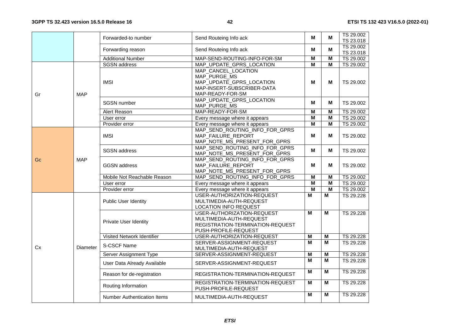|    |            | Forwarded-to number                                      | Send Routeing Info ack                                                                                            |                         | M                       | TS 29.002<br>TS 23.018 |
|----|------------|----------------------------------------------------------|-------------------------------------------------------------------------------------------------------------------|-------------------------|-------------------------|------------------------|
|    |            | Forwarding reason                                        | Send Routeing Info ack                                                                                            | M                       | M                       | TS 29.002<br>TS 23.018 |
|    |            | <b>Additional Number</b>                                 | MAP-SEND-ROUTING-INFO-FOR-SM                                                                                      | $\overline{\mathsf{M}}$ | $\overline{\mathsf{M}}$ | TS 29.002              |
|    |            | <b>SGSN</b> address                                      | MAP_UPDATE_GPRS_LOCATION                                                                                          | $\overline{\mathsf{M}}$ | $\overline{\mathsf{M}}$ | TS 29.002              |
| Gr | <b>MAP</b> | <b>IMSI</b>                                              | MAP_CANCEL_LOCATION<br>MAP_PURGE_MS<br>MAP_UPDATE_GPRS_LOCATION<br>MAP-INSERT-SUBSCRIBER-DATA<br>MAP-READY-FOR-SM | M                       | М                       | TS 29.002              |
|    |            | <b>SGSN</b> number                                       | MAP_UPDATE_GPRS_LOCATION<br>MAP_PURGE_MS                                                                          | м                       | М                       | TS 29.002              |
|    |            | Alert Reason                                             | MAP-READY-FOR-SM                                                                                                  | $\overline{\mathsf{M}}$ | M                       | TS 29.002              |
|    |            | User error                                               | Every message where it appears                                                                                    | M                       | M                       | TS 29.002              |
|    |            | Provider error                                           | Every message where it appears                                                                                    | M                       | M                       | TS 29.002              |
|    |            | <b>IMSI</b>                                              | MAP_SEND_ROUTING_INFO_FOR_GPRS<br>MAP_FAILURE_REPORT<br>MAP_NOTE_MS_PRESENT_FOR_GPRS                              | м                       | м                       | TS 29.002              |
|    |            | <b>SGSN</b> address                                      | MAP SEND ROUTING INFO FOR GPRS<br>MAP_NOTE_MS_PRESENT_FOR_GPRS                                                    | М                       | М                       | TS 29.002              |
| Gc | <b>MAP</b> | <b>GGSN</b> address                                      | MAP_SEND_ROUTING_INFO_FOR_GPRS<br>MAP_FAILURE_REPORT<br>MAP_NOTE_MS_PRESENT_FOR_GPRS                              | м                       | М                       | TS 29.002              |
|    |            | Mobile Not Reachable Reason                              | MAP SEND ROUTING INFO FOR GPRS                                                                                    | M                       | M                       | TS 29.002              |
|    |            | User error                                               | Every message where it appears                                                                                    | M                       | M                       | TS 29.002              |
|    |            | Provider error                                           | Every message where it appears                                                                                    | $\overline{\mathsf{M}}$ | $\overline{\mathsf{M}}$ | TS 29.002              |
|    |            | <b>Public User Identity</b>                              | USER-AUTHORIZATION-REQUEST<br>MULTIMEDIA-AUTH-REQUEST<br><b>LOCATION INFO REQUEST</b>                             | м                       | М                       | TS 29.228              |
|    |            | Private User Identity                                    | USER-AUTHORIZATION-REQUEST<br>MULTIMEDIA-AUTH-REQUEST<br>REGISTRATION-TERMINATION-REQUEST<br>PUSH-PROFILE-REQUEST | м                       | М                       | TS 29.228              |
|    |            | Visited Network Identifier                               | USER-AUTHORIZATION-REQUEST                                                                                        | M                       | M                       | TS 29.228              |
| Cx | Diameter   | S-CSCF Name                                              | SERVER-ASSIGNMENT-REQUEST<br>MULTIMEDIA-AUTH-REQUEST                                                              | M                       | M                       | TS 29.228              |
|    |            | Server Assignment Type                                   | SERVER-ASSIGNMENT-REQUEST                                                                                         | M                       | M                       | TS 29.228              |
|    |            | User Data Already Available<br>SERVER-ASSIGNMENT-REQUEST |                                                                                                                   | м                       | M                       | TS 29.228              |
|    |            | Reason for de-registration                               | REGISTRATION-TERMINATION-REQUEST                                                                                  | м                       | M                       | TS 29.228              |
|    |            | Routing Information                                      | REGISTRATION-TERMINATION-REQUEST<br>PUSH-PROFILE-REQUEST                                                          | М                       | $\overline{M}$          | TS 29.228              |
|    |            | <b>Number Authentication Items</b>                       | MULTIMEDIA-AUTH-REQUEST                                                                                           | M                       | M                       | TS 29.228              |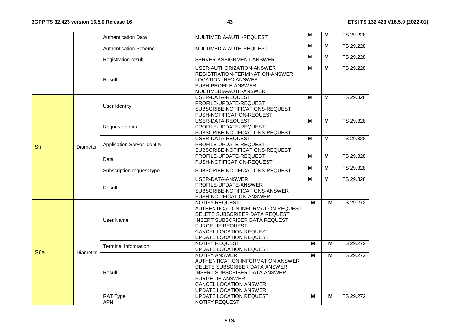#### **3GPP TS 32.423 version 16.5.0 Release 16**

| M<br>М<br>TS 29.228<br><b>Authentication Scheme</b><br>MULTIMEDIA-AUTH-REQUEST<br>M<br>М<br>TS 29.228<br><b>Registration result</b><br>SERVER-ASSIGNMENT-ANSWER<br>M<br>М<br>TS 29.228<br>USER-AUTHORIZATION-ANSWER<br>REGISTRATION-TERMINATION-ANSWER<br>Result<br><b>LOCATION INFO ANSWER</b><br>PUSH-PROFILE-ANSWER<br>MULTIMEDIA-AUTH-ANSWER<br>м<br>М<br>USER-DATA-REQUEST<br>TS 29.328<br>PROFILE-UPDATE-REQUEST<br><b>User Identity</b><br>SUBSCRIBE-NOTIFICATIONS-REQUEST<br>PUSH-NOTIFICATION-REQUEST<br>M<br>TS 29.328<br>USER-DATA-REQUEST<br>М<br>PROFILE-UPDATE-REQUEST<br>Requested data<br>SUBSCRIBE-NOTIFICATIONS-REQUEST<br>м<br>М<br>TS 29.328<br>USER-DATA-REQUEST<br><b>Application Server Identity</b><br>PROFILE-UPDATE-REQUEST<br>Sh<br>Diameter<br>SUBSCRIBE-NOTIFICATIONS-REQUEST<br>M<br>PROFILE-UPDATE-REQUEST<br>М<br>TS 29.328<br>Data<br>PUSH-NOTIFICATION-REQUEST<br>м<br>TS 29.328<br>М<br>Subscription request type<br>SUBSCRIBE-NOTIFICATIONS-REQUEST<br>TS 29.328<br>USER-DATA-ANSWER<br>м<br>М<br>PROFILE-UPDATE-ANSWER<br>Result<br>SUBSCRIBE-NOTIFICATIONS-ANSWER<br>PUSH-NOTIFICATION-ANSWER<br><b>NOTIFY REQUEST</b><br>TS 29.272<br>M<br>M<br>AUTHENTICATION INFORMATION REQUEST<br>DELETE SUBSCRIBER DATA REQUEST<br><b>User Name</b><br><b>INSERT SUBSCRIBER DATA REQUEST</b><br>PURGE UE REQUEST<br>CANCEL LOCATION REQUEST<br>UPDATE LOCATION REQUEST<br>M<br>M<br><b>NOTIFY REQUEST</b><br>TS 29.272<br><b>Terminal Infomration</b><br>UPDATE LOCATION REQUEST<br>S <sub>6</sub> a<br>Diameter<br>M<br>TS 29.272<br><b>NOTIFY ANSWER</b><br>M<br>AUTHENTICATION INFORMATION ANSWER<br>DELETE SUBSCRIBER DATA ANSWER<br>Result<br>INSERT SUBSCRIBER DATA ANSWER<br>PURGE UE ANSWER<br><b>CANCEL LOCATION ANSWER</b><br>UPDATE LOCATION ANSWER<br>$\overline{\mathsf{M}}$<br>M<br>RAT Type<br>UPDATE LOCATION REQUEST<br>TS 29.272<br><b>NOTIFY REQUEST</b><br><b>APN</b> |  |  | <b>Authentication Data</b> | MULTIMEDIA-AUTH-REQUEST | м | м | TS 29.228 |
|-----------------------------------------------------------------------------------------------------------------------------------------------------------------------------------------------------------------------------------------------------------------------------------------------------------------------------------------------------------------------------------------------------------------------------------------------------------------------------------------------------------------------------------------------------------------------------------------------------------------------------------------------------------------------------------------------------------------------------------------------------------------------------------------------------------------------------------------------------------------------------------------------------------------------------------------------------------------------------------------------------------------------------------------------------------------------------------------------------------------------------------------------------------------------------------------------------------------------------------------------------------------------------------------------------------------------------------------------------------------------------------------------------------------------------------------------------------------------------------------------------------------------------------------------------------------------------------------------------------------------------------------------------------------------------------------------------------------------------------------------------------------------------------------------------------------------------------------------------------------------------------------------------------------------|--|--|----------------------------|-------------------------|---|---|-----------|
|                                                                                                                                                                                                                                                                                                                                                                                                                                                                                                                                                                                                                                                                                                                                                                                                                                                                                                                                                                                                                                                                                                                                                                                                                                                                                                                                                                                                                                                                                                                                                                                                                                                                                                                                                                                                                                                                                                                       |  |  |                            |                         |   |   |           |
|                                                                                                                                                                                                                                                                                                                                                                                                                                                                                                                                                                                                                                                                                                                                                                                                                                                                                                                                                                                                                                                                                                                                                                                                                                                                                                                                                                                                                                                                                                                                                                                                                                                                                                                                                                                                                                                                                                                       |  |  |                            |                         |   |   |           |
|                                                                                                                                                                                                                                                                                                                                                                                                                                                                                                                                                                                                                                                                                                                                                                                                                                                                                                                                                                                                                                                                                                                                                                                                                                                                                                                                                                                                                                                                                                                                                                                                                                                                                                                                                                                                                                                                                                                       |  |  |                            |                         |   |   |           |
|                                                                                                                                                                                                                                                                                                                                                                                                                                                                                                                                                                                                                                                                                                                                                                                                                                                                                                                                                                                                                                                                                                                                                                                                                                                                                                                                                                                                                                                                                                                                                                                                                                                                                                                                                                                                                                                                                                                       |  |  |                            |                         |   |   |           |
|                                                                                                                                                                                                                                                                                                                                                                                                                                                                                                                                                                                                                                                                                                                                                                                                                                                                                                                                                                                                                                                                                                                                                                                                                                                                                                                                                                                                                                                                                                                                                                                                                                                                                                                                                                                                                                                                                                                       |  |  |                            |                         |   |   |           |
|                                                                                                                                                                                                                                                                                                                                                                                                                                                                                                                                                                                                                                                                                                                                                                                                                                                                                                                                                                                                                                                                                                                                                                                                                                                                                                                                                                                                                                                                                                                                                                                                                                                                                                                                                                                                                                                                                                                       |  |  |                            |                         |   |   |           |
|                                                                                                                                                                                                                                                                                                                                                                                                                                                                                                                                                                                                                                                                                                                                                                                                                                                                                                                                                                                                                                                                                                                                                                                                                                                                                                                                                                                                                                                                                                                                                                                                                                                                                                                                                                                                                                                                                                                       |  |  |                            |                         |   |   |           |
|                                                                                                                                                                                                                                                                                                                                                                                                                                                                                                                                                                                                                                                                                                                                                                                                                                                                                                                                                                                                                                                                                                                                                                                                                                                                                                                                                                                                                                                                                                                                                                                                                                                                                                                                                                                                                                                                                                                       |  |  |                            |                         |   |   |           |
|                                                                                                                                                                                                                                                                                                                                                                                                                                                                                                                                                                                                                                                                                                                                                                                                                                                                                                                                                                                                                                                                                                                                                                                                                                                                                                                                                                                                                                                                                                                                                                                                                                                                                                                                                                                                                                                                                                                       |  |  |                            |                         |   |   |           |
|                                                                                                                                                                                                                                                                                                                                                                                                                                                                                                                                                                                                                                                                                                                                                                                                                                                                                                                                                                                                                                                                                                                                                                                                                                                                                                                                                                                                                                                                                                                                                                                                                                                                                                                                                                                                                                                                                                                       |  |  |                            |                         |   |   |           |
|                                                                                                                                                                                                                                                                                                                                                                                                                                                                                                                                                                                                                                                                                                                                                                                                                                                                                                                                                                                                                                                                                                                                                                                                                                                                                                                                                                                                                                                                                                                                                                                                                                                                                                                                                                                                                                                                                                                       |  |  |                            |                         |   |   |           |
|                                                                                                                                                                                                                                                                                                                                                                                                                                                                                                                                                                                                                                                                                                                                                                                                                                                                                                                                                                                                                                                                                                                                                                                                                                                                                                                                                                                                                                                                                                                                                                                                                                                                                                                                                                                                                                                                                                                       |  |  |                            |                         |   |   |           |
|                                                                                                                                                                                                                                                                                                                                                                                                                                                                                                                                                                                                                                                                                                                                                                                                                                                                                                                                                                                                                                                                                                                                                                                                                                                                                                                                                                                                                                                                                                                                                                                                                                                                                                                                                                                                                                                                                                                       |  |  |                            |                         |   |   |           |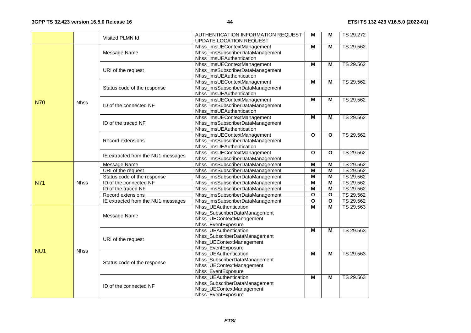|                 |             | Visited PLMN Id                    | AUTHENTICATION INFORMATION REQUEST<br>UPDATE LOCATION REQUEST                                                   | М                       | м                       | TS 29.272 |
|-----------------|-------------|------------------------------------|-----------------------------------------------------------------------------------------------------------------|-------------------------|-------------------------|-----------|
|                 |             | Message Name                       | Nhss_imsUEContextManagement<br>Nhss_imsSubscriberDataManagement<br>Nhss_imsUEAuthentication                     | M                       | м                       | TS 29.562 |
|                 |             | URI of the request                 | Nhss_imsUEContextManagement<br>Nhss_imsSubscriberDataManagement<br>Nhss_imsUEAuthentication                     | M                       | М                       | TS 29.562 |
|                 |             | Status code of the response        | Nhss_imsUEContextManagement<br>Nhss_imsSubscriberDataManagement<br>Nhss_imsUEAuthentication                     | M                       | м                       | TS 29.562 |
| <b>N70</b>      | <b>Nhss</b> | ID of the connected NF             | Nhss_imsUEContextManagement<br>Nhss_imsSubscriberDataManagement<br>Nhss_imsUEAuthentication                     | M                       | M                       | TS 29.562 |
|                 |             | ID of the traced NF                | Nhss_imsUEContextManagement<br>Nhss_imsSubscriberDataManagement<br>Nhss_imsUEAuthentication                     | м                       | м                       | TS 29.562 |
|                 |             | Record extensions                  | Nhss_imsUEContextManagement<br>Nhss_imsSubscriberDataManagement<br>Nhss_imsUEAuthentication                     | $\mathbf{o}$            | O                       | TS 29.562 |
|                 |             | IE extracted from the NU1 messages | Nhss_imsUEContextManagement<br>Nhss_imsSubscriberDataManagement                                                 | $\mathbf{o}$            | $\mathbf{o}$            | TS 29.562 |
|                 |             | Message Name                       | Nhss_imsSubscriberDataManagement                                                                                | M                       | M                       | TS 29.562 |
|                 |             | URI of the request                 | Nhss_imsSubscriberDataManagement                                                                                | M                       | $\overline{\mathsf{M}}$ | TS 29.562 |
|                 |             | Status code of the response        | Nhss_imsSubscriberDataManagement                                                                                | $\overline{M}$          | $\overline{M}$          | TS 29.562 |
| <b>N71</b>      | <b>Nhss</b> | ID of the connected NF             | Nhss_imsSubscriberDataManagement                                                                                | M                       | $\overline{M}$          | TS 29.562 |
|                 |             | ID of the traced NF                | Nhss_imsSubscriberDataManagement                                                                                | M                       | M                       | TS 29.562 |
|                 |             | Record extensions                  | Nhss_imsSubscriberDataManagement                                                                                | $\overline{\mathbf{o}}$ | $\mathbf{o}$            | TS 29.562 |
|                 |             | IE extracted from the NU1 messages | Nhss_imsSubscriberDataManagement                                                                                | $\mathbf{o}$            | $\mathbf{o}$            | TS 29.562 |
|                 |             | Message Name                       | Nhss_UEAuthentication<br>Nhss_SubscriberDataManagement<br>Nhss_UEContextManagement<br>Nhss_EventExposure        | M                       | M                       | TS 29.563 |
| NU <sub>1</sub> | <b>Nhss</b> | URI of the request                 | Nhss UEAuthentication<br>Nhss_SubscriberDataManagement<br>Nhss_UEContextManagement<br>Nhss_EventExposure        | M                       | M                       | TS 29.563 |
|                 |             | Status code of the response        | <b>Nhss UEAuthentication</b><br>Nhss_SubscriberDataManagement<br>Nhss_UEContextManagement<br>Nhss_EventExposure | M                       | M                       | TS 29.563 |
|                 |             | ID of the connected NF             | Nhss_UEAuthentication<br>Nhss_SubscriberDataManagement<br>Nhss_UEContextManagement<br>Nhss_EventExposure        | M                       | M                       | TS 29.563 |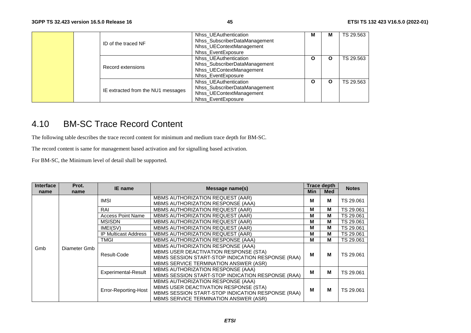|  | ID of the traced NF                | Nhss UEAuthentication<br>Nhss_SubscriberDataManagement<br>Nhss UEContextManagement<br>Nhss EventExposure | M | м | TS 29.563 |
|--|------------------------------------|----------------------------------------------------------------------------------------------------------|---|---|-----------|
|  | Record extensions                  | Nhss_UEAuthentication<br>Nhss_SubscriberDataManagement<br>Nhss_UEContextManagement<br>Nhss EventExposure | O | O | TS 29.563 |
|  | IE extracted from the NU1 messages | Nhss UEAuthentication<br>Nhss_SubscriberDataManagement<br>Nhss_UEContextManagement<br>Nhss EventExposure | O | O | TS 29.563 |

## 4.10 BM-SC Trace Record Content

The following table describes the trace record content for minimum and medium trace depth for BM-SC.

The record content is same for management based activation and for signalling based activation.

For BM-SC, the Minimum level of detail shall be supported.

| <b>Interface</b> | Prot.        | IE name                     | Message name(s)                                                                                                                                                          |            |            |           | <b>Trace depth</b> | <b>Notes</b> |
|------------------|--------------|-----------------------------|--------------------------------------------------------------------------------------------------------------------------------------------------------------------------|------------|------------|-----------|--------------------|--------------|
| name             | name         |                             |                                                                                                                                                                          | <b>Min</b> | <b>Med</b> |           |                    |              |
|                  |              | <b>IMSI</b>                 | MBMS AUTHORIZATION REQUEST (AAR)                                                                                                                                         | M          | м          | TS 29.061 |                    |              |
|                  |              |                             | MBMS AUTHORIZATION RESPONSE (AAA)                                                                                                                                        |            |            |           |                    |              |
|                  |              | RAI                         | <b>MBMS AUTHORIZATION REQUEST (AAR)</b>                                                                                                                                  | M          | M          | TS 29.061 |                    |              |
|                  |              | <b>Access Point Name</b>    | MBMS AUTHORIZATION REQUEST (AAR)                                                                                                                                         | M          | м          | TS 29.061 |                    |              |
|                  |              | <b>MSISDN</b>               | <b>MBMS AUTHORIZATION REQUEST (AAR)</b>                                                                                                                                  | М          | M          | TS 29.061 |                    |              |
|                  |              | IMEI(SV)                    | MBMS AUTHORIZATION REQUEST (AAR)                                                                                                                                         | M          | M          | TS 29.061 |                    |              |
|                  |              | <b>IP Multicast Address</b> | MBMS AUTHORIZATION REQUEST (AAR)                                                                                                                                         | M          | м          | TS 29.061 |                    |              |
|                  |              | TMGI                        | MBMS AUTHORIZATION RESPONSE (AAA)                                                                                                                                        | М          | м          | TS 29.061 |                    |              |
| Gmb              | Diameter Gmb | Result-Code                 | MBMS AUTHORIZATION RESPONSE (AAA)<br>MBMS USER DEACTIVATION RESPONSE (STA)<br>MBMS SESSION START-STOP INDICATION RESPONSE (RAA)<br>MBMS SERVICE TERMINATION ANSWER (ASR) | M          | м          | TS 29.061 |                    |              |
|                  |              | <b>Experimental-Result</b>  | MBMS AUTHORIZATION RESPONSE (AAA)<br>MBMS SESSION START-STOP INDICATION RESPONSE (RAA)                                                                                   | M          | м          | TS 29.061 |                    |              |
|                  |              | Error-Reporting-Host        | MBMS AUTHORIZATION RESPONSE (AAA)<br>MBMS USER DEACTIVATION RESPONSE (STA)<br>MBMS SESSION START-STOP INDICATION RESPONSE (RAA)<br>MBMS SERVICE TERMINATION ANSWER (ASR) | M          | M          | TS 29.061 |                    |              |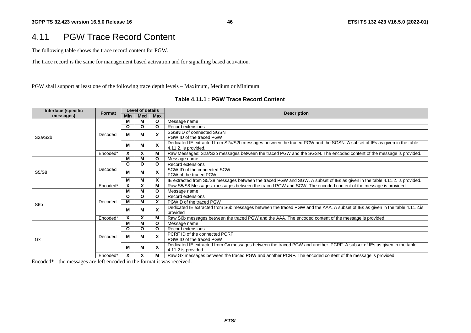## 4.11 PGW Trace Record Content

The following table shows the trace record content for PGW.

The trace record is the same for management based activation and for signalling based activation.

PGW shall support at least one of the following trace depth levels – Maximum, Medium or Minimum.

| Interface (specific | <b>Format</b> | Level of details |              |                           | <b>Description</b>                                                                                                                              |
|---------------------|---------------|------------------|--------------|---------------------------|-------------------------------------------------------------------------------------------------------------------------------------------------|
| messages)           |               | <b>Min</b>       | <b>Med</b>   | Max                       |                                                                                                                                                 |
|                     |               | М                | м            | O                         | Message name                                                                                                                                    |
|                     |               | O                | $\mathbf{o}$ | O                         | Record extensions                                                                                                                               |
|                     | Decoded       | М                | м            | X                         | SGSNID of connected SGSN                                                                                                                        |
| S2a/S2b             |               |                  |              |                           | PGW ID of the traced PGW                                                                                                                        |
|                     |               | М                | М            |                           | Dedicated IE extracted from S2a/S2b messages between the traced PGW and the SGSN. A subset of IEs as given in the table<br>4.11.2. is provided. |
|                     | Encoded*      | X                | X            | N                         | Raw Messages: S2a/S2b messages between the traced PGW and the SGSN. The encoded content of the message is provided.                             |
|                     |               | M                | М            | $\Omega$                  | Message name                                                                                                                                    |
| S5/S8               |               | O                | O            | $\Omega$                  | Record extensions                                                                                                                               |
|                     | Decoded       |                  |              |                           | SGW ID of the connected SGW                                                                                                                     |
|                     |               | M                | м            | X                         | PGW of the traced PGW                                                                                                                           |
|                     |               | м                | М            | X                         | IE extracted from S5/S8 messages between the traced PGW and SGW. A subset of IEs as given in the table 4.11.2. is provided.                     |
|                     | Encoded*      | X                |              |                           | Raw S5/S8 Messages: messages between the traced PGW and SGW. The encoded content of the message is provided                                     |
|                     |               | М                | м            | O                         | Message name                                                                                                                                    |
|                     |               | O                | $\Omega$     | O                         | Record extensions                                                                                                                               |
|                     | Decoded       | М                | м            | X                         | PGWID of the traced PGW                                                                                                                         |
| S6 <sub>b</sub>     |               |                  |              |                           |                                                                                                                                                 |
|                     |               | М                | м            | $\boldsymbol{\mathsf{x}}$ | Dedicated IE extracted from S6b messages between the traced PGW and the AAA. A subset of IEs as given in the table 4.11.2.is<br>provided        |
|                     | Encoded*      | X                |              |                           | Raw S6b messages between the traced PGW and the AAA. The encoded content of the message is provided                                             |
|                     |               | М                | м            | $\Omega$                  | Message name                                                                                                                                    |
|                     |               | O                | $\mathbf{o}$ | O                         | Record extensions                                                                                                                               |
|                     |               |                  |              |                           | PCRF ID of the connected PCRF                                                                                                                   |
| Gx                  | Decoded       | М                | м            | X                         | PGW ID of the traced PGW                                                                                                                        |
|                     |               | М                | М            | $\boldsymbol{\mathsf{x}}$ | Dedicated IE extracted from Gx messages between the traced PGW and another PCRF. A subset of IEs as given in the table                          |
|                     |               |                  |              |                           | 4.11.2.is provided                                                                                                                              |
|                     | Encoded*      | x                | X            |                           | Raw Gx messages between the traced PGW and another PCRF. The encoded content of the message is provided                                         |

Encoded\* - the messages are left encoded in the format it was received.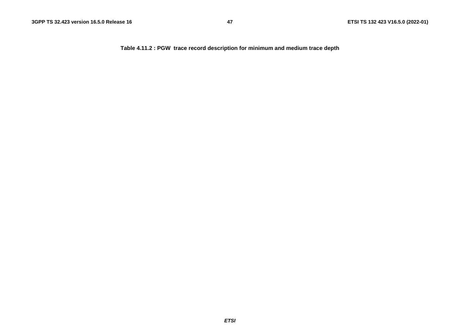**Table 4.11.2 : PGW trace record description for minimum and medium trace depth**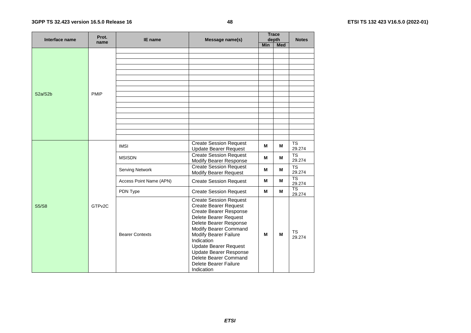#### **3GPP TS 32.423 version 16.5.0 Release 16**

|  | Interface name                    | Prot.              | <b>IE</b> name          | Message name(s)                                                                                                                                                                                                                                                                                                                                    | <b>Trace</b><br>depth |     | <b>Notes</b>                     |
|--|-----------------------------------|--------------------|-------------------------|----------------------------------------------------------------------------------------------------------------------------------------------------------------------------------------------------------------------------------------------------------------------------------------------------------------------------------------------------|-----------------------|-----|----------------------------------|
|  |                                   | name               |                         |                                                                                                                                                                                                                                                                                                                                                    | Min                   | Med |                                  |
|  |                                   |                    |                         |                                                                                                                                                                                                                                                                                                                                                    |                       |     |                                  |
|  |                                   |                    |                         |                                                                                                                                                                                                                                                                                                                                                    |                       |     |                                  |
|  |                                   |                    |                         |                                                                                                                                                                                                                                                                                                                                                    |                       |     |                                  |
|  |                                   |                    |                         |                                                                                                                                                                                                                                                                                                                                                    |                       |     |                                  |
|  |                                   |                    |                         |                                                                                                                                                                                                                                                                                                                                                    |                       |     |                                  |
|  |                                   |                    |                         |                                                                                                                                                                                                                                                                                                                                                    |                       |     |                                  |
|  |                                   |                    |                         |                                                                                                                                                                                                                                                                                                                                                    |                       |     |                                  |
|  | S <sub>2</sub> a/S <sub>2</sub> b | <b>PMIP</b>        |                         |                                                                                                                                                                                                                                                                                                                                                    |                       |     |                                  |
|  |                                   |                    |                         |                                                                                                                                                                                                                                                                                                                                                    |                       |     |                                  |
|  |                                   |                    |                         |                                                                                                                                                                                                                                                                                                                                                    |                       |     |                                  |
|  |                                   |                    |                         |                                                                                                                                                                                                                                                                                                                                                    |                       |     |                                  |
|  |                                   |                    |                         |                                                                                                                                                                                                                                                                                                                                                    |                       |     |                                  |
|  |                                   |                    |                         |                                                                                                                                                                                                                                                                                                                                                    |                       |     |                                  |
|  |                                   |                    |                         |                                                                                                                                                                                                                                                                                                                                                    |                       |     |                                  |
|  |                                   |                    |                         |                                                                                                                                                                                                                                                                                                                                                    |                       |     |                                  |
|  |                                   | GTP <sub>v2C</sub> | <b>IMSI</b>             | <b>Create Session Request</b><br><b>Update Bearer Request</b>                                                                                                                                                                                                                                                                                      | м                     | M   | <b>TS</b><br>29.274              |
|  |                                   |                    | <b>MSISDN</b>           | <b>Create Session Request</b><br>Modify Bearer Response                                                                                                                                                                                                                                                                                            | М                     | M   | <b>TS</b><br>29.274              |
|  |                                   |                    | Serving Network         | <b>Create Session Request</b><br><b>Modify Bearer Request</b>                                                                                                                                                                                                                                                                                      | M                     | M   | <b>TS</b><br>29.274              |
|  |                                   |                    | Access Point Name (APN) | <b>Create Session Request</b>                                                                                                                                                                                                                                                                                                                      | М                     | м   | $\overline{\text{TS}}$<br>29.274 |
|  |                                   |                    | PDN Type                | <b>Create Session Request</b>                                                                                                                                                                                                                                                                                                                      | М                     | M   | $\overline{\text{TS}}$<br>29.274 |
|  | <b>S5/S8</b>                      |                    | <b>Bearer Contexts</b>  | <b>Create Session Request</b><br><b>Create Bearer Request</b><br><b>Create Bearer Response</b><br>Delete Bearer Request<br>Delete Bearer Response<br>Modify Bearer Command<br>Modify Bearer Failure<br>Indication<br><b>Update Bearer Request</b><br><b>Update Bearer Response</b><br>Delete Bearer Command<br>Delete Bearer Failure<br>Indication | M                     | M   | <b>TS</b><br>29.274              |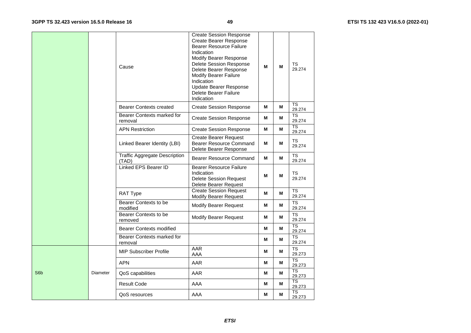|     |          | Cause                                         | <b>Create Session Response</b><br><b>Create Bearer Response</b><br><b>Bearer Resource Failure</b><br>Indication<br>Modify Bearer Response<br>Delete Session Response<br>Delete Bearer Response<br><b>Modify Bearer Failure</b><br>Indication<br>Update Bearer Response<br>Delete Bearer Failure<br>Indication | М | M | TS<br>29.274                     |
|-----|----------|-----------------------------------------------|---------------------------------------------------------------------------------------------------------------------------------------------------------------------------------------------------------------------------------------------------------------------------------------------------------------|---|---|----------------------------------|
|     |          | <b>Bearer Contexts created</b>                | <b>Create Session Response</b>                                                                                                                                                                                                                                                                                | М | M | TS<br>29.274                     |
|     |          | Bearer Contexts marked for<br>removal         | <b>Create Session Response</b>                                                                                                                                                                                                                                                                                | М | M | TS<br>29.274                     |
|     |          | <b>APN Restriction</b>                        | <b>Create Session Response</b>                                                                                                                                                                                                                                                                                | М | M | <b>TS</b><br>29.274              |
|     |          | Linked Bearer Identity (LBI)                  | <b>Create Bearer Request</b><br><b>Bearer Resource Command</b><br>Delete Bearer Response                                                                                                                                                                                                                      | М | M | TS<br>29.274                     |
|     |          | <b>Traffic Aggregate Description</b><br>(TAD) | <b>Bearer Resource Command</b>                                                                                                                                                                                                                                                                                | М | M | <b>TS</b><br>29.274              |
|     |          | <b>Linked EPS Bearer ID</b>                   | <b>Bearer Resource Failure</b><br>Indication<br><b>Delete Session Request</b><br>Delete Bearer Request                                                                                                                                                                                                        | M | M | TS<br>29.274                     |
|     |          | RAT Type                                      | <b>Create Session Request</b><br><b>Modify Bearer Request</b>                                                                                                                                                                                                                                                 | M | M | <b>TS</b><br>29.274              |
|     |          | Bearer Contexts to be<br>modified             | <b>Modify Bearer Request</b>                                                                                                                                                                                                                                                                                  | М | М | TS<br>29.274                     |
|     |          | Bearer Contexts to be<br>removed              | <b>Modify Bearer Request</b>                                                                                                                                                                                                                                                                                  | М | M | TS<br>29.274                     |
|     |          | <b>Bearer Contexts modified</b>               |                                                                                                                                                                                                                                                                                                               | М | М | <b>TS</b><br>29.274              |
|     |          | Bearer Contexts marked for<br>removal         |                                                                                                                                                                                                                                                                                                               | М | M | <b>TS</b><br>29.274              |
|     |          | <b>MIP Subscriber Profile</b>                 | AAR<br>AAA                                                                                                                                                                                                                                                                                                    | М | М | <b>TS</b><br>29.273              |
|     |          | <b>APN</b>                                    | AAR                                                                                                                                                                                                                                                                                                           | M | M | <b>TS</b><br>29.273              |
| S6b | Diameter | QoS capabilities                              | AAR                                                                                                                                                                                                                                                                                                           | M | M | $\overline{\text{TS}}$<br>29.273 |
|     |          | <b>Result Code</b>                            | AAA                                                                                                                                                                                                                                                                                                           | M | Μ | <b>TS</b><br>29.273              |
|     |          | QoS resources                                 | AAA                                                                                                                                                                                                                                                                                                           | M | М | TS<br>29.273                     |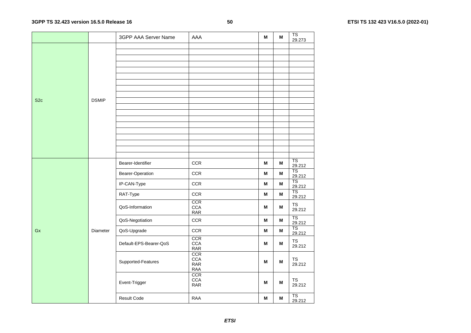#### **3GPP TS 32.423 version 16.5.0 Release 16**

|                 |              | 3GPP AAA Server Name   | AAA                                              | M | M | TS<br>29.273                     |
|-----------------|--------------|------------------------|--------------------------------------------------|---|---|----------------------------------|
|                 |              |                        |                                                  |   |   |                                  |
|                 |              |                        |                                                  |   |   |                                  |
|                 |              |                        |                                                  |   |   |                                  |
|                 |              |                        |                                                  |   |   |                                  |
|                 |              |                        |                                                  |   |   |                                  |
|                 |              |                        |                                                  |   |   |                                  |
|                 |              |                        |                                                  |   |   |                                  |
| S <sub>2c</sub> | <b>DSMIP</b> |                        |                                                  |   |   |                                  |
|                 |              |                        |                                                  |   |   |                                  |
|                 |              |                        |                                                  |   |   |                                  |
|                 |              |                        |                                                  |   |   |                                  |
|                 |              |                        |                                                  |   |   |                                  |
|                 |              |                        |                                                  |   |   |                                  |
|                 |              |                        |                                                  |   |   |                                  |
|                 |              |                        |                                                  |   |   |                                  |
|                 |              | Bearer-Identifier      | CCR                                              | Μ | M | <b>TS</b><br>29.212              |
|                 |              | Bearer-Operation       | CCR                                              | M | M | $\overline{\text{TS}}$<br>29.212 |
|                 |              | IP-CAN-Type            | <b>CCR</b>                                       | M | M | TS<br>29.212                     |
|                 |              | RAT-Type               | CCR                                              | M | M | $\overline{\text{TS}}$<br>29.212 |
|                 |              | QoS-Information        | CCR<br><b>CCA</b><br><b>RAR</b>                  | М | М | <b>TS</b><br>29.212              |
|                 |              | QoS-Negotiation        | CCR                                              | M | M | $\overline{\text{TS}}$<br>29.212 |
| Gx              | Diameter     | QoS-Upgrade            | CCR                                              | M | M | <b>TS</b><br>29.212              |
|                 |              | Default-EPS-Bearer-QoS | CCR<br><b>CCA</b><br>$\ensuremath{\mathsf{RAR}}$ | M | M | ${\tt TS}$<br>29.212             |
|                 |              | Supported-Features     | <b>CCR</b><br><b>CCA</b><br><b>RAR</b>           | M | M | TS<br>29.212                     |
|                 |              | Event-Trigger          | RAA<br>CCR<br><b>CCA</b><br><b>RAR</b>           | М | М | TS<br>29.212                     |
|                 |              | <b>Result Code</b>     | <b>RAA</b>                                       | M | M | TS<br>29.212                     |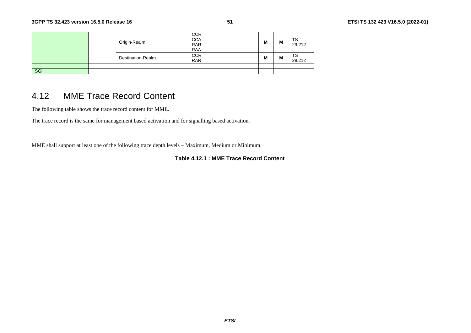|     | Origin-Realm      | <b>CCR</b><br><b>CCA</b><br><b>RAR</b><br><b>RAA</b> | M | M | TS<br>29.212 |
|-----|-------------------|------------------------------------------------------|---|---|--------------|
|     | Destination-Realm | <b>CCR</b><br><b>RAR</b>                             | M | M | тs<br>29.212 |
|     |                   |                                                      |   |   |              |
| SGi |                   |                                                      |   |   |              |

## 4.12 MME Trace Record Content

The following table shows the trace record content for MME.

The trace record is the same for management based activation and for signalling based activation.

MME shall support at least one of the following trace depth levels – Maximum, Medium or Minimum.

**Table 4.12.1 : MME Trace Record Content**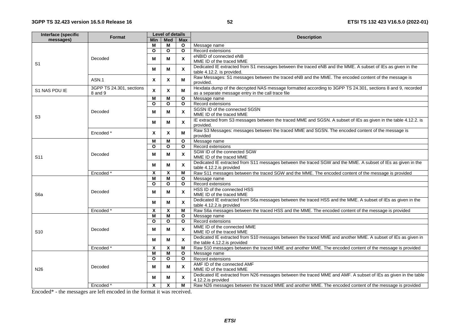| Interface (specific | Format                              | Level of details |              |                           | <b>Description</b>                                                                                                                                                |  |  |
|---------------------|-------------------------------------|------------------|--------------|---------------------------|-------------------------------------------------------------------------------------------------------------------------------------------------------------------|--|--|
| messages)           |                                     | <b>Min</b>       | <b>Med</b>   | <b>Max</b>                |                                                                                                                                                                   |  |  |
|                     |                                     | м                | М            | $\mathbf{o}$              | Message name                                                                                                                                                      |  |  |
|                     |                                     | O                | $\mathbf{o}$ | $\mathbf{o}$              | Record extensions                                                                                                                                                 |  |  |
|                     | Decoded                             | М                | M            | X                         | eNBID of connected eNB<br>MME ID of the traced MME                                                                                                                |  |  |
| S <sub>1</sub>      |                                     | M                | м            | $\boldsymbol{\mathsf{x}}$ | Dedicated IE extracted from S1 messages between the traced eNB and the MME. A subset of IEs as given in the                                                       |  |  |
|                     | ASN.1                               | $\mathbf{x}$     | $\mathbf x$  | м                         | table 4.12.2. is provided.<br>Raw Messages: S1 messages between the traced eNB and the MME. The encoded content of the message is                                 |  |  |
|                     |                                     |                  |              |                           | provided.                                                                                                                                                         |  |  |
| S1 NAS PDU IE       | 3GPP TS 24.301, sections<br>8 and 9 | $\mathbf{x}$     | X            | M                         | Hexdata dump of the decrypted NAS message formatted according to 3GPP TS 24.301, sections 8 and 9, recorded<br>as a separate message entry in the call trace file |  |  |
|                     |                                     | M                | M            | $\mathbf{o}$              | Message name                                                                                                                                                      |  |  |
|                     |                                     | O                | $\Omega$     | O                         | Record extensions                                                                                                                                                 |  |  |
|                     | Decoded                             | M                | м            | $\boldsymbol{\mathsf{x}}$ | SGSN ID of the connected SGSN<br>MME ID of the traced MME                                                                                                         |  |  |
| S3                  |                                     | м                | м            | $\mathsf{x}$              | IE extracted from S3 messages between the traced MME and SGSN. A subset of IEs as given in the table 4.12.2. is<br>provided.                                      |  |  |
|                     | Encoded *                           | X                | X            | М                         | Raw S3 Messages: messages between the traced MME and SGSN. The encoded content of the message is<br>provided                                                      |  |  |
|                     |                                     | м                | M            | $\mathbf{o}$              | Message name                                                                                                                                                      |  |  |
|                     |                                     | O                | $\mathbf{o}$ | $\mathbf{o}$              | Record extensions                                                                                                                                                 |  |  |
|                     | Decoded                             | M                | M            | $\boldsymbol{\mathsf{x}}$ | SGW ID of the connected SGW<br>MME ID of the traced MME                                                                                                           |  |  |
| S <sub>11</sub>     |                                     | м                | M            | $\boldsymbol{\mathsf{x}}$ | Dedicated IE extracted from S11 messages between the traced SGW and the MME. A subset of IEs as given in the<br>table 4.12.2.is provided                          |  |  |
|                     | Encoded*                            | Χ                | X            | M                         | Raw S11 messages between the traced SGW and the MME. The encoded content of the message is provided                                                               |  |  |
|                     |                                     | M                | M            | $\mathbf{o}$              | Message name                                                                                                                                                      |  |  |
|                     |                                     | O                | $\mathbf{o}$ | $\mathbf{o}$              | Record extensions                                                                                                                                                 |  |  |
|                     |                                     |                  |              |                           | HSS ID of the connected HSS                                                                                                                                       |  |  |
| S <sub>6</sub> a    | Decoded                             | М                | м            | $\boldsymbol{\mathsf{x}}$ | MME ID of the traced MME                                                                                                                                          |  |  |
|                     |                                     | м                | М            | $\boldsymbol{\mathsf{x}}$ | Dedicated IE extracted from S6a messages between the traced HSS and the MME. A subset of IEs as given in the<br>table 4.12.2.is provided                          |  |  |
|                     | Encoded <sup>®</sup>                | X                | X            | M                         | Raw S6a messages between the traced HSS and the MME. The encoded content of the message is provided                                                               |  |  |
|                     |                                     | M                | M            | $\mathbf{o}$              | Message name                                                                                                                                                      |  |  |
|                     |                                     | O                | $\mathbf{o}$ | $\Omega$                  | Record extensions                                                                                                                                                 |  |  |
| S <sub>10</sub>     | Decoded                             | M                | M            | $\boldsymbol{\mathsf{x}}$ | MME ID of the connected MME<br>MME ID of the traced MME                                                                                                           |  |  |
|                     |                                     | M                | м            | $\boldsymbol{\mathsf{x}}$ | Dedicated IE extracted from S10 messages between the traced MME and another MME. A subset of IEs as given in<br>the table 4.12.2.is provided                      |  |  |
|                     | Encoded*                            | X                | X            | M                         | Raw S10 messages between the traced MME and another MME. The encoded content of the message is provided                                                           |  |  |
|                     |                                     | M                | м            | $\mathbf{o}$              | Message name                                                                                                                                                      |  |  |
|                     |                                     | O                | $\mathbf{o}$ | $\Omega$                  | Record extensions                                                                                                                                                 |  |  |
| N <sub>26</sub>     | Decoded                             | М                | М            | $\mathsf{x}$              | AMF ID of the connected AMF<br>MME ID of the traced MME                                                                                                           |  |  |
|                     |                                     |                  |              |                           | Dedicated IE extracted from N26 messages between the traced MME and AMF. A subset of IEs as given in the table                                                    |  |  |
|                     |                                     | м                | м            | X                         | 4.12.2.is provided                                                                                                                                                |  |  |
|                     | Encoded *                           | X                | $\mathsf{x}$ | М                         | Raw N26 messages between the traced MME and another MME. The encoded content of the message is provided                                                           |  |  |

Encoded\* - the messages are left encoded in the format it was received.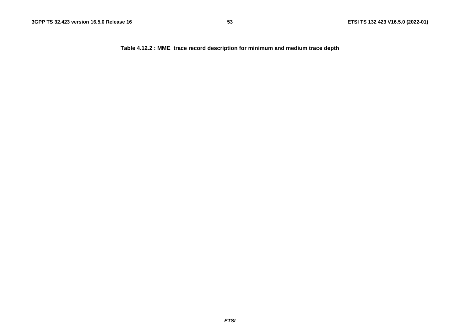**Table 4.12.2 : MME trace record description for minimum and medium trace depth**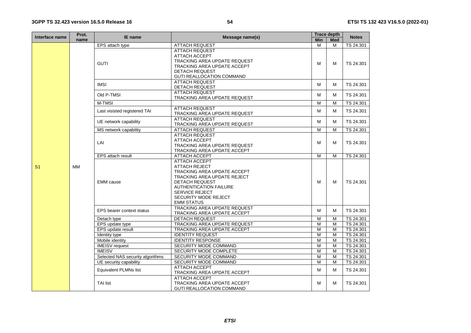| Interface name | Prot.     | IE name                          | Message name(s)                                                                                                                                                                                                           |            | <b>Trace depth</b> | <b>Notes</b> |
|----------------|-----------|----------------------------------|---------------------------------------------------------------------------------------------------------------------------------------------------------------------------------------------------------------------------|------------|--------------------|--------------|
|                | name      |                                  |                                                                                                                                                                                                                           | <b>Min</b> | <b>Med</b>         |              |
|                |           | EPS attach type                  | <b>ATTACH REQUEST</b>                                                                                                                                                                                                     | M          | м                  | TS 24.301    |
|                |           |                                  | <b>ATTACH REQUEST</b><br>ATTACH ACCEPT                                                                                                                                                                                    |            |                    |              |
|                |           | <b>GUTI</b>                      | <b>TRACKING AREA UPDATE REQUEST</b><br>TRACKING AREA UPDATE ACCEPT<br><b>DETACH REQUEST</b>                                                                                                                               | м          | M                  | TS 24.301    |
|                |           |                                  | GUTI REALLOCATION COMMAND                                                                                                                                                                                                 |            |                    |              |
|                |           | <b>IMSI</b>                      | <b>ATTACH REQUEST</b><br>DETACH REQUEST                                                                                                                                                                                   | M          | M                  | TS 24.301    |
|                |           | Old P-TMSI                       | <b>ATTACH REQUEST</b><br>TRACKING AREA UPDATE REQUEST                                                                                                                                                                     | M          | M                  | TS 24.301    |
|                |           | M-TMSI                           |                                                                                                                                                                                                                           | M          | M                  | TS 24.301    |
|                |           | Last visisted registered TAI     | <b>ATTACH REQUEST</b><br>TRACKING AREA UPDATE REQUEST                                                                                                                                                                     | м          | м                  | TS 24.301    |
|                |           | UE network capability            | <b>ATTACH REQUEST</b><br>TRACKING AREA UPDATE REQUEST                                                                                                                                                                     | м          | M                  | TS 24.301    |
|                |           | MS network capability            | <b>ATTACH REQUEST</b>                                                                                                                                                                                                     | M          | M                  | TS 24.301    |
|                |           |                                  | <b>ATTACH REQUEST</b>                                                                                                                                                                                                     |            |                    |              |
|                |           | ATTACH ACCEPT<br>LAI             |                                                                                                                                                                                                                           | м          | M                  | TS 24.301    |
|                |           |                                  | TRACKING AREA UPDATE REQUEST                                                                                                                                                                                              |            |                    |              |
|                |           |                                  | TRACKING AREA UPDATE ACCEPT                                                                                                                                                                                               | M          |                    |              |
|                |           | EPS attach result                | ATTACH ACCEPT<br><b>ATTACH ACCEPT</b>                                                                                                                                                                                     |            | M                  | TS 24.301    |
| S <sub>1</sub> | <b>MM</b> | <b>EMM</b> cause                 | <b>ATTACH REJECT</b><br>TRACKING AREA UPDATE ACCEPT<br>TRACKING AREA UPDATE REJECT<br><b>DETACH REQUEST</b><br><b>AUTHENTICATION FAILURE</b><br><b>SERVICE REJECT</b><br><b>SECURITY MODE REJECT</b><br><b>EMM STATUS</b> | м          | M                  | TS 24.301    |
|                |           | EPS bearer context status        | <b>TRACKING AREA UPDATE REQUEST</b><br>TRACKING AREA UPDATE ACCEPT                                                                                                                                                        | м          | M                  | TS 24.301    |
|                |           | Detach type                      | <b>DETACH REQUEST</b>                                                                                                                                                                                                     | M          | M                  | TS 24.301    |
|                |           | EPS update type                  | TRACKING AREA UPDATE REQUEST                                                                                                                                                                                              | M          | M                  | TS 24.301    |
|                |           | EPS update result                | TRACKING AREA UPDATE ACCEPT                                                                                                                                                                                               | M          | M                  | TS 24.301    |
|                |           | Identity type                    | <b>IDENTITY REQUEST</b>                                                                                                                                                                                                   | M          | $\overline{M}$     | TS 24.301    |
|                |           | Mobile identity                  | <b>IDENTITY RESPONSE</b>                                                                                                                                                                                                  | M          | M                  | TS 24.301    |
|                |           | <b>IMEISV</b> request            | SECURITY MODE COMMAND                                                                                                                                                                                                     | M          | M                  | TS 24.301    |
|                |           | <b>IMEISV</b>                    | SECURITY MODE COMPLETE                                                                                                                                                                                                    | M          | M                  | TS 24.301    |
|                |           | Selected NAS security algorithms | SECURITY MODE COMMAND                                                                                                                                                                                                     | M          | M                  | TS 24.301    |
|                |           | UE security capability           | SECURITY MODE COMMAND                                                                                                                                                                                                     | M          | M                  | TS 24.301    |
|                |           | Equivalent PLMNs list            | <b>ATTACH ACCEPT</b><br>TRACKING AREA UPDATE ACCEPT                                                                                                                                                                       | м          | M                  | TS 24.301    |
|                |           | <b>TAI list</b>                  | <b>ATTACH ACCEPT</b><br>TRACKING AREA UPDATE ACCEPT<br><b>GUTI REALLOCATION COMMAND</b>                                                                                                                                   | м          | M                  | TS 24.301    |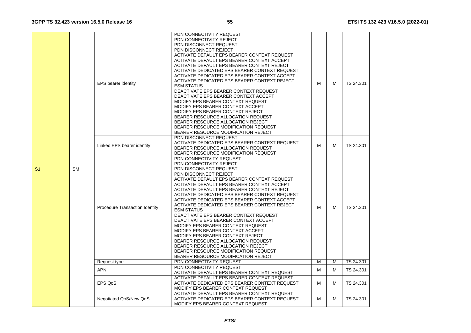|                |           | <b>EPS</b> bearer identity            | PDN CONNECTIVITY REQUEST<br>PDN CONNECTIVITY REJECT<br>PDN DISCONNECT REQUEST<br>PDN DISCONNECT REJECT<br>ACTIVATE DEFAULT EPS BEARER CONTEXT REQUEST<br>ACTIVATE DEFAULT EPS BEARER CONTEXT ACCEPT<br>ACTIVATE DEFAULT EPS BEARER CONTEXT REJECT<br>ACTIVATE DEDICATED EPS BEARER CONTEXT REQUEST<br>ACTIVATE DEDICATED EPS BEARER CONTEXT ACCEPT<br>ACTIVATE DEDICATED EPS BEARER CONTEXT REJECT<br><b>ESM STATUS</b><br>DEACTIVATE EPS BEARER CONTEXT REQUEST<br>DEACTIVATE EPS BEARER CONTEXT ACCEPT<br>MODIFY EPS BEARER CONTEXT REQUEST<br>MODIFY EPS BEARER CONTEXT ACCEPT<br>MODIFY EPS BEARER CONTEXT REJECT<br>BEARER RESOURCE ALLOCATION REQUEST<br>BEARER RESOURCE ALLOCATION REJECT<br>BEARER RESOURCE MODIFICATION REQUEST<br>BEARER RESOURCE MODIFICATION REJECT | М | м | TS 24.301 |
|----------------|-----------|---------------------------------------|---------------------------------------------------------------------------------------------------------------------------------------------------------------------------------------------------------------------------------------------------------------------------------------------------------------------------------------------------------------------------------------------------------------------------------------------------------------------------------------------------------------------------------------------------------------------------------------------------------------------------------------------------------------------------------------------------------------------------------------------------------------------------------|---|---|-----------|
|                |           | Linked EPS bearer identity            | PDN DISCONNECT REQUEST<br>ACTIVATE DEDICATED EPS BEARER CONTEXT REQUEST<br>BEARER RESOURCE ALLOCATION REQUEST<br>BEARER RESOURCE MODIFICATION REQUEST                                                                                                                                                                                                                                                                                                                                                                                                                                                                                                                                                                                                                           | м | м | TS 24.301 |
| S <sub>1</sub> | <b>SM</b> | <b>Procedure Transaction Identity</b> | PDN CONNECTIVITY REQUEST<br>PDN CONNECTIVITY REJECT<br>PDN DISCONNECT REQUEST<br>PDN DISCONNECT REJECT<br>ACTIVATE DEFAULT EPS BEARER CONTEXT REQUEST<br>ACTIVATE DEFAULT EPS BEARER CONTEXT ACCEPT<br>ACTIVATE DEFAULT EPS BEARER CONTEXT REJECT<br>ACTIVATE DEDICATED EPS BEARER CONTEXT REQUEST<br>ACTIVATE DEDICATED EPS BEARER CONTEXT ACCEPT<br>ACTIVATE DEDICATED EPS BEARER CONTEXT REJECT<br><b>ESM STATUS</b><br>DEACTIVATE EPS BEARER CONTEXT REQUEST<br>DEACTIVATE EPS BEARER CONTEXT ACCEPT<br>MODIFY EPS BEARER CONTEXT REQUEST<br>MODIFY EPS BEARER CONTEXT ACCEPT<br>MODIFY EPS BEARER CONTEXT REJECT<br>BEARER RESOURCE ALLOCATION REQUEST<br>BEARER RESOURCE ALLOCATION REJECT<br>BEARER RESOURCE MODIFICATION REQUEST<br>BEARER RESOURCE MODIFICATION REJECT | М | м | TS 24.301 |
|                |           | Request type                          | PDN CONNECTIVITY REQUEST                                                                                                                                                                                                                                                                                                                                                                                                                                                                                                                                                                                                                                                                                                                                                        | M | M | TS 24.301 |
|                |           | <b>APN</b>                            | PDN CONNECTIVITY REQUEST<br>ACTIVATE DEFAULT EPS BEARER CONTEXT REQUEST                                                                                                                                                                                                                                                                                                                                                                                                                                                                                                                                                                                                                                                                                                         | М | M | TS 24.301 |
|                |           | EPS QoS                               | ACTIVATE DEFAULT EPS BEARER CONTEXT REQUEST<br>ACTIVATE DEDICATED EPS BEARER CONTEXT REQUEST<br>MODIFY EPS BEARER CONTEXT REQUEST                                                                                                                                                                                                                                                                                                                                                                                                                                                                                                                                                                                                                                               | м | м | TS 24.301 |
|                |           | Negotiated QoS/New QoS                | ACTIVATE DEFAULT EPS BEARER CONTEXT REQUEST<br>ACTIVATE DEDICATED EPS BEARER CONTEXT REQUEST<br>MODIFY EPS BEARER CONTEXT REQUEST                                                                                                                                                                                                                                                                                                                                                                                                                                                                                                                                                                                                                                               | м | м | TS 24.301 |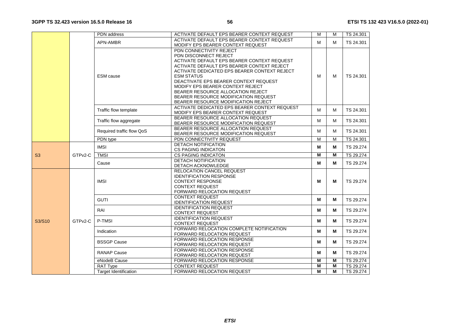|        |                       | PDN address                  | ACTIVATE DEFAULT EPS BEARER CONTEXT REQUEST                                | $\overline{M}$ | M | TS 24.301 |
|--------|-----------------------|------------------------------|----------------------------------------------------------------------------|----------------|---|-----------|
|        |                       | APN-AMBR                     | ACTIVATE DEFAULT EPS BEARER CONTEXT REQUEST                                | M              | м | TS 24.301 |
|        |                       |                              | MODIFY EPS BEARER CONTEXT REQUEST                                          |                |   |           |
|        |                       |                              | PDN CONNECTIVITY REJECT                                                    |                |   |           |
|        |                       |                              | PDN DISCONNECT REJECT                                                      |                |   |           |
|        |                       |                              | ACTIVATE DEFAULT EPS BEARER CONTEXT REQUEST                                |                |   |           |
|        |                       |                              | ACTIVATE DEFAULT EPS BEARER CONTEXT REJECT                                 |                |   |           |
|        |                       |                              | ACTIVATE DEDICATED EPS BEARER CONTEXT REJECT                               |                |   |           |
|        |                       | <b>ESM</b> cause             | <b>ESM STATUS</b>                                                          | м              | M | TS 24.301 |
|        |                       |                              | DEACTIVATE EPS BEARER CONTEXT REQUEST                                      |                |   |           |
|        |                       |                              | MODIFY EPS BEARER CONTEXT REJECT                                           |                |   |           |
|        |                       |                              | BEARER RESOURCE ALLOCATION REJECT                                          |                |   |           |
|        |                       |                              | BEARER RESOURCE MODIFICATION REQUEST                                       |                |   |           |
|        |                       |                              | BEARER RESOURCE MODIFICATION REJECT                                        |                |   |           |
|        | Traffic flow template |                              | ACTIVATE DEDICATED EPS BEARER CONTEXT REQUEST                              | м              | м | TS 24.301 |
|        |                       |                              | MODIFY EPS BEARER CONTEXT REQUEST                                          |                |   |           |
|        |                       | Traffic flow aggregate       | BEARER RESOURCE ALLOCATION REQUEST                                         | М              | м | TS 24.301 |
|        |                       |                              | BEARER RESOURCE MODIFICATION REQUEST                                       |                |   |           |
|        |                       | Required traffic flow QoS    | BEARER RESOURCE ALLOCATION REQUEST<br>BEARER RESOURCE MODIFICATION REQUEST | м              | м | TS 24.301 |
|        |                       | PDN type                     | PDN CONNECTIVITY REQUEST                                                   | M              | M | TS 24.301 |
|        |                       |                              | <b>DETACH NOTIFICATION</b>                                                 |                |   |           |
|        |                       | <b>IMSI</b>                  | <b>CS PAGING INDICATON</b>                                                 | М              | м | TS 29.274 |
| S3     | GTPv2-C               | <b>TMSI</b>                  | <b>CS PAGING INDICATON</b>                                                 | $\overline{M}$ | M | TS 29.274 |
|        |                       |                              | <b>DETACH NOTIFICATION</b>                                                 |                |   |           |
|        |                       | Cause                        | DETACH ACKNOWLEDGE                                                         | м              | м | TS 29.274 |
|        |                       |                              | RELOCATION CANCEL REQUEST                                                  |                |   |           |
|        |                       |                              | <b>IDENTIFICATION RESPONSE</b>                                             |                |   | TS 29.274 |
|        |                       | <b>IMSI</b>                  | <b>CONTEXT RESPONSE</b>                                                    | м              | м |           |
|        |                       |                              | <b>CONTEXT REQUEST</b>                                                     |                |   |           |
|        |                       |                              | FORWARD RELOCATION REQUEST                                                 |                |   |           |
|        |                       | <b>GUTI</b>                  | <b>CONTEXT REQUEST</b>                                                     | м              | м | TS 29.274 |
|        |                       |                              | <b>IDENTIFICATION REQUEST</b>                                              |                |   |           |
|        |                       | RAI                          | <b>IDENTIFICATION REQUEST</b>                                              | м              | м | TS 29.274 |
|        |                       |                              | <b>CONTEXT REQUEST</b>                                                     |                |   |           |
| S3/S10 | GTPv2-C               | P-TMSI                       | <b>IDENTIFICATION REQUEST</b>                                              | м              | м | TS 29.274 |
|        |                       |                              | <b>CONTEXT REQUEST</b>                                                     |                |   |           |
|        |                       | Indication                   | FORWARD RELOCATION COMPLETE NOTIFICATION                                   | M              | M | TS 29.274 |
|        |                       |                              | <b>FORWARD RELOCATION REQUEST</b>                                          |                |   |           |
|        |                       | <b>BSSGP Cause</b>           | <b>FORWARD RELOCATION RESPONSE</b>                                         | м              | м | TS 29.274 |
|        |                       |                              | <b>FORWARD RELOCATION REQUEST</b>                                          |                |   |           |
|        |                       | <b>RANAP Cause</b>           | <b>FORWARD RELOCATION RESPONSE</b>                                         | м              |   | TS 29.274 |
|        |                       |                              | FORWARD RELOCATION REQUEST                                                 |                | м |           |
|        |                       | eNodeB Cause                 | <b>FORWARD RELOCATION RESPONSE</b>                                         | M              | M | TS 29.274 |
|        |                       | <b>RAT Type</b>              | <b>CONTEXT REQUEST</b>                                                     | M              | M | TS 29.274 |
|        |                       | <b>Target Identification</b> | FORWARD RELOCATION REQUEST                                                 | м              | M | TS 29.274 |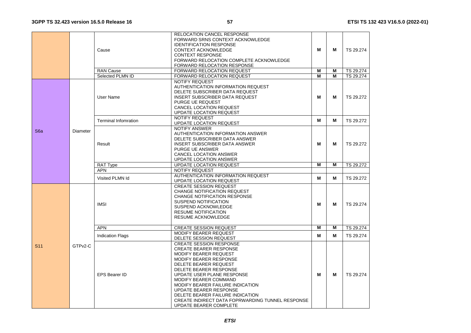|                 |                     |                               | RELOCATION CANCEL RESPONSE                                         |   |   |           |
|-----------------|---------------------|-------------------------------|--------------------------------------------------------------------|---|---|-----------|
|                 |                     |                               | FORWARD SRNS CONTEXT ACKNOWLEDGE<br><b>IDENTIFICATION RESPONSE</b> |   |   |           |
|                 |                     | Cause                         | <b>CONTEXT ACKNOWLEDGE</b>                                         | M | M | TS 29.274 |
|                 |                     |                               | <b>CONTEXT RESPONSE</b>                                            |   |   |           |
|                 |                     |                               | FORWARD RELOCATION COMPLETE ACKNOWLEDGE                            |   |   |           |
|                 |                     |                               | <b>FORWARD RELOCATION RESPONSE</b>                                 |   |   |           |
|                 |                     | <b>RAN Cause</b>              | FORWARD RELOCATION REQUEST                                         | M | M | TS 29.274 |
|                 |                     | Selected PLMN ID              | FORWARD RELOCATION REQUEST                                         | M | М | TS 29.274 |
|                 |                     |                               | <b>NOTIFY REQUEST</b>                                              |   |   |           |
|                 |                     |                               | AUTHENTICATION INFORMATION REQUEST                                 |   |   |           |
|                 |                     |                               | DELETE SUBSCRIBER DATA REQUEST                                     |   |   |           |
|                 |                     | User Name                     | <b>INSERT SUBSCRIBER DATA REQUEST</b>                              | м | м | TS 29.272 |
|                 |                     |                               | PURGE UE REQUEST                                                   |   |   |           |
|                 |                     |                               | CANCEL LOCATION REQUEST                                            |   |   |           |
|                 |                     |                               | <b>UPDATE LOCATION REQUEST</b>                                     |   |   |           |
|                 |                     |                               | <b>NOTIFY REQUEST</b>                                              |   |   |           |
|                 |                     | <b>Terminal Infomration</b>   | UPDATE LOCATION REQUEST                                            | м | M | TS 29.272 |
|                 |                     |                               | <b>NOTIFY ANSWER</b>                                               |   |   |           |
| S6a             | Diameter            |                               | AUTHENTICATION INFORMATION ANSWER                                  |   |   |           |
|                 |                     | DELETE SUBSCRIBER DATA ANSWER |                                                                    |   |   |           |
|                 |                     | Result                        | <b>INSERT SUBSCRIBER DATA ANSWER</b>                               | м | м | TS 29.272 |
|                 |                     |                               | <b>PURGE UE ANSWER</b>                                             |   |   |           |
|                 |                     |                               | <b>CANCEL LOCATION ANSWER</b>                                      |   |   |           |
|                 |                     |                               | UPDATE LOCATION ANSWER                                             |   |   |           |
|                 |                     | <b>RAT Type</b>               | <b>UPDATE LOCATION REQUEST</b>                                     | М | М | TS 29.272 |
|                 |                     | <b>APN</b>                    | NOTIFY REQUEST                                                     |   |   |           |
|                 |                     | Visited PLMN Id               | AUTHENTICATION INFORMATION REQUEST                                 | м | М | TS 29.272 |
|                 |                     |                               | <b>UPDATE LOCATION REQUEST</b>                                     |   |   |           |
|                 |                     |                               | <b>CREATE SESSION REQUEST</b>                                      |   |   |           |
|                 |                     | CHANGE NOTIFICATION REQUEST   |                                                                    |   |   |           |
|                 |                     | CHANGE NOTIFICATION RESPONSE  |                                                                    |   |   |           |
|                 |                     | <b>IMSI</b>                   | <b>SUSPEND NOTIFICATION</b>                                        | М | M | TS 29.274 |
|                 |                     |                               | SUSPEND ACKNOWLEDGE                                                |   |   |           |
|                 |                     |                               | <b>RESUME NOTIFICATION</b>                                         |   |   |           |
|                 |                     |                               | <b>RESUME ACKNOWLEDGE</b>                                          |   |   |           |
|                 |                     | <b>APN</b>                    | <b>CREATE SESSION REQUEST</b>                                      | м | М | TS 29.274 |
|                 |                     |                               | <b>MODIFY BEARER REQUEST</b>                                       |   |   |           |
|                 |                     | <b>Indication Flags</b>       | DELETE SESSION REQUEST                                             | М | М | TS 29.274 |
| S <sub>11</sub> | GTP <sub>v2-C</sub> |                               | <b>CREATE SESSION RESPONSE</b>                                     |   |   |           |
|                 |                     |                               | <b>CREATE BEARER RESPONSE</b>                                      |   |   |           |
|                 |                     |                               | MODIFY BEARER REQUEST                                              |   |   |           |
|                 |                     |                               | MODIFY BEARER RESPONSE                                             |   |   |           |
|                 |                     |                               | DELETE BEARER REQUEST                                              |   |   |           |
|                 |                     |                               | DELETE BEARER RESPONSE                                             | м |   |           |
|                 |                     | <b>EPS Bearer ID</b>          | UPDATE USER PLANE RESPONSE                                         |   | м | TS 29.274 |
|                 |                     |                               | MODIFY BEARER COMMAND                                              |   |   |           |
|                 |                     |                               | MODIFY BEARER FAILURE INDICATION                                   |   |   |           |
|                 |                     |                               | <b>UPDATE BEARER RESPONSE</b>                                      |   |   |           |
|                 |                     |                               | DELETE BEARER FAILURE INDICATION                                   |   |   |           |
|                 |                     |                               | CREATE INDIRECT DATA FOPRWARDING TUNNEL RESPONSE                   |   |   |           |
|                 |                     |                               | UPDATE BEARER COMPLETE                                             |   |   |           |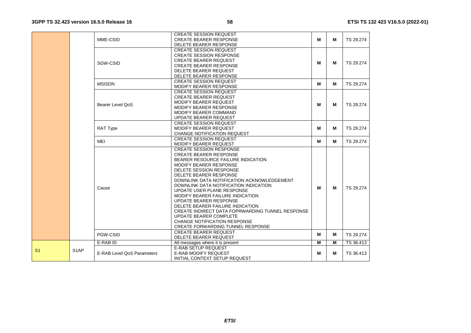|                |                   |                            | <b>CREATE SESSION REQUEST</b>                    |   |   |           |
|----------------|-------------------|----------------------------|--------------------------------------------------|---|---|-----------|
|                |                   | MME-CSID                   | <b>CREATE BEARER RESPONSE</b>                    | м | м | TS 29.274 |
|                |                   |                            | DELETE BEARER RESPONSE                           |   |   |           |
|                |                   |                            | <b>CREATE SESSION REQUEST</b>                    |   |   |           |
|                |                   |                            | <b>CREATE SESSION RESPONSE</b>                   |   |   |           |
|                |                   | SGW-CSID                   | <b>CREATE BEARER REQUEST</b>                     | М | М | TS 29.274 |
|                |                   |                            | <b>CREATE BEARER RESPONSE</b>                    |   |   |           |
|                |                   |                            | DELETE BEARER REQUEST                            |   |   |           |
|                |                   |                            | DELETE BEARER RESPONSE                           |   |   |           |
|                |                   | <b>MSISDN</b>              | <b>CREATE SESSION REQUEST</b>                    | М | М | TS 29.274 |
|                |                   |                            | MODIFY BEARER RESPONSE                           |   |   |           |
|                |                   |                            | <b>CREATE SESSION REQUEST</b>                    |   |   |           |
|                |                   |                            | <b>CREATE BEARER REQUEST</b>                     |   |   |           |
|                |                   | Bearer Level OoS           | MODIFY BEARER REQUEST                            | м | м | TS 29.274 |
|                |                   |                            | <b>MODIFY BEARER RESPONSE</b>                    |   |   |           |
|                |                   |                            | MODIFY BEARER COMMAND                            |   |   |           |
|                |                   |                            | UPDATE BEARER REQUEST                            |   |   |           |
|                |                   |                            | <b>CREATE SESSION REQUEST</b>                    |   |   |           |
|                |                   | <b>RAT Type</b>            | MODIFY BEARER REQUEST                            | м | М | TS 29.274 |
|                |                   |                            | CHANGE NOTIFICATION REQUEST                      |   |   |           |
|                |                   |                            | <b>CREATE SESSION REQUEST</b>                    |   |   |           |
|                |                   | <b>MEI</b>                 | MODIFY BEARER REQUEST                            | М | м | TS 29.274 |
|                |                   |                            | <b>CREATE SESSION RESPONSE</b>                   |   |   |           |
|                |                   |                            | <b>CREATE BEARER RESPONSE</b>                    |   |   |           |
|                |                   |                            | BEARER RESOURCE FAILURE INDICATION               |   |   |           |
|                |                   |                            | MODIFY BEARER RESPONSE                           |   |   |           |
|                |                   |                            | DELETE SESSION RESPONSE                          |   |   |           |
|                |                   |                            | DELETE BEARER RESPONSE                           |   |   |           |
|                |                   |                            | DOWNLINK DATA NOTIFICATION ACKNOWLEDGEMENT       |   |   |           |
|                |                   |                            | DOWNLINK DATA NOTIFICATION INDICATION            |   |   |           |
|                |                   | Cause                      | UPDATE USER PLANE RESPONSE                       | м | М | TS 29.274 |
|                |                   |                            | MODIFY BEARER FAILURE INDICATION                 |   |   |           |
|                |                   |                            | <b>UPDATE BEARER RESPONSE</b>                    |   |   |           |
|                |                   |                            | DELETE BEARER FAILURE INDICATION                 |   |   |           |
|                |                   |                            | CREATE INDIRECT DATA FOPRWARDING TUNNEL RESPONSE |   |   |           |
|                |                   |                            | UPDATE BEARER COMPLETE                           |   |   |           |
|                |                   |                            | <b>CHANGE NOTIFICATION RESPONSE</b>              |   |   |           |
|                |                   |                            | CREATE FORWARDING TUNNEL RESPONSE                |   |   |           |
|                |                   |                            | <b>CREATE BEARER REQUEST</b>                     |   |   |           |
|                |                   | PGW-CSID                   | DELETE BEARER REQUEST                            | М | м | TS 29.274 |
|                |                   | E-RAB ID                   | All messages where it is present                 | М | M | TS 36.413 |
|                |                   |                            | <b>E-RAB SETUP REQUEST</b>                       |   |   |           |
| S <sub>1</sub> | S <sub>1</sub> AP | E-RAB Level QoS Parameters | <b>E-RAB MODIFY REQUEST</b>                      | м | м | TS 36.413 |
|                |                   |                            | INITIAL CONTEXT SETUP REQUEST                    |   |   |           |
|                |                   |                            |                                                  |   |   |           |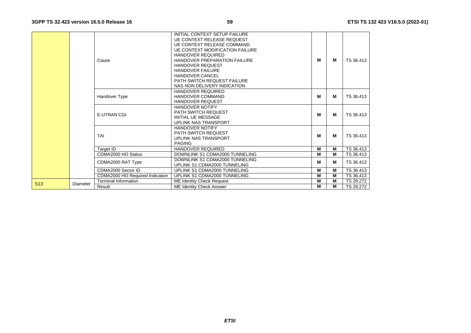|                 |          | Cause                           | INITIAL CONTEXT SETUP FAILURE<br><b>UE CONTEXT RELEASE REQUEST</b><br><b>UE CONTEXT RELEASE COMMAND</b><br><b>UE CONTEXT MODIFICATION FAILURE</b><br><b>HANDOVER REQUIRED</b><br><b>HANDOVER PREPARATION FAILURE</b> | м | М | TS 36.413 |
|-----------------|----------|---------------------------------|----------------------------------------------------------------------------------------------------------------------------------------------------------------------------------------------------------------------|---|---|-----------|
|                 |          |                                 | <b>HANDOVER REQUEST</b><br><b>HANDOVER FAILURE</b><br><b>HANDOVER CANCEL</b><br><b>PATH SWITCH REQUEST FAILURE</b><br>NAS NON DELIVERY INDICATION                                                                    |   |   |           |
|                 |          | <b>Handover Type</b>            | <b>HANDOVER REQUIRED</b><br>HANDOVER COMMAND<br><b>HANDOVER REQUEST</b>                                                                                                                                              | м | м | TS 36.413 |
|                 |          | <b>E-UTRAN CGI</b>              | <b>HANDOVER NOTIFY</b><br><b>PATH SWITCH REQUEST</b><br><b>INITIAL UE MESSAGE</b><br>UPLINK NAS TRANSPORT                                                                                                            | м | М | TS 36.413 |
|                 |          | TAI                             | <b>HANDOVER NOTIFY</b><br><b>PATH SWITCH REQUEST</b><br>UPLINK NAS TRANSPORT<br><b>PAGING</b>                                                                                                                        | м | м | TS 36.413 |
|                 |          | Target ID                       | HANDOVER REQUIRED                                                                                                                                                                                                    | M | М | TS 36.413 |
|                 |          | CDMA2000 HO Status              | DOWNLINK S1 CDMA2000 TUNNELING                                                                                                                                                                                       | М | М | TS 36.413 |
|                 |          | CDMA2000 RAT Type               | DOWNLINK S1 CDMA2000 TUNNELING<br>UPLINK S1 CDMA2000 TUNNELING                                                                                                                                                       | м | м | TS 36.413 |
|                 |          | CDMA2000 Sector ID              | UPLINK S1 CDMA2000 TUNNELING                                                                                                                                                                                         | M | М | TS 36.413 |
|                 |          | CDMA2000 HO Required Indication | UPLINK S1 CDMA2000 TUNNELING                                                                                                                                                                                         | M | М | TS 36.413 |
| S <sub>13</sub> | Diameter | <b>Terminal Information</b>     | ME Identity Check Request                                                                                                                                                                                            | M | М | TS 29.272 |
|                 |          | Result                          | <b>ME Identity Check Answer</b>                                                                                                                                                                                      | м | м | TS 29.272 |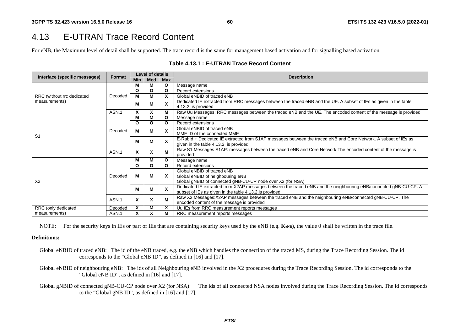## 4.13 E-UTRAN Trace Record Content

For eNB, the Maximum level of detail shall be supported. The trace record is the same for management based activation and for signalling based activation.

| Interface (specific messages)                                             | Format  | <b>Level of details</b> |              |              | <b>Description</b>                                                                                                                                                         |  |
|---------------------------------------------------------------------------|---------|-------------------------|--------------|--------------|----------------------------------------------------------------------------------------------------------------------------------------------------------------------------|--|
|                                                                           |         | <b>Min</b>              | Med          | <b>Max</b>   |                                                                                                                                                                            |  |
|                                                                           |         | м                       | м            | O            | Message name                                                                                                                                                               |  |
|                                                                           |         | O                       | $\Omega$     | $\mathbf{o}$ | Record extensions                                                                                                                                                          |  |
| RRC (without rrc dedicated                                                | Decoded | М                       | м            | X            | Global eNBID of traced eNB                                                                                                                                                 |  |
| measurements)                                                             |         | м                       | M            | X            | Dedicated IE extracted from RRC messages between the traced eNB and the UE. A subset of IEs as given in the table<br>4.13.2. is provided.                                  |  |
|                                                                           | ASN.1   | X                       | X            | M            | Raw Uu Messages: RRC messages between the traced eNB and the UE. The encoded content of the message is provided                                                            |  |
|                                                                           |         | М                       | M            | O            | Message name                                                                                                                                                               |  |
|                                                                           | Decoded | O                       | $\mathbf{o}$ | O            | Record extensions                                                                                                                                                          |  |
| S <sub>1</sub>                                                            |         | м                       | M            | X            | Global eNBID of traced eNB<br>MME ID of the connected MME                                                                                                                  |  |
|                                                                           |         | м                       | М            | X            | E-Rabld + Dedicated IE extracted from S1AP messages between the traced eNB and Core Network. A subset of IEs as<br>given in the table 4.13.2. is provided.                 |  |
|                                                                           | ASN.1   | X                       | X            | м            | Raw S1 Messages S1AP: messages between the traced eNB and Core Network The encoded content of the message is<br>provided                                                   |  |
|                                                                           |         | м                       | м            | O            | Message name                                                                                                                                                               |  |
|                                                                           |         | O                       | $\mathbf{o}$ | O            | Record extensions                                                                                                                                                          |  |
| X <sub>2</sub>                                                            | Decoded | м                       | м            | X            | Global eNBID of traced eNB<br>Global eNBID of neighbouring eNB<br>Global gNBID of connected gNB-CU-CP node over X2 (for NSA)                                               |  |
|                                                                           |         | м                       | м            | X            | Dedicated IE extracted from X2AP messages between the traced eNB and the neighbouring eNB/connected gNB-CU-CP. A<br>subset of IEs as given in the table 4.13.2 is provided |  |
|                                                                           | ASN.1   | X                       | X            | M            | Raw X2 Messages: X2AP messages between the traced eNB and the neighbouring eNB/connected gNB-CU-CP. The<br>encoded content of the message is provided                      |  |
| RRC (only dedicated                                                       | Decoded | X                       | M            | X            | Uu IEs from RRC measurement reports messages                                                                                                                               |  |
| X<br>X<br>ASN.1<br>M<br>RRC measurement reports messages<br>measurements) |         |                         |              |              |                                                                                                                                                                            |  |

#### **Table 4.13.1 : E-UTRAN Trace Record Content**

NOTE: For the security keys in IEs or part of IEs that are containing security keys used by the eNB (e.g. **K**eNB), the value 0 shall be written in the trace file.

#### **Definitions:**

- Global eNBID of traced eNB: The id of the eNB traced, e.g. the eNB which handles the connection of the traced MS, during the Trace Recording Session. The id corresponds to the "Global eNB ID", as defined in [16] and [17].
- Global eNBID of neighbouring eNB: The ids of all Neighbouring eNB involved in the X2 procedures during the Trace Recording Session. The id corresponds to the "Global eNB ID", as defined in [16] and [17].
- Global gNBID of connected gNB-CU-CP node over X2 (for NSA): The ids of all connected NSA nodes involved during the Trace Recording Session. The id corresponds to the "Global gNB ID", as defined in [16] and [17].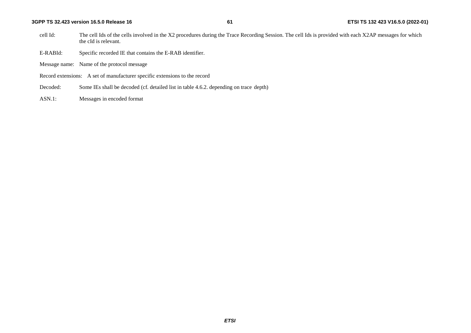- cell Id: The cell Ids of the cells involved in the X2 procedures during the Trace Recording Session. The cell Ids is provided with each X2AP messages for which the cId is relevant.
- E-RABId: Specific recorded IE that contains the E-RAB identifier.
- Message name: Name of the protocol message
- Record extensions: A set of manufacturer specific extensions to the record
- Decoded: Some IEs shall be decoded (cf. detailed list in table 4.6.2. depending on trace depth)
- ASN.1: Messages in encoded format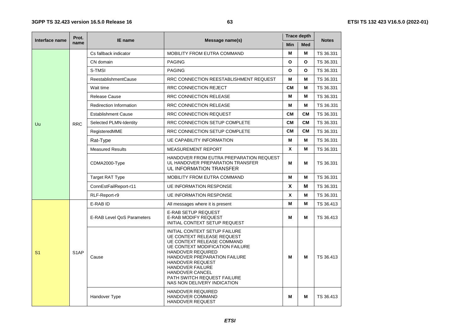|                | Prot.             |                                |                                                                                                                                                                                                                                                                                                                                 |            | <b>Trace depth</b> |                                                                                                                                                                                                                                           |
|----------------|-------------------|--------------------------------|---------------------------------------------------------------------------------------------------------------------------------------------------------------------------------------------------------------------------------------------------------------------------------------------------------------------------------|------------|--------------------|-------------------------------------------------------------------------------------------------------------------------------------------------------------------------------------------------------------------------------------------|
| Interface name | name              | IE name                        | Message name(s)                                                                                                                                                                                                                                                                                                                 | <b>Min</b> | <b>Med</b>         |                                                                                                                                                                                                                                           |
|                |                   | Cs fallback indicator          | <b>MOBILITY FROM EUTRA COMMAND</b>                                                                                                                                                                                                                                                                                              | M          | М                  | TS 36.331                                                                                                                                                                                                                                 |
|                |                   | CN domain                      | <b>PAGING</b>                                                                                                                                                                                                                                                                                                                   | O          | O                  | TS 36.331                                                                                                                                                                                                                                 |
|                |                   | S-TMSI                         | <b>PAGING</b>                                                                                                                                                                                                                                                                                                                   | O          | O                  | TS 36.331                                                                                                                                                                                                                                 |
|                |                   | <b>ReestablishmentCause</b>    | RRC CONNECTION REESTABLISHMENT REQUEST                                                                                                                                                                                                                                                                                          | M          | М                  | <b>Notes</b><br>TS 36.331<br>TS 36.331<br>TS 36.331<br>TS 36.331<br>TS 36.331<br>TS 36.331<br>TS 36.331<br>TS 36.331<br>TS 36.331<br>TS 36.331<br>TS 36.331<br>TS 36.331<br>TS 36.331<br>TS 36.413<br>TS 36.413<br>TS 36.413<br>TS 36.413 |
|                |                   | Wait time                      | RRC CONNECTION REJECT                                                                                                                                                                                                                                                                                                           | <b>CM</b>  | М                  |                                                                                                                                                                                                                                           |
|                |                   | Release Cause                  | <b>RRC CONNECTION RELEASE</b>                                                                                                                                                                                                                                                                                                   | M          | М                  |                                                                                                                                                                                                                                           |
|                |                   | <b>Redirection Information</b> | RRC CONNECTION RELEASE                                                                                                                                                                                                                                                                                                          | M          | М                  |                                                                                                                                                                                                                                           |
|                |                   | <b>Establishment Cause</b>     | <b>RRC CONNECTION REQUEST</b>                                                                                                                                                                                                                                                                                                   | <b>CM</b>  | <b>CM</b>          |                                                                                                                                                                                                                                           |
| Uu             | <b>RRC</b>        | Selected PLMN-Identity         | RRC CONNECTION SETUP COMPLETE                                                                                                                                                                                                                                                                                                   | <b>CM</b>  | <b>CM</b>          |                                                                                                                                                                                                                                           |
|                |                   | RegisteredMME                  | RRC CONNECTION SETUP COMPLETE                                                                                                                                                                                                                                                                                                   | <b>CM</b>  | <b>CM</b>          |                                                                                                                                                                                                                                           |
|                |                   | Rat-Type                       | <b>UE CAPABILITY INFORMATION</b>                                                                                                                                                                                                                                                                                                | M          | М                  |                                                                                                                                                                                                                                           |
|                |                   | <b>Measured Results</b>        | <b>MEASUREMENT REPORT</b>                                                                                                                                                                                                                                                                                                       | X          | М                  |                                                                                                                                                                                                                                           |
|                |                   | CDMA2000-Type                  | HANDOVER FROM EUTRA PREPARATION REQUEST<br>UL HANDOVER PREPARATION TRANSFER<br>UL INFORMATION TRANSFER                                                                                                                                                                                                                          | М          | М                  |                                                                                                                                                                                                                                           |
|                |                   | <b>Target RAT Type</b>         | MOBILITY FROM EUTRA COMMAND                                                                                                                                                                                                                                                                                                     | M          | М                  |                                                                                                                                                                                                                                           |
|                |                   | ConnEstFailReport-r11          | <b>UE INFORMATION RESPONSE</b>                                                                                                                                                                                                                                                                                                  | X<br>М     |                    |                                                                                                                                                                                                                                           |
|                |                   | RLF-Report-r9                  | <b>UE INFORMATION RESPONSE</b>                                                                                                                                                                                                                                                                                                  | X          | М                  |                                                                                                                                                                                                                                           |
|                |                   | E-RAB ID                       | All messages where it is present                                                                                                                                                                                                                                                                                                | M          | М                  |                                                                                                                                                                                                                                           |
| S <sub>1</sub> |                   | E-RAB Level QoS Parameters     | <b>E-RAB SETUP REQUEST</b><br><b>E-RAB MODIFY REQUEST</b><br>INITIAL CONTEXT SETUP REQUEST                                                                                                                                                                                                                                      | M          | М                  |                                                                                                                                                                                                                                           |
|                | S <sub>1</sub> AP | Cause                          | INITIAL CONTEXT SETUP FAILURE<br><b>UE CONTEXT RELEASE REQUEST</b><br>UE CONTEXT RELEASE COMMAND<br><b>UE CONTEXT MODIFICATION FAILURE</b><br>HANDOVER REQUIRED<br>HANDOVER PREPARATION FAILURE<br>HANDOVER REQUEST<br><b>HANDOVER FAILURE</b><br>HANDOVER CANCEL<br>PATH SWITCH REQUEST FAILURE<br>NAS NON DELIVERY INDICATION | м          | м                  |                                                                                                                                                                                                                                           |
|                |                   | Handover Type                  | <b>HANDOVER REQUIRED</b><br><b>HANDOVER COMMAND</b><br><b>HANDOVER REQUEST</b>                                                                                                                                                                                                                                                  | М          | М                  |                                                                                                                                                                                                                                           |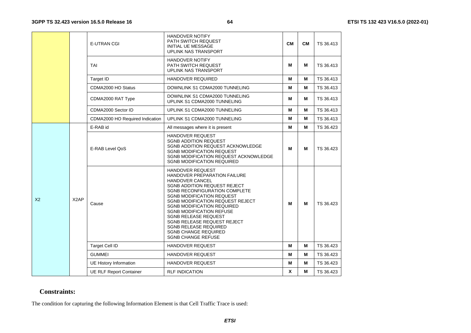|                |                   | <b>E-UTRAN CGI</b>              | <b>HANDOVER NOTIFY</b><br>PATH SWITCH REQUEST<br><b>INITIAL UE MESSAGE</b><br>UPLINK NAS TRANSPORT                                                                                                                                                                                                                                                                                                                                                                  | <b>CM</b> | <b>CM</b> | TS 36.413 |
|----------------|-------------------|---------------------------------|---------------------------------------------------------------------------------------------------------------------------------------------------------------------------------------------------------------------------------------------------------------------------------------------------------------------------------------------------------------------------------------------------------------------------------------------------------------------|-----------|-----------|-----------|
|                |                   | <b>TAI</b>                      | HANDOVER NOTIFY<br><b>PATH SWITCH REQUEST</b><br><b>UPLINK NAS TRANSPORT</b>                                                                                                                                                                                                                                                                                                                                                                                        | M         | М         | TS 36.413 |
|                |                   | <b>Target ID</b>                | <b>HANDOVER REQUIRED</b>                                                                                                                                                                                                                                                                                                                                                                                                                                            | M         | M         | TS 36.413 |
|                |                   | CDMA2000 HO Status              | DOWNLINK S1 CDMA2000 TUNNELING                                                                                                                                                                                                                                                                                                                                                                                                                                      | M         | М         | TS 36.413 |
|                |                   | CDMA2000 RAT Type               | DOWNLINK S1 CDMA2000 TUNNELING<br>UPLINK S1 CDMA2000 TUNNELING                                                                                                                                                                                                                                                                                                                                                                                                      | M         | М         | TS 36.413 |
|                |                   | CDMA2000 Sector ID              | UPLINK S1 CDMA2000 TUNNELING                                                                                                                                                                                                                                                                                                                                                                                                                                        | M         | М         | TS 36.413 |
|                |                   | CDMA2000 HO Required Indication | UPLINK S1 CDMA2000 TUNNELING                                                                                                                                                                                                                                                                                                                                                                                                                                        | M         | М         | TS 36.413 |
|                |                   | E-RAB id                        | All messages where it is present                                                                                                                                                                                                                                                                                                                                                                                                                                    | M         | М         | TS 36.423 |
|                |                   | E-RAB Level OoS                 | <b>HANDOVER REQUEST</b><br><b>SGNB ADDITION REQUEST</b><br>SGNB ADDITION REQUEST ACKNOWLEDGE<br><b>SGNB MODIFICATION REQUEST</b><br>SGNB MODIFICATION REQUEST ACKNOWLEDGE<br><b>SGNB MODIFICATION REQUIRED</b>                                                                                                                                                                                                                                                      | М         | М         | TS 36.423 |
| X <sub>2</sub> | X <sub>2</sub> AP | Cause                           | <b>HANDOVER REQUEST</b><br>HANDOVER PREPARATION FAILURE<br><b>HANDOVER CANCEL</b><br><b>SGNB ADDITION REQUEST REJECT</b><br><b>SGNB RECONFIGURATION COMPLETE</b><br><b>SGNB MODIFICATION REQUEST</b><br>SGNB MODIFICATION REQUEST REJECT<br><b>SGNB MODIFICATION REQUIRED</b><br><b>SGNB MODIFICATION REFUSE</b><br>SGNB RELEASE REQUEST<br>SGNB RELEASE REQUEST REJECT<br><b>SGNB RELEASE REQUIRED</b><br><b>SGNB CHANGE REQUIRED</b><br><b>SGNB CHANGE REFUSE</b> | М         | М         | TS 36.423 |
|                |                   | <b>Target Cell ID</b>           | HANDOVER REQUEST                                                                                                                                                                                                                                                                                                                                                                                                                                                    | M         | М         | TS 36.423 |
|                |                   | <b>GUMMEI</b>                   | <b>HANDOVER REQUEST</b>                                                                                                                                                                                                                                                                                                                                                                                                                                             | M         | М         | TS 36.423 |
|                |                   | <b>UE History Information</b>   | HANDOVER REQUEST                                                                                                                                                                                                                                                                                                                                                                                                                                                    | M         | М         | TS 36.423 |
|                |                   | <b>UE RLF Report Container</b>  | <b>RLF INDICATION</b>                                                                                                                                                                                                                                                                                                                                                                                                                                               | X         | М         | TS 36.423 |

#### **Constraints:**

The condition for capturing the following Information Element is that Cell Traffic Trace is used: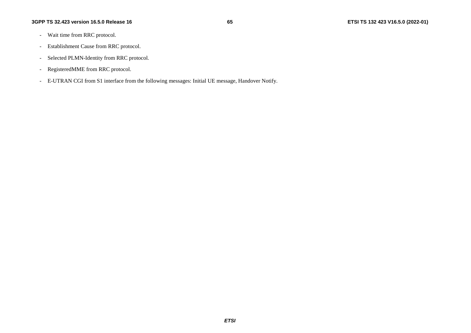- Wait time from RRC protocol.
- Establishment Cause from RRC protocol.
- Selected PLMN-Identity from RRC protocol.
- RegisteredMME from RRC protocol.
- E-UTRAN CGI from S1 interface from the following messages: Initial UE message, Handover Notify.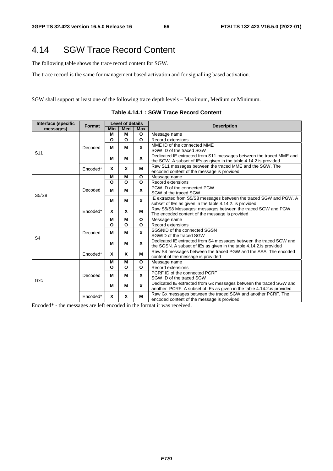# 4.14 SGW Trace Record Content

The following table shows the trace record content for SGW.

The trace record is the same for management based activation and for signalling based activation.

SGW shall support at least one of the following trace depth levels – Maximum, Medium or Minimum.

| Interface (specific | Format   | Level of details |            |            | <b>Description</b>                                                     |  |  |
|---------------------|----------|------------------|------------|------------|------------------------------------------------------------------------|--|--|
| messages)           |          | Min              | <b>Med</b> | <b>Max</b> |                                                                        |  |  |
|                     |          | M                | М          | O          | Message name                                                           |  |  |
|                     |          | O                | O          | O          | Record extensions                                                      |  |  |
|                     |          | м                | М          | X          | MME ID of the connected MME                                            |  |  |
| S <sub>11</sub>     | Decoded  |                  |            |            | SGW ID of the traced SGW                                               |  |  |
|                     |          |                  |            | X          | Dedicated IE extracted from S11 messages between the traced MME and    |  |  |
|                     |          | M                | М          |            | the SGW. A subset of IEs as given in the table 4.14.2.is provided      |  |  |
|                     |          |                  |            |            | Raw S11 messages between the traced MME and the SGW. The               |  |  |
|                     | Encoded* | X                | X          | M          | encoded content of the message is provided                             |  |  |
|                     |          | M                | M          | O          | Message name                                                           |  |  |
|                     |          | O                | O          | O          | Record extensions                                                      |  |  |
|                     |          |                  |            |            | PGW ID of the connected PGW                                            |  |  |
|                     | Decoded  | M                | M          | X          | SGW of the traced SGW                                                  |  |  |
| S5/S8               |          |                  |            |            | IE extracted from S5/S8 messages between the traced SGW and PGW. A     |  |  |
|                     |          | М                | М          | X          | subset of IEs as given in the table 4.14.2. is provided.               |  |  |
|                     | Encoded* | X                | X          | M          | Raw S5/S8 Messages: messages between the traced SGW and PGW.           |  |  |
|                     |          |                  |            |            | The encoded content of the message is provided                         |  |  |
|                     |          | М                | М          | O          | Message name                                                           |  |  |
|                     |          | O                | O          | O          | Record extensions                                                      |  |  |
|                     |          |                  | М          | X          | SGSNID of the connected SGSN                                           |  |  |
|                     | Decoded  | M                |            |            | SGWID of the traced SGW                                                |  |  |
| S <sub>4</sub>      |          |                  | М          | X          | Dedicated IE extracted from S4 messages between the traced SGW and     |  |  |
|                     |          | M                |            |            | the SGSN. A subset of IEs as given in the table 4.14.2. is provided    |  |  |
|                     |          |                  | X          |            | Raw S4 messages between the traced PGW and the AAA. The encoded        |  |  |
|                     | Encoded* | X                |            | м          | content of the message is provided                                     |  |  |
|                     |          | M                | M          | O          | Message name                                                           |  |  |
|                     |          | O                | O          | O          | Record extensions                                                      |  |  |
|                     |          |                  |            |            | PCRF ID of the connected PCRF                                          |  |  |
|                     | Decoded  | М                | М          | X          | SGW ID of the traced SGW                                               |  |  |
| Gxc                 |          |                  |            |            | Dedicated IE extracted from Gx messages between the traced SGW and     |  |  |
|                     |          | M                | М          | X          | another PCRF. A subset of IEs as given in the table 4.14.2 is provided |  |  |
|                     |          |                  |            |            | Raw Gx messages between the traced SGW and another PCRF. The           |  |  |
|                     | Encoded* | X                | X          | M          | encoded content of the message is provided                             |  |  |
|                     |          |                  |            |            |                                                                        |  |  |

**Table 4.14.1 : SGW Trace Record Content** 

Encoded\* - the messages are left encoded in the format it was received.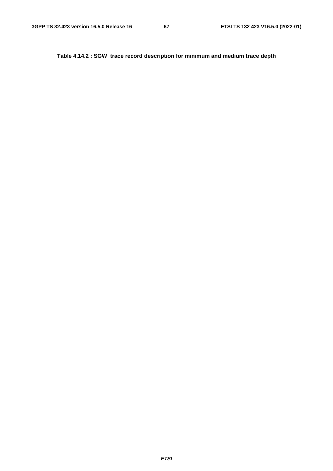**Table 4.14.2 : SGW trace record description for minimum and medium trace depth**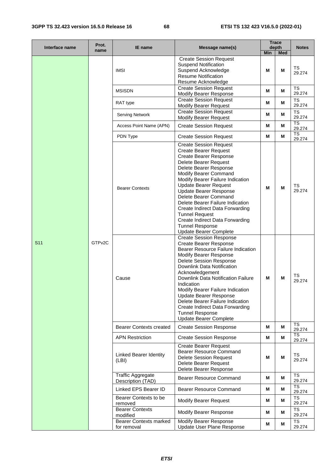### **3GPP TS 32.423 version 16.5.0 Release 16 68 ETSI TS 132 423 V16.5.0 (2022-01)**

| Interface name  | Prot.<br>name      | <b>IE</b> name                                | Message name(s)                                                                                                                                                                                                                                                                                                                                                                                                                                                                          | <b>Trace</b><br>depth<br>Min<br><b>Med</b> |   | <b>Notes</b>                     |
|-----------------|--------------------|-----------------------------------------------|------------------------------------------------------------------------------------------------------------------------------------------------------------------------------------------------------------------------------------------------------------------------------------------------------------------------------------------------------------------------------------------------------------------------------------------------------------------------------------------|--------------------------------------------|---|----------------------------------|
|                 |                    | <b>IMSI</b>                                   | <b>Create Session Request</b><br><b>Suspend Notification</b><br>Suspend Acknowledge<br><b>Resume Notification</b><br>Resume Acknowledge                                                                                                                                                                                                                                                                                                                                                  | M                                          | M | TS<br>29.274                     |
|                 |                    | <b>MSISDN</b>                                 | <b>Create Session Request</b><br>Modify Bearer Response                                                                                                                                                                                                                                                                                                                                                                                                                                  | М                                          | М | <b>TS</b><br>29.274              |
|                 |                    | RAT type                                      | <b>Create Session Request</b><br><b>Modify Bearer Request</b>                                                                                                                                                                                                                                                                                                                                                                                                                            | М                                          | М | <b>TS</b><br>29.274              |
|                 |                    | <b>Serving Network</b>                        | <b>Create Session Request</b><br><b>Modify Bearer Request</b>                                                                                                                                                                                                                                                                                                                                                                                                                            | М                                          | М | TS<br>29.274                     |
|                 |                    | Access Point Name (APN)                       | <b>Create Session Request</b>                                                                                                                                                                                                                                                                                                                                                                                                                                                            | М                                          | М | <b>TS</b><br>29.274              |
|                 |                    | PDN Type                                      | <b>Create Session Request</b>                                                                                                                                                                                                                                                                                                                                                                                                                                                            | М                                          | М | $\overline{\text{TS}}$<br>29.274 |
| S <sub>11</sub> |                    | <b>Bearer Contexts</b>                        | <b>Create Session Request</b><br><b>Create Bearer Request</b><br><b>Create Bearer Response</b><br>Delete Bearer Request<br>Delete Bearer Response<br>Modify Bearer Command<br>Modify Bearer Failure Indication<br><b>Update Bearer Request</b><br>Update Bearer Response<br>Delete Bearer Command<br>Delete Bearer Failure Indication<br>Create Indirect Data Forwarding<br><b>Tunnel Request</b><br>Create Indirect Data Forwarding<br><b>Tunnel Response</b><br>Update Bearer Complete | M                                          | М | TS<br>29.274                     |
|                 | GTP <sub>v2C</sub> | Cause                                         | <b>Create Session Response</b><br><b>Create Bearer Response</b><br>Bearer Resource Failure Indication<br>Modify Bearer Response<br><b>Delete Session Response</b><br>Downlink Data Notification<br>Acknowledgement<br>Downlink Data Notification Failure<br>Indication<br>Modify Bearer Failure Indication<br><b>Update Bearer Response</b><br>Delete Bearer Failure Indication<br>Create Indirect Data Forwarding<br><b>Tunnel Response</b><br><b>Update Bearer Complete</b>            | M                                          | M | TS<br>29.274                     |
|                 |                    | <b>Bearer Contexts created</b>                | <b>Create Session Response</b>                                                                                                                                                                                                                                                                                                                                                                                                                                                           | M                                          | М | <b>TS</b><br>29.274              |
|                 |                    | <b>APN Restriction</b>                        | <b>Create Session Response</b>                                                                                                                                                                                                                                                                                                                                                                                                                                                           | М                                          | М | TS<br>29.274                     |
|                 |                    | <b>Linked Bearer Identity</b><br>(LBI)        | <b>Create Bearer Request</b><br><b>Bearer Resource Command</b><br><b>Delete Session Request</b><br>Delete Bearer Request<br>Delete Bearer Response                                                                                                                                                                                                                                                                                                                                       | M                                          | М | <b>TS</b><br>29.274              |
|                 |                    | <b>Traffic Aggregate</b><br>Description (TAD) | Bearer Resource Command                                                                                                                                                                                                                                                                                                                                                                                                                                                                  | М                                          | М | TS<br>29.274                     |
|                 |                    | Linked EPS Bearer ID                          | <b>Bearer Resource Command</b>                                                                                                                                                                                                                                                                                                                                                                                                                                                           | M                                          | M | <b>TS</b><br>29.274              |
|                 |                    | Bearer Contexts to be<br>removed              | <b>Modify Bearer Request</b>                                                                                                                                                                                                                                                                                                                                                                                                                                                             | М                                          | М | TS<br>29.274                     |
|                 |                    | <b>Bearer Contexts</b><br>modified            | Modify Bearer Response                                                                                                                                                                                                                                                                                                                                                                                                                                                                   | Μ                                          | Μ | TS<br>29.274                     |
|                 |                    | <b>Bearer Contexts marked</b><br>for removal  | <b>Modify Bearer Response</b><br>Update User Plane Response                                                                                                                                                                                                                                                                                                                                                                                                                              | М                                          | М | <b>TS</b><br>29.274              |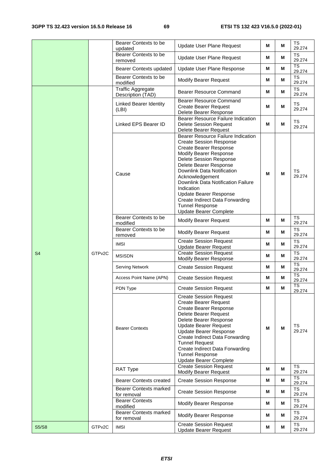|                |                     | Bearer Contexts to be<br>updated              | <b>Update User Plane Request</b>                                                                                                                                                                                                                                                                                                                                                                                                | М | М | <b>TS</b><br>29.274 |
|----------------|---------------------|-----------------------------------------------|---------------------------------------------------------------------------------------------------------------------------------------------------------------------------------------------------------------------------------------------------------------------------------------------------------------------------------------------------------------------------------------------------------------------------------|---|---|---------------------|
|                |                     | Bearer Contexts to be<br>removed              | <b>Update User Plane Request</b>                                                                                                                                                                                                                                                                                                                                                                                                | М | M | TS<br>29.274        |
|                |                     | <b>Bearer Contexts updated</b>                | Update User Plane Response                                                                                                                                                                                                                                                                                                                                                                                                      | M | М | <b>TS</b><br>29.274 |
|                |                     | Bearer Contexts to be<br>modified             | <b>Modify Bearer Request</b>                                                                                                                                                                                                                                                                                                                                                                                                    | М | м | TS<br>29.274        |
|                |                     | <b>Traffic Aggregate</b><br>Description (TAD) | <b>Bearer Resource Command</b>                                                                                                                                                                                                                                                                                                                                                                                                  | M | М | <b>TS</b><br>29.274 |
|                |                     | <b>Linked Bearer Identity</b><br>(LBI)        | Bearer Resource Command<br><b>Create Bearer Request</b><br>Delete Bearer Response                                                                                                                                                                                                                                                                                                                                               | M | M | <b>TS</b><br>29.274 |
|                |                     | Linked EPS Bearer ID                          | <b>Bearer Resource Failure Indication</b><br><b>Delete Session Request</b><br>Delete Bearer Request                                                                                                                                                                                                                                                                                                                             | M | M | <b>TS</b><br>29.274 |
|                |                     | Cause                                         | <b>Bearer Resource Failure Indication</b><br><b>Create Session Response</b><br>Create Bearer Response<br>Modify Bearer Response<br><b>Delete Session Response</b><br>Delete Bearer Response<br>Downlink Data Notification<br>Acknowledgement<br>Downlink Data Notification Failure<br>Indication<br><b>Update Bearer Response</b><br>Create Indirect Data Forwarding<br><b>Tunnel Response</b><br><b>Update Bearer Complete</b> | M | M | TS<br>29.274        |
|                |                     | Bearer Contexts to be<br>modified             | <b>Modify Bearer Request</b>                                                                                                                                                                                                                                                                                                                                                                                                    | М | M | <b>TS</b><br>29.274 |
|                |                     | Bearer Contexts to be<br>removed              | <b>Modify Bearer Request</b>                                                                                                                                                                                                                                                                                                                                                                                                    | М | M | TS<br>29.274        |
|                |                     | <b>IMSI</b>                                   | <b>Create Session Request</b><br><b>Update Bearer Request</b>                                                                                                                                                                                                                                                                                                                                                                   | M | M | <b>TS</b><br>29.274 |
| S <sub>4</sub> | GTP <sub>v2</sub> C | <b>MSISDN</b>                                 | <b>Create Session Request</b><br><b>Modify Bearer Response</b>                                                                                                                                                                                                                                                                                                                                                                  | М | M | <b>TS</b><br>29.274 |
|                |                     | Serving Network                               | <b>Create Session Request</b>                                                                                                                                                                                                                                                                                                                                                                                                   | М | м | <b>TS</b><br>29.274 |
|                |                     | Access Point Name (APN)                       | <b>Create Session Request</b>                                                                                                                                                                                                                                                                                                                                                                                                   | Μ | M | <b>TS</b><br>29.274 |
|                |                     | PDN Type                                      | <b>Create Session Request</b>                                                                                                                                                                                                                                                                                                                                                                                                   | М | М | <b>TS</b><br>29.274 |
|                |                     | <b>Bearer Contexts</b>                        | <b>Create Session Request</b><br><b>Create Bearer Request</b><br><b>Create Bearer Response</b><br>Delete Bearer Request<br>Delete Bearer Response<br><b>Update Bearer Request</b><br><b>Update Bearer Response</b><br>Create Indirect Data Forwarding<br><b>Tunnel Request</b><br>Create Indirect Data Forwarding<br><b>Tunnel Response</b><br><b>Update Bearer Complete</b>                                                    | М | М | TS<br>29.274        |
|                |                     | RAT Type                                      | <b>Create Session Request</b><br><b>Modify Bearer Request</b>                                                                                                                                                                                                                                                                                                                                                                   | M | M | <b>TS</b><br>29.274 |
|                |                     | <b>Bearer Contexts created</b>                | <b>Create Session Response</b>                                                                                                                                                                                                                                                                                                                                                                                                  | М | М | TS<br>29.274        |
|                |                     | <b>Bearer Contexts marked</b><br>for removal  | <b>Create Session Response</b>                                                                                                                                                                                                                                                                                                                                                                                                  | М | М | TS<br>29.274        |
|                |                     | <b>Bearer Contexts</b><br>modified            | Modify Bearer Response                                                                                                                                                                                                                                                                                                                                                                                                          | М | М | <b>TS</b><br>29.274 |
|                |                     | <b>Bearer Contexts marked</b><br>for removal  | <b>Modify Bearer Response</b>                                                                                                                                                                                                                                                                                                                                                                                                   | М | М | <b>TS</b><br>29.274 |
| <b>S5/S8</b>   | GTP <sub>v2C</sub>  | <b>IMSI</b>                                   | <b>Create Session Request</b><br><b>Update Bearer Request</b>                                                                                                                                                                                                                                                                                                                                                                   | М | М | <b>TS</b><br>29.274 |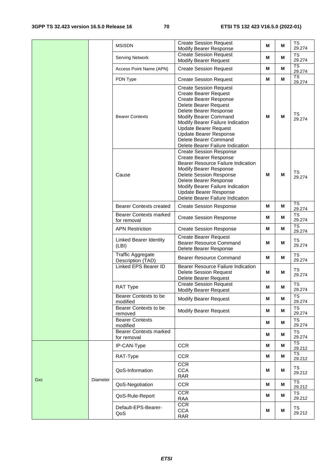|     |          | <b>MSISDN</b>                                 | <b>Create Session Request</b><br>Modify Bearer Response                                                                                                                                                                                                                                                                                      | М | М | <b>TS</b><br>29.274              |
|-----|----------|-----------------------------------------------|----------------------------------------------------------------------------------------------------------------------------------------------------------------------------------------------------------------------------------------------------------------------------------------------------------------------------------------------|---|---|----------------------------------|
|     |          | Serving Network                               | <b>Create Session Request</b><br><b>Modify Bearer Request</b>                                                                                                                                                                                                                                                                                | M | M | TS<br>29.274                     |
|     |          | Access Point Name (APN)                       | <b>Create Session Request</b>                                                                                                                                                                                                                                                                                                                | M | М | $\overline{\text{TS}}$<br>29.274 |
|     |          | PDN Type                                      | <b>Create Session Request</b>                                                                                                                                                                                                                                                                                                                | М | М | <b>TS</b><br>29.274              |
|     |          | <b>Bearer Contexts</b>                        | <b>Create Session Request</b><br><b>Create Bearer Request</b><br><b>Create Bearer Response</b><br>Delete Bearer Request<br>Delete Bearer Response<br>Modify Bearer Command<br>Modify Bearer Failure Indication<br><b>Update Bearer Request</b><br><b>Update Bearer Response</b><br>Delete Bearer Command<br>Delete Bearer Failure Indication | М | M | <b>TS</b><br>29.274              |
|     |          | Cause                                         | <b>Create Session Response</b><br><b>Create Bearer Response</b><br>Bearer Resource Failure Indication<br>Modify Bearer Response<br>Delete Session Response<br>Delete Bearer Response<br>Modify Bearer Failure Indication<br><b>Update Bearer Response</b><br>Delete Bearer Failure Indication                                                | М | M | TS<br>29.274                     |
|     |          | <b>Bearer Contexts created</b>                | <b>Create Session Response</b>                                                                                                                                                                                                                                                                                                               | М | М | <b>TS</b><br>29.274              |
|     |          | <b>Bearer Contexts marked</b><br>for removal  | <b>Create Session Response</b>                                                                                                                                                                                                                                                                                                               | Μ | М | TS<br>29.274                     |
|     |          | <b>APN Restriction</b>                        | <b>Create Session Response</b>                                                                                                                                                                                                                                                                                                               | Μ | М | <b>TS</b><br>29.274              |
|     |          | Linked Bearer Identity<br>(LBI)               | <b>Create Bearer Request</b><br><b>Bearer Resource Command</b><br>Delete Bearer Response                                                                                                                                                                                                                                                     | М | М | TS<br>29.274                     |
|     |          | <b>Traffic Aggregate</b><br>Description (TAD) | Bearer Resource Command                                                                                                                                                                                                                                                                                                                      | M | М | <b>TS</b><br>29.274              |
|     |          | Linked EPS Bearer ID                          | Bearer Resource Failure Indication<br><b>Delete Session Request</b><br>Delete Bearer Request                                                                                                                                                                                                                                                 | М | М | TS<br>29.274                     |
|     |          | <b>RAT Type</b>                               | <b>Create Session Request</b><br><b>Modify Bearer Request</b>                                                                                                                                                                                                                                                                                | М | М | TS<br>29.274                     |
|     |          | Bearer Contexts to be<br>modified             | <b>Modify Bearer Request</b>                                                                                                                                                                                                                                                                                                                 | М | М | <b>TS</b><br>29.274              |
|     |          | Bearer Contexts to be<br>removed              | <b>Modify Bearer Request</b>                                                                                                                                                                                                                                                                                                                 | Μ | М | <b>TS</b><br>29.274              |
|     |          | <b>Bearer Contexts</b><br>modified            |                                                                                                                                                                                                                                                                                                                                              | M | М | <b>TS</b><br>29.274              |
|     |          | <b>Bearer Contexts marked</b><br>for removal  |                                                                                                                                                                                                                                                                                                                                              | Μ | M | <b>TS</b><br>29.274              |
|     |          | IP-CAN-Type                                   | <b>CCR</b>                                                                                                                                                                                                                                                                                                                                   | M | M | <b>TS</b><br>29.212              |
|     |          | RAT-Type                                      | <b>CCR</b>                                                                                                                                                                                                                                                                                                                                   | M | M | <b>TS</b><br>29.212              |
|     |          | QoS-Information                               | CCR<br><b>CCA</b><br><b>RAR</b>                                                                                                                                                                                                                                                                                                              | Μ | М | TS<br>29.212                     |
| Gxc | Diameter | QoS-Negotiation                               | <b>CCR</b>                                                                                                                                                                                                                                                                                                                                   | Μ | М | <b>TS</b><br>29.212              |
|     |          | QoS-Rule-Report                               | $\overline{CCR}$<br><b>RAA</b>                                                                                                                                                                                                                                                                                                               | M | M | <b>TS</b><br>29.212              |
|     |          | Default-EPS-Bearer-<br>QoS                    | <b>CCR</b><br><b>CCA</b><br><b>RAR</b>                                                                                                                                                                                                                                                                                                       | Μ | M | TS<br>29.212                     |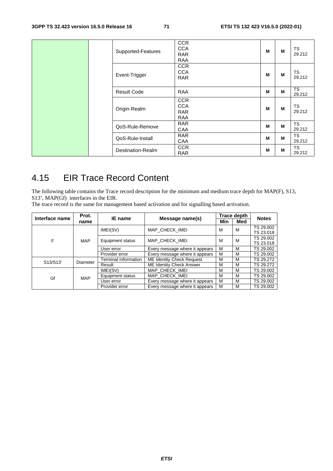|  | Supported-Features | <b>CCR</b><br><b>CCA</b><br><b>RAR</b><br>RAA        | M | M | TS<br>29.212        |
|--|--------------------|------------------------------------------------------|---|---|---------------------|
|  | Event-Trigger      | <b>CCR</b><br><b>CCA</b><br><b>RAR</b>               | M | M | <b>TS</b><br>29.212 |
|  | <b>Result Code</b> | RAA                                                  | M | M | <b>TS</b><br>29.212 |
|  | Origin-Realm       | <b>CCR</b><br><b>CCA</b><br><b>RAR</b><br><b>RAA</b> | M | M | <b>TS</b><br>29.212 |
|  | QoS-Rule-Remove    | <b>RAR</b><br>CAA                                    | M | M | <b>TS</b><br>29.212 |
|  | QoS-Rule-Install   | <b>RAR</b><br>CAA                                    | M | M | <b>TS</b><br>29.212 |
|  | Destination-Realm  | <b>CCR</b><br><b>RAR</b>                             | M | M | <b>TS</b><br>29.212 |

# 4.15 EIR Trace Record Content

The following table contains the Trace record description for the minimum and medium trace depth for MAP(F), S13, S13', MAP(Gf) interfaces in the EIR.

The trace record is the same for management based activation and for signalling based activation.

| Interface name | Prot.      | IE name              |                                |     | Trace depth |                                        |  |
|----------------|------------|----------------------|--------------------------------|-----|-------------|----------------------------------------|--|
|                | name       | Message name(s)      |                                | Min | Med         |                                        |  |
|                |            | IMEI(SV)             | MAP CHECK IMEI                 | M   | M           | TS 29.002<br>TS 23.018                 |  |
| F              | <b>MAP</b> | Equipment status     | MAP CHECK IMEI                 | M   | M           | TS 29.002<br>TS 23.018                 |  |
|                |            | User error           | Every message where it appears | M   | м           | TS 29.002                              |  |
|                |            | Provider error       | Every message where it appears | M   | M           | TS 29.002                              |  |
| S13/S13'       | Diameter   | Terminal Information | ME Identity Check Request      | M   | M           | TS 29.272                              |  |
|                |            | Result               | ME Identity Check Answer       | M   | M           | TS 29.272                              |  |
| Gf             |            | IMEI(SV)             | MAP CHECK IMEI                 | м   | М           | TS 29.002                              |  |
|                | <b>MAP</b> | Equipment status     | MAP CHECK IMEI                 | м   | M           | TS 29.002                              |  |
|                |            | User error           | Every message where it appears | M   | M           | <b>Notes</b><br>TS 29.002<br>TS 29.002 |  |
|                |            | Provider error       | Every message where it appears | M   | M           |                                        |  |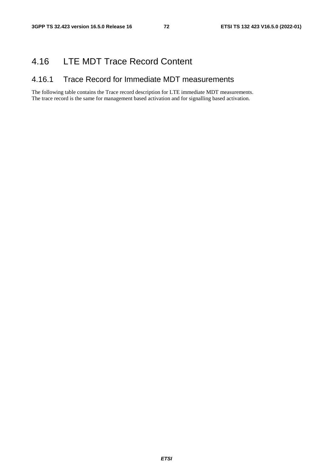## 4.16 LTE MDT Trace Record Content

### 4.16.1 Trace Record for Immediate MDT measurements

The following table contains the Trace record description for LTE immediate MDT measurements. The trace record is the same for management based activation and for signalling based activation.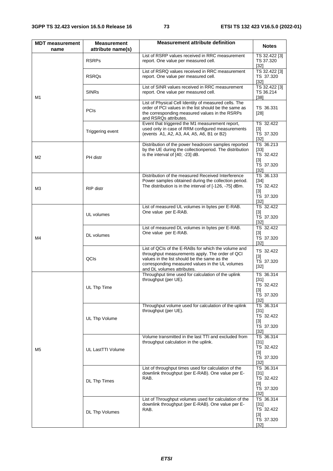| <b>MDT</b> measurement<br>name | <b>Measurement</b><br>attribute name(s) | <b>Measurement attribute definition</b>                                                                                                                                                                                                 |                                                                  |  |  |  |  |  |
|--------------------------------|-----------------------------------------|-----------------------------------------------------------------------------------------------------------------------------------------------------------------------------------------------------------------------------------------|------------------------------------------------------------------|--|--|--|--|--|
|                                | <b>RSRPs</b>                            | List of RSRP values received in RRC measurement<br>report. One value per measured cell.                                                                                                                                                 | TS 32.422 [3]<br>TS 37.320<br>$[32]$                             |  |  |  |  |  |
|                                | <b>RSRQs</b>                            | List of RSRQ values received in RRC measurement<br>report. One value per measured cell.                                                                                                                                                 | TS 32.422 [3]<br>TS 37.320<br>$[32]$                             |  |  |  |  |  |
| M1                             | <b>SINRs</b>                            | List of SINR values received in RRC measurement<br>report. One value per measured cell.                                                                                                                                                 | TS 32.422 [3]<br>TS 36.214<br>$[38]$                             |  |  |  |  |  |
|                                | <b>PCIs</b>                             | List of Physical Cell Identity of measured cells. The<br>order of PCI values in the list should be the same as<br>the corresponding measured values in the RSRPs<br>and RSRQs attributes.                                               | TS 36.331<br>$[28]$                                              |  |  |  |  |  |
|                                | Triggering event                        | Event that triggered the M1 measurement report,<br>used only in case of RRM configured measurements<br>(events A1, A2, A3, A4, A5, A6, B1 or B2)                                                                                        | TS 32.422<br>[3]<br>TS 37.320<br>$[32]$                          |  |  |  |  |  |
| M <sub>2</sub>                 | PH distr                                | Distribution of the power headroom samples reported<br>by the UE during the collectionperiod. The distribution<br>is the interval of [40; -23] dB.                                                                                      | TS 36.213<br>$[33]$<br>TS 32.422<br>$[3]$<br>TS 37.320<br>$[32]$ |  |  |  |  |  |
| MЗ                             | <b>RIP</b> distr                        | Distribution of the measured Received Interference<br>Power samples obtained during the collection period.<br>The distribution is in the interval of [-126, -75] dBm.                                                                   | TS 36.133<br>$[34]$<br>TS 32.422<br>$[3]$<br>TS 37.320<br>$[32]$ |  |  |  |  |  |
| M4                             | UL volumes                              | List of measured UL volumes in bytes per E-RAB.<br>One value per E-RAB.                                                                                                                                                                 | TS 32.422<br>$[3]$<br>TS 37.320<br>$[32]$                        |  |  |  |  |  |
|                                | DL volumes                              | List of measured DL volumes in bytes per E-RAB.<br>One value per E-RAB.                                                                                                                                                                 | TS 32.422<br>$[3]$<br>TS 37.320<br>$[32]$                        |  |  |  |  |  |
|                                | QCIs                                    | List of QCIs of the E-RABs for which the volume and<br>throughput measurements apply. The order of QCI<br>values in the list should be the same as the<br>corresponding measured values in the UL volumes<br>and DL volumes attributes. | TS 32.422<br>[3]<br>TS 37.320<br>$[32]$                          |  |  |  |  |  |
|                                | UL Thp Time                             | Throughput time used for calculation of the uplink<br>throughput (per UE).                                                                                                                                                              | TS 36.314<br>$[31]$<br>TS 32.422<br>$[3]$<br>TS 37.320<br>$[32]$ |  |  |  |  |  |
| M5                             | UL Thp Volume                           | Throughput volume used for calculation of the uplink<br>throughput (per UE).                                                                                                                                                            | TS 36.314<br>$[31]$<br>TS 32.422<br>$[3]$<br>TS 37.320<br>$[32]$ |  |  |  |  |  |
|                                | UL LastTTI Volume                       | Volume transmitted in the last TTI and excluded from<br>throughput calculation in the uplink.                                                                                                                                           | TS 36.314<br>$[31]$<br>TS 32.422<br>$[3]$<br>TS 37.320<br>$[32]$ |  |  |  |  |  |
|                                | DL Thp Times                            | List of throughput times used for calculation of the<br>downlink throughput (per E-RAB). One value per E-<br>RAB.                                                                                                                       | TS 36.314<br>$[31]$<br>TS 32.422<br>$[3]$<br>TS 37.320<br>$[32]$ |  |  |  |  |  |
|                                | DL Thp Volumes                          | List of Throughput volumes used for calculation of the<br>downlink throughput (per E-RAB). One value per E-<br>RAB.                                                                                                                     | TS 36.314<br>$[31]$<br>TS 32.422<br>$[3]$<br>TS 37.320<br>$[32]$ |  |  |  |  |  |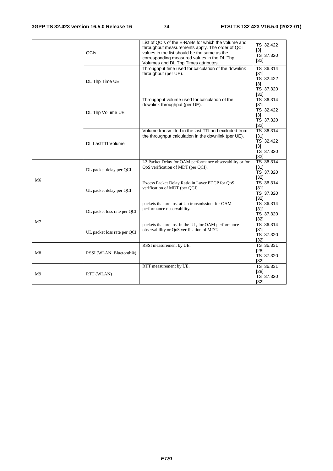|    | QCIS                        | List of QCIs of the E-RABs for which the volume and<br>throughput measurements apply. The order of QCI<br>values in the list should be the same as the<br>corresponding measured values in the DL Thp<br>Volumes and DL Thp Times attributes. | TS 32.422<br>$\lceil 3 \rceil$<br>TS 37.320<br>$[32]$                      |
|----|-----------------------------|-----------------------------------------------------------------------------------------------------------------------------------------------------------------------------------------------------------------------------------------------|----------------------------------------------------------------------------|
|    | DL Thp Time UE              | Throughput time used for calculation of the downlink<br>throughput (per UE).                                                                                                                                                                  | TS 36.314<br>[31]<br>TS 32.422<br>$[3]$<br>TS 37.320<br>$[32]$             |
|    | DL Thp Volume UE            | Throughput volume used for calculation of the<br>downlink throughput (per UE).                                                                                                                                                                | TS 36.314<br>$[31]$<br>TS 32.422<br>$\lceil 3 \rceil$<br>TS 37.320<br>[32] |
|    | <b>DL LastTTI Volume</b>    | Volume transmitted in the last TTI and excluded from<br>the throughput calculation in the downlink (per UE).                                                                                                                                  | TS 36.314<br>[31]<br>TS 32.422<br>$[3]$<br>TS 37.320<br>$[32]$             |
| M6 | DL packet delay per OCI     | L2 Packet Delay for OAM performance observability or for<br>QoS verification of MDT (per QCI).                                                                                                                                                | TS 36.314<br>$[31]$<br>TS 37.320<br>$[32]$                                 |
|    | UL packet delay per QCI     | Excess Packet Delay Ratio in Layer PDCP for QoS<br>verification of MDT (per QCI).                                                                                                                                                             | TS 36.314<br>$[31]$<br>TS 37.320<br>$[32]$                                 |
|    | DL packet loss rate per QCI | packets that are lost at Uu transmission, for OAM<br>performance observability.                                                                                                                                                               | TS 36.314<br>$[31]$<br>TS 37.320<br>$[32]$                                 |
| M7 | UL packet loss rate per QCI | packets that are lost in the UL, for OAM performance<br>observability or QoS verification of MDT.                                                                                                                                             | TS 36.314<br>$[31]$<br>TS 37.320<br>[32]                                   |
| M8 | RSSI (WLAN, Bluetooth®)     | RSSI measurement by UE.                                                                                                                                                                                                                       | TS 36.331<br>[28]<br>TS 37.320<br>$[32]$                                   |
| M9 | RTT (WLAN)                  | RTT measurement by UE.                                                                                                                                                                                                                        | TS 36.331<br>$[28]$<br>TS 37.320<br>$[32]$                                 |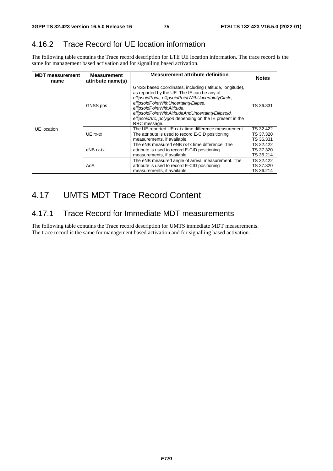### 4.16.2 Trace Record for UE location information

The following table contains the Trace record description for LTE UE location information. The trace record is the same for management based activation and for signalling based activation.

| <b>MDT</b> measurement<br>name | <b>Measurement</b><br>attribute name(s) | <b>Measurement attribute definition</b>                                                                                                                                                                                                                                                                                                                                   | <b>Notes</b>                        |
|--------------------------------|-----------------------------------------|---------------------------------------------------------------------------------------------------------------------------------------------------------------------------------------------------------------------------------------------------------------------------------------------------------------------------------------------------------------------------|-------------------------------------|
| UE location                    | GNSS pos                                | GNSS based coordinates, including (latitude, longitude),<br>as reported by the UE. The IE can be any of<br>ellipsoidPoint, ellipsoidPointWithUncertaintyCircle,<br>ellipsoidPointWithUncertaintyEllipse.<br>ellipsoidPointWithAltitude,<br>ellipsoidPointWithAltitudeAndUncertaintyEllipsoid,<br>ellipsoidArc, polygon depending on the IE present in the<br>RRC message. | TS 36.331                           |
|                                | UE rx-tx                                | The UE reported UE rx-tx time difference measurement.<br>The attribute is used to record E-CID positioning<br>measurements, if available.                                                                                                                                                                                                                                 | TS 32.422<br>TS 37.320<br>TS 36.331 |
|                                | eNB rx-tx                               | The eNB measured eNB rx-tx time difference. The<br>attribute is used to record E-CID positioning<br>measurements, if available.                                                                                                                                                                                                                                           | TS 32.422<br>TS 37.320<br>TS 36.214 |
|                                | AoA                                     | The eNB measured angle of arrival measurement. The<br>attribute is used to record E-CID positioning<br>measurements, if available.                                                                                                                                                                                                                                        | TS 32.422<br>TS 37.320<br>TS 36.214 |

# 4.17 UMTS MDT Trace Record Content

### 4.17.1 Trace Record for Immediate MDT measurements

The following table contains the Trace record description for UMTS immediate MDT measurements. The trace record is the same for management based activation and for signalling based activation.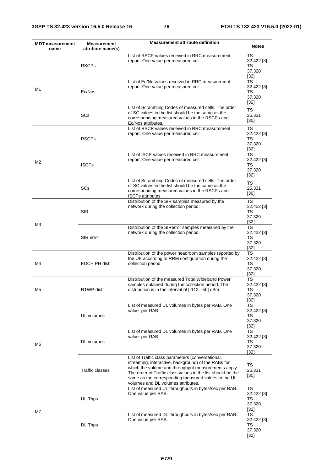| <b>MDT</b> measurement<br>name | <b>Measurement</b><br>attribute name(s) | <b>Measurement attribute definition</b>                                                                                                                                                                                                                                                                                     | <b>Notes</b>                               |
|--------------------------------|-----------------------------------------|-----------------------------------------------------------------------------------------------------------------------------------------------------------------------------------------------------------------------------------------------------------------------------------------------------------------------------|--------------------------------------------|
|                                | <b>RSCPs</b>                            | List of RSCP values received in RRC measurement<br>report. One value per measured cell.                                                                                                                                                                                                                                     | TS<br>32.422 [3]<br>TS<br>37.320<br>[32]   |
| M1                             | Ec/Nos                                  | List of Ec/No values received in RRC measurement<br>report. One value per measured cell.                                                                                                                                                                                                                                    | TS<br>32.422 [3]<br>TS<br>37.320<br>[32]   |
|                                | <b>SCs</b>                              | List of Scrambling Codes of measured cells. The order<br>of SC values in the list should be the same as the<br>corresponding measured values in the RSCPs and<br>Ec/Nos attributes.                                                                                                                                         | TS<br>25.331<br>$[30]$                     |
|                                | <b>RSCPs</b>                            | List of RSCP values received in RRC measurement<br>report. One value per measured cell.                                                                                                                                                                                                                                     | TS<br>32.422 [3]<br>TS<br>37.320<br>$[32]$ |
| M <sub>2</sub>                 | <b>ISCPs</b>                            | List of ISCP values received in RRC measurement<br>report. One value per measured cell.                                                                                                                                                                                                                                     | TS<br>32.422 [3]<br>TS<br>37.320<br>[32]   |
|                                | SCs                                     | List of Scrambling Codes of measured cells. The order<br>of SC values in the list should be the same as the<br>corresponding measured values in the RSCPs and<br>ISCPs attributes.                                                                                                                                          | TS<br>25.331<br>$[30]$                     |
| M3                             | <b>SIR</b>                              | Distribution of the SIR samples measured by the<br>network during the collection period.                                                                                                                                                                                                                                    | TS<br>32.422 [3]<br>TS<br>37.320<br>$[32]$ |
|                                | SIR error                               | Distribution of the SIRerror samples measured by the<br>network during the collection period.                                                                                                                                                                                                                               | TS<br>32.422 [3]<br>TS<br>37.320<br>$[32]$ |
| M4                             | <b>EDCH PH distr</b>                    | Distribution of the power headroom samples reported by<br>the UE according to RRM configuration during the<br>collection period.                                                                                                                                                                                            | TS<br>32.422 [3]<br>TS<br>37.320<br>$[32]$ |
| M5                             | <b>RTWP</b> distr                       | Distribution of the measured Total Wideband Power<br>samples obtained during the collection period. The<br>distribution is in the interval of [-112, -50] dBm.                                                                                                                                                              | TS<br>32.422 [3]<br>TS<br>37.320<br>$[32]$ |
|                                | UL volumes                              | List of measured UL volumes in bytes per RAB. One<br>value per RAB.                                                                                                                                                                                                                                                         | TS<br>32.422 [3]<br>TS<br>37.320<br>$[32]$ |
| M6                             | DL volumes                              | List of measured DL volumes in bytes per RAB. One<br>value per RAB.                                                                                                                                                                                                                                                         | TS<br>32.422 [3]<br>TS<br>37.320<br>$[32]$ |
|                                | Traffic classes                         | List of Traffic class parameters (conversational,<br>streaming, interactive, background) of the RABs for<br>which the volume and throughput measurements apply.<br>The order of Traffic class values in the list should be the<br>same as the corresponding measured values in the UL<br>volumes and DL volumes attributes. | TS<br>25.331<br>$[30]$                     |
| M7                             | UL Thps                                 | List of measured UL throughputs in bytes/sec per RAB.<br>One value per RAB.                                                                                                                                                                                                                                                 | TS<br>32.422 [3]<br>TS<br>37.320<br>$[32]$ |
|                                | DL Thps                                 | List of measured DL throughputs in bytes/sec per RAB.<br>One value per RAB.                                                                                                                                                                                                                                                 | TS<br>32.422 [3]<br>TS<br>37.320<br>$[32]$ |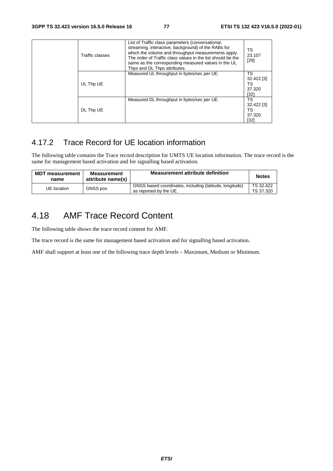| Traffic classes | List of Traffic class parameters (conversational,<br>streaming, interactive, background) of the RABs for<br>which the volume and throughput measurements apply.<br>The order of Traffic class values in the list should be the<br>same as the corresponding measured values in the UL<br>Thps and DL Thps attributes. | TS<br>23.107<br>$[29]$                   |
|-----------------|-----------------------------------------------------------------------------------------------------------------------------------------------------------------------------------------------------------------------------------------------------------------------------------------------------------------------|------------------------------------------|
| UL Thp UE       | Measured UL throughput in bytes/sec per UE.                                                                                                                                                                                                                                                                           | TS<br>32.422 [3]<br>TS<br>37.320<br>[32] |
| DL Thp UE       | Measured DL throughput in bytes/sec per UE.                                                                                                                                                                                                                                                                           | TS<br>32.422 [3]<br>TS<br>37.320<br>[32] |

### 4.17.2 Trace Record for UE location information

The following table contains the Trace record description for UMTS UE location information. The trace record is the same for management based activation and for signalling based activation.

| <b>MDT measurement</b><br>name | <b>Measurement</b><br>attribute name(s) | <b>Measurement attribute definition</b>                                           | <b>Notes</b>           |
|--------------------------------|-----------------------------------------|-----------------------------------------------------------------------------------|------------------------|
| UE location                    | <b>GNSS</b> pos                         | GNSS based coordinates, including (latitude, longitude)<br>as reported by the UE. | TS 32.422<br>TS 37.320 |

## 4.18 AMF Trace Record Content

The following table shows the trace record content for AMF.

The trace record is the same for management based activation and for signalling based activation.

AMF shall support at least one of the following trace depth levels – Maximum, Medium or Minimum.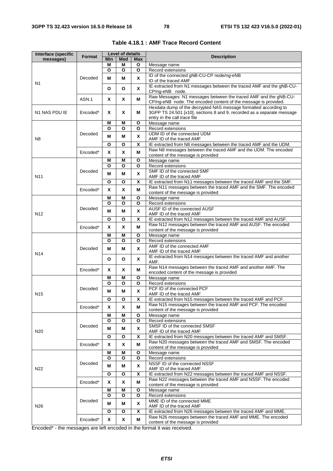| Interface (specific | Format   |        | <b>Level of details</b> |              | <b>Description</b>                                                                                                                                                         |
|---------------------|----------|--------|-------------------------|--------------|----------------------------------------------------------------------------------------------------------------------------------------------------------------------------|
| messages)           |          | Min    | <b>Med</b>              | Max          |                                                                                                                                                                            |
|                     |          | М      | M                       | О            | Message name                                                                                                                                                               |
| N1                  |          | O      | O                       | O            | Record extensions                                                                                                                                                          |
|                     | Decoded  | М      | М                       | X            | ID of the connected gNB-CU-CP node/ng-eNB<br>ID of the traced AMF                                                                                                          |
|                     |          | O      | О                       | X            | IE extracted from N1 messages between the traced AMF and the gNB-CU-<br>CP/ng-eNB node.                                                                                    |
|                     | ASN.1    | X      | Χ                       | М            | Raw Messages: N1 messages between the traced AMF and the gNB-CU-<br>CP/ng-eNB node. The encoded content of the message is provided.                                        |
| N1 NAS PDU IE       | Encoded* | X      | X                       | м            | Hexdata dump of the decrypted NAS message formatted according to<br>3GPP TS 24.501 [x10], sections 8 and 9, recorded as a separate message<br>entry in the call trace file |
|                     |          | М      | M                       | О            | Message name                                                                                                                                                               |
|                     | Decoded  | O      | O                       | О            | Record extensions<br>UDM ID of the connected UDM                                                                                                                           |
| N <sub>8</sub>      |          | М      | М                       | X<br>X       | AMF ID of the traced AMF                                                                                                                                                   |
|                     |          | О      | O                       |              | IE extracted from N8 messages between the traced AMF and the UDM.<br>Raw N8 messages between the traced AMF and the UDM. The encoded                                       |
|                     | Encoded* | X<br>М | X<br>M                  | М<br>О       | content of the message is provided<br>Message name                                                                                                                         |
|                     |          | O      | O                       | O            | Record extensions                                                                                                                                                          |
| N <sub>11</sub>     | Decoded  | М      | М                       | X            | SMF ID of the connected SMF<br>AMF ID of the traced AMF                                                                                                                    |
|                     |          | O      | O                       | Χ            | IE extracted from N11 messages between the traced AMF and the SMF.                                                                                                         |
|                     | Encoded* | X      | X                       | М            | Raw N11 messages between the traced AMF and the SMF. The encoded<br>content of the message is provided                                                                     |
|                     |          | М      | M                       | O            | Message name                                                                                                                                                               |
|                     |          | O      | O                       | O            | Record extensions                                                                                                                                                          |
| N <sub>12</sub>     | Decoded  | м      | M                       | X            | AUSF ID of the connected AUSF<br>AMF ID of the traced AMF                                                                                                                  |
|                     |          | O      | O                       | x            | IE extracted from N12 messages between the traced AMF and AUSF.                                                                                                            |
|                     | Encoded* | X      | X                       | M            | Raw N12 messages between the traced AMF and AUSF. The encoded<br>content of the message is provided                                                                        |
|                     |          | Μ      | Μ                       | О            | Message name                                                                                                                                                               |
|                     | Decoded  | O      | O                       | $\mathbf{o}$ | Record extensions                                                                                                                                                          |
| N <sub>14</sub>     |          | М      | М                       | X            | AMF ID of the connected AMF<br>AMF ID of the traced AMF                                                                                                                    |
|                     |          | O      | O                       | X            | IE extracted from N14 messages between the traced AMF and another<br>AMF.                                                                                                  |
|                     | Encoded* | X      | X                       | м            | Raw N14 messages between the traced AMF and another AMF. The<br>encoded content of the message is provided                                                                 |
|                     |          | М      | M                       | О            | Message name                                                                                                                                                               |
|                     | Decoded  | O      | O                       | О            | Record extensions                                                                                                                                                          |
| N <sub>15</sub>     |          | М      | М                       | X            | PCF ID of the connected PCF<br>AMF ID of the traced AMF                                                                                                                    |
|                     |          | O      | O                       | X            | IE extracted from N15 messages between the traced AMF and PCF.                                                                                                             |
|                     | Encoded* | X      | X                       | Μ            | Raw N15 messages between the traced AMF and PCF. The encoded<br>content of the message is provided                                                                         |
|                     |          | М      | Μ                       | О            | Message name                                                                                                                                                               |
|                     |          | O      | O                       | $\mathbf{o}$ | Record extensions<br>SMSF ID of the connected SMSF                                                                                                                         |
| N <sub>20</sub>     | Decoded  | М      | М                       | X            | AMF ID of the traced AMF                                                                                                                                                   |
|                     |          | O      | O                       | X            | IE extracted from N20 messages between the traced AMF and SMSF.                                                                                                            |
|                     | Encoded* | X      | X                       | M            | Raw N20 messages between the traced AMF and SMSF. The encoded<br>content of the message is provided                                                                        |
| N22                 |          | М      | Μ                       | О            | Message name                                                                                                                                                               |
|                     |          | O      | O                       | $\mathbf{o}$ | Record extensions                                                                                                                                                          |
|                     | Decoded  | М      | М                       | X            | NSSF ID of the connected NSSF<br>AMF ID of the traced AMF                                                                                                                  |
|                     |          | О      | O                       | X            | IE extracted from N22 messages between the traced AMF and NSSF.<br>Raw N22 messages between the traced AMF and NSSF. The encoded                                           |
|                     | Encoded* | X      | X                       | Μ            | content of the message is provided                                                                                                                                         |
|                     |          | Μ      | M                       | О            | Message name                                                                                                                                                               |
|                     | Decoded  | O<br>М | O<br>М                  | О<br>X       | Record extensions<br>MME ID of the connected MME                                                                                                                           |
| N <sub>26</sub>     |          | O      | O                       | X            | AMF ID of the traced AMF<br>IE extracted from N26 messages between the traced AMF and MME.                                                                                 |
|                     | Encoded* | Χ      | Χ                       | М            | Raw N26 messages between the traced AMF and MME. The encoded                                                                                                               |
|                     |          |        |                         |              | content of the message is provided                                                                                                                                         |

**Table 4.18.1 : AMF Trace Record Content**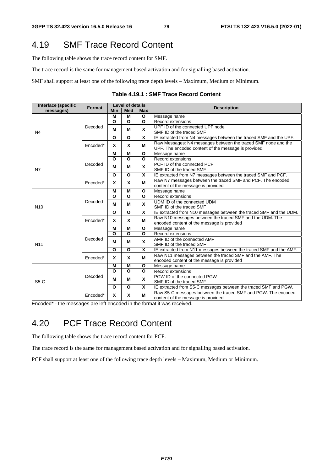## 4.19 SMF Trace Record Content

The following table shows the trace record content for SMF.

The trace record is the same for management based activation and for signalling based activation.

SMF shall support at least one of the following trace depth levels – Maximum, Medium or Minimum.

| Table 4.19.1 : SMF Trace Record Content |
|-----------------------------------------|
|-----------------------------------------|

| Interface (specific | Format   | <b>Level of details</b> |              |              | <b>Description</b>                                                 |
|---------------------|----------|-------------------------|--------------|--------------|--------------------------------------------------------------------|
| messages)           |          | <b>Min</b>              | <b>Med</b>   | <b>Max</b>   |                                                                    |
|                     |          | м                       | М            | O            | Message name                                                       |
|                     |          | O                       | $\Omega$     | $\mathbf{o}$ | Record extensions                                                  |
|                     | Decoded  |                         |              | X            | UPF ID of the connected UPF node                                   |
| N <sub>4</sub>      |          | М                       | м            |              | SMF ID of the traced SMF                                           |
|                     |          | $\mathbf{o}$            | $\mathbf{o}$ | X            | IE extracted from N4 messages between the traced SMF and the UPF.  |
|                     |          |                         |              |              | Raw Messages: N4 messages between the traced SMF node and the      |
|                     | Encoded* | X                       | X            | M            | UPF. The encoded content of the message is provided.               |
|                     |          | M                       | M            | $\mathbf{o}$ | Message name                                                       |
|                     |          | O                       | O            | O            | Record extensions                                                  |
|                     | Decoded  |                         |              |              | PCF ID of the connected PCF                                        |
| N7                  |          | M                       | М            | X            | SMF ID of the traced SMF                                           |
|                     |          | $\mathbf{o}$            | $\mathbf{o}$ | X            | IE extracted from N7 messages between the traced SMF and PCF.      |
|                     | Encoded* | X                       |              |              | Raw N7 messages between the traced SMF and PCF. The encoded        |
|                     |          |                         | X            | М            | content of the message is provided                                 |
|                     | Decoded  | М                       | M            | O            | Message name                                                       |
|                     |          | O                       | $\Omega$     | O            | Record extensions                                                  |
|                     |          | M                       | м            | X            | UDM ID of the connected UDM                                        |
| N <sub>10</sub>     |          |                         |              |              | SMF ID of the traced SMF                                           |
|                     |          | O                       | O            | X            | IE extracted from N10 messages between the traced SMF and the UDM. |
|                     | Encoded* | X                       | X            | М            | Raw N10 messages between the traced SMF and the UDM. The           |
|                     |          |                         |              |              | encoded content of the message is provided                         |
|                     | Decoded  | М                       | M            | O            | Message name                                                       |
|                     |          | O                       | $\Omega$     | O            | Record extensions                                                  |
|                     |          | м                       | м            | X            | AMF ID of the connected AMF                                        |
| N <sub>11</sub>     |          |                         |              |              | SMF ID of the traced SMF                                           |
|                     |          | O                       | $\Omega$     | X            | IE extracted from N11 messages between the traced SMF and the AMF. |
|                     | Encoded* | X                       | X            | М            | Raw N11 messages between the traced SMF and the AMF. The           |
|                     |          |                         |              |              | encoded content of the message is provided                         |
| $S5-C$              |          | M                       | M            | O            | Message name                                                       |
|                     |          | O                       | $\Omega$     | O            | Record extensions                                                  |
|                     | Decoded  | м                       | м            | X            | PGW ID of the connected PGW                                        |
|                     |          |                         |              |              | SMF ID of the traced SMF                                           |
|                     |          | $\mathbf{o}$            | $\Omega$     | X            | IE extracted from S5-C messages between the traced SMF and PGW.    |
|                     |          |                         | X            | М            | Raw S5-C messages between the traced SMF and PGW. The encoded      |
|                     | Encoded* | x                       |              |              | content of the message is provided                                 |

Encoded\* - the messages are left encoded in the format it was received.

## 4.20 PCF Trace Record Content

The following table shows the trace record content for PCF.

The trace record is the same for management based activation and for signalling based activation.

PCF shall support at least one of the following trace depth levels – Maximum, Medium or Minimum.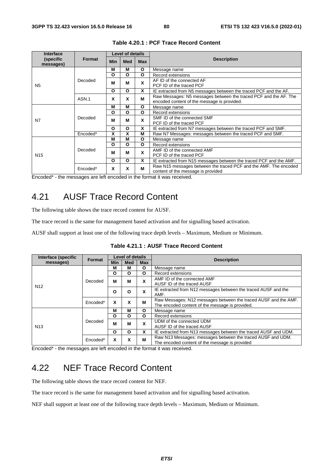| <b>Interface</b>       |               |     | <b>Level of details</b> |              |                                                                                                                 |
|------------------------|---------------|-----|-------------------------|--------------|-----------------------------------------------------------------------------------------------------------------|
| (specific<br>messages) | <b>Format</b> | Min | <b>Med</b>              | <b>Max</b>   | <b>Description</b>                                                                                              |
|                        |               | M   | M                       | $\mathbf{o}$ | Message name                                                                                                    |
|                        |               | O   | O                       | O            | Record extensions                                                                                               |
| N <sub>5</sub>         | Decoded       | M   | M                       | X            | AF ID of the connected AF<br>PCF ID of the traced PCF                                                           |
|                        |               | O   | O                       | X            | IE extracted from N5 messages between the traced PCF and the AF.                                                |
|                        | ASN.1         | x   | X                       | М            | Raw Messages: N5 messages between the traced PCF and the AF. The<br>encoded content of the message is provided. |
|                        |               | M   | M                       | O            | Message name                                                                                                    |
|                        |               | O   | O                       | O            | Record extensions                                                                                               |
| N7                     | Decoded       | M   | М                       | X            | SMF ID of the connected SMF                                                                                     |
|                        |               |     |                         |              | PCF ID of the traced PCF                                                                                        |
|                        |               | O   | O                       | X            | IE extracted from N7 messages between the traced PCF and SMF.                                                   |
|                        | Encoded*      | X   | χ                       | M            | Raw N7 Messages: messages between the traced PCF and SMF.                                                       |
|                        |               | М   | M                       | O            | Message name                                                                                                    |
|                        |               | O   | O                       | O            | Record extensions                                                                                               |
| N <sub>15</sub>        | Decoded       | М   | M                       | X            | AMF ID of the connected AMF                                                                                     |
|                        |               |     |                         |              | PCF ID of the traced PCF                                                                                        |
|                        |               | O   | O                       | X            | IE extracted from N15 messages between the traced PCF and the AMF.                                              |
|                        | Encoded*      | X   | X                       | M            | Raw N15 messages between the traced PCF and the AMF. The encoded<br>content of the message is provided          |

#### **Table 4.20.1 : PCF Trace Record Content**

Encoded\* - the messages are left encoded in the format it was received.

## 4.21 AUSF Trace Record Content

The following table shows the trace record content for AUSF.

The trace record is the same for management based activation and for signalling based activation.

AUSF shall support at least one of the following trace depth levels – Maximum, Medium or Minimum.

| Interface (specific | Format   | Level of details |     |            |                                                                 |
|---------------------|----------|------------------|-----|------------|-----------------------------------------------------------------|
| messages)           |          | <b>Min</b>       | Med | <b>Max</b> | <b>Description</b>                                              |
|                     |          | м                | М   | O          | Message name                                                    |
|                     |          | O                | O   | O          | Record extensions                                               |
|                     | Decoded  | м                | М   | X          | AMF ID of the connected AMF                                     |
| N <sub>12</sub>     |          |                  |     |            | AUSF ID of the traced AUSF                                      |
|                     |          | $\Omega$         | O   | X          | IE extracted from N12 messages between the traced AUSF and the  |
|                     |          |                  |     |            | AMF.                                                            |
|                     | Encoded* | x                | x   | M          | Raw Messages: N12 messages between the traced AUSF and the AMF. |
|                     |          |                  |     |            | The encoded content of the message is provided.                 |
|                     | Decoded  | м                | М   | O          | Message name                                                    |
|                     |          | O                | O   | O          | Record extensions                                               |
|                     |          | M                | м   | X          | UDM of the connected UDM                                        |
| N <sub>13</sub>     |          |                  |     |            | AUSF ID of the traced AUSF                                      |
|                     |          | O                | O   | X          | IE extracted from N13 messages between the traced AUSF and UDM. |
|                     | Encoded* |                  | x   | M          | Raw N13 Messages: messages between the traced AUSF and UDM.     |
|                     |          |                  |     |            | The encoded content of the message is provided                  |

**Table 4.21.1 : AUSF Trace Record Content** 

Encoded\* - the messages are left encoded in the format it was received.

# 4.22 NEF Trace Record Content

The following table shows the trace record content for NEF.

The trace record is the same for management based activation and for signalling based activation.

NEF shall support at least one of the following trace depth levels – Maximum, Medium or Minimum.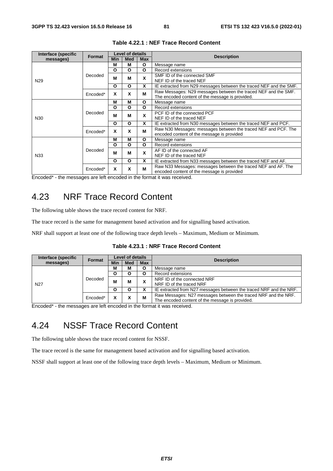| Interface (specific | <b>Format</b> | <b>Level of details</b> |            |            | <b>Description</b>                                                 |
|---------------------|---------------|-------------------------|------------|------------|--------------------------------------------------------------------|
| messages)           |               | <b>Min</b>              | <b>Med</b> | <b>Max</b> |                                                                    |
|                     |               | М                       | М          | O          | Message name                                                       |
|                     |               | O                       | O          | O          | Record extensions                                                  |
|                     | Decoded       | М                       | М          | x          | SMF ID of the connected SMF                                        |
| N <sub>29</sub>     |               |                         |            |            | NEF ID of the traced NEF                                           |
|                     |               | O                       | O          | X          | IE extracted from N29 messages between the traced NEF and the SMF. |
|                     | Encoded*      | x                       | X          | M          | Raw Messages: N29 messages between the traced NEF and the SMF.     |
|                     |               |                         |            |            | The encoded content of the message is provided.                    |
|                     | Decoded       | М                       | м          | O          | Message name                                                       |
|                     |               | O                       | O          | O          | Record extensions                                                  |
|                     |               | м<br>м                  |            | x          | PCF ID of the connected PCF                                        |
| N <sub>30</sub>     |               |                         |            |            | NEF ID of the traced NEF                                           |
|                     |               | O                       | O          | x          | IE extracted from N30 messages between the traced NEF and PCF.     |
|                     |               | x                       | X          | M          | Raw N30 Messages: messages between the traced NEF and PCF. The     |
|                     | Encoded*      |                         |            |            | encoded content of the message is provided                         |
|                     |               | М                       | М          | О          | Message name                                                       |
|                     |               | Ο                       | O          | O          | Record extensions                                                  |
| N33                 | Decoded       | М                       | м          | X          | AF ID of the connected AF                                          |
|                     |               |                         |            |            | NEF ID of the traced NEF                                           |
|                     |               | O                       | O          | x          | IE extracted from N33 messages between the traced NEF and AF.      |
|                     |               | X                       | X          | М          | Raw N33 Messages: messages between the traced NEF and AF. The      |
|                     | Encoded*      |                         |            |            | encoded content of the message is provided                         |

#### **Table 4.22.1 : NEF Trace Record Content**

Encoded\* - the messages are left encoded in the format it was received.

### 4.23 NRF Trace Record Content

The following table shows the trace record content for NRF.

The trace record is the same for management based activation and for signalling based activation.

NRF shall support at least one of the following trace depth levels – Maximum, Medium or Minimum.

| Table 4.23.1 : NRF Trace Record Content |  |  |  |  |
|-----------------------------------------|--|--|--|--|
|-----------------------------------------|--|--|--|--|

|          | <b>Level of details</b> |     |            | <b>Description</b>                                                 |  |
|----------|-------------------------|-----|------------|--------------------------------------------------------------------|--|
|          | Min                     | Med | <b>Max</b> |                                                                    |  |
|          | М                       | м   |            | Message name                                                       |  |
|          |                         |     |            | Record extensions                                                  |  |
| Decoded  | M                       |     |            | NRF ID of the connected NRF                                        |  |
|          |                         |     |            | NRF ID of the traced NRF                                           |  |
|          | O                       |     |            | IE extracted from N27 messages between the traced NRF and the NRF. |  |
| Encoded* |                         |     |            | Raw Messages: N27 messages between the traced NRF and the NRF.     |  |
|          |                         |     |            | The encoded content of the message is provided.                    |  |
|          | <b>Format</b>           |     | м          | A<br>М                                                             |  |

Encoded\* - the messages are left encoded in the format it was received.

## 4.24 NSSF Trace Record Content

The following table shows the trace record content for NSSF.

The trace record is the same for management based activation and for signalling based activation.

NSSF shall support at least one of the following trace depth levels – Maximum, Medium or Minimum.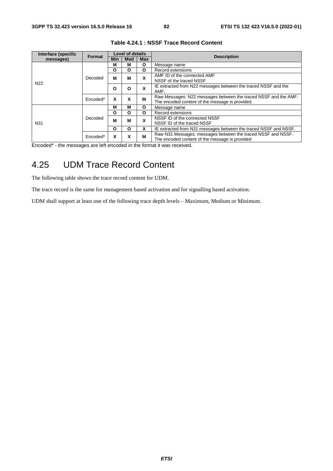| Interface (specific | Format   |     | <b>Level of details</b> |            | <b>Description</b>                                               |
|---------------------|----------|-----|-------------------------|------------|------------------------------------------------------------------|
| messages)           |          | Min | Med                     | <b>Max</b> |                                                                  |
|                     |          | м   | м                       | O          | Message name                                                     |
|                     |          | Ο   | O                       | O          | Record extensions                                                |
|                     | Decoded  | м   | м                       | X          | AMF ID of the connected AMF                                      |
| N <sub>22</sub>     |          |     |                         |            | NSSF of the traced NSSF                                          |
|                     |          | Ο   | O                       | x          | IE extracted from N22 messages between the traced NSSF and the   |
|                     |          |     |                         |            | AMF.                                                             |
|                     | Encoded* | X   | x                       | м          | Raw Messages: N22 messages between the traced NSSF and the AMF.  |
|                     |          |     |                         |            | The encoded content of the message is provided.                  |
|                     |          | м   | М                       | O          | Message name                                                     |
|                     |          | Ο   | Ο                       | Ο          | Record extensions                                                |
|                     | Decoded  | M   | м                       | X          | NSSF ID of the connected NSSF                                    |
| N31                 |          |     |                         |            | NSSF ID of the traced NSSF                                       |
|                     |          | O   | Ο                       | x          | IE extracted from N31 messages between the traced NSSF and NSSF. |
|                     | Encoded* | x   | x                       | м          | Raw N31 Messages: messages between the traced NSSF and NSSF.     |
|                     |          |     |                         |            | The encoded content of the message is provided                   |

#### **Table 4.24.1 : NSSF Trace Record Content**

Encoded\* - the messages are left encoded in the format it was received.

## 4.25 UDM Trace Record Content

The following table shows the trace record content for UDM.

The trace record is the same for management based activation and for signalling based activation.

UDM shall support at least one of the following trace depth levels – Maximum, Medium or Minimum.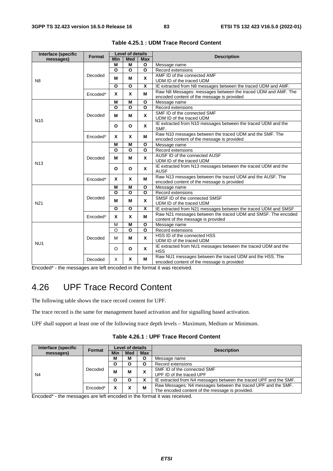| Interface (specific        | Format   |            | <b>Level of details</b> |                         | <b>Description</b>                                             |
|----------------------------|----------|------------|-------------------------|-------------------------|----------------------------------------------------------------|
| messages)                  |          | <b>Min</b> | <b>Med</b>              | <b>Max</b>              |                                                                |
|                            |          | М          | М                       | $\mathbf{o}$            | Message name                                                   |
|                            |          | $\Omega$   | O                       | $\Omega$                | Record extensions                                              |
|                            | Decoded  | М          | М                       | X                       | AMF ID of the connected AMF                                    |
| N <sub>8</sub>             |          |            |                         |                         | UDM ID of the traced UDM                                       |
|                            |          | O          | O                       | X                       | IE extracted from N8 messages between the traced UDM and AMF.  |
|                            | Encoded* | X          | $\mathbf{x}$            | м                       | Raw N8 Messages: messages between the traced UDM and AMF. The  |
|                            |          |            |                         |                         | encoded content of the message is provided                     |
|                            |          | M          | M                       | $\mathbf{o}$            | Message name                                                   |
|                            |          | $\Omega$   | $\Omega$                | $\mathbf{o}$            | Record extensions                                              |
|                            | Decoded  | М          | м                       | X                       | SMF ID of the connected SMF                                    |
| N <sub>10</sub>            |          |            |                         |                         | UDM ID of the traced UDM                                       |
|                            |          | O          | $\mathbf{o}$            | <b>X</b>                | IE extracted from N10 messages between the traced UDM and the  |
|                            |          |            |                         |                         | SMF.                                                           |
|                            | Encoded* | X          | X                       | М                       | Raw N10 messages between the traced UDM and the SMF. The       |
|                            |          |            |                         |                         | encoded content of the message is provided                     |
| Decoded<br>N <sub>13</sub> |          | M          | M                       | $\Omega$                | Message name                                                   |
|                            |          | O          | O                       | $\mathbf{o}$            | Record extensions                                              |
|                            |          | М          | М                       | X                       | AUSF ID of the connected AUSF                                  |
|                            |          |            |                         |                         | UDM ID of the traced UDM                                       |
|                            |          | O          | $\Omega$                | <b>X</b>                | IE extracted from N13 messages between the traced UDM and the  |
|                            |          |            |                         |                         | <b>AUSF</b>                                                    |
|                            | Encoded* | X          | X                       | М                       | Raw N13 messages between the traced UDM and the AUSF. The      |
|                            |          |            |                         |                         | encoded content of the message is provided                     |
|                            |          | M          | М                       | O                       | Message name                                                   |
|                            |          | O          | $\Omega$                | $\Omega$                | Record extensions                                              |
|                            | Decoded  | M          | М                       | X                       | SMSF ID of the connected SMSF                                  |
| N <sub>21</sub>            |          |            |                         |                         | UDM ID of the traced UDM                                       |
|                            |          | O          | O                       | $\overline{\mathbf{x}}$ | IE extracted from N21 messages between the traced UDM and SMSF |
|                            | Encoded* | x          | X                       | М                       | Raw N21 messages between the traced UDM and SMSF. The encoded  |
|                            |          |            |                         |                         | content of the message is provided                             |
|                            |          | M          | M                       | O                       | Message name                                                   |
|                            |          | $\circ$    | O                       | $\mathbf{o}$            | Record extensions                                              |
|                            | Decoded  | м          | м                       | X                       | HSS ID of the connected HSS                                    |
| NU <sub>1</sub>            |          |            |                         |                         | UDM ID of the traced UDM                                       |
|                            |          | $\circ$    | O                       | <b>X</b>                | IE extracted from NU1 messages between the traced UDM and the  |
|                            |          |            |                         |                         | <b>HSS</b>                                                     |
|                            | Decoded  | X          | X                       | М                       | Raw NU1 messages between the traced UDM and the HSS. The       |
|                            |          |            |                         |                         | encoded content of the message is provided                     |

**Table 4.25.1 : UDM Trace Record Content** 

Encoded\* - the messages are left encoded in the format it was received.

## 4.26 UPF Trace Record Content

The following table shows the trace record content for UPF.

The trace record is the same for management based activation and for signalling based activation.

UPF shall support at least one of the following trace depth levels – Maximum, Medium or Minimum.

**Table 4.26.1 : UPF Trace Record Content** 

| Interface (specific | <b>Format</b> |     | <b>Level of details</b> |            | <b>Description</b>                                                |
|---------------------|---------------|-----|-------------------------|------------|-------------------------------------------------------------------|
| messages)           |               | Min | Med                     | <b>Max</b> |                                                                   |
|                     |               | М   | М                       |            | Message name                                                      |
|                     |               |     |                         |            | Record extensions                                                 |
|                     | Decoded       | М   | M                       | v          | SMF ID of the connected SMF                                       |
| N <sub>4</sub>      |               |     |                         | ́          | UPF ID of the traced UPF                                          |
|                     |               |     |                         |            | IE extracted from N4 messages between the traced UPF and the SMF. |
|                     | Encoded*      |     |                         | М          | Raw Messages: N4 messages between the traced UPF and the SMF.     |
|                     |               |     |                         |            | The encoded content of the message is provided.                   |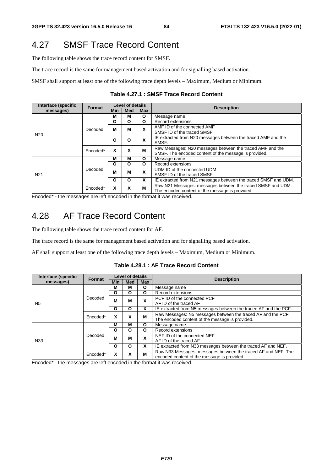## 4.27 SMSF Trace Record Content

The following table shows the trace record content for SMSF.

The trace record is the same for management based activation and for signalling based activation.

SMSF shall support at least one of the following trace depth levels – Maximum, Medium or Minimum.

| Interface (specific | Format   |            | <b>Level of details</b> |            |                                                                 |
|---------------------|----------|------------|-------------------------|------------|-----------------------------------------------------------------|
| messages)           |          | <b>Min</b> | <b>Med</b>              | <b>Max</b> | <b>Description</b>                                              |
|                     |          | м          | м                       | O          | Message name                                                    |
|                     |          | O          | O                       | O          | Record extensions                                               |
|                     | Decoded  | М          | М                       | x          | AMF ID of the connected AMF                                     |
| N <sub>20</sub>     |          |            |                         |            | SMSF ID of the traced SMSF                                      |
|                     |          | O          | O                       | X          | IE extracted from N20 messages between the traced AMF and the   |
|                     |          |            |                         |            | SMSF.                                                           |
|                     | Encoded* | X          | X                       | М          | Raw Messages: N20 messages between the traced AMF and the       |
|                     |          |            |                         |            | SMSF. The encoded content of the message is provided.           |
|                     |          | М          | М                       | O          | Message name                                                    |
|                     |          | O          | O                       | O          | Record extensions                                               |
|                     | Decoded  | M          | М                       | x          | UDM ID of the connected UDM                                     |
| N <sub>21</sub>     |          |            |                         |            | SMSF ID of the traced SMSF                                      |
|                     |          | O          | O                       | X          | IE extracted from N21 messages between the traced SMSF and UDM. |
|                     | Encoded* | X          | X                       | М          | Raw N21 Messages: messages between the traced SMSF and UDM.     |
|                     |          |            |                         |            | The encoded content of the message is provided                  |

**Table 4.27.1 : SMSF Trace Record Content** 

Encoded\* - the messages are left encoded in the format it was received.

### 4.28 AF Trace Record Content

The following table shows the trace record content for AF.

The trace record is the same for management based activation and for signalling based activation.

AF shall support at least one of the following trace depth levels – Maximum, Medium or Minimum.

**Table 4.28.1 : AF Trace Record Content** 

| Interface (specific | <b>Format</b> | Level of details |            |            | <b>Description</b>                                               |
|---------------------|---------------|------------------|------------|------------|------------------------------------------------------------------|
| messages)           |               | <b>Min</b>       | <b>Med</b> | <b>Max</b> |                                                                  |
|                     |               | М                | м          | O          | Message name                                                     |
|                     |               | O                | Ο          | O          | Record extensions                                                |
|                     | Decoded       | М                | M          | X          | PCF ID of the connected PCF                                      |
| N <sub>5</sub>      |               |                  |            |            | AF ID of the traced AF                                           |
|                     |               | $\Omega$         | Ο          | x          | IE extracted from N5 messages between the traced AF and the PCF. |
|                     | Encoded*      | x                | x          | M          | Raw Messages: N5 messages between the traced AF and the PCF.     |
|                     |               |                  |            |            | The encoded content of the message is provided.                  |
|                     |               | М                | M          | O          | Message name                                                     |
|                     |               | O                | Ο          | O          | Record extensions                                                |
|                     | Decoded       | M                | М          | X          | NEF ID of the connected NEF                                      |
| N <sub>33</sub>     |               |                  |            |            | AF ID of the traced AF                                           |
|                     |               | O                | O          | x          | IE extracted from N33 messages between the traced AF and NEF.    |
|                     | Encoded*      | x                | χ          | M          | Raw N33 Messages: messages between the traced AF and NEF. The    |
|                     |               |                  |            |            | encoded content of the message is provided                       |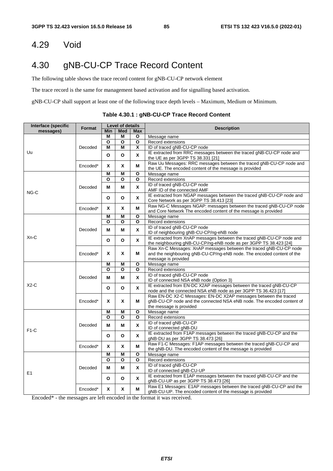### 4.29 Void

## 4.30 gNB-CU-CP Trace Record Content

The following table shows the trace record content for gNB-CU-CP network element

The trace record is the same for management based activation and for signalling based activation.

gNB-CU-CP shall support at least one of the following trace depth levels – Maximum, Medium or Minimum.

| Interface (specific | Format   | Level of details |     |                         | <b>Description</b>                                                                                                                                                  |  |
|---------------------|----------|------------------|-----|-------------------------|---------------------------------------------------------------------------------------------------------------------------------------------------------------------|--|
| messages)           |          | Min              | Med | <b>Max</b>              |                                                                                                                                                                     |  |
|                     |          | М                | Μ   | О                       | Message name                                                                                                                                                        |  |
|                     |          | O                | O   | О                       | Record extensions                                                                                                                                                   |  |
|                     | Decoded  | М                | M   | X                       | ID of traced gNB-CU-CP node                                                                                                                                         |  |
| Uu                  |          | O                | O   | X                       | IE extracted from RRC messages between the traced gNB-CU-CP node and<br>the UE as per 3GPP TS 38.331 [21]                                                           |  |
|                     | Encoded* | X                | X   | М                       | Raw Uu Messages: RRC messages between the traced gNB-CU-CP node and<br>the UE. The encoded content of the message is provided                                       |  |
|                     |          | М                | М   | $\mathbf{o}$            | Message name                                                                                                                                                        |  |
|                     |          | O                | O   | $\overline{\mathbf{o}}$ | Record extensions                                                                                                                                                   |  |
|                     | Decoded  | Μ                | Μ   | X                       | ID of traced gNB-CU-CP node<br>AMF ID of the connected AMF                                                                                                          |  |
| NG-C                |          | О                | O   | X                       | IE extracted from NGAP messages between the traced gNB-CU-CP node and<br>Core Network as per 3GPP TS 38.413 [23]                                                    |  |
|                     | Encoded* | Χ                | Χ   | м                       | Raw NG-C Messages NGAP: messages between the traced gNB-CU-CP node<br>and Core Network The encoded content of the message is provided                               |  |
|                     |          | М                | M   | $\mathbf{o}$            | Message name                                                                                                                                                        |  |
|                     |          | O                | O   | O                       | Record extensions                                                                                                                                                   |  |
|                     | Decoded  | М                | М   | X                       | ID of traced gNB-CU-CP node<br>ID of neighbouring gNB-CU-CP/ng-eNB node                                                                                             |  |
| Xn-C                |          | Ο                | О   | X.                      | IE extracted from XnAP messages between the traced gNB-CU-CP node and<br>the neighbouring gNB-CU-CP/ng-eNB node as per 3GPP TS 38.423 [24]                          |  |
|                     | Encoded* | X                | X   | М                       | Raw Xn-C Messages: XnAP messages between the traced gNB-CU-CP node<br>and the neighbouring gNB-CU-CP/ng-eNB node. The encoded content of the                        |  |
|                     |          |                  |     |                         | message is provided                                                                                                                                                 |  |
|                     |          | М                | Μ   | О                       | Message name                                                                                                                                                        |  |
|                     |          | O                | O   | O                       | Record extensions                                                                                                                                                   |  |
|                     | Decoded  | М                | М   | X                       | ID of traced gNB-CU-CP node<br>ID of connected NSA eNB node (Option 3)                                                                                              |  |
| $X2-C$              |          | O                | O   | X                       | IE extracted from EN-DC X2AP messages between the traced gNB-CU-CP<br>node and the connected NSA eNB node as per 3GPP TS 36.423 [17]                                |  |
|                     | Encoded* | X                | X   | м                       | Raw EN-DC X2-C Messages: EN-DC X2AP messages between the traced<br>gNB-CU-CP node and the connected NSA eNB node. The encoded content of<br>the message is provided |  |
|                     |          | М                | Μ   | О                       | Message name                                                                                                                                                        |  |
|                     |          | О                | О   | О                       | Record extensions                                                                                                                                                   |  |
| $F1-C$              | Decoded  | M                | М   | X                       | ID of traced gNB-CU-CP<br>ID of connected gNB-DU                                                                                                                    |  |
|                     |          | O                | O   | X                       | IE extracted from F1AP messages between the traced gNB-CU-CP and the<br>gNB-DU as per 3GPP TS 38.473 [26]                                                           |  |
|                     | Encoded* | X                | X   | М                       | Raw F1-C Messages: F1AP messages between the traced gNB-CU-CP and<br>the gNB-DU. The encoded content of the message is provided                                     |  |
|                     |          | М                | М   | O                       | Message name                                                                                                                                                        |  |
|                     |          | O                | O   | О                       | Record extensions                                                                                                                                                   |  |
|                     | Decoded  | М                | Μ   | X                       | ID of traced gNB-CU-CP<br>ID of connected gNB-CU-UP                                                                                                                 |  |
| E1                  |          | О                | O   | X                       | IE extracted from E1AP messages between the traced gNB-CU-CP and the<br>gNB-CU-UP as per 3GPP TS 38.473 [26]                                                        |  |
|                     | Encoded* | X                | X   | М                       | Raw E1 Messages: E1AP messages between the traced gNB-CU-CP and the<br>gNB-CU-UP. The encoded content of the message is provided                                    |  |

**Table 4.30.1 : gNB-CU-CP Trace Record Content**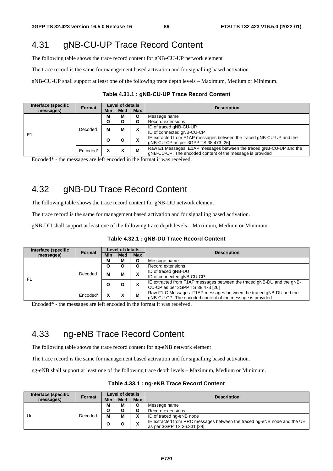# 4.31 gNB-CU-UP Trace Record Content

The following table shows the trace record content for gNB-CU-UP network element

The trace record is the same for management based activation and for signalling based activation.

gNB-CU-UP shall support at least one of the following trace depth levels – Maximum, Medium or Minimum.

| Interface (specific | <b>Format</b> | Level of details |            |            |                                                                      |  |
|---------------------|---------------|------------------|------------|------------|----------------------------------------------------------------------|--|
| messages)           |               | <b>Min</b>       | <b>Med</b> | <b>Max</b> | <b>Description</b>                                                   |  |
|                     |               | М                | м          | O          | Message name                                                         |  |
|                     |               | O                | О          | O          | Record extensions                                                    |  |
|                     | Decoded       | м                | М          |            | ID of traced gNB-CU-UP                                               |  |
| E <sub>1</sub>      |               |                  |            |            | ID of connected gNB-CU-CP                                            |  |
|                     |               | O                | O          |            | IE extracted from E1AP messages between the traced gNB-CU-UP and the |  |
|                     |               |                  |            | ́          | qNB-CU-CP as per 3GPP TS 38.473 [26]                                 |  |
|                     | Encoded*      |                  | Λ          | м          | Raw E1 Messages: E1AP messages between the traced gNB-CU-UP and the  |  |
|                     |               |                  |            |            | gNB-CU-CP. The encoded content of the message is provided            |  |

**Table 4.31.1 : gNB-CU-UP Trace Record Content** 

Encoded\* - the messages are left encoded in the format it was received.

# 4.32 gNB-DU Trace Record Content

The following table shows the trace record content for gNB-DU network element

The trace record is the same for management based activation and for signalling based activation.

gNB-DU shall support at least one of the following trace depth levels – Maximum, Medium or Minimum.

| Interface (specific | <b>Format</b> |            | <b>Level of details</b> |            | <b>Description</b>                                                     |
|---------------------|---------------|------------|-------------------------|------------|------------------------------------------------------------------------|
| messages)           |               | <b>Min</b> | <b>Med</b>              | <b>Max</b> |                                                                        |
|                     |               | м          | М                       |            | Message name                                                           |
|                     |               | O          | O                       | О          | Record extensions                                                      |
|                     | Decoded       | м          | м                       | ᄉ          | ID of traced gNB-DU                                                    |
| F <sub>1</sub>      |               |            |                         |            | ID of connected gNB-CU-CP                                              |
|                     |               | O          | O                       | ́          | IE extracted from F1AP messages between the traced gNB-DU and the gNB- |
|                     |               |            |                         |            | CU-CP as per 3GPP TS 38.473 [26]                                       |
|                     | Encoded*      |            |                         | M          | Raw F1-C Messages: F1AP messages between the traced gNB-DU and the     |
|                     |               |            |                         |            | gNB-CU-CP. The encoded content of the message is provided              |

#### **Table 4.32.1 : gNB-DU Trace Record Content**

Encoded\* - the messages are left encoded in the format it was received.

## 4.33 ng-eNB Trace Record Content

The following table shows the trace record content for ng-eNB network element

The trace record is the same for management based activation and for signalling based activation.

ng-eNB shall support at least one of the following trace depth levels – Maximum, Medium or Minimum.

| Interface (specific | Format  | <b>Level of details</b> |            |            |                                                                                                        |
|---------------------|---------|-------------------------|------------|------------|--------------------------------------------------------------------------------------------------------|
| messages)           |         | Min                     | <b>Med</b> | <b>Max</b> | <b>Description</b>                                                                                     |
|                     | Decoded | М                       | M          |            | Message name                                                                                           |
|                     |         |                         |            |            | Record extensions                                                                                      |
| Uu                  |         | М                       | М          |            | ID of traced ng-eNB node                                                                               |
|                     |         |                         |            |            | IE extracted from RRC messages between the traced ng-eNB node and the UE<br>as per 3GPP TS 36.331 [28] |

#### **Table 4.33.1 : ng-eNB Trace Record Content**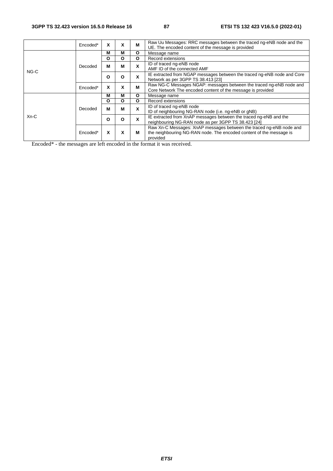|        | Encoded* | X | X | м            | Raw Uu Messages: RRC messages between the traced ng-eNB node and the<br>UE. The encoded content of the message is provided                             |
|--------|----------|---|---|--------------|--------------------------------------------------------------------------------------------------------------------------------------------------------|
|        |          | М | м | O            | Message name                                                                                                                                           |
|        |          | O | O | $\mathbf{o}$ | Record extensions                                                                                                                                      |
|        | Decoded  | M | М | X            | ID of traced ng-eNB node                                                                                                                               |
| NG-C   |          |   |   |              | AMF ID of the connected AMF                                                                                                                            |
|        |          | O | O | X            | IE extracted from NGAP messages between the traced ng-eNB node and Core<br>Network as per 3GPP TS 38.413 [23]                                          |
|        | Encoded* | X | x | м            | Raw NG-C Messages NGAP: messages between the traced ng-eNB node and<br>Core Network The encoded content of the message is provided                     |
|        |          | М | М | $\mathbf{o}$ | Message name                                                                                                                                           |
|        |          | Ο | O | O            | Record extensions                                                                                                                                      |
|        | Decoded  | M | М | X            | ID of traced ng-eNB node                                                                                                                               |
|        |          |   |   |              | ID of neighbouring NG-RAN node (i.e. ng-eNB or gNB)                                                                                                    |
| $Xn-C$ |          | O | O | X            | IE extracted from XnAP messages between the traced ng-eNB and the                                                                                      |
|        |          |   |   |              | neighbouring NG-RAN node as per 3GPP TS 38.423 [24]                                                                                                    |
|        | Encoded* | X | X | м            | Raw Xn-C Messages: XnAP messages between the traced ng-eNB node and<br>the neighbouring NG-RAN node. The encoded content of the message is<br>provided |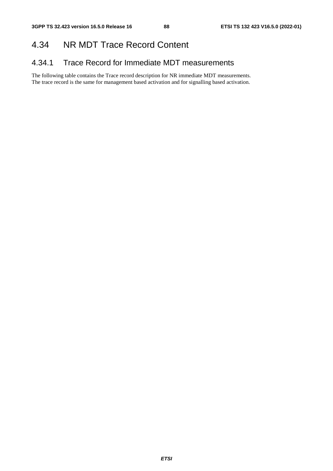### 4.34 NR MDT Trace Record Content

### 4.34.1 Trace Record for Immediate MDT measurements

The following table contains the Trace record description for NR immediate MDT measurements. The trace record is the same for management based activation and for signalling based activation.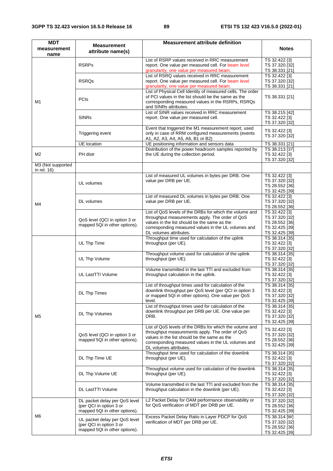| <b>MDT</b>                       | <b>Measurement</b>                                                                        | <b>Measurement attribute definition</b>                                                                                                                                                                                                     |                                                                                       |
|----------------------------------|-------------------------------------------------------------------------------------------|---------------------------------------------------------------------------------------------------------------------------------------------------------------------------------------------------------------------------------------------|---------------------------------------------------------------------------------------|
| measurement<br>name              | attribute name(s)                                                                         |                                                                                                                                                                                                                                             | <b>Notes</b>                                                                          |
| M1                               | <b>RSRPs</b>                                                                              | List of RSRP values received in RRC measurement<br>report. One value per measured cell. For beam level<br>granularity, one value per measured beam.                                                                                         | TS 32.422 [3]<br>TS 37.320 [32]<br>TS 38.331 [21]                                     |
|                                  | <b>RSRQs</b>                                                                              | List of RSRQ values received in RRC measurement<br>report. One value per measured cell. For beam level<br>granularity, one value per measured beam.                                                                                         | TS 32.422 [3]<br>TS 37.320 [32]<br>TS 38.331 [21]                                     |
|                                  | <b>PCIS</b>                                                                               | List of Physical Cell Identity of measured cells. The order<br>of PCI values in the list should be the same as the<br>corresponding measured values in the RSRPs, RSRQs<br>and SINRs attributes.                                            | TS 38.331 [21]                                                                        |
|                                  | <b>SINRs</b>                                                                              | List of SINR values received in RRC measurement<br>report. One value per measured cell.                                                                                                                                                     | TS 38.215 [42]<br>TS 32.422 [3]<br>TS 37.320 [32]                                     |
|                                  | Triggering event                                                                          | Event that triggered the M1 measurement report, used<br>only in case of RRM configured measurements (events<br>A1, A2, A3, A4, A5, A6, B1 or B2)                                                                                            | TS 32.422 [3]<br>TS 37.320 [32]                                                       |
|                                  | <b>UE</b> location                                                                        | UE positioning information and sensors data                                                                                                                                                                                                 | TS 38.331 [21]                                                                        |
| M <sub>2</sub>                   | PH distr                                                                                  | Distribution of the power headroom samples reported by<br>the UE during the collection period.                                                                                                                                              | TS 38.213 [37]<br>TS 32.422 [3]<br>TS 37.320 [32]                                     |
| M3 (Not supported<br>in rel. 16) |                                                                                           |                                                                                                                                                                                                                                             |                                                                                       |
|                                  | UL volumes                                                                                | List of measured UL volumes in bytes per DRB. One<br>value per DRB per UE.                                                                                                                                                                  | TS 32.422 [3]<br>TS 37.320 [32]<br>TS 28.552 [36]<br>TS 32.425 [39]                   |
| M4                               | DL volumes                                                                                | List of measured DL volumes in bytes per DRB. One<br>value per DRB per UE.                                                                                                                                                                  | TS 32.422 [3]<br>TS 37.320 [32]<br>TS 28.552 [36]                                     |
|                                  | QoS level (QCI in option 3 or<br>mapped 5QI in other options).                            | List of QoS levels of the DRBs for which the volume and<br>throughput measurements apply. The order of QoS<br>values in the list should be the same as the<br>corresponding measured values in the UL volumes and<br>DL volumes attributes. | TS 32.422 [3]<br>TS 37.320 [32]<br>TS 28.552 [36]<br>TS 32.425 [39]<br>TS 32.425 [39] |
|                                  | UL Thp Time                                                                               | Throughput time used for calculation of the uplink<br>throughput (per UE).                                                                                                                                                                  | TS 38.314 [35]<br>TS 32.422 [3]<br>TS 37.320 [32]                                     |
|                                  | UL Thp Volume                                                                             | Throughput volume used for calculation of the uplink<br>throughput (per UE).                                                                                                                                                                | TS 38.314 [35]<br>TS 32.422 [3]<br>TS 37.320 [32]                                     |
|                                  | UL LastTTI Volume                                                                         | Volume transmitted in the last TTI and excluded from<br>throughput calculation in the uplink.                                                                                                                                               | TS 38.314 [35]<br>TS 32.422 [3]<br>TS 37.320 [32]                                     |
| M5                               | DL Thp Times                                                                              | List of throughput times used for calculation of the<br>downlink throughput per QoS level (per QCI in option 3<br>or mapped 5QI in other options). One value per QoS<br>level.                                                              | TS 38.314 [35]<br>TS 32.422 [3]<br>TS 37.320 [32]<br>TS 32.425 [39]                   |
|                                  | DL Thp Volumes                                                                            | List of throughput times used for calculation of the<br>downlink throughput per DRB per UE. One value per<br>DRB.                                                                                                                           | TS 38.314 [35]<br>TS 32.422 [3]<br>TS 37.320 [32]<br>TS 32.425 [39]                   |
|                                  | QoS level (QCI in option 3 or<br>mapped 5QI in other options).                            | List of QoS levels of the DRBs for which the volume and<br>throughput measurements apply. The order of QoS<br>values in the list should be the same as the<br>corresponding measured values in the UL volumes and<br>DL volumes attributes. | TS 32.422 [3]<br>TS 37.320 [32]<br>TS 28.552 [36]<br>TS 32.425 [39]                   |
|                                  | DL Thp Time UE                                                                            | Throughput time used for calculation of the downlink<br>throughput (per UE).                                                                                                                                                                | TS 38.314 [35]<br>TS 32.422 [3]<br>TS 37.320 [32]                                     |
|                                  | DL Thp Volume UE                                                                          | Throughput volume used for calculation of the downlink<br>throughput (per UE).                                                                                                                                                              | TS 38.314 [35]<br>TS 32.422 [3]<br>TS 37.320 [32]                                     |
|                                  | DL LastTTI Volume                                                                         | Volume transmitted in the last TTI and excluded from the<br>throughput calculation in the downlink (per UE).                                                                                                                                | TS 38.314 [35]<br>TS 32.422 [3]<br>TS 37.320 [32]                                     |
| M6                               | DL packet delay per QoS level<br>(per QCI in option 3 or<br>mapped 5QI in other options). | L2 Packet Delay for OAM performance observability or<br>for QoS verification of MDT per DRB per UE.                                                                                                                                         | TS 37.320 [32]<br>TS 28.552 [36]<br>TS 32.425 [39]                                    |
|                                  | UL packet delay per QoS level<br>(per QCI in option 3 or<br>mapped 5QI in other options). | Excess Packet Delay Ratio in Layer PDCP for QoS<br>verification of MDT per DRB per UE.                                                                                                                                                      | TS 38.314 [W]<br>TS 37.320 [32]<br>TS 28.552 [36]<br>TS 32.425 [39]                   |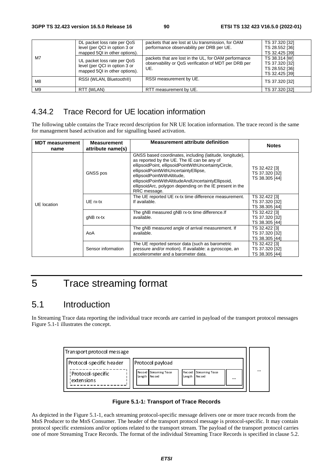| M7 | DL packet loss rate per QoS<br>level (per QCI in option 3 or<br>mapped 5QI in other options). | packets that are lost at Uu transmission, for OAM<br>performance observability per DRB per UE.                      | TS 37.320 [32]<br>TS 28.552 [36]<br>TS 32.425 [39]                  |
|----|-----------------------------------------------------------------------------------------------|---------------------------------------------------------------------------------------------------------------------|---------------------------------------------------------------------|
|    | UL packet loss rate per QoS<br>level (per QCI in option 3 or<br>mapped 5QI in other options). | packets that are lost in the UL, for OAM performance<br>observability or QoS verification of MDT per DRB per<br>UE. | TS 38.314 [W]<br>TS 37.320 [32]<br>TS 28.552 [36]<br>TS 32.425 [39] |
| M8 | RSSI (WLAN, Bluetooth®)                                                                       | RSSI measurement by UE.                                                                                             | TS 37.320 [32]                                                      |
| M9 | RTT (WLAN)                                                                                    | RTT measurement by UE.                                                                                              | TS 37.320 [32]                                                      |

### 4.34.2 Trace Record for UE location information

The following table contains the Trace record description for NR UE location information. The trace record is the same for management based activation and for signalling based activation.

| <b>MDT</b> measurement<br>name | <b>Measurement</b><br>attribute name(s) | <b>Measurement attribute definition</b>                                                                                                                                                                                                                                                                                                                                   | <b>Notes</b>                                      |
|--------------------------------|-----------------------------------------|---------------------------------------------------------------------------------------------------------------------------------------------------------------------------------------------------------------------------------------------------------------------------------------------------------------------------------------------------------------------------|---------------------------------------------------|
| UE location                    | GNSS pos                                | GNSS based coordinates, including (latitude, longitude),<br>as reported by the UE. The IE can be any of<br>ellipsoidPoint, ellipsoidPointWithUncertaintyCircle,<br>ellipsoidPointWithUncertaintyEllipse,<br>ellipsoidPointWithAltitude,<br>ellipsoidPointWithAltitudeAndUncertaintyEllipsoid,<br>ellipsoidArc, polygon depending on the IE present in the<br>RRC message. | TS 32.422 [3]<br>TS 37.320 [32]<br>TS 38.305 [44] |
|                                | UE rx-tx                                | The UE reported UE rx-tx time difference measurement.<br>If available.                                                                                                                                                                                                                                                                                                    | TS 32.422 [3]<br>TS 37.320 [32]<br>TS 38.305 [44] |
|                                | qNB rx-tx                               | The gNB measured gNB rx-tx time difference. If<br>available.                                                                                                                                                                                                                                                                                                              | TS 32.422 [3]<br>TS 37.320 [32]<br>TS 38.305 [44] |
|                                | AoA                                     | The gNB measured angle of arrival measurement. If<br>available.                                                                                                                                                                                                                                                                                                           | TS 32.422 [3]<br>TS 37.320 [32]<br>TS 38.305 [44] |
|                                | Sensor information                      | The UE reported sensor data (such as barometric<br>pressure and/or motion). If available: a gyroscope, an<br>accelerometer and a barometer data.                                                                                                                                                                                                                          | TS 32.422 [3]<br>TS 37.320 [32]<br>TS 38.305 [44] |

# 5 Trace streaming format

### 5.1 Introduction

In Streaming Trace data reporting the individual trace records are carried in payload of the transport protocol messages Figure 5.1-1 illustrates the concept.





As depicted in the Figure 5.1-1, each streaming protocol-specific message delivers one or more trace records from the MnS Producer to the MnS Consumer. The header of the transport protocol message is protocol-specific. It may contain protocol specific extensions and/or options related to the transport stream. The payload of the transport protocol carries one of more Streaming Trace Records. The format of the individual Streaming Trace Records is specified in clause 5.2.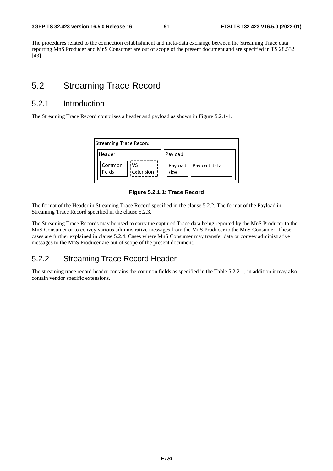The procedures related to the connection establishment and meta-data exchange between the Streaming Trace data reporting MnS Producer and MnS Consumer are out of scope of the present document and are specified in TS 28.532  $[43]$ 

### 5.2 Streaming Trace Record

### 5.2.1 Introduction

The Streaming Trace Record comprises a header and payload as shown in Figure 5.2.1-1.



**Figure 5.2.1.1: Trace Record** 

The format of the Header in Streaming Trace Record specified in the clause 5.2.2. The format of the Payload in Streaming Trace Record specified in the clause 5.2.3.

The Streaming Trace Records may be used to carry the captured Trace data being reported by the MnS Producer to the MnS Consumer or to convey various administrative messages from the MnS Producer to the MnS Consumer. These cases are further explained in clause 5.2.4. Cases where MnS Consumer may transfer data or convey administrative messages to the MnS Producer are out of scope of the present document.

### 5.2.2 Streaming Trace Record Header

The streaming trace record header contains the common fields as specified in the Table 5.2.2-1, in addition it may also contain vendor specific extensions.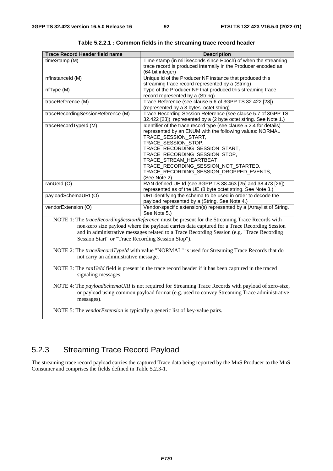| <b>Trace Record Header field name</b>                                                               | <b>Description</b>                                                                                    |  |  |
|-----------------------------------------------------------------------------------------------------|-------------------------------------------------------------------------------------------------------|--|--|
| timeStamp (M)                                                                                       | Time stamp (in milliseconds since Epoch) of when the streaming                                        |  |  |
|                                                                                                     | trace record is produced internally in the Producer encoded as                                        |  |  |
|                                                                                                     | (64 bit integer)                                                                                      |  |  |
| nflnstanceld (M)                                                                                    | Unique id of the Producer NF instance that produced this                                              |  |  |
|                                                                                                     | streaming trace record represented by a (String)                                                      |  |  |
| nfType (M)                                                                                          | Type of the Producer NF that produced this streaming trace                                            |  |  |
|                                                                                                     | record represented by a (String)                                                                      |  |  |
| traceReference (M)                                                                                  | Trace Reference (see clause 5.6 of 3GPP TS 32.422 [23])                                               |  |  |
|                                                                                                     | (represented by a 3 bytes octet string)                                                               |  |  |
| traceRecordingSessionReference (M)                                                                  | Trace Recording Session Reference (see clause 5.7 of 3GPP TS                                          |  |  |
|                                                                                                     | 32.422 [23]) represented by a (2 byte octet string. See Note 1.)                                      |  |  |
| traceRecordTypeId (M)                                                                               | Identifier of the trace record type (see clause 5.2.4 for details)                                    |  |  |
|                                                                                                     | represented by an ENUM with the following values: NORMAL                                              |  |  |
|                                                                                                     | TRACE_SESSION_START,                                                                                  |  |  |
|                                                                                                     | TRACE_SESSION_STOP,                                                                                   |  |  |
|                                                                                                     | TRACE_RECORDING_SESSION_START,                                                                        |  |  |
|                                                                                                     | TRACE_RECORDING_SESSION_STOP,                                                                         |  |  |
|                                                                                                     | TRACE_STREAM_HEARTBEAT.                                                                               |  |  |
|                                                                                                     | TRACE_RECORDING_SESSION_NOT_STARTED,                                                                  |  |  |
|                                                                                                     | TRACE_RECORDING_SESSION_DROPPED_EVENTS,                                                               |  |  |
|                                                                                                     | (See Note 2).                                                                                         |  |  |
| ranUeld (O)                                                                                         | RAN defined UE Id (see 3GPP TS 38.463 [25] and 38.473 [26])                                           |  |  |
|                                                                                                     | represented as of the UE (8 byte octet string. See Note 3.)                                           |  |  |
| payloadSchemaURI (O)                                                                                | URI identifying the schema to be used in order to decode the                                          |  |  |
|                                                                                                     | payload represented by a (String. See Note 4.)                                                        |  |  |
| vendorExtension (O)                                                                                 | Vendor-specific extension(s) represented by a (Arraylist of String.                                   |  |  |
|                                                                                                     | See Note 5.)                                                                                          |  |  |
|                                                                                                     | NOTE 1: The traceRecordingSessionReference must be present for the Streaming Trace Records with       |  |  |
|                                                                                                     | non-zero size payload where the payload carries data captured for a Trace Recording Session           |  |  |
|                                                                                                     | and in administrative messages related to a Trace Recording Session (e.g. "Trace Recording            |  |  |
| Session Start" or "Trace Recording Session Stop").                                                  |                                                                                                       |  |  |
|                                                                                                     |                                                                                                       |  |  |
|                                                                                                     | NOTE 2: The traceRecordTypeId with value "NORMAL" is used for Streaming Trace Records that do         |  |  |
| not carry an administrative message.                                                                |                                                                                                       |  |  |
|                                                                                                     |                                                                                                       |  |  |
|                                                                                                     | NOTE 3: The ranUeld field is present in the trace record header if it has been captured in the traced |  |  |
| signaling messages.                                                                                 |                                                                                                       |  |  |
|                                                                                                     |                                                                                                       |  |  |
| NOTE 4: The payloadSchemaURI is not required for Streaming Trace Records with payload of zero-size, |                                                                                                       |  |  |
|                                                                                                     | or payload using common payload format (e.g. used to convey Streaming Trace administrative            |  |  |
| messages).                                                                                          |                                                                                                       |  |  |
|                                                                                                     |                                                                                                       |  |  |
| NOTE 5: The vendorExtension is typically a generic list of key-value pairs.                         |                                                                                                       |  |  |

**Table 5.2.2.1 : Common fields in the streaming trace record header** 

## 5.2.3 Streaming Trace Record Payload

The streaming trace record payload carries the captured Trace data being reported by the MnS Producer to the MnS Consumer and comprises the fields defined in Table 5.2.3-1.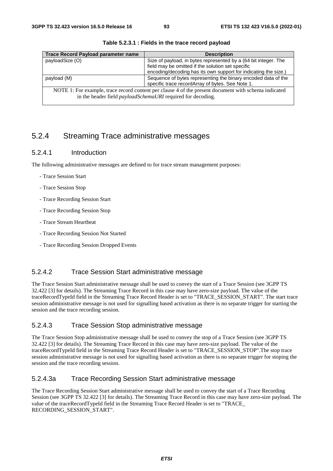| <b>Trace Record Payload parameter name</b>                                                           | <b>Description</b>                                              |
|------------------------------------------------------------------------------------------------------|-----------------------------------------------------------------|
| payloadSize (O)                                                                                      | Size of payload, in bytes represented by a (64 bit integer. The |
|                                                                                                      | field may be omitted if the solution set specific               |
|                                                                                                      | encoding/decoding has its own support for indicating the size.) |
| payload (M)                                                                                          | Sequence of bytes representing the binary encoded data of the   |
|                                                                                                      | specific trace recordArray of bytes. See Note 1.                |
| NOTE 1: For example, trace record content per clause 4 of the present document with schema indicated |                                                                 |
| in the header field <i>payloadSchemaURI</i> required for decoding.                                   |                                                                 |

**Table 5.2.3.1 : Fields in the trace record payload** 

### 5.2.4 Streaming Trace administrative messages

#### 5.2.4.1 Introduction

The following administrative messages are defined to for trace stream management purposes:

- Trace Session Start
- Trace Session Stop
- Trace Recording Session Start
- Trace Recording Session Stop
- Trace Stream Heartbeat
- Trace Recording Session Not Started
- Trace Recording Session Dropped Events

### 5.2.4.2 Trace Session Start administrative message

The Trace Session Start administrative message shall be used to convey the start of a Trace Session (see 3GPP TS 32.422 [3] for details). The Streaming Trace Record in this case may have zero-size payload. The value of the traceRecordTypeId field in the Streaming Trace Record Header is set to "TRACE\_SESSION\_START". The start trace session administrative message is not used for signalling based activation as there is no separate trigger for starting the session and the trace recording session.

#### 5.2.4.3 Trace Session Stop administrative message

The Trace Session Stop administrative message shall be used to convey the stop of a Trace Session (see 3GPP TS 32.422 [3] for details). The Streaming Trace Record in this case may have zero-size payload. The value of the traceRecordTypeId field in the Streaming Trace Record Header is set to "TRACE\_SESSION\_STOP".The stop trace session administrative message is not used for signalling based activation as there is no separate trigger for stoping the session and the trace recording session.

#### 5.2.4.3a Trace Recording Session Start administrative message

The Trace Recording Session Start administrative message shall be used to convey the start of a Trace Recording Session (see 3GPP TS 32.422 [3] for details). The Streaming Trace Record in this case may have zero-size payload. The value of the traceRecordTypeId field in the Streaming Trace Record Header is set to "TRACE\_ RECORDING\_SESSION\_START".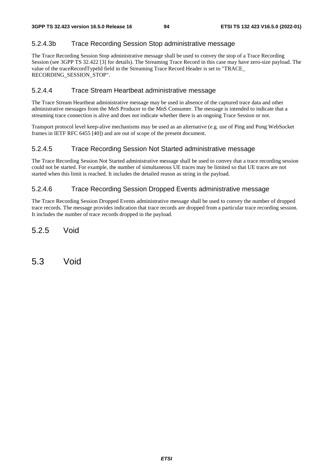### 5.2.4.3b Trace Recording Session Stop administrative message

The Trace Recording Session Stop administrative message shall be used to convey the stop of a Trace Recording Session (see 3GPP TS 32.422 [3] for details). The Streaming Trace Record in this case may have zero-size payload. The value of the traceRecordTypeId field in the Streaming Trace Record Header is set to "TRACE\_ RECORDING\_SESSION\_STOP".

### 5.2.4.4 Trace Stream Heartbeat administrative message

The Trace Stream Heartbeat administrative message may be used in absence of the captured trace data and other administrative messages from the MnS Producer to the MnS Consumer. The message is intended to indicate that a streaming trace connection is alive and does not indicate whether there is an ongoing Trace Session or not.

Transport protocol level keep-alive mechanisms may be used as an alternative (e.g. use of Ping and Pong WebSocket frames in IETF RFC 6455 [40]) and are out of scope of the present document.

### 5.2.4.5 Trace Recording Session Not Started administrative message

The Trace Recording Session Not Started administrative message shall be used to convey that a trace recording session could not be started. For example, the number of simultaneous UE traces may be limited so that UE traces are not started when this limit is reached. It includes the detailed reason as string in the payload.

### 5.2.4.6 Trace Recording Session Dropped Events administrative message

The Trace Recording Session Dropped Events administrative message shall be used to convey the number of dropped trace records. The message provides indication that trace records are dropped from a particular trace recording session. It includes the number of trace records dropped in the payload.

5.2.5 Void

5.3 Void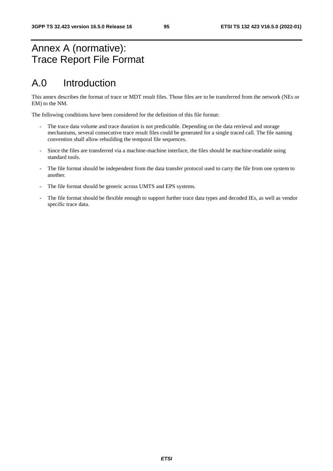# Annex A (normative): Trace Report File Format

# A.0 Introduction

This annex describes the format of trace or MDT result files. Those files are to be transferred from the network (NEs or EM) to the NM.

The following conditions have been considered for the definition of this file format:

- The trace data volume and trace duration is not predictable. Depending on the data retrieval and storage mechanisms, several consecutive trace result files could be generated for a single traced call. The file naming convention shall allow rebuilding the temporal file sequences.
- Since the files are transferred via a machine-machine interface, the files should be machine-readable using standard tools.
- The file format should be independent from the data transfer protocol used to carry the file from one system to another.
- The file format should be generic across UMTS and EPS systems.
- The file format should be flexible enough to support further trace data types and decoded IEs, as well as vendor specific trace data.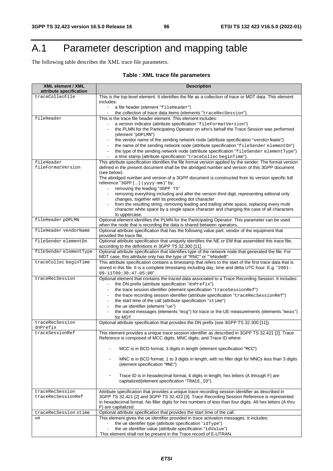# A.1 Parameter description and mapping table

The following table describes the XML trace file parameters.

### **Table : XML trace file parameters**

| <b>XML element / XML</b>                   | <b>Description</b>                                                                                                                                                          |
|--------------------------------------------|-----------------------------------------------------------------------------------------------------------------------------------------------------------------------------|
| attribute specification<br>traceCollecFile | This is the top-level element. It identifies the file as a collection of trace or MDT data. This element                                                                    |
|                                            | includes:                                                                                                                                                                   |
|                                            | a file header (element "fileHeader")<br>$\blacksquare$                                                                                                                      |
|                                            | the collection of trace data items (elements "traceRecSession").                                                                                                            |
| fileHeader                                 | This is the trace file header element. This element includes:                                                                                                               |
|                                            | a version indicator (attribute specification "fileFormatVersion")                                                                                                           |
|                                            | the PLMN for the Participating Operator on who's behalf the Trace Session was performed                                                                                     |
|                                            | (element "pOPLMN")                                                                                                                                                          |
|                                            | the vendor name of the sending network node (attribute specification "vendorName")                                                                                          |
|                                            | the name of the sending network node (attribute specification "fileSender elementDn")                                                                                       |
|                                            | the type of the sending network node (attribute specification "fileSender elementType")                                                                                     |
|                                            | a time stamp (attribute specification "traceCollec beginTime").                                                                                                             |
| fileHeader<br>fileFormatVersion            | This attribute specification identifies the file format version applied by the sender. The format version                                                                   |
|                                            | defined in the present document shall be the abridged number and version of this 3GPP document<br>(see below).                                                              |
|                                            | The abridged number and version of a 3GPP document is constructed from its version specific full                                                                            |
|                                            | reference "3GPP [] (yyyy-mm)" by:                                                                                                                                           |
|                                            | removing the leading "3GPP TS"                                                                                                                                              |
|                                            | removing everything including and after the version third digit, representing editorial only<br>$\blacksquare$                                                              |
|                                            | changes, together with its preceding dot character                                                                                                                          |
|                                            | from the resulting string, removing leading and trailing white space, replacing every multi                                                                                 |
|                                            | character white space by a single space character and changing the case of all characters                                                                                   |
| fileHeader pOPLMN                          | to uppercase.<br>Optional element identifies the PLMN for the Participating Operator. This parameter can be used                                                            |
|                                            | when the node that is recording the data is shared between operators.                                                                                                       |
| fileHeader vendorName                      | Optional attribute specification that has the following value part: vendor of the equipment that                                                                            |
|                                            | provided the trace file.                                                                                                                                                    |
| fileSender elementDn                       | Optional attribute specification that uniquely identifies the NE or EM that assembled this trace file,                                                                      |
|                                            | according to the definitions in 3GPP TS 32.300 [11].                                                                                                                        |
| fileSender elementType                     | Optional attribute specification that identifies type of the network node that generated the file. For<br>MDT case, this attribute only has the type of "RNC" or ""eNodeB". |
| traceCollec beginTime                      | This attribute specification contains a timestamp that refers to the start of the first trace data that is                                                                  |
|                                            | stored in this file. It is a complete timestamp including day, time and delta UTC hour. E.g. "2001-                                                                         |
|                                            | $09 - 11T09:30:47 - 05:00".$                                                                                                                                                |
| traceRecSession                            | Optional element that contains the traced data associated to a Trace Recording Session. It includes:                                                                        |
|                                            | the DN prefix (attribute specification "dnPrefix")                                                                                                                          |
|                                            | the trace session identifier (element specification "traceSessionRef")                                                                                                      |
|                                            | the trace recording session identifier (attribute specification "traceRecSessionRef")                                                                                       |
|                                            | the start time of the call (attribute specification "stime")<br>$\blacksquare$                                                                                              |
|                                            | the ue identifier (element "ue")                                                                                                                                            |
|                                            | the traced messages (elements "msg") for trace or the UE measurements (elements "meas")<br>for MDT                                                                          |
| traceRecSession                            | Optional attribute specification that provides the DN prefix (see 3GPP TS 32.300 [11]).                                                                                     |
| dnPrefix                                   |                                                                                                                                                                             |
| traceSessionRef                            | This element provides a unique trace session identifier as described in 3GPP TS 32.421 [2]. Trace                                                                           |
|                                            | Reference is composed of MCC digits, MNC digits, and Trace ID where:                                                                                                        |
|                                            | MCC is in BCD format, 3 digits in length (element specification "MCC")                                                                                                      |
|                                            | MNC is in BCD format, 1 to 3 digits in length, with no filler digit for MNCs less than 3 digits                                                                             |
|                                            | (element specification "MNC")                                                                                                                                               |
|                                            | Trace ID is in hexadecimal format, 6 digits in length, hex letters (A through F) are                                                                                        |
|                                            | capitalized(element specification "TRACE_ID").                                                                                                                              |
|                                            |                                                                                                                                                                             |
| traceRecSession                            | Attribute specification that provides a unique trace recording session identifier as described in                                                                           |
| traceRecSessionRef                         | 3GPP TS 32.421 [2] and 3GPP TS 32.422 [3]. Trace Recording Session Reference is represented                                                                                 |
|                                            | in hexadecimal format. No filler digits for hex numbers of less than four digits. All hex letters (A thru                                                                   |
|                                            | F) are capitalized.                                                                                                                                                         |
| traceRecSession stime<br>ue                | Optional attribute specification that provides the start time of the call.<br>This element gives the ue identifier provided in trace activation messages. It includes:      |
|                                            | the ue identifier type (attribute specification "idType")                                                                                                                   |
|                                            | the ue identifier value (attribute specification "idValue")                                                                                                                 |
|                                            | This element shall not be present in the Trace record of E-UTRAN.                                                                                                           |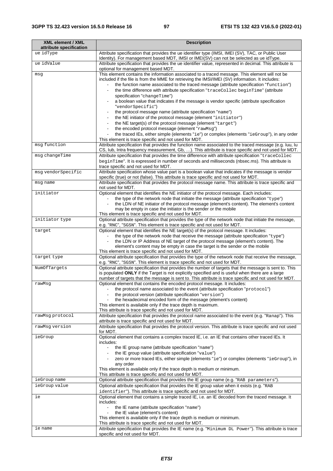| <b>XML element / XML</b><br>attribute specification | <b>Description</b>                                                                                                                                                                                         |
|-----------------------------------------------------|------------------------------------------------------------------------------------------------------------------------------------------------------------------------------------------------------------|
| ue idType                                           | Attribute specification that provides the ue identifier type (IMSI, IMEI (SV), TAC, or Public User                                                                                                         |
|                                                     | Identity). For management based MDT, IMSI or IMEI(SV) can not be selected as ue idType.                                                                                                                    |
| ue idValue                                          | Attribute specification that provides the ue identifier value, represented in decimal. This attribute is                                                                                                   |
|                                                     | optional for management based MDT.<br>This element contains the information associated to a traced message. This element will not be                                                                       |
| msg                                                 | included if the file is from the MME for retrieving the IMSI/IMEI (SV) information. It includes:                                                                                                           |
|                                                     | the function name associated to the traced message (attribute specification "function")                                                                                                                    |
|                                                     | the time difference with attribute specification "traceCollec beginTime" (attribute                                                                                                                        |
|                                                     | specification "changeTime")                                                                                                                                                                                |
|                                                     | a boolean value that indicates if the message is vendor specific (attribute specification<br>"vendorSpecific")                                                                                             |
|                                                     | the protocol message name (attribute specification "name")                                                                                                                                                 |
|                                                     | the NE initiator of the protocol message (element "initiator")                                                                                                                                             |
|                                                     | the NE target(s) of the protocol message (element "target")                                                                                                                                                |
|                                                     | the encoded protocol message (element "rawMsg")                                                                                                                                                            |
|                                                     | the traced IEs, either simple (elements "ie") or complex (elements "ieGroup"), in any order<br>÷<br>This element is trace specific and not used for MDT.                                                   |
| msg function                                        | Attribute specification that provides the function name associated to the traced message (e.g. luu, lu                                                                                                     |
|                                                     | CS, lub, Intra frequency measurement, Gb, ). This attribute is trace specific and not used for MDT.                                                                                                        |
| msg changeTime                                      | Attribute specification that provides the time difference with attribute specification "traceCollec                                                                                                        |
|                                                     | beginTime". It is expressed in number of seconds and milliseconds (nbsec.ms). This attribute is                                                                                                            |
| msg vendorSpecific                                  | trace specific and not used for MDT.<br>Attribute specification whose value part is a boolean value that indicates if the message is vendor                                                                |
|                                                     | specific (true) or not (false). This attribute is trace specific and not used for MDT.                                                                                                                     |
| msg name                                            | Attribute specification that provides the protocol message name. This attribute is trace specific and                                                                                                      |
| initiator                                           | not used for MDT.<br>Optional element that identifies the NE initiator of the protocol message. Each includes:                                                                                             |
|                                                     | the type of the network node that initiate the message (attribute specification "type")                                                                                                                    |
|                                                     | the LDN of NE initiator of the protocol message (element's content). The element's content                                                                                                                 |
|                                                     | may be empty in case the initiator is the sender or the mobile                                                                                                                                             |
| initiator type                                      | This element is trace specific and not used for MDT.<br>Optional attribute specification that provides the type of the network node that initiate the message,                                             |
|                                                     | e.g. "RNC", "SGSN". This element is trace specific and not used for MDT.                                                                                                                                   |
| target                                              | Optional element that identifies the NE target(s) of the protocol message. It includes:                                                                                                                    |
|                                                     | the type of the network node that receive the message (attribute specification "type")                                                                                                                     |
|                                                     | the LDN or IP Address of NE target of the protocol message (element's content). The<br>$\blacksquare$<br>element's content may be empty in case the target is the sender or the mobile                     |
|                                                     | This element is trace specific and not used for MDT.                                                                                                                                                       |
| target type                                         | Optional attribute specification that provides the type of the network node that receive the message,                                                                                                      |
|                                                     | e.g. "RNC", "SGSN". This element is trace specific and not used for MDT.                                                                                                                                   |
| NumOfTargets                                        | Optional attribute specification that provides the number of targets that the message is sent to. This<br>is populated ONLY if the Target is not explicitly specified and is useful when there are a large |
|                                                     | number of targets that the message is sent to. This attribute is trace specific and not used for MDT.                                                                                                      |
| rawMsq                                              | Optional element that contains the encoded protocol message. It includes:                                                                                                                                  |
|                                                     | the protocol name associated to the event (attribute specification "protocol")<br>the protocol version (attribute specification "version")                                                                 |
|                                                     | the hexadecimal encoded form of the message (element's content)                                                                                                                                            |
|                                                     | This element is available only if the trace depth is maximum.                                                                                                                                              |
|                                                     | This attribute is trace specific and not used for MDT.                                                                                                                                                     |
| rawMsg protocol                                     | Attribute specification that provides the protocol name associated to the event (e.g. "Ranap"). This<br>attribute is trace specific and not used for MDT.                                                  |
| rawMsg version                                      | Attribute specification that provides the protocol version. This attribute is trace specific and not used                                                                                                  |
|                                                     | for MDT.                                                                                                                                                                                                   |
| ieGroup                                             | Optional element that contains a complex traced IE, i.e. an IE that contains other traced IEs. It<br>includes:                                                                                             |
|                                                     | the IE group name (attribute specification "name")<br>$\blacksquare$                                                                                                                                       |
|                                                     | the IE group value (attribute specification "value")                                                                                                                                                       |
|                                                     | zero or more traced IEs, either simple (elements "ie") or complex (elements "ieGroup"), in<br>$\overline{\phantom{a}}$                                                                                     |
|                                                     | any order<br>This element is available only if the trace depth is medium or minimum.                                                                                                                       |
|                                                     | This attribute is trace specific and not used for MDT.                                                                                                                                                     |
| ieGroup name                                        | Optional attribute specification that provides the IE group name (e.g. "RAB parameters").                                                                                                                  |
| ieGroup value                                       | Optional attribute specification that provides the IE group value when it exists (e.g. "RAB                                                                                                                |
| ie                                                  | identifier"). This attribute is trace specific and not used for MDT.<br>Optional element that contains a simple traced IE, i.e. an IE decoded from the traced message. It                                  |
|                                                     | includes:                                                                                                                                                                                                  |
|                                                     | the IE name (attribute specification "name")                                                                                                                                                               |
|                                                     | the IE value (element's content)                                                                                                                                                                           |
|                                                     | This element is available only if the trace depth is medium or minimum.<br>This attribute is trace specific and not used for MDT.                                                                          |
| ie name                                             | Attribute specification that provides the IE name (e.g. "Minimum DL Power"). This attribute is trace                                                                                                       |
|                                                     | specific and not used for MDT.                                                                                                                                                                             |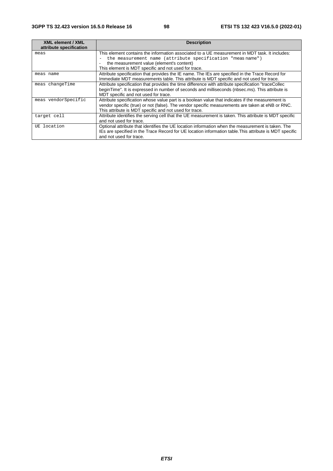| <b>XML element / XML</b> | <b>Description</b>                                                                                                                                                                                                                                             |
|--------------------------|----------------------------------------------------------------------------------------------------------------------------------------------------------------------------------------------------------------------------------------------------------------|
| attribute specification  |                                                                                                                                                                                                                                                                |
| meas                     | This element contains the information associated to a UE measurement in MDT task. It includes:                                                                                                                                                                 |
|                          | the measurement name (attribute specification "meas name")                                                                                                                                                                                                     |
|                          | the measurement value (element's content)                                                                                                                                                                                                                      |
|                          | This element is MDT specific and not used for trace.                                                                                                                                                                                                           |
| meas name                | Attribute specification that provides the IE name. The IEs are specified in the Trace Record for<br>Immediate MDT measurements table. This attribute is MDT specific and not used for trace.                                                                   |
| meas changeTime          | Attribute specification that provides the time difference with attribute specification "traceCollec<br>beginTime". It is expressed in number of seconds and milliseconds (nbsec.ms). This attribute is<br>MDT specific and not used for trace.                 |
| meas vendorSpecific      | Attribute specification whose value part is a boolean value that indicates if the measurement is<br>vendor specific (true) or not (false). The vendor specific measurements are taken at eNB or RNC.<br>This attribute is MDT specific and not used for trace. |
| target cell              | Attribute identifies the serving cell that the UE measurement is taken. This attribute is MDT specific<br>and not used for trace.                                                                                                                              |
| UE location              | Optional attribute that identifies the UE location information when the measurement is taken. The<br>IEs are specified in the Trace Record for UE location information table. This attribute is MDT specific<br>and not used for trace.                        |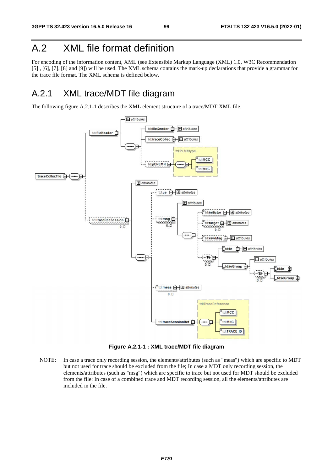# A.2 XML file format definition

For encoding of the information content, XML (see Extensible Markup Language (XML) 1.0, W3C Recommendation [5] , [6], [7], [8] and [9]) will be used. The XML schema contains the mark-up declarations that provide a grammar for the trace file format. The XML schema is defined below.

### A.2.1 XML trace/MDT file diagram

The following figure A.2.1-1 describes the XML element structure of a trace/MDT XML file.



**Figure A.2.1-1 : XML trace/MDT file diagram** 

NOTE: In case a trace only recording session, the elements/attributes (such as "meas") which are specific to MDT but not used for trace should be excluded from the file; In case a MDT only recording session, the elements/attributes (such as "msg") which are specific to trace but not used for MDT should be excluded from the file: In case of a combined trace and MDT recording session, all the elements/attributes are included in the file.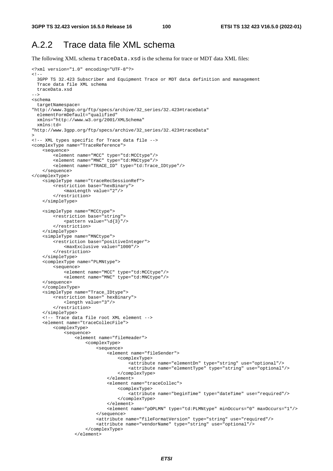### A.2.2 Trace data file XML schema

The following XML schema traceData.xsd is the schema for trace or MDT data XML files:

```
<?xml version="1.0" encoding="UTF-8"?> 
< 1 - - 3GPP TS 32.423 Subscriber and Equipment Trace or MDT data definition and management 
   Trace data file XML schema 
  traceData.xsd 
--> 
<schema 
   targetNamespace= 
"http://www.3gpp.org/ftp/specs/archive/32_series/32.423#traceData" 
 elementFormDefault="qualified"
   xmlns="http://www.w3.org/2001/XMLSchema" 
   xmlns:td= 
"http://www.3gpp.org/ftp/specs/archive/32_series/32.423#traceData" 
> 
<!-- XML types specific for Trace data file --> 
<complexType name="TraceReference"> 
     <sequence> 
         <element name="MCC" type="td:MCCtype"/> 
         <element name="MNC" type="td:MNCtype"/> 
         <element name="TRACE_ID" type="td:Trace_IDtype"/> 
     </sequence> 
</complexType> 
     <simpleType name="traceRecSessionRef"> 
         <restriction base="hexBinary"> 
             <maxLength value="2"/> 
         </restriction> 
     </simpleType> 
     <simpleType name="MCCtype"> 
         <restriction base="string"> 
            \zeta <pattern value="\d{3}"/>
         </restriction> 
     </simpleType> 
     <simpleType name="MNCtype"> 
         <restriction base="positiveInteger"> 
             <maxExclusive value="1000"/> 
         </restriction> 
     </simpleType> 
     <complexType name="PLMNtype"> 
         <sequence> 
             <element name="MCC" type="td:MCCtype"/> 
             <element name="MNC" type="td:MNCtype"/> 
     </sequence> 
     </complexType> 
     <simpleType name="Trace_IDtype"> 
         <restriction base=" hexBinary"> 
             <length value="3"/> 
         </restriction> 
     </simpleType> 
     <!-- Trace data file root XML element --> 
     <element name="traceCollecFile"> 
         <complexType> 
             <sequence> 
                  <element name="fileHeader"> 
                      <complexType> 
                           <sequence> 
                              .<br><element name="fileSender">
                                   <complexType> 
                                        <attribute name="elementDn" type="string" use="optional"/> 
                                        <attribute name="elementType" type="string" use="optional"/> 
                                    </complexType> 
                               </element> 
                               <element name="traceCollec"> 
                                   <complexType> 
                                        <attribute name="beginTime" type="dateTime" use="required"/> 
                                    </complexType> 
                               </element> 
                               <element name="pOPLMN" type="td:PLMNtype" minOccurs="0" maxOccurs="1"/>
                           </sequence> 
                           <attribute name="fileFormatVersion" type="string" use="required"/> 
                           <attribute name="vendorName" type="string" use="optional"/> 
                       </complexType> 
                  </element>
```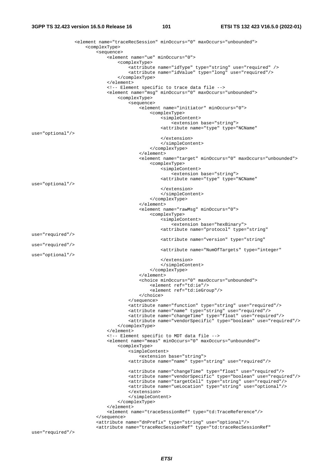<element name="traceRecSession" minOccurs="0" maxOccurs="unbounded"> <complexType> <sequence> <element name="ue" minOccurs="0"> <complexType> <attribute name="idType" type="string" use="required" /> <attribute name="idValue" type="long" use="required"/> </complexType> </element> <!-- Element specific to trace data file --> <element name="msg" minOccurs="0" maxOccurs="unbounded"> <complexType> <sequence> <element name="initiator" minOccurs="0"> <complexType> <simpleContent> <extension base="string"> <attribute name="type" type="NCName" use="optional"/> </extension> </simpleContent> </complexType> </element> <element name="target" minOccurs="0" maxOccurs="unbounded"> <complexType> <simpleContent> <extension base="string"> <attribute name="type" type="NCName" use="optional"/> </extension> </simpleContent> </complexType> </element> <element name="rawMsg" minOccurs="0"> <complexType> <simpleContent> <extension base="hexBinary"> <attribute name="protocol" type="string" use="required"/> <attribute name="version" type="string" use="required"/> <attribute name="NumOfTargets" type="integer" use="optional"/> </extension> </simpleContent> </complexType> </element> <choice minOccurs="0" maxOccurs="unbounded"> <element ref="td:ie"/> <element ref="td:ieGroup"/> </choice> </sequence> <attribute name="function" type="string" use="required"/> <attribute name="name" type="string" use="required"/> <attribute name="changeTime" type="float" use="required"/> <attribute name="vendorSpecific" type="boolean" use="required"/> </complexType> </element> <!-- Element specific to MDT data file --> <element name="meas" minOccurs="0" maxOccurs="unbounded"> <complexType> <simpleContent> <extension base="string"> <attribute name="name" type="string" use="required"/> <attribute name="changeTime" type="float" use="required"/> <attribute name="vendorSpecific" type="boolean" use="required"/> <attribute name="targetCell" type="string" use="required"/> <attribute name="ueLocation" type="string" use="optional"/> </extension> </simpleContent> </complexType> </element> <element name="traceSessionRef" type="td:TraceReference"/> </sequence> <attribute name="dnPrefix" type="string" use="optional"/> <attribute name="traceRecSessionRef" type="td:traceRecSessionRef"

use="required"/>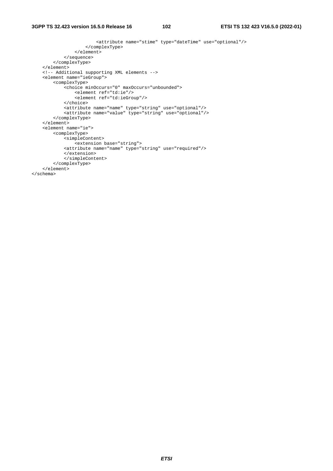#### **3GPP TS 32.423 version 16.5.0 Release 16 102 ETSI TS 132 423 V16.5.0 (2022-01)**

```
 <attribute name="stime" type="dateTime" use="optional"/> 
                       </complexType> 
                  </element> 
             </sequence> 
         </complexType> 
     </element> 
     <!-- Additional supporting XML elements --> 
     <element name="ieGroup"> 
         <complexType> 
              <choice minOccurs="0" maxOccurs="unbounded"> 
                 <element ref="td:ie"/> 
                  <element ref="td:ieGroup"/> 
              </choice> 
              <attribute name="name" type="string" use="optional"/> 
              <attribute name="value" type="string" use="optional"/> 
         </complexType> 
     </element> 
     <element name="ie"> 
         <complexType> 
             <simpleContent> 
                .<br><extension base="string">
              <attribute name="name" type="string" use="required"/> 
              </extension> 
              </simpleContent> 
         </complexType> 
     </element> 
</schema>
```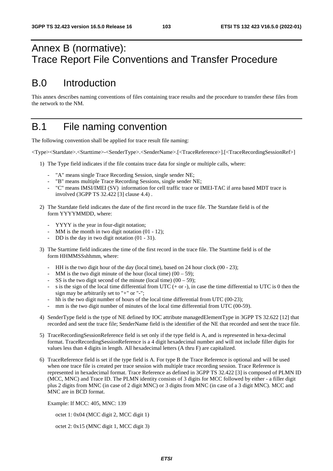# Annex B (normative): Trace Report File Conventions and Transfer Procedure

# B.0 Introduction

This annex describes naming conventions of files containing trace results and the procedure to transfer these files from the network to the NM.

# B.1 File naming convention

The following convention shall be applied for trace result file naming:

<Type><Startdate>.<Starttime>-<SenderType>.<SenderName>.[<TraceReference>].[<TraceRecordingSessionRef>]

- 1) The Type field indicates if the file contains trace data for single or multiple calls, where:
	- "A" means single Trace Recording Session, single sender NE;
	- "B" means multiple Trace Recording Sessions, single sender NE;
	- "C" means IMSI/IMEI (SV) information for cell traffic trace or IMEI-TAC if area based MDT trace is involved (3GPP TS 32.422 [3] clause 4.4) .
- 2) The Startdate field indicates the date of the first record in the trace file. The Startdate field is of the form YYYYMMDD, where:
	- YYYY is the year in four-digit notation;
	- MM is the month in two digit notation  $(01 12)$ ;
	- DD is the day in two digit notation  $(01 31)$ .
- 3) The Starttime field indicates the time of the first record in the trace file. The Starttime field is of the form HHMMSSshhmm, where:
	- HH is the two digit hour of the day (local time), based on 24 hour clock (00 23);
	- MM is the two digit minute of the hour (local time)  $(00 59)$ ;
	- SS is the two digit second of the minute (local time)  $(00 59)$ ;
	- s is the sign of the local time differential from UTC  $(+ or -)$ , in case the time differential to UTC is 0 then the sign may be arbitrarily set to "+" or "-";
	- hh is the two digit number of hours of the local time differential from UTC (00-23);
	- mm is the two digit number of minutes of the local time differential from UTC (00-59).
- 4) SenderType field is the type of NE defined by IOC attribute managedElementType in 3GPP TS 32.622 [12] that recorded and sent the trace file; SenderName field is the identifier of the NE that recorded and sent the trace file.
- 5) TraceRecordingSessionReference field is set only if the type field is A, and is represented in hexa-decimal format. TraceRecordingSessionReference is a 4 digit hexadecimal number and will not include filler digits for values less than 4 digits in length. All hexadecimal letters (A thru F) are capitalized.
- 6) TraceReference field is set if the type field is A. For type B the Trace Reference is optional and will be used when one trace file is created per trace session with multiple trace recording session. Trace Reference is represented in hexadecimal format. Trace Reference as defined in 3GPP TS 32.422 [3] is composed of PLMN ID (MCC, MNC) and Trace ID. The PLMN identity consists of 3 digits for MCC followed by either - a filler digit plus 2 digits from MNC (in case of 2 digit MNC) or 3 digits from MNC (in case of a 3 digit MNC). MCC and MNC are in BCD format.

Example: If MCC: 405, MNC: 139

octet 1: 0x04 (MCC digit 2, MCC digit 1)

octet 2: 0x15 (MNC digit 1, MCC digit 3)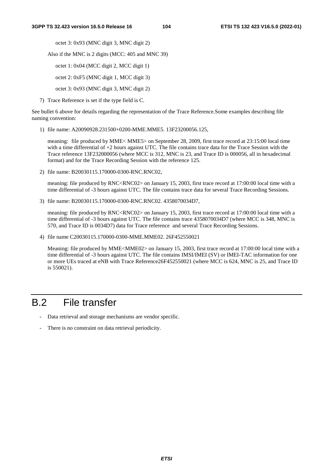octet 3: 0x93 (MNC digit 3, MNC digit 2)

Also if the MNC is 2 digits (MCC: 405 and MNC 39)

octet 1: 0x04 (MCC digit 2, MCC digit 1)

octet 2: 0xF5 (MNC digit 1, MCC digit 3)

octet 3: 0x93 (MNC digit 3, MNC digit 2)

7) Trace Reference is set if the type field is C.

See bullet 6 above for details regarding the representation of the Trace Reference.Some examples describing file naming convention:

1) file name: A20090928.231500+0200-MME.MME5. 13F23200056.125,

 meaning: file produced by MME< MME5> on September 28, 2009, first trace record at 23:15:00 local time with a time differential of +2 hours against UTC. The file contains trace data for the Trace Session with the Trace reference 13F232000056 (where MCC is 312, MNC is 23, and Trace ID is 000056, all in hexadecimal format) and for the Trace Recording Session with the reference 125.

2) file name: B20030115.170000-0300-RNC.RNC02,

meaning: file produced by RNC<RNC02> on January 15, 2003, first trace record at 17:00:00 local time with a time differential of -3 hours against UTC. The file contains trace data for several Trace Recording Sessions.

3) file name: B20030115.170000-0300-RNC.RNC02. 4358070034D7,

meaning: file produced by RNC<RNC02> on January 15, 2003, first trace record at 17:00:00 local time with a time differential of -3 hours against UTC. The file contains trace 4358070034D7 (where MCC is 348, MNC is 570, and Trace ID is 0034D7) data for Trace reference and several Trace Recording Sessions.

4) file name C20030115.170000-0300-MME.MME02. 26F452550021

 Meaning: file produced by MME<MME02> on January 15, 2003, first trace record at 17:00:00 local time with a time differential of -3 hours against UTC. The file contains IMSI/IMEI (SV) or IMEI-TAC information for one or more UEs traced at eNB with Trace Reference26F452550021 (where MCC is 624, MNC is 25, and Trace ID is 550021).

## B.2 File transfer

- Data retrieval and storage mechanisms are vendor specific.
- There is no constraint on data retrieval periodicity.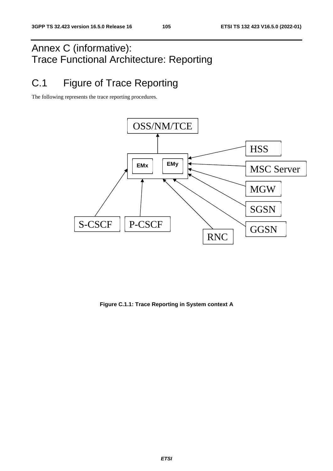# Annex C (informative): Trace Functional Architecture: Reporting

# C.1 Figure of Trace Reporting

The following represents the trace reporting procedures.



**Figure C.1.1: Trace Reporting in System context A**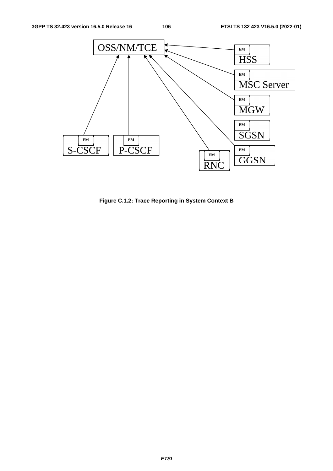

**Figure C.1.2: Trace Reporting in System Context B**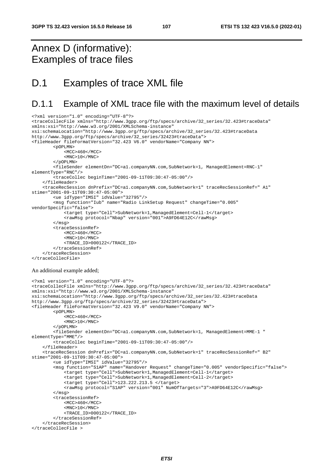# Annex D (informative): Examples of trace files

<?xml version="1.0" encoding="UTF-8"?>

# D.1 Examples of trace XML file

### D.1.1 Example of XML trace file with the maximum level of details

```
<traceCollecFile xmlns="http://www.3gpp.org/ftp/specs/archive/32_series/32.423#traceData" 
xmlns:xsi="http://www.w3.org/2001/XMLSchema-instance" 
xsi:schemaLocation="http://www.3gpp.org/ftp/specs/archive/32_series/32.423#traceData 
http://www.3gpp.org/ftp/specs/archive/32_series/32423#traceData"> 
<fileHeader fileFormatVersion="32.423 V6.0" vendorName="Company NN"> 
         <pOPLMN> 
             <MCC>460</MCC> 
            <MNC>10</MNC>
         </pOPLMN> 
         <fileSender elementDn="DC=a1.companyNN.com,SubNetwork=1, ManagedElement=RNC-1" 
elementType="RNC"/> 
         <traceCollec beginTime="2001-09-11T09:30:47-05:00"/> 
     </fileHeader> 
     <traceRecSession dnPrefix="DC=a1.companyNN.com,SubNetwork=1" traceRecSessionRef=" A1" 
stime="2001-09-11T09:30:47-05:00"> 
         <ue idType="IMSI" idValue="32795"/> 
         <msg function="Iub" name="Radio LinkSetup Request" changeTime="0.005" 
vendorSpecific="false"> 
              <target type="Cell">SubNetwork=1,ManagedElement=Cell-1</target> 
             <rawMsg protocol="Nbap" version="001">A9FD64E12C</rawMsg> 
         </msg> 
         <traceSessionRef> 
             <MCC>460</MCC> 
            <MNC>10</MNC> <TRACE_ID>000122</TRACE_ID> 
         </traceSessionRef> 
     </traceRecSession> 
</traceCollecFile> 
An additional example added; 
<?xml version="1.0" encoding="UTF-8"?> 
<traceCollecFile xmlns="http://www.3gpp.org/ftp/specs/archive/32_series/32.423#traceData" 
xmlns:xsi="http://www.w3.org/2001/XMLSchema-instance" 
xsi:schemaLocation="http://www.3gpp.org/ftp/specs/archive/32_series/32.423#traceData 
http://www.3gpp.org/ftp/specs/archive/32_series/32423#traceData"> 
<fileHeader fileFormatVersion="32.423 V9.0" vendorName="Company NN"> 
         <pOPLMN> 
             <MCC>460</MCC> 
            <MNC>10</MNC>
         </pOPLMN> 
         <fileSender elementDn="DC=a1.companyNN.com,SubNetwork=1, ManagedElement=MME-1 " 
elementType="MME"/> 
         <traceCollec beginTime="2001-09-11T09:30:47-05:00"/> 
     </fileHeader> 
     <traceRecSession dnPrefix="DC=a1.companyNN.com,SubNetwork=1" traceRecSessionRef=" B2" 
stime="2001-09-11T09:30:47-05:00"> 
         <ue idType="IMSI" idValue="32795"/> 
         <msg function="S1AP" name="Handover Request" changeTime="0.005" vendorSpecific="false"> 
             <target type="Cell">SubNetwork=1,ManagedElement=Cell-1</target> 
             <target type="Cell">SubNetwork=1,ManagedElement=Cell-2</target> 
              <target type="Cell">123.222.213.5 </target> 
             <rawMsg protocol="S1AP" version="001" NumOfTargets="3">A9FD64E12C</rawMsg> 
        \langlemsg\rangle <traceSessionRef> 
            <MCC>460</MCC>
             <MNC>10</MNC> 
             <TRACE_ID>000122</TRACE_ID> 
         </traceSessionRef> 
     </traceRecSession> 
</traceCollecFile >
```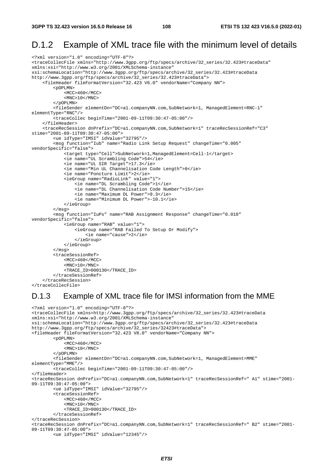#### D.1.2 Example of XML trace file with the minimum level of details

```
<?xml version="1.0" encoding="UTF-8"?> 
<traceCollecFile xmlns="http://www.3gpp.org/ftp/specs/archive/32_series/32.423#traceData" 
xmlns:xsi="http://www.w3.org/2001/XMLSchema-instance" 
xsi:schemaLocation="http://www.3gpp.org/ftp/specs/archive/32_series/32.423#traceData 
http://www.3gpp.org/ftp/specs/archive/32_series/32.423#traceData"> 
     <fileHeader fileFormatVersion="32.423 V6.0" vendorName="Company NN"> 
         <pOPLMN> 
             <MCC>460</MCC> 
             <MNC>10</MNC> 
         </pOPLMN> 
         <fileSender elementDn="DC=a1.companyNN.com,SubNetwork=1, ManagedElement=RNC-1" 
elementType="RNC"/> 
         <traceCollec beginTime="2001-09-11T09:30:47-05:00"/> 
     </fileHeader> 
     <traceRecSession dnPrefix="DC=a1.companyNN.com,SubNetwork=1" traceRecSessionRef="C3" 
stime="2001-09-11T09:30:47-05:00"> 
         <ue idType="IMSI" idValue="32795"/> 
         <msg function="Iub" name="Radio Link Setup Request" changeTime="0.005" 
vendorSpecific="false"> 
             <target type="Cell">SubNetwork=1,ManagedElement=Cell-1</target> 
             <ie name="UL Scrambling Code">54</ie> 
             <ie name="UL SIR Target">17.3</ie> 
             <ie name="Min UL Channelisation Code Length">8</ie> 
              <ie name="Poncture Limit">2</ie> 
             <ieGroup name="RadioLink" value="1"> 
                  <ie name="DL Scrambling Code">1</ie> 
                  <ie name="DL Channelisation Code Number">15</ie> 
                  <ie name="Maximum DL Power">9.3</ie> 
                  <ie name="Minimum DL Power">-10.1</ie> 
             </ieGroup> 
         </msg> 
         <msg function="IuPs" name="RAB Assignment Response" changeTime="0.010" 
vendorSpecific="false"> 
             <ieGroup name="RAB" value="1"> 
                  <ieGroup name="RAB Failed To Setup Or Modify"> 
                      <ie name="cause">2</ie> 
                  </ieGroup> 
             </ieGroup> 
         </msg> 
         <traceSessionRef> 
             <MCC>460</MCC>
            <MNC>10</MNC>
             <TRACE_ID>000130</TRACE_ID> 
         </traceSessionRef> 
     </traceRecSession> 
</traceCollecFile>
```
#### D.1.3 Example of XML trace file for IMSI information from the MME

```
<?xml version="1.0" encoding="UTF-8"?> 
<traceCollecFile xmlns=http://www.3gpp.org/ftp/specs/archive/32_series/32.423#traceData 
xmlns:xsi="http://www.w3.org/2001/XMLSchema-instance" 
xsi:schemaLocation="http://www.3gpp.org/ftp/specs/archive/32_series/32.423#traceData 
http://www.3gpp.org/ftp/specs/archive/32_series/32423#traceData"> 
<fileHeader fileFormatVersion="32.423 V8.0" vendorName="Company NN"> 
         <pOPLMN> 
             <MCC>460</MCC> 
            <MNC>10</MNC>
         </pOPLMN> 
         <fileSender elementDn="DC=a1.companyNN.com,SubNetwork=1, ManagedElement=MME" 
elementType="MME"/> 
         <traceCollec beginTime="2001-09-11T09:30:47-05:00"/> 
</fileHeader> 
<traceRecSession dnPrefix="DC=a1.companyNN.com,SubNetwork=1" traceRecSessionRef=" A1" stime="2001-
09-11T09:30:47-05:00"> 
         <ue idType="IMSI" idValue="32795"/> 
         <traceSessionRef> 
             <MCC>460</MCC> 
            <MNC>10</MNC>
             <TRACE_ID>000130</TRACE_ID> 
         </traceSessionRef> 
</traceRecSession> 
<traceRecSession dnPrefix="DC=a1.companyNN.com,SubNetwork=1" traceRecSessionRef=" B2" stime="2001-
09-11T09:30:47-05:00"> 
         <ue idType="IMSI" idValue="12345"/>
```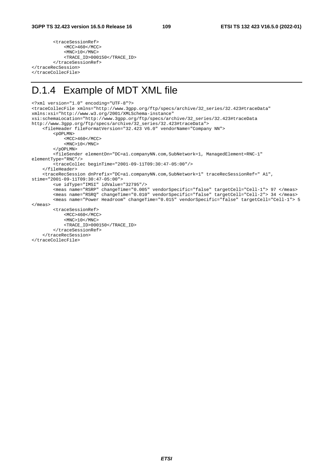<traceSessionRef> <MCC>460</MCC> <MNC>10</MNC> <TRACE\_ID>000150</TRACE\_ID> </traceSessionRef> </traceRecSession> </traceCollecFile>

## D.1.4 Example of MDT XML file

```
<?xml version="1.0" encoding="UTF-8"?> 
<traceCollecFile xmlns="http://www.3gpp.org/ftp/specs/archive/32_series/32.423#traceData" 
xmlns:xsi="http://www.w3.org/2001/XMLSchema-instance" 
xsi:schemaLocation="http://www.3gpp.org/ftp/specs/archive/32_series/32.423#traceData 
http://www.3gpp.org/ftp/specs/archive/32_series/32.423#traceData"> 
     <fileHeader fileFormatVersion="32.423 V6.0" vendorName="Company NN"> 
         <pOPLMN> 
            <MCC>460</MCC>
            <MNC>10</MNC>
         </pOPLMN> 
         <fileSender elementDn="DC=a1.companyNN.com,SubNetwork=1, ManagedElement=RNC-1" 
elementType="RNC"/> 
         <traceCollec beginTime="2001-09-11T09:30:47-05:00"/> 
     </fileHeader> 
     <traceRecSession dnPrefix="DC=a1.companyNN.com,SubNetwork=1" traceRecSessionRef=" A1", 
stime="2001-09-11T09:30:47-05:00"> 
         <ue idType="IMSI" idValue="32795"/> 
 <meas name="RSRP" changeTime="0.005" vendorSpecific="false" targetCell="Cell-1"> 97 </meas> 
 <meas name="RSRQ" changeTime="0.010" vendorSpecific="false" targetCell="Cell-2"> 34 </meas> 
         <meas name="Power Headroom" changeTime="0.015" vendorSpecific="false" targetCell="Cell-1"> 5 
</meas> 
         <traceSessionRef> 
             <MCC>460</MCC> 
            <MNC>10</MNC>
             <TRACE_ID>000150</TRACE_ID> 
         </traceSessionRef> 
     </traceRecSession> 
</traceCollecFile>
```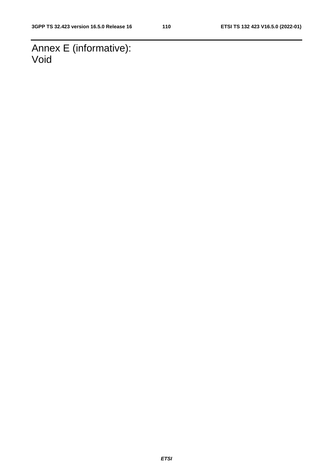Annex E (informative): Void

*ETSI*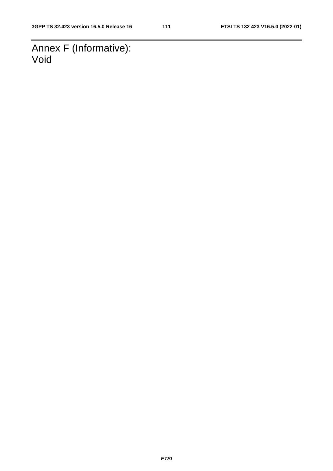Annex F (Informative): Void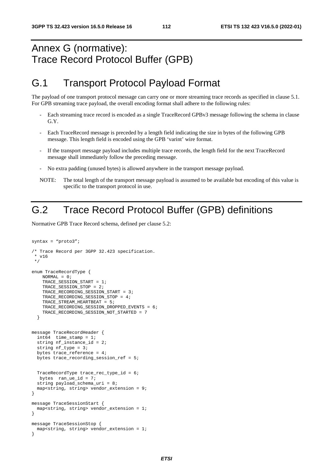## Annex G (normative): Trace Record Protocol Buffer (GPB)

### G.1 Transport Protocol Payload Format

The payload of one transport protocol message can carry one or more streaming trace records as specified in clause 5.1. For GPB streaming trace payload, the overall encoding format shall adhere to the following rules:

- Each streaming trace record is encoded as a single TraceRecord GPBv3 message following the schema in clause G.Y.
- Each TraceRecord message is preceded by a length field indicating the size in bytes of the following GPB message. This length field is encoded using the GPB 'varint' wire format.
- If the transport message payload includes multiple trace records, the length field for the next TraceRecord message shall immediately follow the preceding message.
- No extra padding (unused bytes) is allowed anywhere in the transport message payload.
- NOTE: The total length of the transport message payload is assumed to be available but encoding of this value is specific to the transport protocol in use.

## G.2 Trace Record Protocol Buffer (GPB) definitions

Normative GPB Trace Record schema, defined per clause 5.2:

```
syntax = "proto3"; 
/* Trace Record per 3GPP 32.423 specification. 
  * v16 
  */ 
enum TraceRecordType { 
   NORMAI = 0; TRACE_SESSION_START = 1; 
    TRACE SESSION STOP = 2;
     TRACE_RECORDING_SESSION_START = 3; 
     TRACE_RECORDING_SESSION_STOP = 4; 
    TRACE STREAM HEARTBEAT = 5;
     TRACE_RECORDING_SESSION_DROPPED_EVENTS = 6; 
     TRACE_RECORDING_SESSION_NOT_STARTED = 7 
   } 
message TraceRecordHeader { 
   int64 time_stamp = 1; 
   string nf_instance_id = 2; 
   string nf_type = 3; 
   bytes trace_reference = 4; 
   bytes trace_recording_session_ref = 5; 
   TraceRecordType trace_rec_type_id = 6; 
   bytes ran\_ue\_id = 7;
  string payload schema uri = 8;map<string, string> vendor_extension = 9;
} 
message TraceSessionStart { 
   map<string, string> vendor_extension = 1; 
} 
message TraceSessionStop { 
   map<string, string> vendor_extension = 1; 
}
```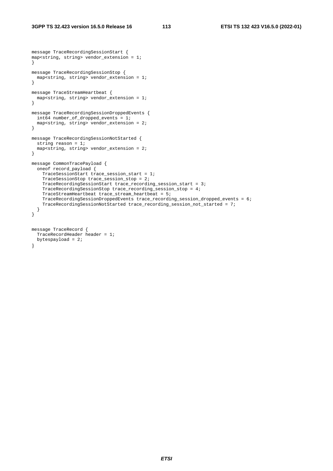```
message TraceRecordingSessionStart { 
map<string, string> vendor_extension = 1; 
} 
message TraceRecordingSessionStop { 
  map<string, string> vendor_extension = 1; 
} 
message TraceStreamHeartbeat { 
  map<string, string> vendor_extension = 1; 
} 
message TraceRecordingSessionDroppedEvents { 
  int64 number_of_dropped_events = 1; 
   map<string, string> vendor_extension = 2; 
} 
message TraceRecordingSessionNotStarted { 
  string reason = 1; 
   map<string, string> vendor_extension = 2; 
} 
message CommonTracePayload { 
   oneof record_payload { 
     TraceSessionStart trace_session_start = 1; 
     TraceSessionStop trace_session_stop = 2; 
     TraceRecordingSessionStart trace_recording_session_start = 3; 
     TraceRecordingSessionStop trace_recording_session_stop = 4; 
     TraceStreamHeartbeat trace_stream_heartbeat = 5; 
     TraceRecordingSessionDroppedEvents trace_recording_session_dropped_events = 6; 
     TraceRecordingSessionNotStarted trace_recording_session_not_started = 7; 
   } 
} 
message TraceRecord { 
   TraceRecordHeader header = 1; 
   bytespayload = 2; 
}
```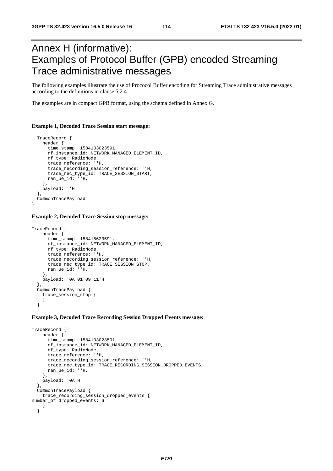## Annex H (informative): Examples of Protocol Buffer (GPB) encoded Streaming Trace administrative messages

The following examples illustrate the use of Prococol Buffer encoding for Streaming Trace administrative messages according to the definitions in clause 5.2.4.

The examples are in compact GPB format, using the schema defined in Annex G.

#### **Example 1, Decoded Trace Session start message:**

```
 TraceRecord { 
  header { 
     time_stamp: 1584103023591, 
     nf_instance_id: NETWORK_MANAGED_ELEMENT_ID, 
     nf_type: RadioNode, 
     trace_reference: ''H, 
     trace_recording_session_reference: ''H, 
     trace_rec_type_id: TRACE_SESSION_START, 
     ran_ue_id: ''H, 
   }, 
  payload: ''H 
 }, 
 CommonTracePayload
```
#### **Example 2, Decoded Trace Session stop message:**

}

```
TraceRecord { 
     header { 
       time_stamp: 158415623591, 
      nf_instance_id: NETWORK_MANAGED_ELEMENT_ID,
       nf_type: RadioNode, 
       trace_reference: ''H, 
       trace_recording_session_reference: ''H, 
       trace_rec_type_id: TRACE_SESSION_STOP, 
       ran_ue_id: ''H, 
     }, 
     payload: '0A 01 09 11'H 
   }, 
  CommonTracePayload {
     trace_session_stop { 
     } 
   }
```
#### **Example 3, Decoded Trace Recording Session Dropped Events message:**

```
TraceRecord { 
     header { 
       time_stamp: 1584103023591, 
       nf_instance_id: NETWORK_MANAGED_ELEMENT_ID, 
       nf_type: RadioNode, 
       trace_reference: ''H, 
       trace_recording_session_reference: ''H, 
       trace_rec_type_id: TRACE_RECORDING_SESSION_DROPPED_EVENTS, 
       ran_ue_id: ''H, 
     }, 
     payload: '0A'H 
 }, 
   CommonTracePayload { 
    trace recording session dropped events {
number_of dropped_events: 6 
     } 
   }
```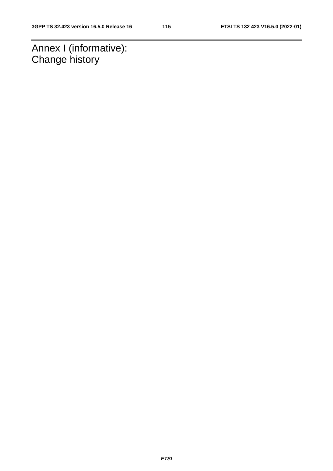Annex I (informative): Change history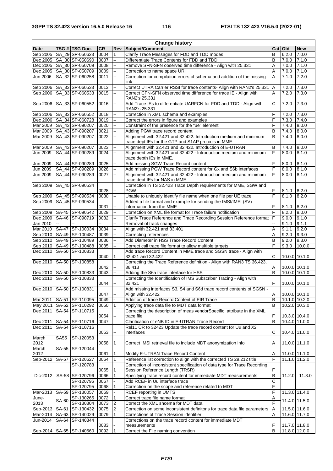| <b>Change history</b> |              |                              |           |                          |                                                                           |                     |               |                 |  |
|-----------------------|--------------|------------------------------|-----------|--------------------------|---------------------------------------------------------------------------|---------------------|---------------|-----------------|--|
| Date                  |              | TSG # TSG Doc.               | <b>CR</b> | Rev                      | Subject/Comment                                                           |                     | Cat   Old     | <b>New</b>      |  |
| Sep 2005              |              | SA_29 SP-050623              | 0004      | 1                        | Clarify Trace Messages for FDD and TDD modes                              | B                   | 6.2.0         | 7.0.0           |  |
|                       |              | Dec 2005   SA_30 SP-050690   | 0007      | u.                       | Differentiate Trace Contents for FDD and TDD                              | B                   | 7.0.0         | 7.1.0           |  |
|                       |              | Dec 2005   SA_30 SP-050709   | 0008      | --                       | Remove SFN-SFN observed time difference - Align with 25.331               | A                   | 7.0.0         | 7.1.0           |  |
| Dec 2005              |              | SA_30 SP-050709              | 0009      | цц.                      | A<br>Correction to name space URI                                         |                     | 7.0.0         | 7.1.0           |  |
| Jun 2006              |              | SA_32 SP-060258              | 0011      | цц.                      | Correction for compilation errors of schema and addition of the missing   | A                   | 7.1.0         | 7.2.0           |  |
|                       |              |                              |           |                          | link                                                                      |                     |               |                 |  |
| Sep 2006              |              | SA_33 SP-060533              | 0013      | щ,                       | Correct UTRA Carrier RSSI for trace contents- Align with RAN2's 25.331    | $\overline{A}$      | 7.2.0         | 7.3.0           |  |
| Sep 2006              |              | SA_33 SP-060533              | 0015      | цц.                      | Correct CFN-SFN observed time difference for trace IE - Align with        | $\overline{A}$      | 7.2.0         | 7.3.0           |  |
|                       |              |                              |           |                          | RAN2's 25.331                                                             |                     |               |                 |  |
|                       |              |                              | 0016      | Ξ.                       |                                                                           | С                   |               | 7.3.0           |  |
| Sep 2006              |              | SA_33 SP-060552              |           |                          | Add Trace IEs to differentiate UARFCN for FDD and TDD - Align with        |                     | 7.2.0         |                 |  |
|                       |              |                              |           |                          | RAN2's 25.331                                                             |                     |               |                 |  |
| Sep 2006              |              | SA_33 SP-060552              | 0018      | щ.                       | Correction in XML schema and examples                                     | F                   | 7.2.0         | 7.3.0           |  |
|                       |              | Dec 2006   SA_34 SP-060728   | 0019      | Ξ.                       | Correct the errors in figure and examples                                 | F                   | 7.3.0         | 7.4.0           |  |
| Mar 2009              |              | SA_43 SP-090207              | 0020      | Щ,                       | Constraint of the presence for the "ue" element                           | F                   | 7.4.0         | 8.0.0           |  |
| Mar 2009              |              | SA_43 SP-090207              | 0021      | $\sim$                   | Adding PGW trace record content                                           | B                   | 7.4.0         | 8.0.0           |  |
| Mar 2009              |              | SA_43 SP-090207              | 0022      | ш.                       | Alignment with 32.421 and 32.422. Introduction medium and minimum         | B                   | 7.4.0         | 8.0.0           |  |
|                       |              |                              |           |                          | trace dept IEs for the GTP and S1AP protcols in MME                       |                     |               |                 |  |
| Mar 2009              |              | SA_43 SP-090207              | 0023      | щ,                       | Alignment with 32.421 and 32.422. Introduction of E-UTRAN                 | B                   | 7.4.0         | 8.0.0           |  |
| Jun 2009              |              | SA_44 SP-090289              | 0024      | --                       | Alignment with 32.421 and 32.422 - Introduction medium and minimum        | F                   | 8.0.0         | 8.1.0           |  |
|                       |              |                              |           |                          | trace depth IEs in MME.                                                   |                     |               |                 |  |
| Jun 2009              |              | SA_44 SP-090289              | 0025      | ц,                       | Add missing SGW Trace Record content                                      | F                   | 8.0.0         | 8.1.0           |  |
| Jun 2009              |              | SA_44 SP-090289              | 0026      | щ,                       | Add missing PGW Trace Record content for Gx and S6b interfaces            | F                   | 8.0.0         | 8.1.0           |  |
| Jun 2009              |              | SA 44 SP-090289              | 0027      | $\sim$                   | Alignment with 32.421 and 32.422 - Introduction medium and minimum        | F                   | 8.0.0         | 8.1.0           |  |
|                       |              |                              |           |                          | trace dept IEs for NAS in MME.                                            |                     |               |                 |  |
| Sep 2009              |              | SA_45 SP-090534              |           |                          | Correction in TS 32.423 Trace Depth requirements for MME, SGW and         |                     |               |                 |  |
|                       |              |                              | 0028      | Щ.                       | <b>PGW</b>                                                                | F                   | 8.1.0         | 8.2.0           |  |
| Sep 2009              |              | SA_45 SP-090534              | 0030      | ц,                       | Unable to uniquely identify file name when one file per UE trace          | F                   | 8.1.0         | 8.2.0           |  |
| Sep 2009              |              | SA_45 SP-090534              |           |                          | Added a file format and example for sending the IMSI/IMEI (SV)            |                     |               |                 |  |
|                       |              |                              | 0031      | Щ.                       | information from the MME                                                  | F                   | 8.1.0         | 8.2.0           |  |
|                       |              | Sep 2009   SA-45   SP-090542 | 0029      | --                       | Correction on XML file format for Trace failure notification              | $\overline{F}$      | 8.2.0         | 9.0.0           |  |
|                       |              | Dec 2009   SA-46   SP-090719 | 0032      | ц,                       | Clarify Trace Reference and Trace Recording Session Reference format   F  |                     | 9.0.0         | 9.1.0           |  |
|                       | $\mathbf{r}$ |                              | Ξ.        | u.                       |                                                                           |                     |               |                 |  |
| Jan 2010              |              |                              |           |                          | Removal of track changes                                                  | Щ.                  | 9.1.0         | 9.1.1           |  |
|                       |              | Mar 2010   SA-47   SP-100034 | 0034      | ц,                       | Align with 32.421 and 33.401                                              | A                   | 9.1.1         | 9.2.0           |  |
|                       |              | Sep 2010 SA-49 SP-100487     | 0039      | Щ,                       | Correcting references                                                     | A                   | 9.2.0         | 9.3.0           |  |
|                       |              | Sep 2010 SA-49 SP-100489     | 0036      | Щ.                       | Add Diameter in HSS Trace Record Content                                  | B                   | 9.2.0         | 9.3.0           |  |
|                       |              | Sep 2010   SA-49   SP-100488 | 0035      | ш,                       | Correct call trace file format to allow multiple targets                  | F                   | 9.3.0         | 10.0.0          |  |
| Dec 2010              |              | SA-50 SP-100833              |           |                          | Add trace Record Content in MME trace and SGSN trace - Align with         |                     |               |                 |  |
|                       |              |                              | 0040      | $\mathbf{1}$             | 32.421 and 32.422                                                         | C                   | 10.0.0 10.1.0 |                 |  |
|                       |              | Dec 2010   SA-50   SP-100858 |           |                          | Correcting the Trace Reference definition - Align with RAN3 TS 36.423,    |                     |               |                 |  |
|                       |              |                              | 0042      | ÷.                       | 36.413                                                                    | Α                   | 10.0.0 10.1.0 |                 |  |
|                       |              | Dec 2010   SA-50   SP-100833 | 0043      | --                       | Adding the S6a trace interface for HSS                                    | B                   | 10.0.0 10.1.0 |                 |  |
|                       |              | Dec 2010 SA-50 SP-100833     |           |                          | Correcting the Identification of IMS Subscriber Tracing - Align with      |                     |               |                 |  |
|                       |              |                              | 0044      | ц.                       | F<br>32.421<br>10.0.0 10.1.0                                              |                     |               |                 |  |
|                       |              | Dec 2010   SA-50   SP-100831 |           |                          | Add missing interfaces S3, S4 and S6d trace record contents of SGSN -     |                     |               |                 |  |
|                       |              |                              | 0047      | $\overline{\phantom{a}}$ | Align with 32.422                                                         | Α                   | 10.0.0 10.1.0 |                 |  |
| Mar 2011              |              | SA-51 SP-110095              | 0049      |                          | Addition of trace Record Content of EIR Trace                             | B                   |               | 10.1.0 10.2.0   |  |
| May 2011              |              | SA-52 SP-110292              | 0050      | 1                        | Applying trace data file to MDT data format                               | B                   |               | 10.2.0 10.3.0   |  |
| Dec 2011              |              | SA-54 SP-110715              |           |                          | Correcting the description of meas vendorSpecific attribute in the XML    |                     |               |                 |  |
|                       |              |                              | 0054      |                          | trace file                                                                | F                   |               | 10.3.0 10.4.0   |  |
| Dec 2011              |              | SA-54 SP-110716              | 0047      |                          | Clarification of eNB ID in E-UTRAN Trace Record                           | $\overline{B}$      | 10.4.0 11.0.0 |                 |  |
| Dec 2011              |              | SA-54 SP-110716              |           |                          | Rel11 CR to 32423 Update the trace record content for Uu and X2           |                     |               |                 |  |
|                       |              |                              | 0053      | ц.                       | interfaces                                                                | С                   | 10.4.0 11.0.0 |                 |  |
| March                 | <b>SA55</b>  | SP-120053                    |           |                          |                                                                           |                     |               |                 |  |
| 2012                  |              |                              | 0058      | 1                        | Correct IMSI retrieval file to include MDT anonymization info             | Α                   | 11.0.0 11.1.0 |                 |  |
| March                 |              | SA-55 SP-120044              |           |                          |                                                                           |                     |               |                 |  |
| 2012                  |              |                              | 0061      |                          |                                                                           |                     |               |                 |  |
|                       |              |                              | 0064      | 1<br>1                   | Modify E-UTRAN Trace Record Content                                       | Α<br>F              | 11.0.0 11.1.0 | $11.1.0$ 11.2.0 |  |
| Sep-2012              |              | SA-57 SP-120627              |           |                          | Reference list correction to align with the corrected TS 29.212 title     |                     |               |                 |  |
|                       |              | SP-120783                    |           |                          | Correction of inconsistent specification of data type for Trace Recording | F                   |               |                 |  |
|                       |              |                              | 0065      | 1                        | Session Reference Length (TRSR)                                           |                     |               |                 |  |
| Dic-2012              |              | SA-58 SP-120796              | 0066      | 1                        | Specifying trace record content for immediate MDT measurements            | B                   | 11.2.0        | 11.3.0          |  |
|                       |              | SP-120796                    | 0067      |                          | Add RCEF in Uu interface trace                                            | $\overline{C}$<br>F |               |                 |  |
|                       |              | SP-120795                    | 0068      | 1                        | Correction on the scope and reference related to MDT                      |                     |               |                 |  |
| Mar-2013              |              | SA-59 SP-130057              | 0069      |                          | RCEF reporting in UMTS                                                    | F                   |               | 11.3.0 11.4.0   |  |
| June-                 | SA-60        | SP-130265                    | 0072      | 1                        | Correct trace file name format                                            | Α                   |               | 11.4.0 11.5.0   |  |
| 2013                  |              | SP-130304                    | 0073      | 2                        | Correct the XML shcema for MDT data                                       | F                   |               |                 |  |
|                       |              | Sep-2013   SA-61   SP-130432 | 0075      | $\overline{2}$           | Correction on some inconsistent definitons for trace data file parameters | $\overline{A}$      | 11.5.0 11.6.0 |                 |  |
|                       |              | Mar-2014   SA-63   SP-140029 | 0079      | 1                        | Corrections of Trace Session identifier<br>A                              |                     |               | 11.6.0 11.7.0   |  |
| Jun-2014              |              | SA-64 SP-140344              |           |                          | Corrections on the trace record content for immediate MDT                 |                     |               |                 |  |
|                       |              |                              | 0083      |                          | measurements                                                              | F                   | 11.7.0 11.8.0 |                 |  |
| Sep-2014              |              | SA-65 SP-140560              | 0092      | 1                        | Correct the File naming convention                                        | B                   | 11.8.0 12.0.0 |                 |  |
|                       |              |                              |           |                          |                                                                           |                     |               |                 |  |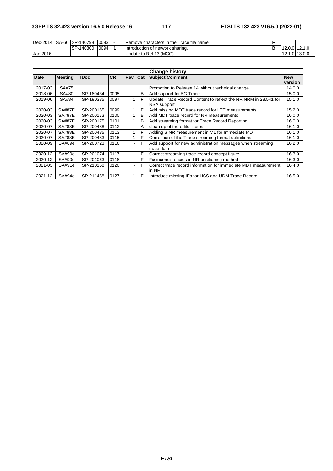| Dec-2014 | SA-66 SP-140798 | 0093 | Trace file name<br><b>Remove characters in the</b> |  |         |            |
|----------|-----------------|------|----------------------------------------------------|--|---------|------------|
|          | SP-140800       | 0094 | Hotroduction of network sharing.                   |  | 12.0.01 | 14. I.U    |
| Jan 2016 |                 |      | Update to Rel-13 (MCC)                             |  | ۱۷.     | 1.0113.0.0 |

| <b>Change history</b> |                |             |           |                |   |                                                                                |                       |
|-----------------------|----------------|-------------|-----------|----------------|---|--------------------------------------------------------------------------------|-----------------------|
| Date                  | <b>Meeting</b> | <b>TDoc</b> | <b>CR</b> | <b>Rev Cat</b> |   | Subject/Comment                                                                | <b>New</b><br>version |
| 2017-03               | SA#75          |             |           |                |   | Promotion to Release 14 without technical change                               | 14.0.0                |
| 2018-06               | SA#80          | SP-180434   | 0095      |                | B | Add support for 5G Trace                                                       | 15.0.0                |
| 2019-06               | SA#84          | SP-190385   | 0097      |                | F | Update Trace Record Content to reflect the NR NRM in 28.541 for<br>NSA support | 15.1.0                |
| 2020-03               | <b>SA#87E</b>  | SP-200165   | 0099      |                | F | Add missing MDT trace record for LTE measurements                              | 15.2.0                |
| 2020-03               | <b>SA#87E</b>  | SP-200173   | 0100      |                | B | Add MDT trace record for NR measurements                                       | 16.0.0                |
| 2020-03               | <b>SA#87E</b>  | SP-200175   | 0101      |                | B | Add streaming format for Trace Record Reporting                                | 16.0.0                |
| 2020-07               | <b>SA#88E</b>  | SP-200488   | 0112      |                | A | clean up of the editor notes                                                   | 16.1.0                |
| 2020-07               | <b>SA#88E</b>  | SP-200485   | 0113      |                | F | Adding SINR measurement in M1 for Immediate MDT                                | 16.1.0                |
| 2020-07               | <b>SA#88E</b>  | SP-200483   | 0115      |                | F | Correction of the Trace streaming format definitions                           | 16.1.0                |
| 2020-09               | SA#89e         | SP-200723   | 0116      |                | F | Add support for new administration messages when streaming<br>trace data       | 16.2.0                |
| 2020-12               | SA#90e         | SP-201074   | 0117      |                | F | Correct streaming trace record concept figure                                  | 16.3.0                |
| 2020-12               | SA#90e         | SP-201063   | 0118      |                | F | Fix inconsistencies in NR positioning method                                   | 16.3.0                |
| 2021-03               | SA#91e         | SP-210168   | 0120      |                | F | Correct trace record information for immediate MDT measurement<br>lin NR       | 16.4.0                |
| 2021-12               | SA#94e         | SP-211458   | 0127      |                | F | Introduce missing IEs for HSS and UDM Trace Record                             | 16.5.0                |